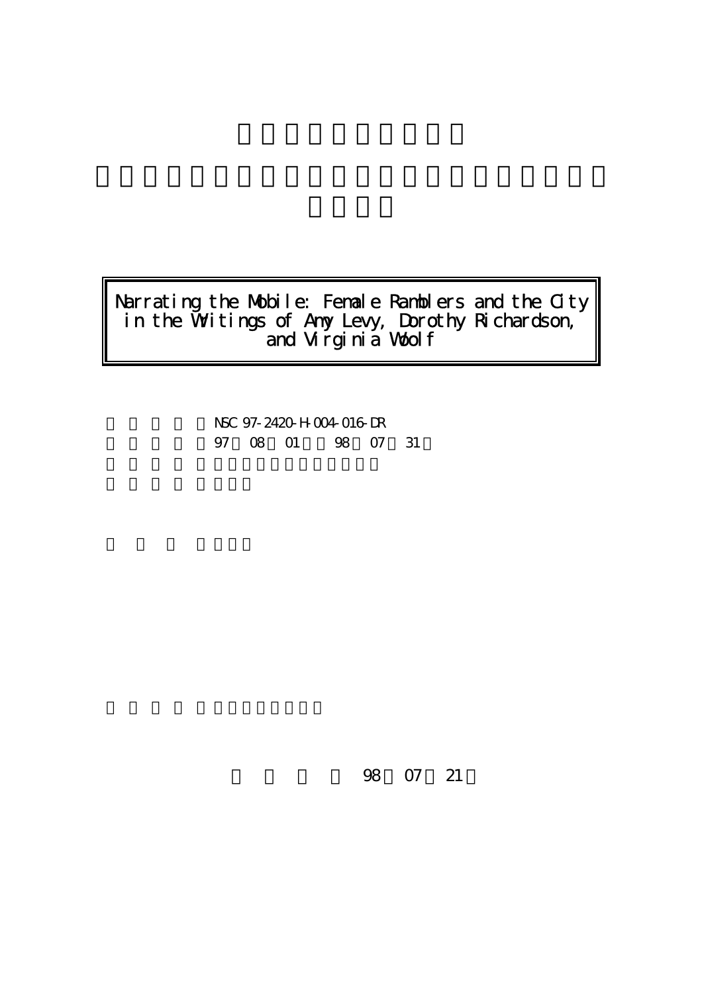# Narrating the Mobile: Female Ramblers and the City in the Writings of Amy Levy, Dorothy Richardson,  $\check{\phantom{a}}$ and Virginia Woolf

NSC 97-2420-H-004-016-DR 97 08 01 98 07 31

98 07 21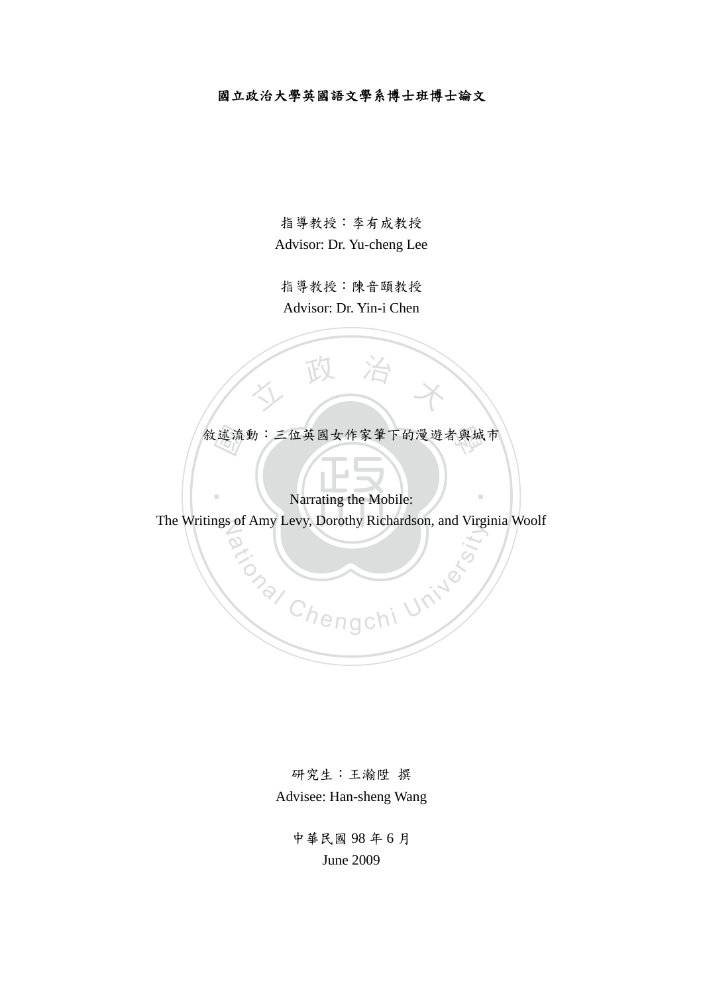# 國立政治大學英國語文學系博士班博士論文

指導教授:李有成教授 Advisor: Dr. Yu-cheng Lee

指導教授:陳音頤教授 Advisor: Dr. Yin-i Chen

敘述流動:三位英國女作家筆下的漫遊者與城市<br>Narrating the Mobile:

人 政 治 木

Narrating the Mobile:

‧

The Writings of Amy Levy, Dorothy Richardson, and Virginia Woolf **ational Chengchi University** 

> 研究生:王瀚陞 撰 Advisee: Han-sheng Wang

> > 中華民國 98 年 6 月 June 2009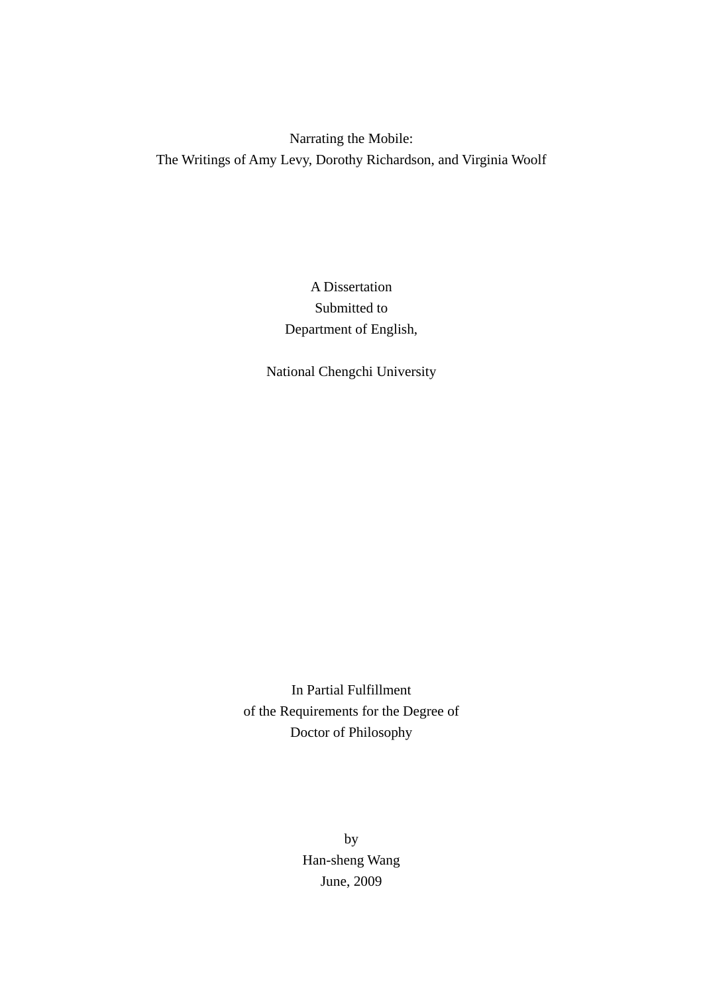Narrating the Mobile: The Writings of Amy Levy, Dorothy Richardson, and Virginia Woolf

# A Dissertation Submitted to Department of English,

National Chengchi University

In Partial Fulfillment of the Requirements for the Degree of Doctor of Philosophy

> by Han-sheng Wang June, 2009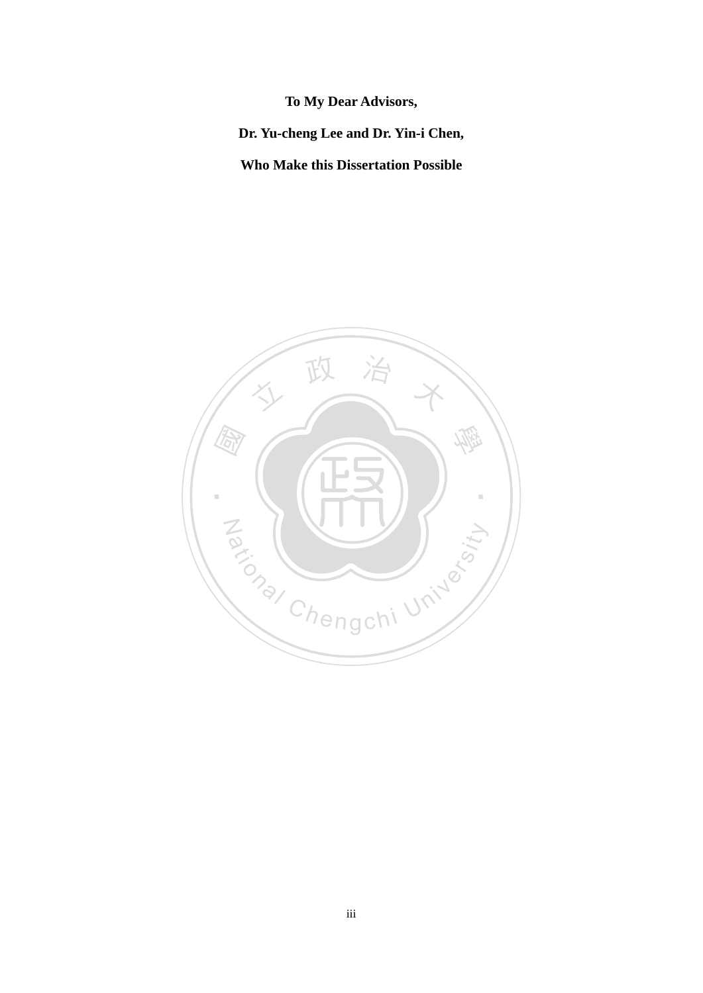**To My Dear Advisors, Dr. Yu-cheng Lee and Dr. Yin-i Chen, Who Make this Dissertation Possible**

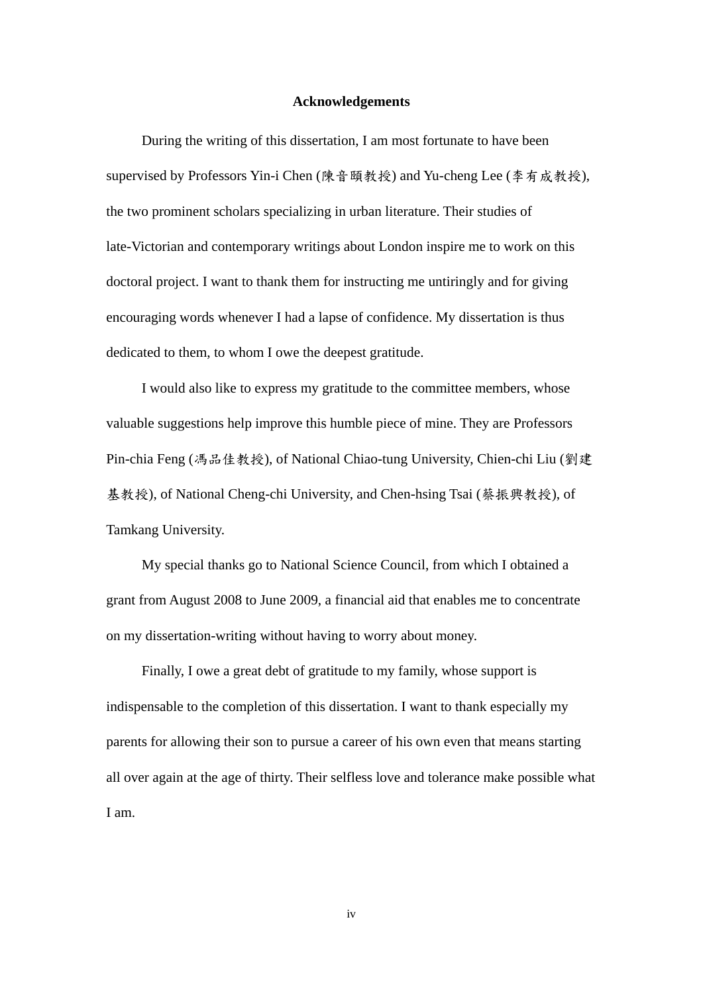#### **Acknowledgements**

 During the writing of this dissertation, I am most fortunate to have been supervised by Professors Yin-i Chen (陳音頤教授) and Yu-cheng Lee (李有成教授), the two prominent scholars specializing in urban literature. Their studies of late-Victorian and contemporary writings about London inspire me to work on this doctoral project. I want to thank them for instructing me untiringly and for giving encouraging words whenever I had a lapse of confidence. My dissertation is thus dedicated to them, to whom I owe the deepest gratitude.

 I would also like to express my gratitude to the committee members, whose valuable suggestions help improve this humble piece of mine. They are Professors Pin-chia Feng (馮品佳教授), of National Chiao-tung University, Chien-chi Liu (劉建 基教授), of National Cheng-chi University, and Chen-hsing Tsai (蔡振興教授), of Tamkang University.

 My special thanks go to National Science Council, from which I obtained a grant from August 2008 to June 2009, a financial aid that enables me to concentrate on my dissertation-writing without having to worry about money.

 Finally, I owe a great debt of gratitude to my family, whose support is indispensable to the completion of this dissertation. I want to thank especially my parents for allowing their son to pursue a career of his own even that means starting all over again at the age of thirty. Their selfless love and tolerance make possible what I am.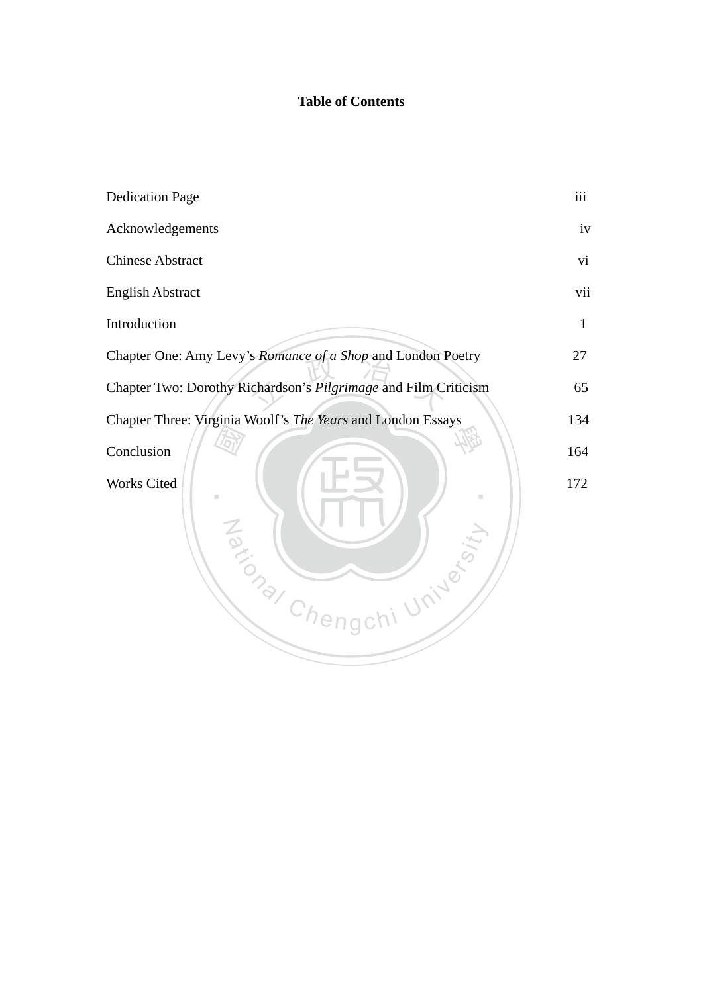# **Table of Contents**

| <b>Dedication Page</b>                                          | iii |
|-----------------------------------------------------------------|-----|
| Acknowledgements                                                | iv  |
| <b>Chinese Abstract</b>                                         | vi  |
| <b>English Abstract</b>                                         | vii |
| Introduction                                                    | 1   |
| Chapter One: Amy Levy's Romance of a Shop and London Poetry     | 27  |
| Chapter Two: Dorothy Richardson's Pilgrimage and Film Criticism | 65  |
| Chapter Three: Virginia Woolf's The Years and London Essays     | 134 |
| Conclusion                                                      | 164 |
| Works Cited<br>I.<br>Taxional Chengch<br>University             | 172 |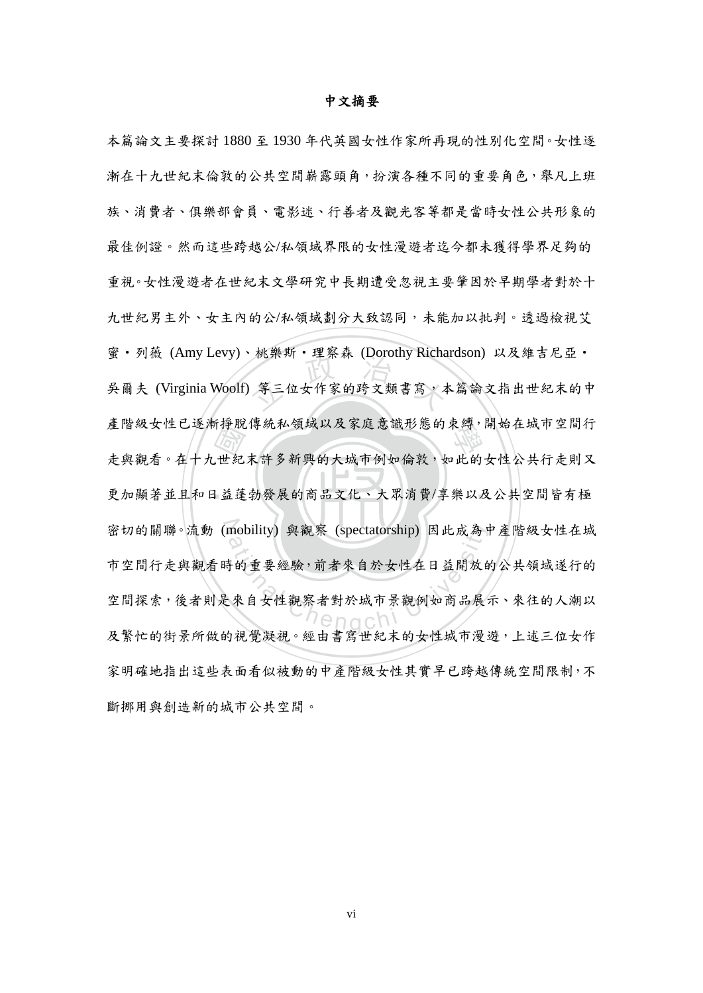#### 中文摘要

‧一世紀<br>世紀<br>日益蓬 · 航宋圳 · 生祭林 (Doroury Kicha 產階級女性已逐漸掙脫傳統私領域以及家庭意識形態的束縛,開始在城市空間行 ‧ 更加顯著並且和日益蓬勃發展的商品文化、大眾消費/享樂以及公共空間皆有極 密切的關聯。流動 (mobility) 與觀察 (spectatorship) 因此成為中產階級女性在城 mobility) 與觀察 (spectatorship) 因此成為中<br>持的重要經驗, 前者來自於女性在日益開放自<br><br>來自女性觀察者對於城市景觀例如商品展; 本篇論文主要探討 1880 至 1930 年代英國女性作家所再現的性別化空間。女性逐 漸在十九世紀末倫敦的公共空間嶄露頭角,扮演各種不同的重要角色,舉凡上班 族、消費者、俱樂部會員、電影迷、行善者及觀光客等都是當時女性公共形象的 最佳例證。然而這些跨越公/私領域界限的女性漫遊者迄今都未獲得學界足夠的 重視。女性漫遊者在世紀末文學研究中長期遭受忽視主要肇因於早期學者對於十 九世紀男主外、女主內的公/私領域劃分大致認同,未能加以批判。透過檢視艾 蜜・列薇 (Amy Levy)、桃樂斯・理察森 (Dorothy Richardson) 以及維吉尼亞・ 吳爾夫 (Virginia Woolf) 等三位女作家的跨文類書寫,本篇論文指出世紀末的中 走與觀看。在十九世紀末許多新興的大城市例如倫敦,如此的女性公共行走則又 市空間行走與觀看時的重要經驗,前者來自於女性在日益開放的公共領域遂行的 空間探索,後者則是來自女性觀察者對於城市景觀例如商品展示、來往的人潮以 及繁忙的街景所做的視覺凝視。經由書寫世紀末的女性城市漫遊,上述三位女作 家明確地指出這些表面看似被動的中產階級女性其實早已跨越傳統空間限制,不 斷挪用與創造新的城市公共空間。

vi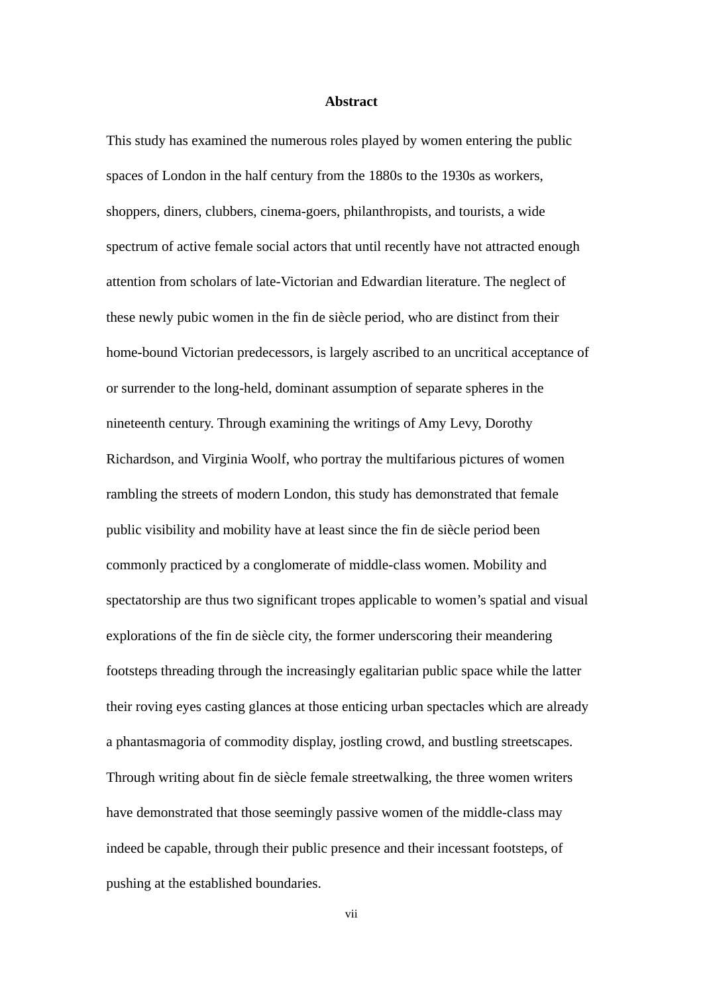#### **Abstract**

This study has examined the numerous roles played by women entering the public spaces of London in the half century from the 1880s to the 1930s as workers, shoppers, diners, clubbers, cinema-goers, philanthropists, and tourists, a wide spectrum of active female social actors that until recently have not attracted enough attention from scholars of late-Victorian and Edwardian literature. The neglect of these newly pubic women in the fin de siècle period, who are distinct from their home-bound Victorian predecessors, is largely ascribed to an uncritical acceptance of or surrender to the long-held, dominant assumption of separate spheres in the nineteenth century. Through examining the writings of Amy Levy, Dorothy Richardson, and Virginia Woolf, who portray the multifarious pictures of women rambling the streets of modern London, this study has demonstrated that female public visibility and mobility have at least since the fin de siècle period been commonly practiced by a conglomerate of middle-class women. Mobility and spectatorship are thus two significant tropes applicable to women's spatial and visual explorations of the fin de siècle city, the former underscoring their meandering footsteps threading through the increasingly egalitarian public space while the latter their roving eyes casting glances at those enticing urban spectacles which are already a phantasmagoria of commodity display, jostling crowd, and bustling streetscapes. Through writing about fin de siècle female streetwalking, the three women writers have demonstrated that those seemingly passive women of the middle-class may indeed be capable, through their public presence and their incessant footsteps, of pushing at the established boundaries.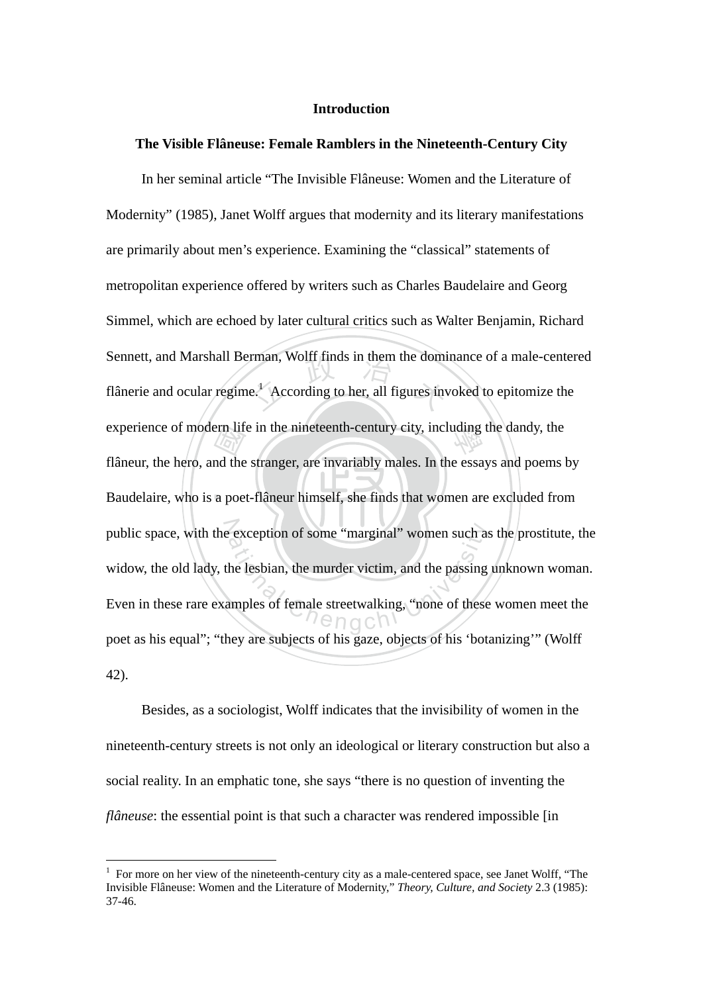## **Introduction**

# **The Visible Flâneuse: Female Ramblers in the Nineteenth-Century City**

**Baudelaire, who is a poet-flâneur himself, she finds that women are excluded from** ern lift<br>
and the<br>
a poe rman, Wolff finds in them the dominant e.<sup>1</sup> According to her, all figures in experience of modern life in the nineteenth-century city, including the dandy, the public space, with the exception of some "marginal" women such as the prostitute, the exception of some "marginal" women such as<br>the lesbian, the murder victim, and the passing<br>amples of female streetwalking, "none of these In her seminal article "The Invisible Flâneuse: Women and the Literature of Modernity" (1985), Janet Wolff argues that modernity and its literary manifestations are primarily about men's experience. Examining the "classical" statements of metropolitan experience offered by writers such as Charles Baudelaire and Georg Simmel, which are echoed by later cultural critics such as Walter Benjamin, Richard Sennett, and Marshall Berman, Wolff finds in them the dominance of a male-centered flânerie and ocular regime.<sup>1</sup> According to her, all figures invoked to epitomize the flâneur, the hero, and the stranger, are invariably males. In the essays and poems by widow, the old lady, the lesbian, the murder victim, and the passing unknown woman. Even in these rare examples of female streetwalking, "none of these women meet the poet as his equal"; "they are subjects of his gaze, objects of his 'botanizing'" (Wolff 42).

Besides, as a sociologist, Wolff indicates that the invisibility of women in the nineteenth-century streets is not only an ideological or literary construction but also a social reality. In an emphatic tone, she says "there is no question of inventing the *flâneuse*: the essential point is that such a character was rendered impossible [in]

 $<sup>1</sup>$  For more on her view of the nineteenth-century city as a male-centered space, see Janet Wolff, "The</sup> Invisible Flâneuse: Women and the Literature of Modernity," *Theory, Culture, and Society* 2.3 (1985): 37-46.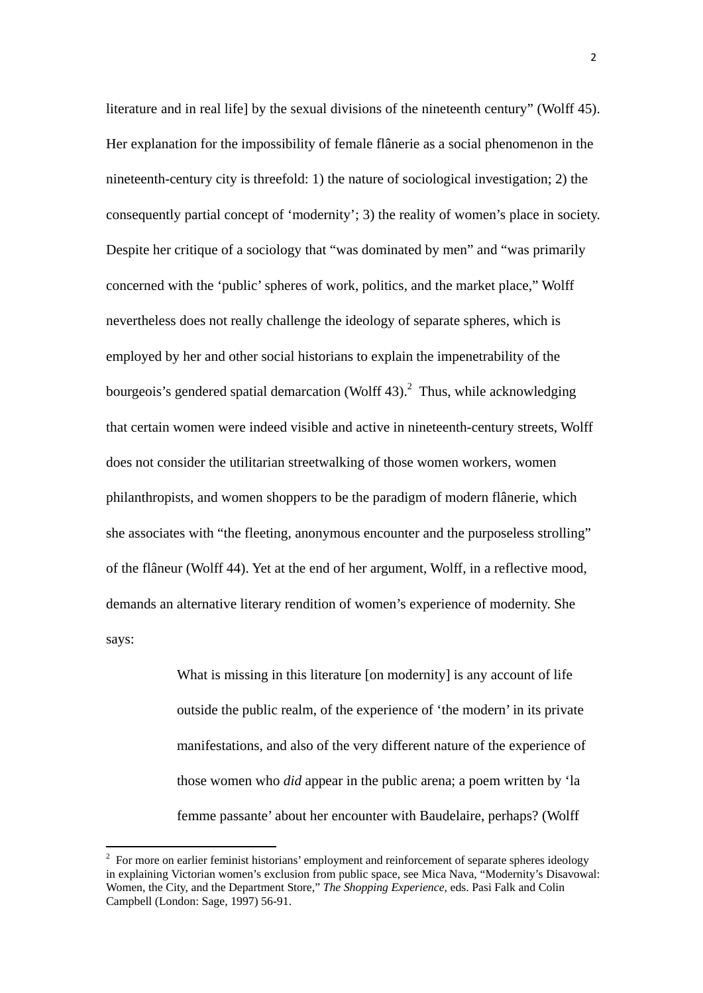literature and in real life] by the sexual divisions of the nineteenth century" (Wolff 45). Her explanation for the impossibility of female flânerie as a social phenomenon in the nineteenth-century city is threefold: 1) the nature of sociological investigation; 2) the consequently partial concept of 'modernity'; 3) the reality of women's place in society. Despite her critique of a sociology that "was dominated by men" and "was primarily concerned with the 'public' spheres of work, politics, and the market place," Wolff nevertheless does not really challenge the ideology of separate spheres, which is employed by her and other social historians to explain the impenetrability of the bourgeois's gendered spatial demarcation (Wolff 43).<sup>2</sup> Thus, while acknowledging that certain women were indeed visible and active in nineteenth-century streets, Wolff does not consider the utilitarian streetwalking of those women workers, women philanthropists, and women shoppers to be the paradigm of modern flânerie, which she associates with "the fleeting, anonymous encounter and the purposeless strolling" of the flâneur (Wolff 44). Yet at the end of her argument, Wolff, in a reflective mood, demands an alternative literary rendition of women's experience of modernity. She says:

> What is missing in this literature [on modernity] is any account of life outside the public realm, of the experience of 'the modern' in its private manifestations, and also of the very different nature of the experience of those women who *did* appear in the public arena; a poem written by 'la femme passante' about her encounter with Baudelaire, perhaps? (Wolff

 $2^2$  For more on earlier feminist historians' employment and reinforcement of separate spheres ideology in explaining Victorian women's exclusion from public space, see Mica Nava, "Modernity's Disavowal: Women, the City, and the Department Store," *The Shopping Experience*, eds. Pasi Falk and Colin Campbell (London: Sage, 1997) 56-91.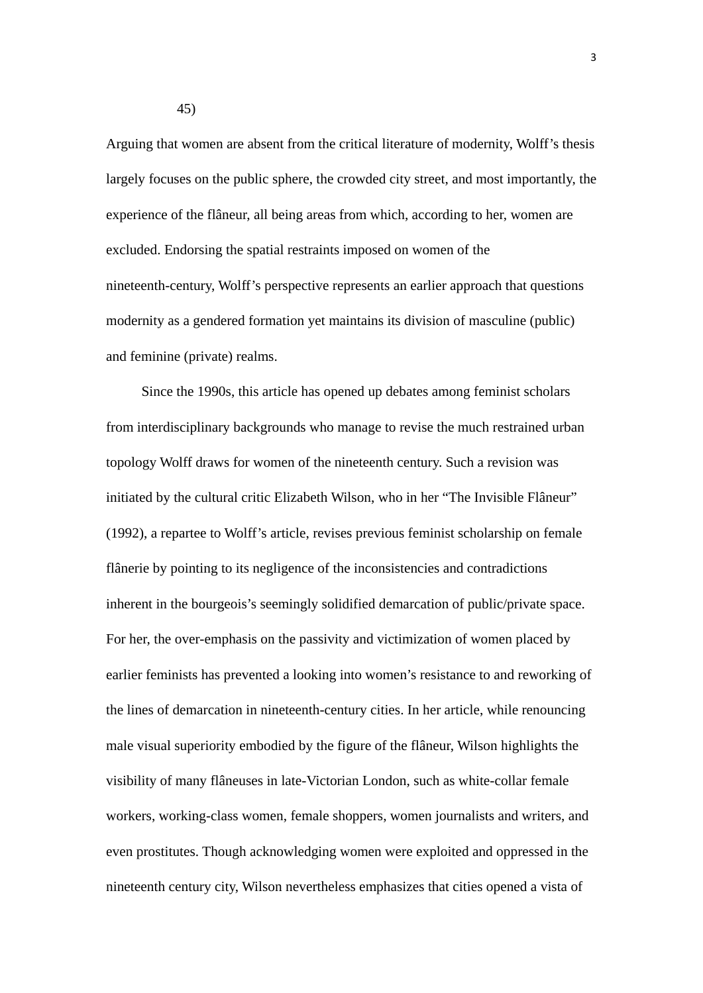Arguing that women are absent from the critical literature of modernity, Wolff's thesis largely focuses on the public sphere, the crowded city street, and most importantly, the experience of the flâneur, all being areas from which, according to her, women are excluded. Endorsing the spatial restraints imposed on women of the nineteenth-century, Wolff's perspective represents an earlier approach that questions modernity as a gendered formation yet maintains its division of masculine (public) and feminine (private) realms.

Since the 1990s, this article has opened up debates among feminist scholars from interdisciplinary backgrounds who manage to revise the much restrained urban topology Wolff draws for women of the nineteenth century. Such a revision was initiated by the cultural critic Elizabeth Wilson, who in her "The Invisible Flâneur" (1992), a repartee to Wolff's article, revises previous feminist scholarship on female flânerie by pointing to its negligence of the inconsistencies and contradictions inherent in the bourgeois's seemingly solidified demarcation of public/private space. For her, the over-emphasis on the passivity and victimization of women placed by earlier feminists has prevented a looking into women's resistance to and reworking of the lines of demarcation in nineteenth-century cities. In her article, while renouncing male visual superiority embodied by the figure of the flâneur, Wilson highlights the visibility of many flâneuses in late-Victorian London, such as white-collar female workers, working-class women, female shoppers, women journalists and writers, and even prostitutes. Though acknowledging women were exploited and oppressed in the nineteenth century city, Wilson nevertheless emphasizes that cities opened a vista of

45)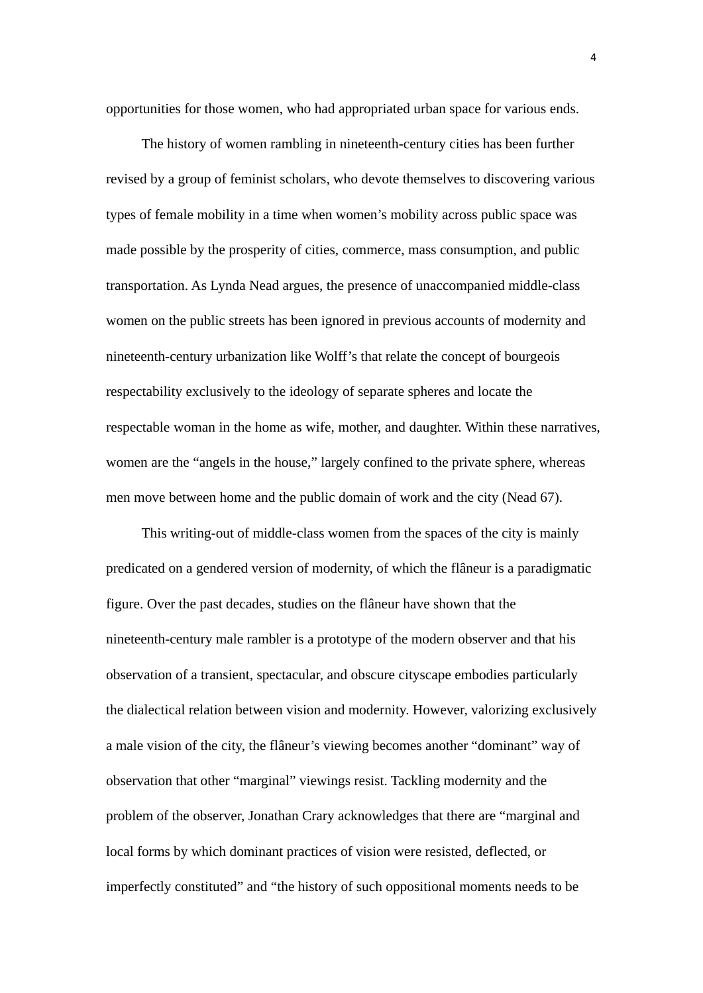opportunities for those women, who had appropriated urban space for various ends.

The history of women rambling in nineteenth-century cities has been further revised by a group of feminist scholars, who devote themselves to discovering various types of female mobility in a time when women's mobility across public space was made possible by the prosperity of cities, commerce, mass consumption, and public transportation. As Lynda Nead argues, the presence of unaccompanied middle-class women on the public streets has been ignored in previous accounts of modernity and nineteenth-century urbanization like Wolff's that relate the concept of bourgeois respectability exclusively to the ideology of separate spheres and locate the respectable woman in the home as wife, mother, and daughter. Within these narratives, women are the "angels in the house," largely confined to the private sphere, whereas men move between home and the public domain of work and the city (Nead 67).

This writing-out of middle-class women from the spaces of the city is mainly predicated on a gendered version of modernity, of which the flâneur is a paradigmatic figure. Over the past decades, studies on the flâneur have shown that the nineteenth-century male rambler is a prototype of the modern observer and that his observation of a transient, spectacular, and obscure cityscape embodies particularly the dialectical relation between vision and modernity. However, valorizing exclusively a male vision of the city, the flâneur's viewing becomes another "dominant" way of observation that other "marginal" viewings resist. Tackling modernity and the problem of the observer, Jonathan Crary acknowledges that there are "marginal and local forms by which dominant practices of vision were resisted, deflected, or imperfectly constituted" and "the history of such oppositional moments needs to be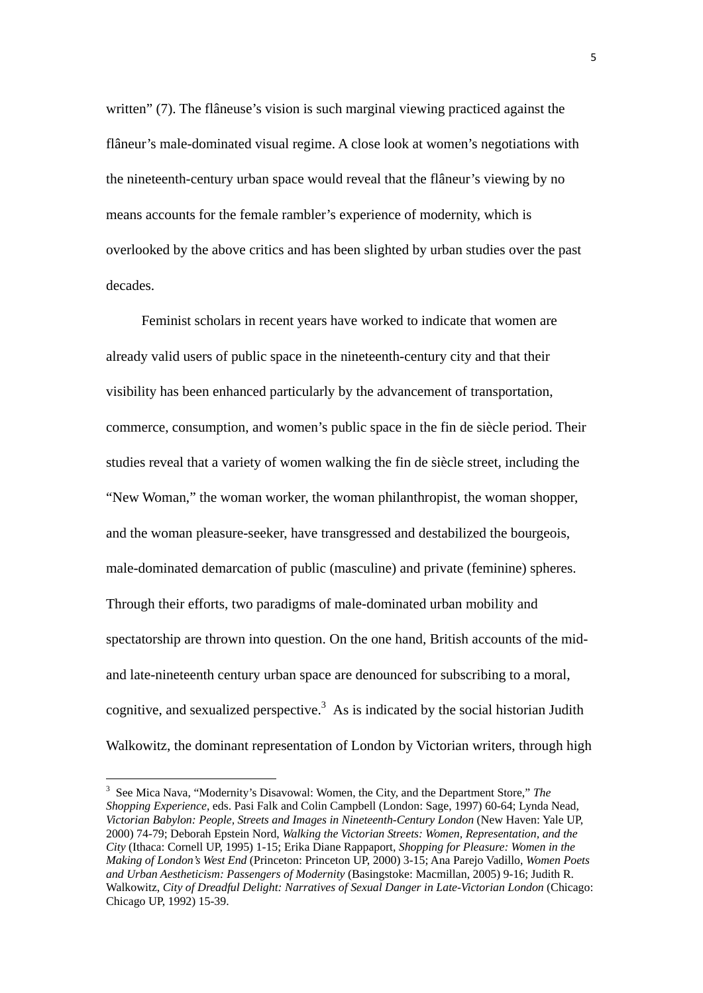written" (7). The flâneuse's vision is such marginal viewing practiced against the flâneur's male-dominated visual regime. A close look at women's negotiations with the nineteenth-century urban space would reveal that the flâneur's viewing by no means accounts for the female rambler's experience of modernity, which is overlooked by the above critics and has been slighted by urban studies over the past decades.

Feminist scholars in recent years have worked to indicate that women are already valid users of public space in the nineteenth-century city and that their visibility has been enhanced particularly by the advancement of transportation, commerce, consumption, and women's public space in the fin de siècle period. Their studies reveal that a variety of women walking the fin de siècle street, including the "New Woman," the woman worker, the woman philanthropist, the woman shopper, and the woman pleasure-seeker, have transgressed and destabilized the bourgeois, male-dominated demarcation of public (masculine) and private (feminine) spheres. Through their efforts, two paradigms of male-dominated urban mobility and spectatorship are thrown into question. On the one hand, British accounts of the midand late-nineteenth century urban space are denounced for subscribing to a moral, cognitive, and sexualized perspective.<sup>3</sup> As is indicated by the social historian Judith Walkowitz, the dominant representation of London by Victorian writers, through high

<sup>3</sup> See Mica Nava, "Modernity's Disavowal: Women, the City, and the Department Store," *The Shopping Experience*, eds. Pasi Falk and Colin Campbell (London: Sage, 1997) 60-64; Lynda Nead, *Victorian Babylon: People, Streets and Images in Nineteenth-Century London* (New Haven: Yale UP, 2000) 74-79; Deborah Epstein Nord, *Walking the Victorian Streets: Women, Representation, and the City* (Ithaca: Cornell UP, 1995) 1-15; Erika Diane Rappaport, *Shopping for Pleasure: Women in the Making of London's West End* (Princeton: Princeton UP, 2000) 3-15; Ana Parejo Vadillo, *Women Poets and Urban Aestheticism: Passengers of Modernity* (Basingstoke: Macmillan, 2005) 9-16; Judith R. Walkowitz, *City of Dreadful Delight: Narratives of Sexual Danger in Late-Victorian London* (Chicago: Chicago UP, 1992) 15-39.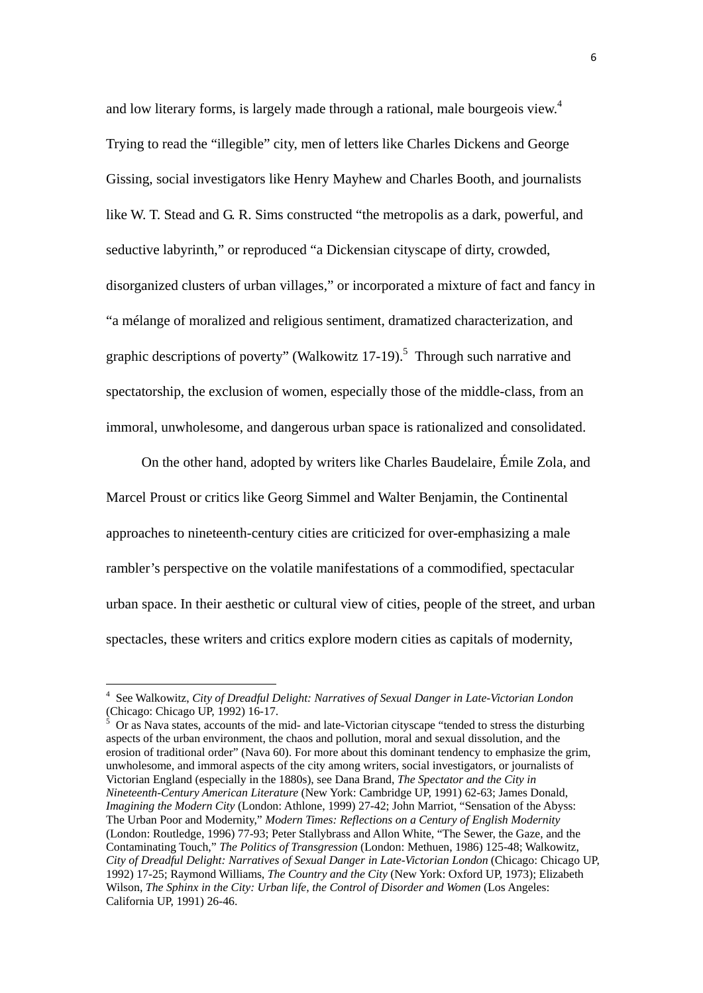and low literary forms, is largely made through a rational, male bourgeois view.<sup>4</sup> Trying to read the "illegible" city, men of letters like Charles Dickens and George Gissing, social investigators like Henry Mayhew and Charles Booth, and journalists like W. T. Stead and G. R. Sims constructed "the metropolis as a dark, powerful, and seductive labyrinth," or reproduced "a Dickensian cityscape of dirty, crowded, disorganized clusters of urban villages," or incorporated a mixture of fact and fancy in "a mélange of moralized and religious sentiment, dramatized characterization, and graphic descriptions of poverty" (Walkowitz  $17-19$ ).<sup>5</sup> Through such narrative and spectatorship, the exclusion of women, especially those of the middle-class, from an immoral, unwholesome, and dangerous urban space is rationalized and consolidated.

On the other hand, adopted by writers like Charles Baudelaire, Émile Zola, and Marcel Proust or critics like Georg Simmel and Walter Benjamin, the Continental approaches to nineteenth-century cities are criticized for over-emphasizing a male rambler's perspective on the volatile manifestations of a commodified, spectacular urban space. In their aesthetic or cultural view of cities, people of the street, and urban spectacles, these writers and critics explore modern cities as capitals of modernity,

 Or as Nava states, accounts of the mid- and late-Victorian cityscape "tended to stress the disturbing aspects of the urban environment, the chaos and pollution, moral and sexual dissolution, and the erosion of traditional order" (Nava 60). For more about this dominant tendency to emphasize the grim, unwholesome, and immoral aspects of the city among writers, social investigators, or journalists of Victorian England (especially in the 1880s), see Dana Brand, *The Spectator and the City in Nineteenth-Century American Literature* (New York: Cambridge UP, 1991) 62-63; James Donald, *Imagining the Modern City* (London: Athlone, 1999) 27-42; John Marriot, "Sensation of the Abyss: The Urban Poor and Modernity," *Modern Times: Reflections on a Century of English Modernity*  (London: Routledge, 1996) 77-93; Peter Stallybrass and Allon White, "The Sewer, the Gaze, and the Contaminating Touch," *The Politics of Transgression* (London: Methuen, 1986) 125-48; Walkowitz, *City of Dreadful Delight: Narratives of Sexual Danger in Late-Victorian London* (Chicago: Chicago UP, 1992) 17-25; Raymond Williams, *The Country and the City* (New York: Oxford UP, 1973); Elizabeth Wilson, *The Sphinx in the City: Urban life, the Control of Disorder and Women* (Los Angeles: California UP, 1991) 26-46.

<sup>4</sup> See Walkowitz, *City of Dreadful Delight: Narratives of Sexual Danger in Late-Victorian London* (Chicago: Chicago UP, 1992) 16-17.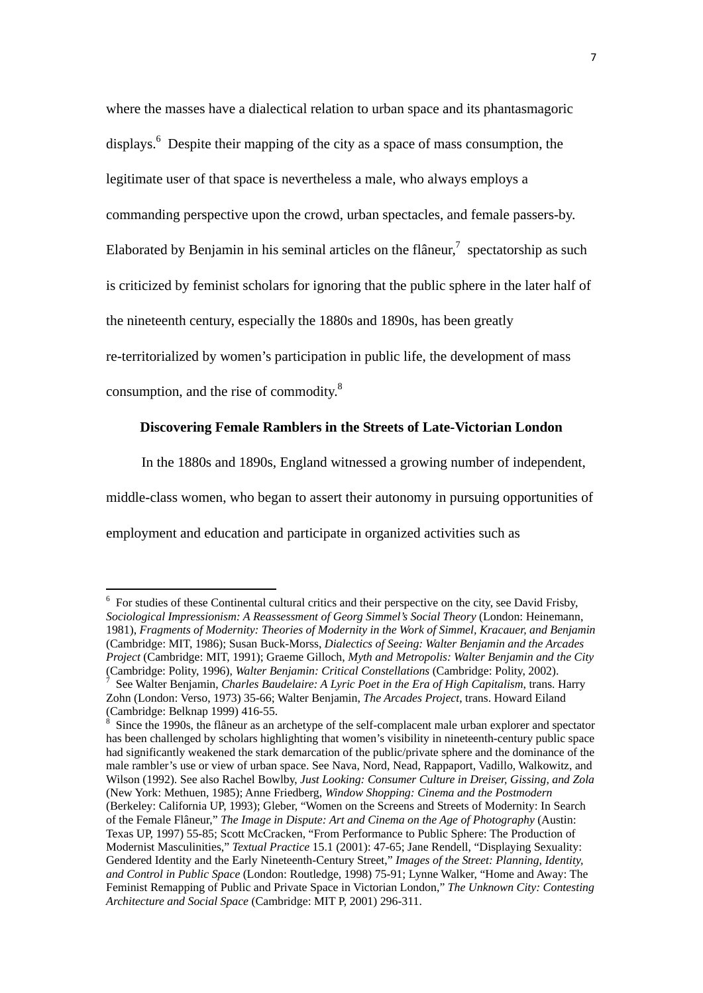where the masses have a dialectical relation to urban space and its phantasmagoric displays.<sup>6</sup> Despite their mapping of the city as a space of mass consumption, the

legitimate user of that space is nevertheless a male, who always employs a

commanding perspective upon the crowd, urban spectacles, and female passers-by.

Elaborated by Benjamin in his seminal articles on the flâneur, $\frac{1}{2}$  spectatorship as such

is criticized by feminist scholars for ignoring that the public sphere in the later half of

the nineteenth century, especially the 1880s and 1890s, has been greatly

re-territorialized by women's participation in public life, the development of mass

consumption, and the rise of commodity.8

## **Discovering Female Ramblers in the Streets of Late-Victorian London**

In the 1880s and 1890s, England witnessed a growing number of independent,

middle-class women, who began to assert their autonomy in pursuing opportunities of

employment and education and participate in organized activities such as

 6 For studies of these Continental cultural critics and their perspective on the city, see David Frisby, *Sociological Impressionism: A Reassessment of Georg Simmel's Social Theory* (London: Heinemann, 1981), *Fragments of Modernity: Theories of Modernity in the Work of Simmel, Kracauer, and Benjamin* (Cambridge: MIT, 1986); Susan Buck-Morss, *Dialectics of Seeing: Walter Benjamin and the Arcades Project* (Cambridge: MIT, 1991); Graeme Gilloch, *Myth and Metropolis: Walter Benjamin and the City* (Cambridge: Polity, 1996), *Walter Benjamin: Critical Constellations* (Cambridge: Polity, 2002). 7

See Walter Benjamin, *Charles Baudelaire: A Lyric Poet in the Era of High Capitalism*, trans. Harry Zohn (London: Verso, 1973) 35-66; Walter Benjamin, *The Arcades Project*, trans. Howard Eiland (Cambridge: Belknap 1999) 416-55.<br><sup>8</sup> Since the 1000s, the flâneur as an a

Since the 1990s, the flâneur as an archetype of the self-complacent male urban explorer and spectator has been challenged by scholars highlighting that women's visibility in nineteenth-century public space had significantly weakened the stark demarcation of the public/private sphere and the dominance of the male rambler's use or view of urban space. See Nava, Nord, Nead, Rappaport, Vadillo, Walkowitz, and Wilson (1992). See also Rachel Bowlby, *Just Looking: Consumer Culture in Dreiser, Gissing, and Zola* (New York: Methuen, 1985); Anne Friedberg, *Window Shopping: Cinema and the Postmodern*  (Berkeley: California UP, 1993); Gleber, "Women on the Screens and Streets of Modernity: In Search of the Female Flâneur," *The Image in Dispute: Art and Cinema on the Age of Photography* (Austin: Texas UP, 1997) 55-85; Scott McCracken, "From Performance to Public Sphere: The Production of Modernist Masculinities," *Textual Practice* 15.1 (2001): 47-65; Jane Rendell, "Displaying Sexuality: Gendered Identity and the Early Nineteenth-Century Street," *Images of the Street: Planning, Identity, and Control in Public Space* (London: Routledge, 1998) 75-91; Lynne Walker, "Home and Away: The Feminist Remapping of Public and Private Space in Victorian London," *The Unknown City: Contesting Architecture and Social Space* (Cambridge: MIT P, 2001) 296-311.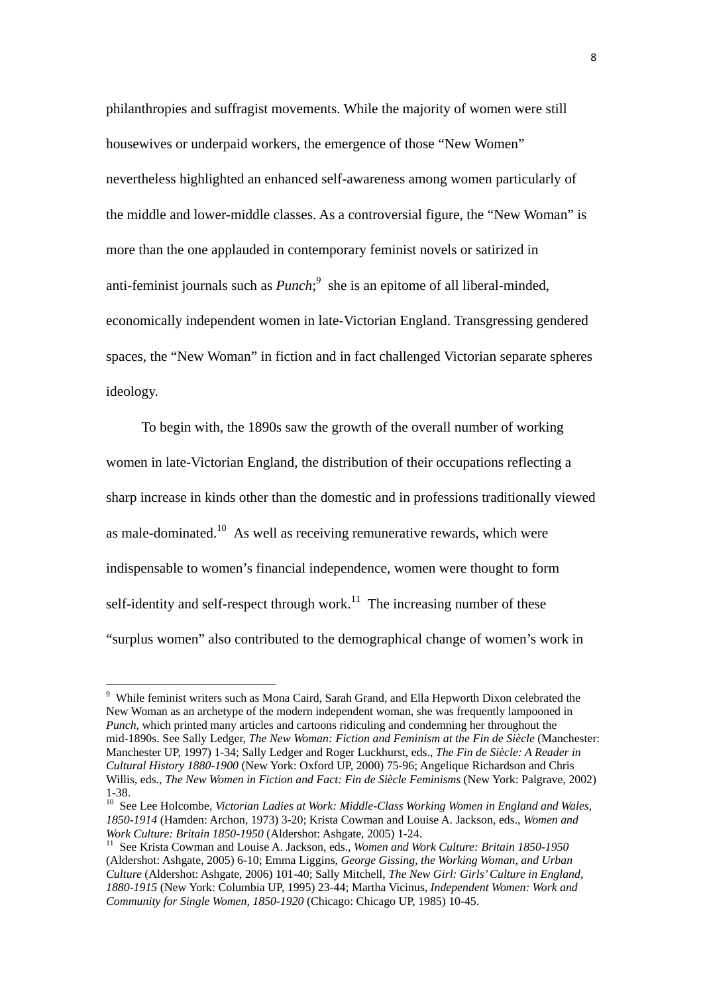philanthropies and suffragist movements. While the majority of women were still housewives or underpaid workers, the emergence of those "New Women" nevertheless highlighted an enhanced self-awareness among women particularly of the middle and lower-middle classes. As a controversial figure, the "New Woman" is more than the one applauded in contemporary feminist novels or satirized in anti-feminist journals such as  $Punch<sup>9</sup>$ , she is an epitome of all liberal-minded, economically independent women in late-Victorian England. Transgressing gendered spaces, the "New Woman" in fiction and in fact challenged Victorian separate spheres ideology.

To begin with, the 1890s saw the growth of the overall number of working women in late-Victorian England, the distribution of their occupations reflecting a sharp increase in kinds other than the domestic and in professions traditionally viewed as male-dominated.<sup>10</sup> As well as receiving remunerative rewards, which were indispensable to women's financial independence, women were thought to form self-identity and self-respect through work.<sup>11</sup> The increasing number of these "surplus women" also contributed to the demographical change of women's work in

<sup>&</sup>lt;sup>9</sup> While feminist writers such as Mona Caird, Sarah Grand, and Ella Hepworth Dixon celebrated the New Woman as an archetype of the modern independent woman, she was frequently lampooned in *Punch*, which printed many articles and cartoons ridiculing and condemning her throughout the mid-1890s. See Sally Ledger, *The New Woman: Fiction and Feminism at the Fin de Siècle* (Manchester: Manchester UP, 1997) 1-34; Sally Ledger and Roger Luckhurst, eds., *The Fin de Siècle: A Reader in Cultural History 1880-1900* (New York: Oxford UP, 2000) 75-96; Angelique Richardson and Chris Willis, eds., *The New Women in Fiction and Fact: Fin de Siècle Feminisms* (New York: Palgrave, 2002) 1-38.

<sup>&</sup>lt;sup>10</sup> See Lee Holcombe, *Victorian Ladies at Work: Middle-Class Working Women in England and Wales, 1850-1914* (Hamden: Archon, 1973) 3-20; Krista Cowman and Louise A. Jackson, eds., *Women and* 

<sup>&</sup>lt;sup>11</sup> See Krista Cowman and Louise A. Jackson, eds., *Women and Work Culture: Britain 1850-1950* (Aldershot: Ashgate, 2005) 6-10; Emma Liggins, *George Gissing, the Working Woman, and Urban Culture* (Aldershot: Ashgate, 2006) 101-40; Sally Mitchell, *The New Girl: Girls' Culture in England, 1880-1915* (New York: Columbia UP, 1995) 23-44; Martha Vicinus, *Independent Women: Work and Community for Single Women, 1850-1920* (Chicago: Chicago UP, 1985) 10-45.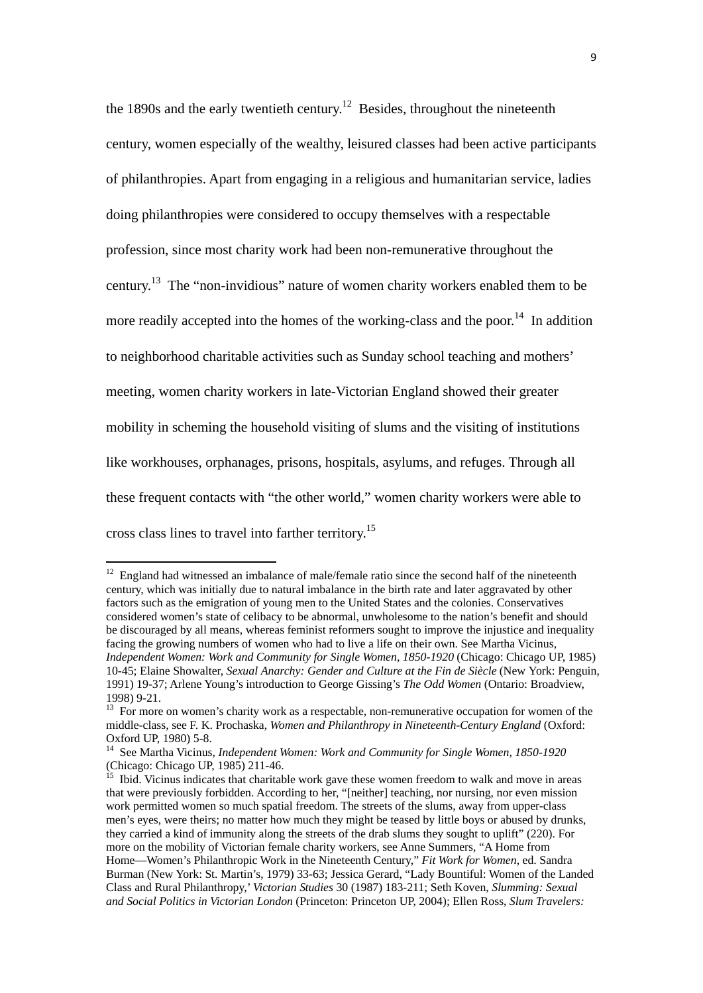the 1890s and the early twentieth century.<sup>12</sup> Besides, throughout the nineteenth century, women especially of the wealthy, leisured classes had been active participants of philanthropies. Apart from engaging in a religious and humanitarian service, ladies doing philanthropies were considered to occupy themselves with a respectable profession, since most charity work had been non-remunerative throughout the century.13 The "non-invidious" nature of women charity workers enabled them to be more readily accepted into the homes of the working-class and the poor.<sup>14</sup> In addition to neighborhood charitable activities such as Sunday school teaching and mothers' meeting, women charity workers in late-Victorian England showed their greater mobility in scheming the household visiting of slums and the visiting of institutions like workhouses, orphanages, prisons, hospitals, asylums, and refuges. Through all these frequent contacts with "the other world," women charity workers were able to cross class lines to travel into farther territory.15

 $12$  England had witnessed an imbalance of male/female ratio since the second half of the nineteenth century, which was initially due to natural imbalance in the birth rate and later aggravated by other factors such as the emigration of young men to the United States and the colonies. Conservatives considered women's state of celibacy to be abnormal, unwholesome to the nation's benefit and should be discouraged by all means, whereas feminist reformers sought to improve the injustice and inequality facing the growing numbers of women who had to live a life on their own. See Martha Vicinus, *Independent Women: Work and Community for Single Women, 1850-1920* (Chicago: Chicago UP, 1985) 10-45; Elaine Showalter, *Sexual Anarchy: Gender and Culture at the Fin de Siècle* (New York: Penguin, 1991) 19-37; Arlene Young's introduction to George Gissing's *The Odd Women* (Ontario: Broadview, 1998) 9-21.

<sup>&</sup>lt;sup>13</sup> For more on women's charity work as a respectable, non-remunerative occupation for women of the middle-class, see F. K. Prochaska, *Women and Philanthropy in Nineteenth-Century England* (Oxford: Oxford UP, 1980) 5-8.

<sup>14</sup> See Martha Vicinus, *Independent Women: Work and Community for Single Women, 1850-1920* (Chicago: Chicago UP, 1985) 211-46.

<sup>&</sup>lt;sup>15</sup> Ibid. Vicinus indicates that charitable work gave these women freedom to walk and move in areas that were previously forbidden. According to her, "[neither] teaching, nor nursing, nor even mission work permitted women so much spatial freedom. The streets of the slums, away from upper-class men's eyes, were theirs; no matter how much they might be teased by little boys or abused by drunks, they carried a kind of immunity along the streets of the drab slums they sought to uplift" (220). For more on the mobility of Victorian female charity workers, see Anne Summers, "A Home from Home—Women's Philanthropic Work in the Nineteenth Century," *Fit Work for Women*, ed. Sandra Burman (New York: St. Martin's, 1979) 33-63; Jessica Gerard, "Lady Bountiful: Women of the Landed Class and Rural Philanthropy,' *Victorian Studies* 30 (1987) 183-211; Seth Koven, *Slumming: Sexual and Social Politics in Victorian London* (Princeton: Princeton UP, 2004); Ellen Ross, *Slum Travelers:*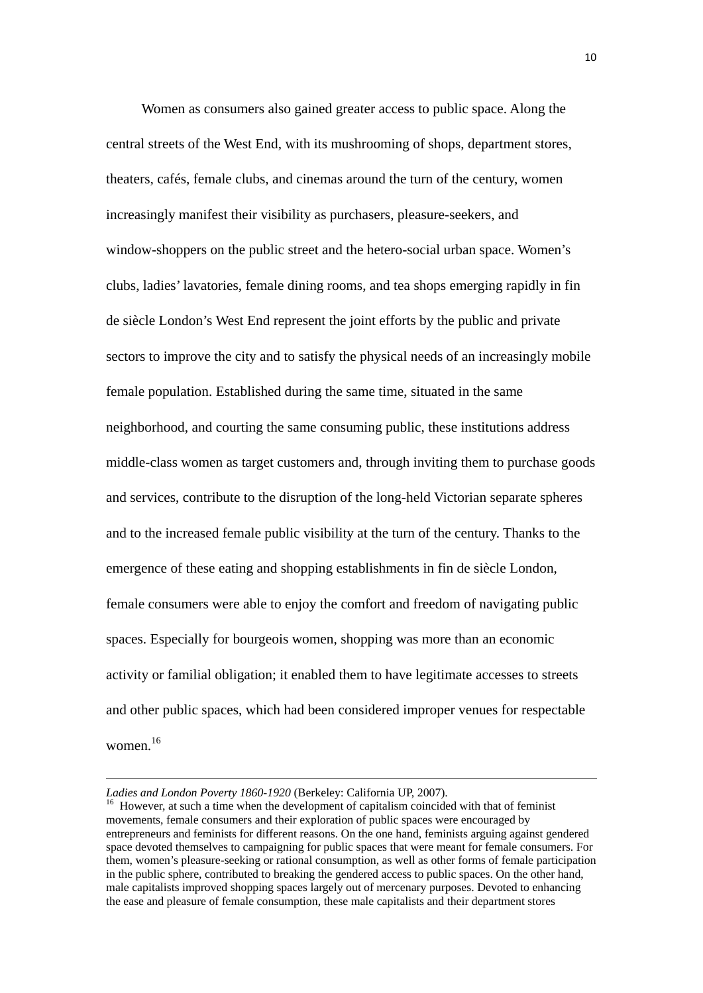Women as consumers also gained greater access to public space. Along the central streets of the West End, with its mushrooming of shops, department stores, theaters, cafés, female clubs, and cinemas around the turn of the century, women increasingly manifest their visibility as purchasers, pleasure-seekers, and window-shoppers on the public street and the hetero-social urban space. Women's clubs, ladies' lavatories, female dining rooms, and tea shops emerging rapidly in fin de siècle London's West End represent the joint efforts by the public and private sectors to improve the city and to satisfy the physical needs of an increasingly mobile female population. Established during the same time, situated in the same neighborhood, and courting the same consuming public, these institutions address middle-class women as target customers and, through inviting them to purchase goods and services, contribute to the disruption of the long-held Victorian separate spheres and to the increased female public visibility at the turn of the century. Thanks to the emergence of these eating and shopping establishments in fin de siècle London, female consumers were able to enjoy the comfort and freedom of navigating public spaces. Especially for bourgeois women, shopping was more than an economic activity or familial obligation; it enabled them to have legitimate accesses to streets and other public spaces, which had been considered improper venues for respectable women<sup>16</sup>

*Ladies and London Poverty 1860-1920* (Berkeley: California UP, 2007).<br><sup>16</sup> However, at such a time when the development of capitalism coincided with that of feminist movements, female consumers and their exploration of public spaces were encouraged by entrepreneurs and feminists for different reasons. On the one hand, feminists arguing against gendered space devoted themselves to campaigning for public spaces that were meant for female consumers. For them, women's pleasure-seeking or rational consumption, as well as other forms of female participation in the public sphere, contributed to breaking the gendered access to public spaces. On the other hand, male capitalists improved shopping spaces largely out of mercenary purposes. Devoted to enhancing the ease and pleasure of female consumption, these male capitalists and their department stores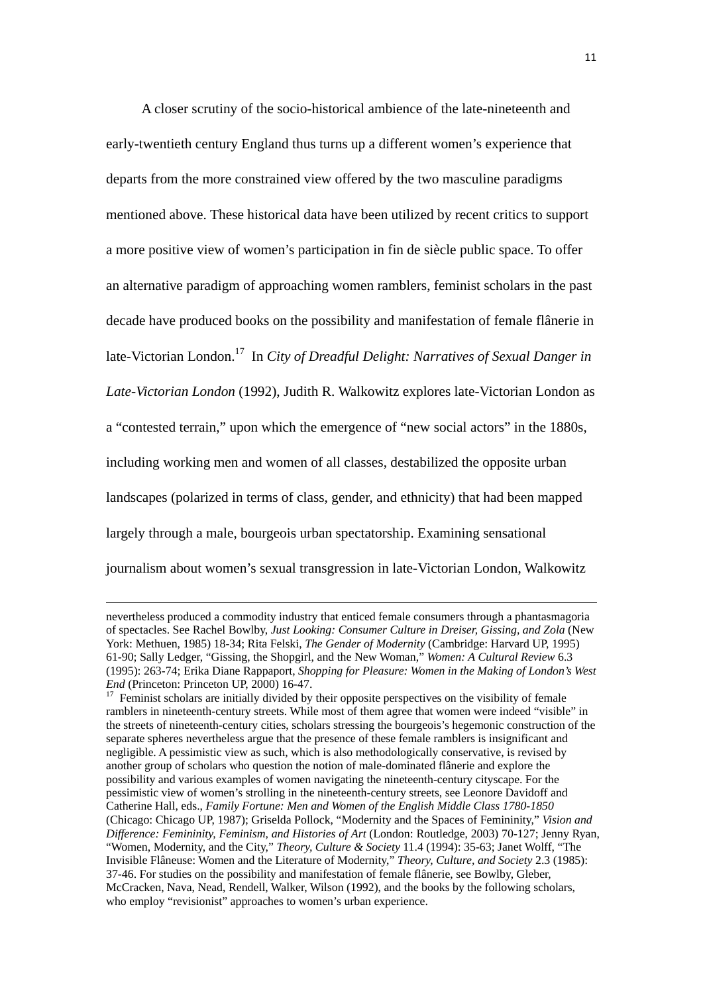A closer scrutiny of the socio-historical ambience of the late-nineteenth and early-twentieth century England thus turns up a different women's experience that departs from the more constrained view offered by the two masculine paradigms mentioned above. These historical data have been utilized by recent critics to support a more positive view of women's participation in fin de siècle public space. To offer an alternative paradigm of approaching women ramblers, feminist scholars in the past decade have produced books on the possibility and manifestation of female flânerie in late-Victorian London.<sup>17</sup> In *City of Dreadful Delight: Narratives of Sexual Danger in Late-Victorian London* (1992), Judith R. Walkowitz explores late-Victorian London as a "contested terrain," upon which the emergence of "new social actors" in the 1880s, including working men and women of all classes, destabilized the opposite urban landscapes (polarized in terms of class, gender, and ethnicity) that had been mapped largely through a male, bourgeois urban spectatorship. Examining sensational journalism about women's sexual transgression in late-Victorian London, Walkowitz

<u> 1989 - Johann Barbara, marka a shekara tsara 1989 - An tsara 1989 - An tsara 1989 - An tsara 1989 - An tsara</u>

nevertheless produced a commodity industry that enticed female consumers through a phantasmagoria of spectacles. See Rachel Bowlby, *Just Looking: Consumer Culture in Dreiser, Gissing, and Zola* (New York: Methuen, 1985) 18-34; Rita Felski, *The Gender of Modernity* (Cambridge: Harvard UP, 1995) 61-90; Sally Ledger, "Gissing, the Shopgirl, and the New Woman," *Women: A Cultural Review* 6.3 (1995): 263-74; Erika Diane Rappaport, *Shopping for Pleasure: Women in the Making of London's West* 

*End* (Princeton: Princeton UP, 2000) 16-47.<br><sup>17</sup> Feminist scholars are initially divided by their opposite perspectives on the visibility of female ramblers in nineteenth-century streets. While most of them agree that women were indeed "visible" in the streets of nineteenth-century cities, scholars stressing the bourgeois's hegemonic construction of the separate spheres nevertheless argue that the presence of these female ramblers is insignificant and negligible. A pessimistic view as such, which is also methodologically conservative, is revised by another group of scholars who question the notion of male-dominated flânerie and explore the possibility and various examples of women navigating the nineteenth-century cityscape. For the pessimistic view of women's strolling in the nineteenth-century streets, see Leonore Davidoff and Catherine Hall, eds., *Family Fortune: Men and Women of the English Middle Class 1780-1850* (Chicago: Chicago UP, 1987); Griselda Pollock, "Modernity and the Spaces of Femininity," *Vision and Difference: Femininity, Feminism, and Histories of Art* (London: Routledge, 2003) 70-127; Jenny Ryan, "Women, Modernity, and the City," *Theory, Culture & Society* 11.4 (1994): 35-63; Janet Wolff, "The Invisible Flâneuse: Women and the Literature of Modernity," *Theory, Culture, and Society* 2.3 (1985): 37-46. For studies on the possibility and manifestation of female flânerie, see Bowlby, Gleber, McCracken, Nava, Nead, Rendell, Walker, Wilson (1992), and the books by the following scholars, who employ "revisionist" approaches to women's urban experience.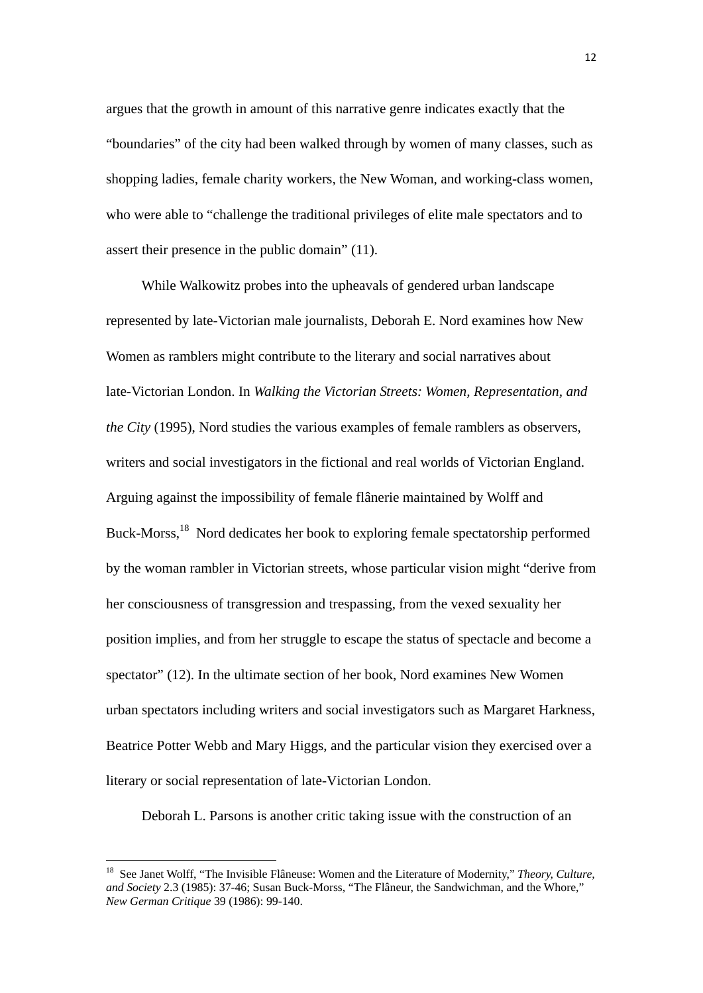argues that the growth in amount of this narrative genre indicates exactly that the "boundaries" of the city had been walked through by women of many classes, such as shopping ladies, female charity workers, the New Woman, and working-class women, who were able to "challenge the traditional privileges of elite male spectators and to assert their presence in the public domain" (11).

While Walkowitz probes into the upheavals of gendered urban landscape represented by late-Victorian male journalists, Deborah E. Nord examines how New Women as ramblers might contribute to the literary and social narratives about late-Victorian London. In *Walking the Victorian Streets: Women, Representation, and the City* (1995), Nord studies the various examples of female ramblers as observers, writers and social investigators in the fictional and real worlds of Victorian England. Arguing against the impossibility of female flânerie maintained by Wolff and Buck-Morss,<sup>18</sup> Nord dedicates her book to exploring female spectatorship performed by the woman rambler in Victorian streets, whose particular vision might "derive from her consciousness of transgression and trespassing, from the vexed sexuality her position implies, and from her struggle to escape the status of spectacle and become a spectator" (12). In the ultimate section of her book, Nord examines New Women urban spectators including writers and social investigators such as Margaret Harkness, Beatrice Potter Webb and Mary Higgs, and the particular vision they exercised over a literary or social representation of late-Victorian London.

Deborah L. Parsons is another critic taking issue with the construction of an

<sup>18</sup> See Janet Wolff, "The Invisible Flâneuse: Women and the Literature of Modernity," *Theory, Culture, and Society* 2.3 (1985): 37-46; Susan Buck-Morss, "The Flâneur, the Sandwichman, and the Whore," *New German Critique* 39 (1986): 99-140.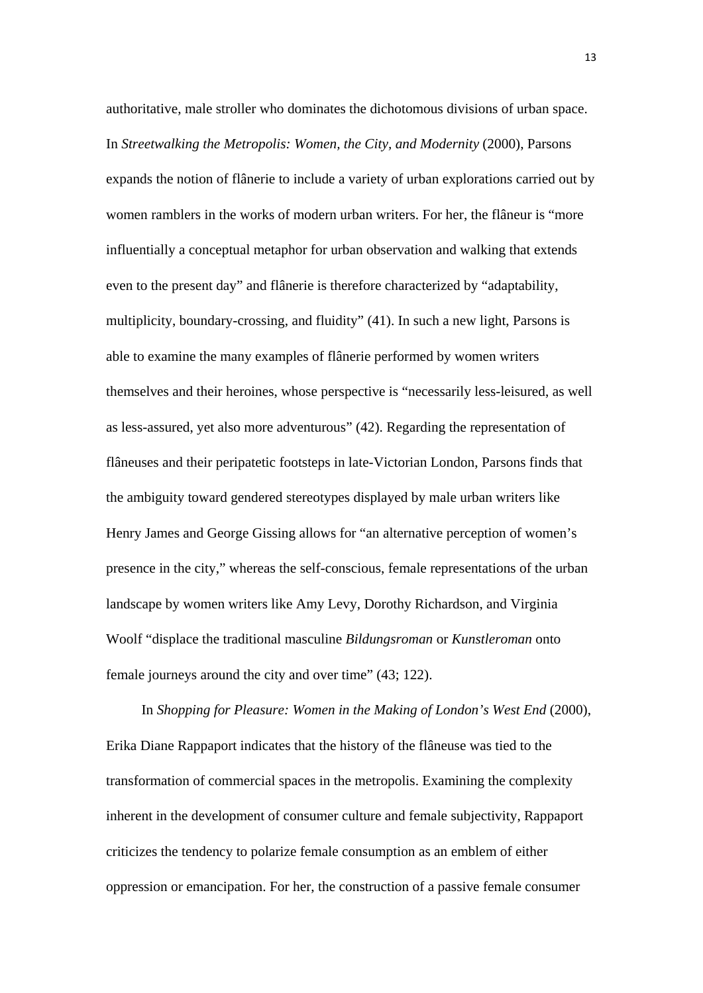authoritative, male stroller who dominates the dichotomous divisions of urban space. In *Streetwalking the Metropolis: Women, the City, and Modernity* (2000), Parsons expands the notion of flânerie to include a variety of urban explorations carried out by women ramblers in the works of modern urban writers. For her, the flâneur is "more influentially a conceptual metaphor for urban observation and walking that extends even to the present day" and flânerie is therefore characterized by "adaptability, multiplicity, boundary-crossing, and fluidity" (41). In such a new light, Parsons is able to examine the many examples of flânerie performed by women writers themselves and their heroines, whose perspective is "necessarily less-leisured, as well as less-assured, yet also more adventurous" (42). Regarding the representation of flâneuses and their peripatetic footsteps in late-Victorian London, Parsons finds that the ambiguity toward gendered stereotypes displayed by male urban writers like Henry James and George Gissing allows for "an alternative perception of women's presence in the city," whereas the self-conscious, female representations of the urban landscape by women writers like Amy Levy, Dorothy Richardson, and Virginia Woolf "displace the traditional masculine *Bildungsroman* or *Kunstleroman* onto female journeys around the city and over time" (43; 122).

In *Shopping for Pleasure: Women in the Making of London's West End* (2000), Erika Diane Rappaport indicates that the history of the flâneuse was tied to the transformation of commercial spaces in the metropolis. Examining the complexity inherent in the development of consumer culture and female subjectivity, Rappaport criticizes the tendency to polarize female consumption as an emblem of either oppression or emancipation. For her, the construction of a passive female consumer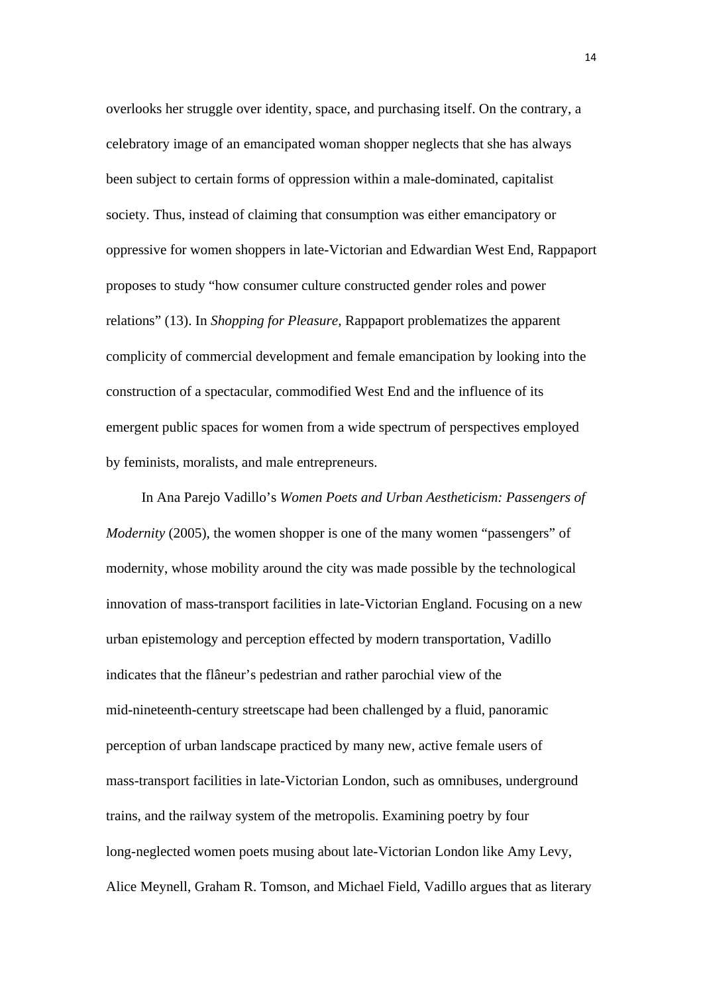overlooks her struggle over identity, space, and purchasing itself. On the contrary, a celebratory image of an emancipated woman shopper neglects that she has always been subject to certain forms of oppression within a male-dominated, capitalist society. Thus, instead of claiming that consumption was either emancipatory or oppressive for women shoppers in late-Victorian and Edwardian West End, Rappaport proposes to study "how consumer culture constructed gender roles and power relations" (13). In *Shopping for Pleasure*, Rappaport problematizes the apparent complicity of commercial development and female emancipation by looking into the construction of a spectacular, commodified West End and the influence of its emergent public spaces for women from a wide spectrum of perspectives employed by feminists, moralists, and male entrepreneurs.

In Ana Parejo Vadillo's *Women Poets and Urban Aestheticism: Passengers of Modernity* (2005), the women shopper is one of the many women "passengers" of modernity, whose mobility around the city was made possible by the technological innovation of mass-transport facilities in late-Victorian England. Focusing on a new urban epistemology and perception effected by modern transportation, Vadillo indicates that the flâneur's pedestrian and rather parochial view of the mid-nineteenth-century streetscape had been challenged by a fluid, panoramic perception of urban landscape practiced by many new, active female users of mass-transport facilities in late-Victorian London, such as omnibuses, underground trains, and the railway system of the metropolis. Examining poetry by four long-neglected women poets musing about late-Victorian London like Amy Levy, Alice Meynell, Graham R. Tomson, and Michael Field, Vadillo argues that as literary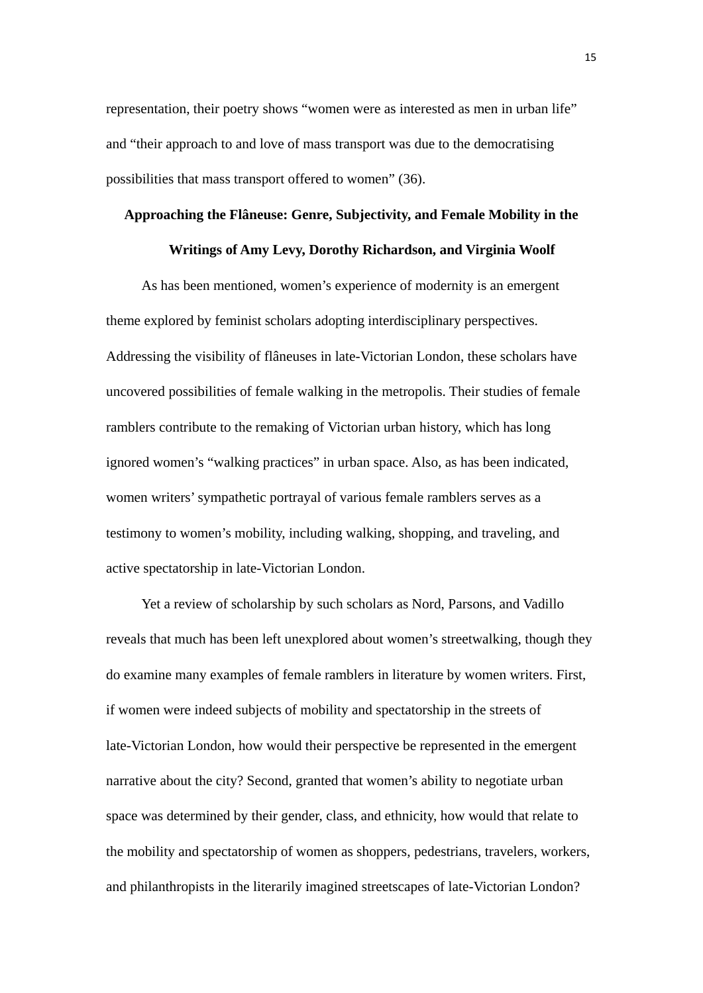representation, their poetry shows "women were as interested as men in urban life" and "their approach to and love of mass transport was due to the democratising possibilities that mass transport offered to women" (36).

# **Approaching the Flâneuse: Genre, Subjectivity, and Female Mobility in the**

## **Writings of Amy Levy, Dorothy Richardson, and Virginia Woolf**

As has been mentioned, women's experience of modernity is an emergent theme explored by feminist scholars adopting interdisciplinary perspectives. Addressing the visibility of flâneuses in late-Victorian London, these scholars have uncovered possibilities of female walking in the metropolis. Their studies of female ramblers contribute to the remaking of Victorian urban history, which has long ignored women's "walking practices" in urban space. Also, as has been indicated, women writers' sympathetic portrayal of various female ramblers serves as a testimony to women's mobility, including walking, shopping, and traveling, and active spectatorship in late-Victorian London.

Yet a review of scholarship by such scholars as Nord, Parsons, and Vadillo reveals that much has been left unexplored about women's streetwalking, though they do examine many examples of female ramblers in literature by women writers. First, if women were indeed subjects of mobility and spectatorship in the streets of late-Victorian London, how would their perspective be represented in the emergent narrative about the city? Second, granted that women's ability to negotiate urban space was determined by their gender, class, and ethnicity, how would that relate to the mobility and spectatorship of women as shoppers, pedestrians, travelers, workers, and philanthropists in the literarily imagined streetscapes of late-Victorian London?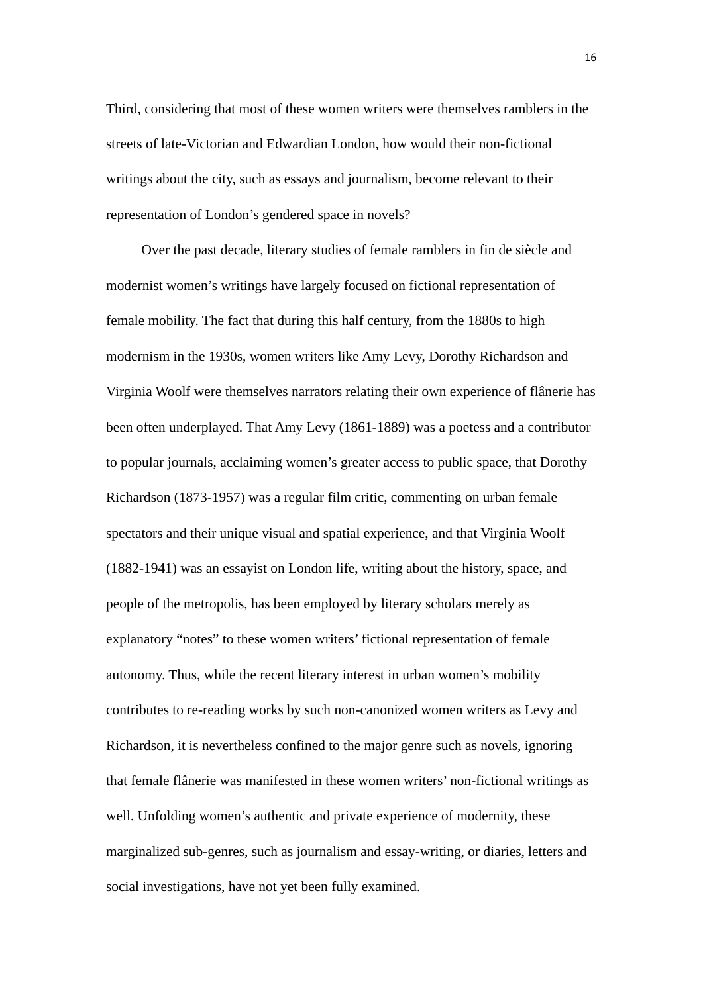Third, considering that most of these women writers were themselves ramblers in the streets of late-Victorian and Edwardian London, how would their non-fictional writings about the city, such as essays and journalism, become relevant to their representation of London's gendered space in novels?

Over the past decade, literary studies of female ramblers in fin de siècle and modernist women's writings have largely focused on fictional representation of female mobility. The fact that during this half century, from the 1880s to high modernism in the 1930s, women writers like Amy Levy, Dorothy Richardson and Virginia Woolf were themselves narrators relating their own experience of flânerie has been often underplayed. That Amy Levy (1861-1889) was a poetess and a contributor to popular journals, acclaiming women's greater access to public space, that Dorothy Richardson (1873-1957) was a regular film critic, commenting on urban female spectators and their unique visual and spatial experience, and that Virginia Woolf (1882-1941) was an essayist on London life, writing about the history, space, and people of the metropolis, has been employed by literary scholars merely as explanatory "notes" to these women writers' fictional representation of female autonomy. Thus, while the recent literary interest in urban women's mobility contributes to re-reading works by such non-canonized women writers as Levy and Richardson, it is nevertheless confined to the major genre such as novels, ignoring that female flânerie was manifested in these women writers' non-fictional writings as well. Unfolding women's authentic and private experience of modernity, these marginalized sub-genres, such as journalism and essay-writing, or diaries, letters and social investigations, have not yet been fully examined.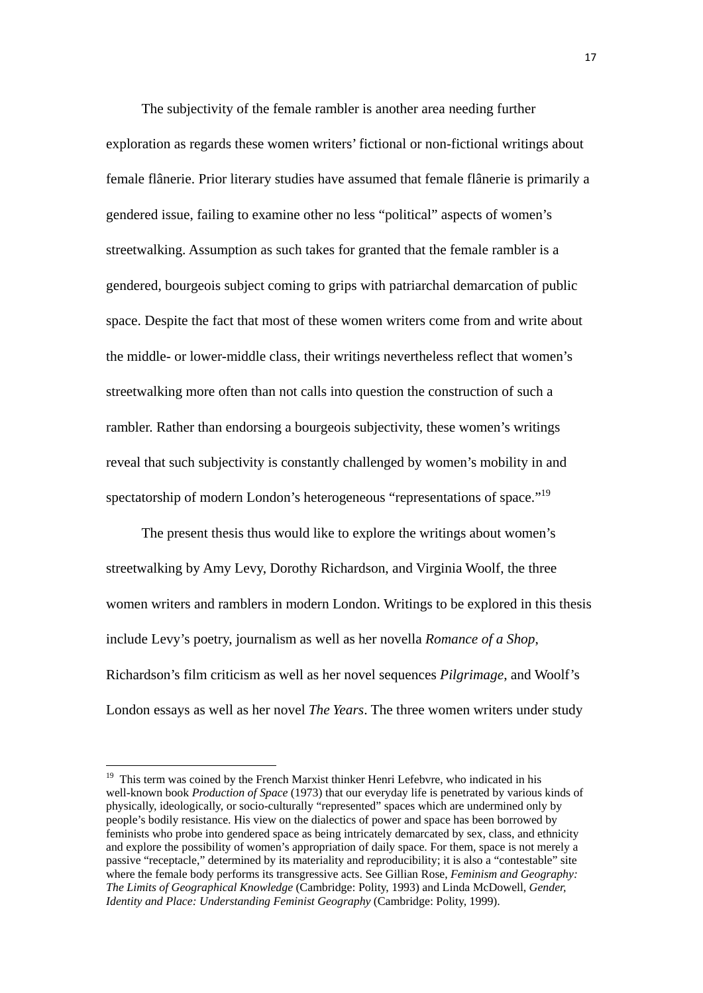The subjectivity of the female rambler is another area needing further exploration as regards these women writers' fictional or non-fictional writings about female flânerie. Prior literary studies have assumed that female flânerie is primarily a gendered issue, failing to examine other no less "political" aspects of women's streetwalking. Assumption as such takes for granted that the female rambler is a gendered, bourgeois subject coming to grips with patriarchal demarcation of public space. Despite the fact that most of these women writers come from and write about the middle- or lower-middle class, their writings nevertheless reflect that women's streetwalking more often than not calls into question the construction of such a rambler. Rather than endorsing a bourgeois subjectivity, these women's writings reveal that such subjectivity is constantly challenged by women's mobility in and spectatorship of modern London's heterogeneous "representations of space."<sup>19</sup>

The present thesis thus would like to explore the writings about women's streetwalking by Amy Levy, Dorothy Richardson, and Virginia Woolf, the three women writers and ramblers in modern London. Writings to be explored in this thesis include Levy's poetry, journalism as well as her novella *Romance of a Shop*, Richardson's film criticism as well as her novel sequences *Pilgrimage*, and Woolf's London essays as well as her novel *The Years*. The three women writers under study

<sup>&</sup>lt;sup>19</sup> This term was coined by the French Marxist thinker Henri Lefebvre, who indicated in his well-known book *Production of Space* (1973) that our everyday life is penetrated by various kinds of physically, ideologically, or socio-culturally "represented" spaces which are undermined only by people's bodily resistance. His view on the dialectics of power and space has been borrowed by feminists who probe into gendered space as being intricately demarcated by sex, class, and ethnicity and explore the possibility of women's appropriation of daily space. For them, space is not merely a passive "receptacle," determined by its materiality and reproducibility; it is also a "contestable" site where the female body performs its transgressive acts. See Gillian Rose, *Feminism and Geography: The Limits of Geographical Knowledge* (Cambridge: Polity, 1993) and Linda McDowell, *Gender, Identity and Place: Understanding Feminist Geography* (Cambridge: Polity, 1999).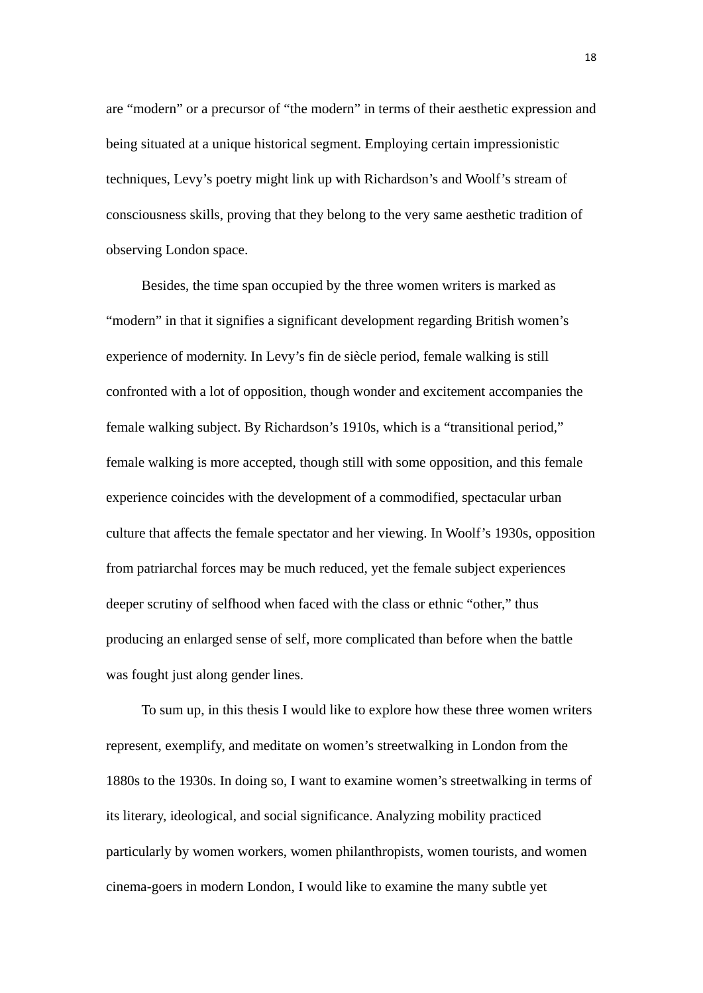are "modern" or a precursor of "the modern" in terms of their aesthetic expression and being situated at a unique historical segment. Employing certain impressionistic techniques, Levy's poetry might link up with Richardson's and Woolf's stream of consciousness skills, proving that they belong to the very same aesthetic tradition of observing London space.

Besides, the time span occupied by the three women writers is marked as "modern" in that it signifies a significant development regarding British women's experience of modernity. In Levy's fin de siècle period, female walking is still confronted with a lot of opposition, though wonder and excitement accompanies the female walking subject. By Richardson's 1910s, which is a "transitional period," female walking is more accepted, though still with some opposition, and this female experience coincides with the development of a commodified, spectacular urban culture that affects the female spectator and her viewing. In Woolf's 1930s, opposition from patriarchal forces may be much reduced, yet the female subject experiences deeper scrutiny of selfhood when faced with the class or ethnic "other," thus producing an enlarged sense of self, more complicated than before when the battle was fought just along gender lines.

To sum up, in this thesis I would like to explore how these three women writers represent, exemplify, and meditate on women's streetwalking in London from the 1880s to the 1930s. In doing so, I want to examine women's streetwalking in terms of its literary, ideological, and social significance. Analyzing mobility practiced particularly by women workers, women philanthropists, women tourists, and women cinema-goers in modern London, I would like to examine the many subtle yet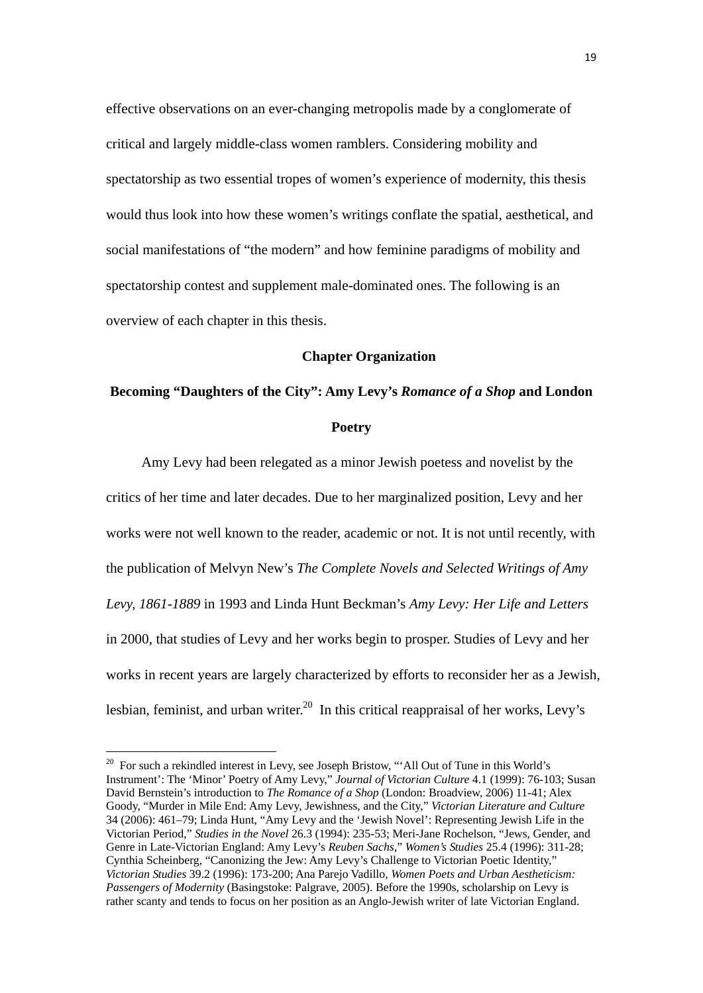effective observations on an ever-changing metropolis made by a conglomerate of critical and largely middle-class women ramblers. Considering mobility and spectatorship as two essential tropes of women's experience of modernity, this thesis would thus look into how these women's writings conflate the spatial, aesthetical, and social manifestations of "the modern" and how feminine paradigms of mobility and spectatorship contest and supplement male-dominated ones. The following is an overview of each chapter in this thesis.

## **Chapter Organization**

# **Becoming "Daughters of the City": Amy Levy's** *Romance of a Shop* **and London Poetry**

Amy Levy had been relegated as a minor Jewish poetess and novelist by the critics of her time and later decades. Due to her marginalized position, Levy and her works were not well known to the reader, academic or not. It is not until recently, with the publication of Melvyn New's *The Complete Novels and Selected Writings of Amy Levy, 1861-1889* in 1993 and Linda Hunt Beckman's *Amy Levy: Her Life and Letters* in 2000, that studies of Levy and her works begin to prosper. Studies of Levy and her works in recent years are largely characterized by efforts to reconsider her as a Jewish, lesbian, feminist, and urban writer.<sup>20</sup> In this critical reappraisal of her works, Levy's

<sup>&</sup>lt;sup>20</sup> For such a rekindled interest in Levy, see Joseph Bristow, "'All Out of Tune in this World's Instrument': The 'Minor' Poetry of Amy Levy," *Journal of Victorian Culture* 4.1 (1999): 76-103; Susan David Bernstein's introduction to *The Romance of a Shop* (London: Broadview, 2006) 11-41; Alex Goody, "Murder in Mile End: Amy Levy, Jewishness, and the City," *Victorian Literature and Culture* 34 (2006): 461–79; Linda Hunt, "Amy Levy and the 'Jewish Novel': Representing Jewish Life in the Victorian Period," *Studies in the Novel* 26.3 (1994): 235-53; Meri-Jane Rochelson, "Jews, Gender, and Genre in Late-Victorian England: Amy Levy's *Reuben Sachs*," *Women's Studies* 25.4 (1996): 311-28; Cynthia Scheinberg, "Canonizing the Jew: Amy Levy's Challenge to Victorian Poetic Identity," *Victorian Studies* 39.2 (1996): 173-200; Ana Parejo Vadillo, *Women Poets and Urban Aestheticism: Passengers of Modernity* (Basingstoke: Palgrave, 2005). Before the 1990s, scholarship on Levy is rather scanty and tends to focus on her position as an Anglo-Jewish writer of late Victorian England.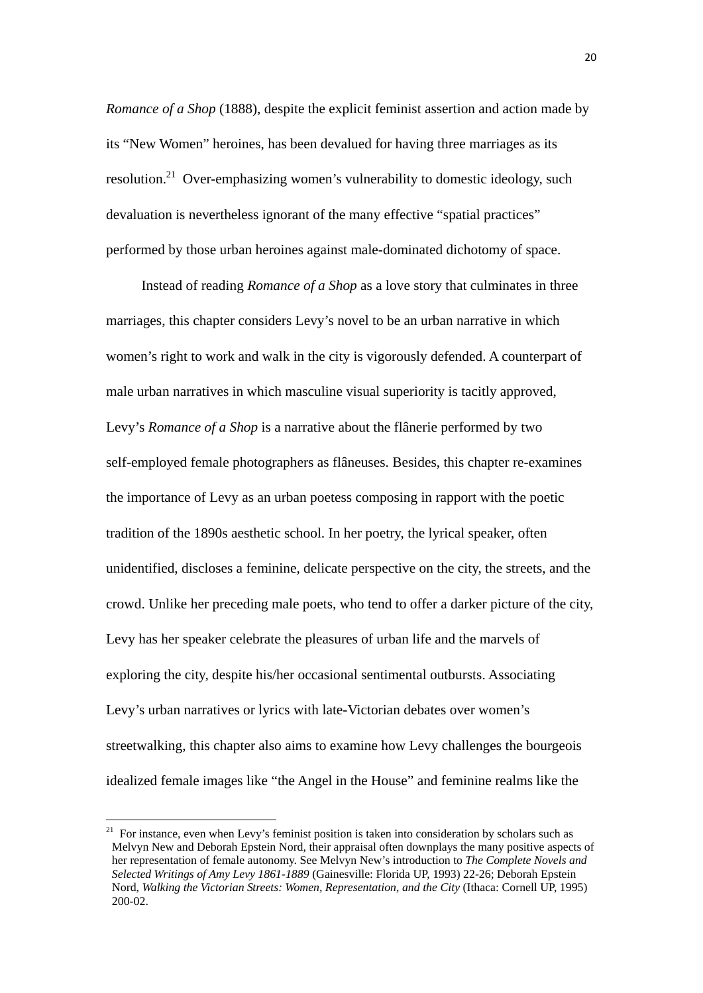*Romance of a Shop* (1888), despite the explicit feminist assertion and action made by its "New Women" heroines, has been devalued for having three marriages as its resolution.<sup>21</sup> Over-emphasizing women's vulnerability to domestic ideology, such devaluation is nevertheless ignorant of the many effective "spatial practices" performed by those urban heroines against male-dominated dichotomy of space.

Instead of reading *Romance of a Shop* as a love story that culminates in three marriages, this chapter considers Levy's novel to be an urban narrative in which women's right to work and walk in the city is vigorously defended. A counterpart of male urban narratives in which masculine visual superiority is tacitly approved, Levy's *Romance of a Shop* is a narrative about the flânerie performed by two self-employed female photographers as flâneuses. Besides, this chapter re-examines the importance of Levy as an urban poetess composing in rapport with the poetic tradition of the 1890s aesthetic school. In her poetry, the lyrical speaker, often unidentified, discloses a feminine, delicate perspective on the city, the streets, and the crowd. Unlike her preceding male poets, who tend to offer a darker picture of the city, Levy has her speaker celebrate the pleasures of urban life and the marvels of exploring the city, despite his/her occasional sentimental outbursts. Associating Levy's urban narratives or lyrics with late-Victorian debates over women's streetwalking, this chapter also aims to examine how Levy challenges the bourgeois idealized female images like "the Angel in the House" and feminine realms like the

 $21$  For instance, even when Levy's feminist position is taken into consideration by scholars such as Melvyn New and Deborah Epstein Nord, their appraisal often downplays the many positive aspects of her representation of female autonomy. See Melvyn New's introduction to *The Complete Novels and Selected Writings of Amy Levy 1861-1889* (Gainesville: Florida UP, 1993) 22-26; Deborah Epstein Nord, *Walking the Victorian Streets: Women, Representation, and the City* (Ithaca: Cornell UP, 1995) 200-02.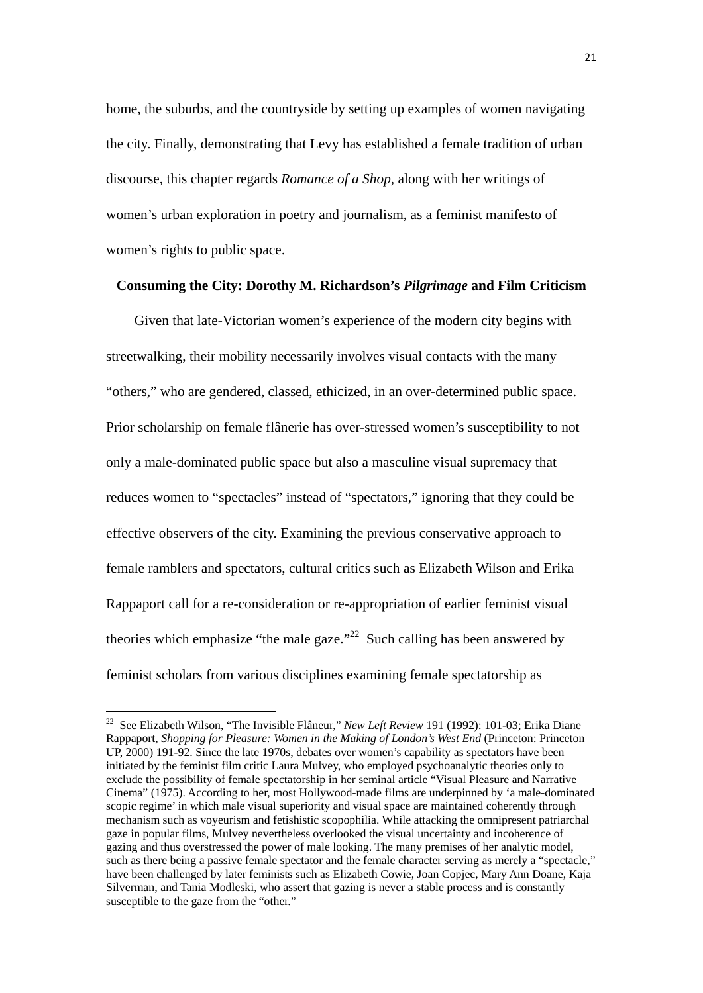home, the suburbs, and the countryside by setting up examples of women navigating the city. Finally, demonstrating that Levy has established a female tradition of urban discourse, this chapter regards *Romance of a Shop*, along with her writings of women's urban exploration in poetry and journalism, as a feminist manifesto of women's rights to public space.

## **Consuming the City: Dorothy M. Richardson's** *Pilgrimage* **and Film Criticism**

Given that late-Victorian women's experience of the modern city begins with streetwalking, their mobility necessarily involves visual contacts with the many "others," who are gendered, classed, ethicized, in an over-determined public space. Prior scholarship on female flânerie has over-stressed women's susceptibility to not only a male-dominated public space but also a masculine visual supremacy that reduces women to "spectacles" instead of "spectators," ignoring that they could be effective observers of the city. Examining the previous conservative approach to female ramblers and spectators, cultural critics such as Elizabeth Wilson and Erika Rappaport call for a re-consideration or re-appropriation of earlier feminist visual theories which emphasize "the male gaze."<sup>22</sup> Such calling has been answered by feminist scholars from various disciplines examining female spectatorship as

<sup>22</sup> See Elizabeth Wilson, "The Invisible Flâneur," *New Left Review* 191 (1992): 101-03; Erika Diane Rappaport, *Shopping for Pleasure: Women in the Making of London's West End* (Princeton: Princeton UP, 2000) 191-92. Since the late 1970s, debates over women's capability as spectators have been initiated by the feminist film critic Laura Mulvey, who employed psychoanalytic theories only to exclude the possibility of female spectatorship in her seminal article "Visual Pleasure and Narrative Cinema" (1975). According to her, most Hollywood-made films are underpinned by 'a male-dominated scopic regime' in which male visual superiority and visual space are maintained coherently through mechanism such as voyeurism and fetishistic scopophilia. While attacking the omnipresent patriarchal gaze in popular films, Mulvey nevertheless overlooked the visual uncertainty and incoherence of gazing and thus overstressed the power of male looking. The many premises of her analytic model, such as there being a passive female spectator and the female character serving as merely a "spectacle," have been challenged by later feminists such as Elizabeth Cowie, Joan Copjec, Mary Ann Doane, Kaja Silverman, and Tania Modleski, who assert that gazing is never a stable process and is constantly susceptible to the gaze from the "other."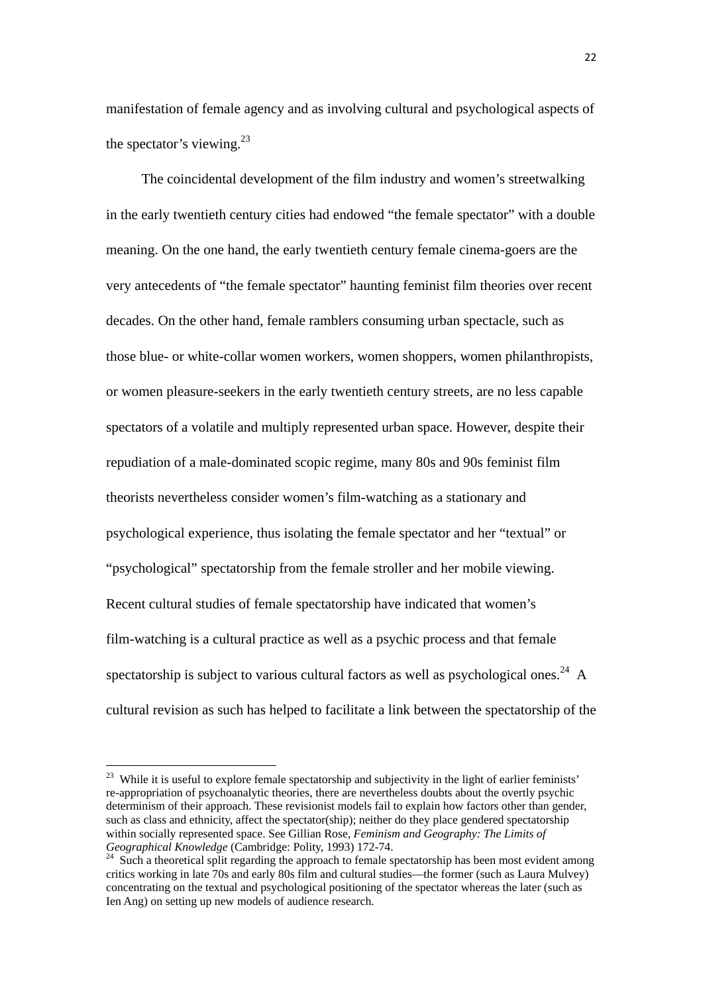manifestation of female agency and as involving cultural and psychological aspects of the spectator's viewing. $^{23}$ 

The coincidental development of the film industry and women's streetwalking in the early twentieth century cities had endowed "the female spectator" with a double meaning. On the one hand, the early twentieth century female cinema-goers are the very antecedents of "the female spectator" haunting feminist film theories over recent decades. On the other hand, female ramblers consuming urban spectacle, such as those blue- or white-collar women workers, women shoppers, women philanthropists, or women pleasure-seekers in the early twentieth century streets, are no less capable spectators of a volatile and multiply represented urban space. However, despite their repudiation of a male-dominated scopic regime, many 80s and 90s feminist film theorists nevertheless consider women's film-watching as a stationary and psychological experience, thus isolating the female spectator and her "textual" or "psychological" spectatorship from the female stroller and her mobile viewing. Recent cultural studies of female spectatorship have indicated that women's film-watching is a cultural practice as well as a psychic process and that female spectatorship is subject to various cultural factors as well as psychological ones.<sup>24</sup> A cultural revision as such has helped to facilitate a link between the spectatorship of the

<sup>&</sup>lt;sup>23</sup> While it is useful to explore female spectatorship and subjectivity in the light of earlier feminists' re-appropriation of psychoanalytic theories, there are nevertheless doubts about the overtly psychic determinism of their approach. These revisionist models fail to explain how factors other than gender, such as class and ethnicity, affect the spectator(ship); neither do they place gendered spectatorship within socially represented space. See Gillian Rose, *Feminism and Geography: The Limits of Geographical Knowledge* (Cambridge: Polity, 1993) 172-74.<br><sup>24</sup> Such a theoretical split regarding the approach to female spectatorship has been most evident among

critics working in late 70s and early 80s film and cultural studies—the former (such as Laura Mulvey) concentrating on the textual and psychological positioning of the spectator whereas the later (such as Ien Ang) on setting up new models of audience research.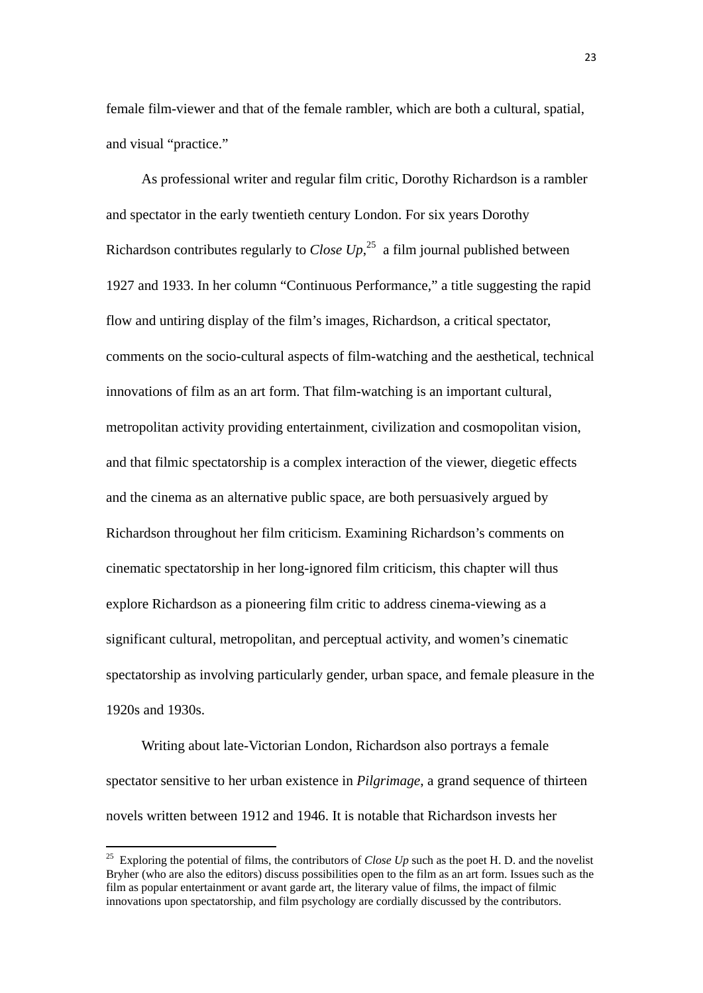female film-viewer and that of the female rambler, which are both a cultural, spatial, and visual "practice."

As professional writer and regular film critic, Dorothy Richardson is a rambler and spectator in the early twentieth century London. For six years Dorothy Richardson contributes regularly to *Close*  $Up$ ,<sup>25</sup> a film journal published between 1927 and 1933. In her column "Continuous Performance," a title suggesting the rapid flow and untiring display of the film's images, Richardson, a critical spectator, comments on the socio-cultural aspects of film-watching and the aesthetical, technical innovations of film as an art form. That film-watching is an important cultural, metropolitan activity providing entertainment, civilization and cosmopolitan vision, and that filmic spectatorship is a complex interaction of the viewer, diegetic effects and the cinema as an alternative public space, are both persuasively argued by Richardson throughout her film criticism. Examining Richardson's comments on cinematic spectatorship in her long-ignored film criticism, this chapter will thus explore Richardson as a pioneering film critic to address cinema-viewing as a significant cultural, metropolitan, and perceptual activity, and women's cinematic spectatorship as involving particularly gender, urban space, and female pleasure in the 1920s and 1930s.

Writing about late-Victorian London, Richardson also portrays a female spectator sensitive to her urban existence in *Pilgrimage*, a grand sequence of thirteen novels written between 1912 and 1946. It is notable that Richardson invests her

<sup>&</sup>lt;sup>25</sup> Exploring the potential of films, the contributors of *Close Up* such as the poet H. D. and the novelist Bryher (who are also the editors) discuss possibilities open to the film as an art form. Issues such as the film as popular entertainment or avant garde art, the literary value of films, the impact of filmic innovations upon spectatorship, and film psychology are cordially discussed by the contributors.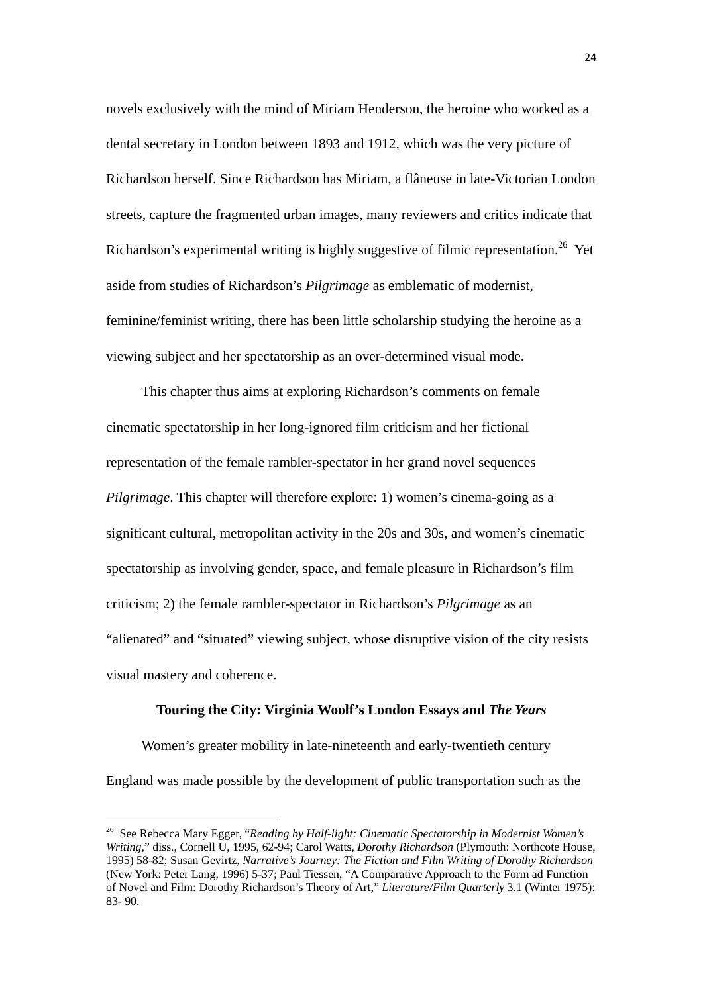novels exclusively with the mind of Miriam Henderson, the heroine who worked as a dental secretary in London between 1893 and 1912, which was the very picture of Richardson herself. Since Richardson has Miriam, a flâneuse in late-Victorian London streets, capture the fragmented urban images, many reviewers and critics indicate that Richardson's experimental writing is highly suggestive of filmic representation.<sup>26</sup> Yet aside from studies of Richardson's *Pilgrimage* as emblematic of modernist, feminine/feminist writing, there has been little scholarship studying the heroine as a viewing subject and her spectatorship as an over-determined visual mode.

This chapter thus aims at exploring Richardson's comments on female cinematic spectatorship in her long-ignored film criticism and her fictional representation of the female rambler-spectator in her grand novel sequences *Pilgrimage*. This chapter will therefore explore: 1) women's cinema-going as a significant cultural, metropolitan activity in the 20s and 30s, and women's cinematic spectatorship as involving gender, space, and female pleasure in Richardson's film criticism; 2) the female rambler-spectator in Richardson's *Pilgrimage* as an "alienated" and "situated" viewing subject, whose disruptive vision of the city resists visual mastery and coherence.

## **Touring the City: Virginia Woolf's London Essays and** *The Years*

 Women's greater mobility in late-nineteenth and early-twentieth century England was made possible by the development of public transportation such as the

<sup>26</sup> See Rebecca Mary Egger, "*Reading by Half-light: Cinematic Spectatorship in Modernist Women's Writing*," diss., Cornell U, 1995, 62-94; Carol Watts, *Dorothy Richardson* (Plymouth: Northcote House, 1995) 58-82; Susan Gevirtz, *Narrative's Journey: The Fiction and Film Writing of Dorothy Richardson* (New York: Peter Lang, 1996) 5-37; Paul Tiessen, "A Comparative Approach to the Form ad Function of Novel and Film: Dorothy Richardson's Theory of Art," *Literature/Film Quarterly* 3.1 (Winter 1975): 83- 90.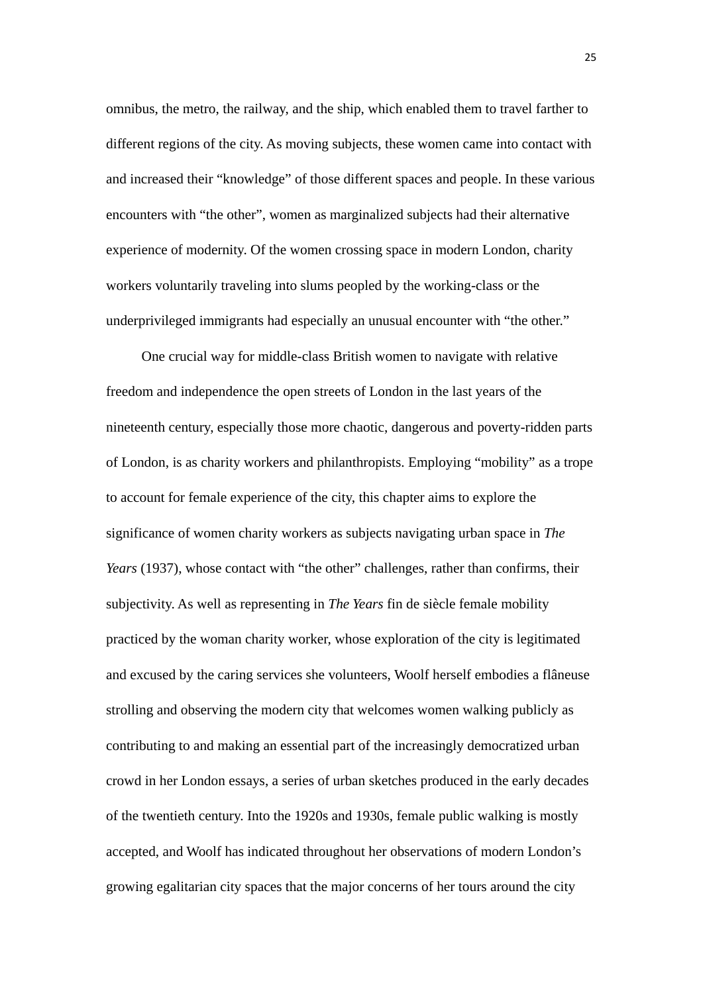omnibus, the metro, the railway, and the ship, which enabled them to travel farther to different regions of the city. As moving subjects, these women came into contact with and increased their "knowledge" of those different spaces and people. In these various encounters with "the other", women as marginalized subjects had their alternative experience of modernity. Of the women crossing space in modern London, charity workers voluntarily traveling into slums peopled by the working-class or the underprivileged immigrants had especially an unusual encounter with "the other."

One crucial way for middle-class British women to navigate with relative freedom and independence the open streets of London in the last years of the nineteenth century, especially those more chaotic, dangerous and poverty-ridden parts of London, is as charity workers and philanthropists. Employing "mobility" as a trope to account for female experience of the city, this chapter aims to explore the significance of women charity workers as subjects navigating urban space in *The Years* (1937), whose contact with "the other" challenges, rather than confirms, their subjectivity. As well as representing in *The Years* fin de siècle female mobility practiced by the woman charity worker, whose exploration of the city is legitimated and excused by the caring services she volunteers, Woolf herself embodies a flâneuse strolling and observing the modern city that welcomes women walking publicly as contributing to and making an essential part of the increasingly democratized urban crowd in her London essays, a series of urban sketches produced in the early decades of the twentieth century. Into the 1920s and 1930s, female public walking is mostly accepted, and Woolf has indicated throughout her observations of modern London's growing egalitarian city spaces that the major concerns of her tours around the city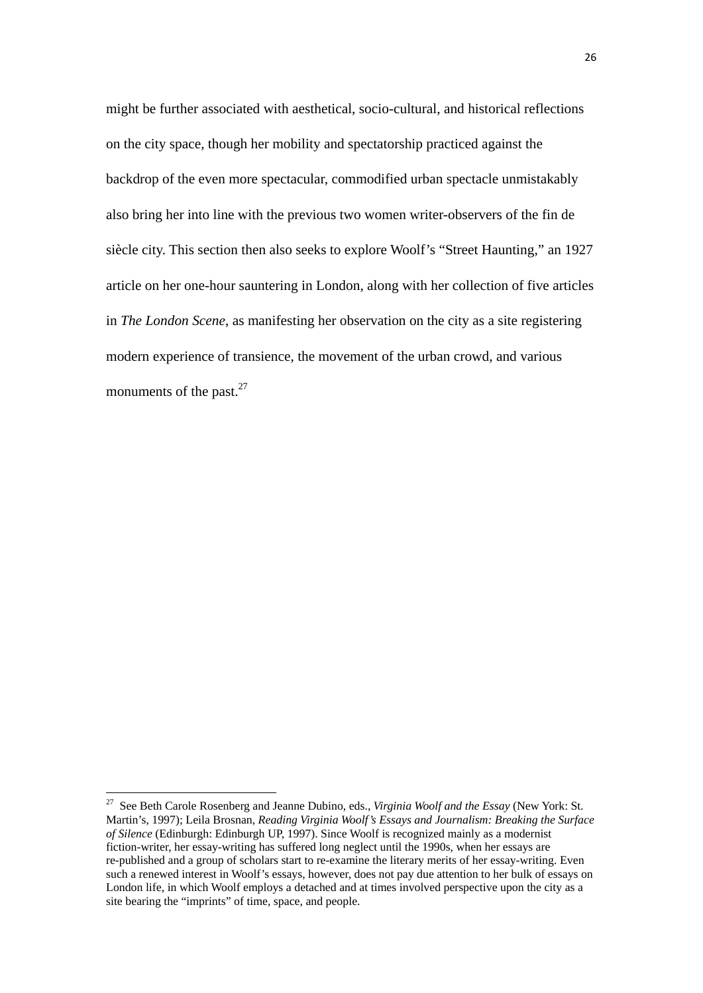might be further associated with aesthetical, socio-cultural, and historical reflections on the city space, though her mobility and spectatorship practiced against the backdrop of the even more spectacular, commodified urban spectacle unmistakably also bring her into line with the previous two women writer-observers of the fin de siècle city. This section then also seeks to explore Woolf's "Street Haunting," an 1927 article on her one-hour sauntering in London, along with her collection of five articles in *The London Scene*, as manifesting her observation on the city as a site registering modern experience of transience, the movement of the urban crowd, and various monuments of the past. $27$ 

<sup>27</sup> See Beth Carole Rosenberg and Jeanne Dubino, eds., *Virginia Woolf and the Essay* (New York: St. Martin's, 1997); Leila Brosnan, *Reading Virginia Woolf's Essays and Journalism: Breaking the Surface of Silence* (Edinburgh: Edinburgh UP, 1997). Since Woolf is recognized mainly as a modernist fiction-writer, her essay-writing has suffered long neglect until the 1990s, when her essays are re-published and a group of scholars start to re-examine the literary merits of her essay-writing. Even such a renewed interest in Woolf's essays, however, does not pay due attention to her bulk of essays on London life, in which Woolf employs a detached and at times involved perspective upon the city as a site bearing the "imprints" of time, space, and people.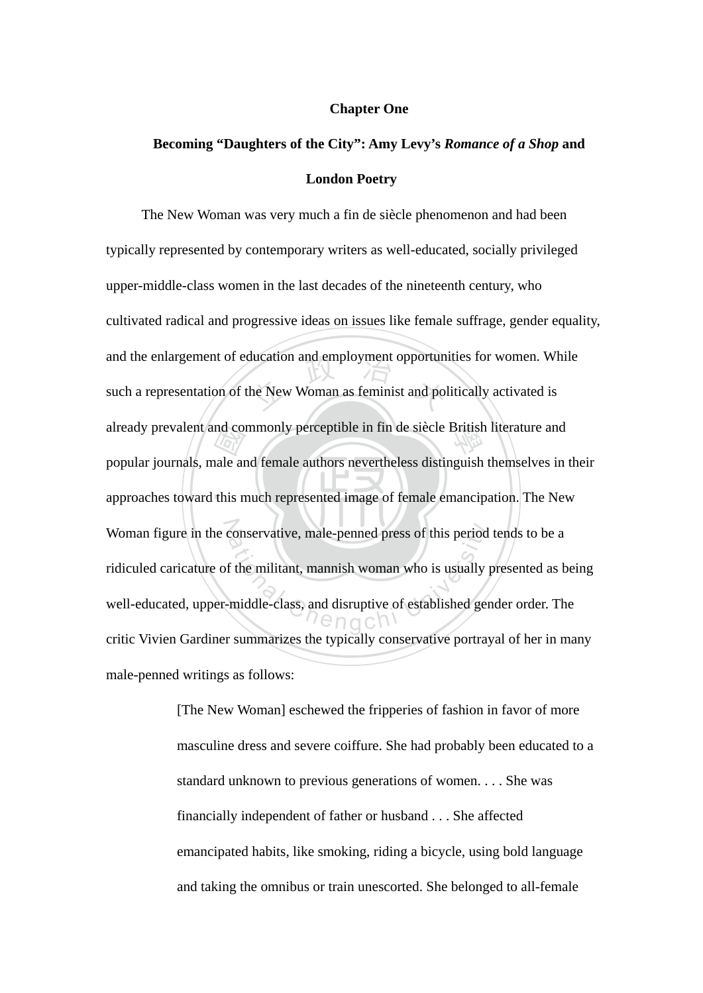## **Chapter One**

# **Becoming "Daughters of the City": Amy Levy's** *Romance of a Shop* **and London Poetry**

 $\blacksquare$ nd com<br>
ale and<br>
this n ducation and employment opportuned<br>he New Woman as feminist and pol already prevalent and commonly perceptible in fin de siècle British literature and approaches toward this much represented image of female emancipation. The New N Woman figure in the conservative, male-penned press of this period tends to be a conservative, male-penned press of this period<br>f the militant, mannish woman who is usually<br>middle-class, and disruptive of established generally<br> $\bigcap_{n=0}^{\infty}$ The New Woman was very much a fin de siècle phenomenon and had been typically represented by contemporary writers as well-educated, socially privileged upper-middle-class women in the last decades of the nineteenth century, who cultivated radical and progressive ideas on issues like female suffrage, gender equality, and the enlargement of education and employment opportunities for women. While such a representation of the New Woman as feminist and politically activated is popular journals, male and female authors nevertheless distinguish themselves in their ridiculed caricature of the militant, mannish woman who is usually presented as being well-educated, upper-middle-class, and disruptive of established gender order. The critic Vivien Gardiner summarizes the typically conservative portrayal of her in many male-penned writings as follows:

> [The New Woman] eschewed the fripperies of fashion in favor of more masculine dress and severe coiffure. She had probably been educated to a standard unknown to previous generations of women. . . . She was financially independent of father or husband . . . She affected emancipated habits, like smoking, riding a bicycle, using bold language and taking the omnibus or train unescorted. She belonged to all-female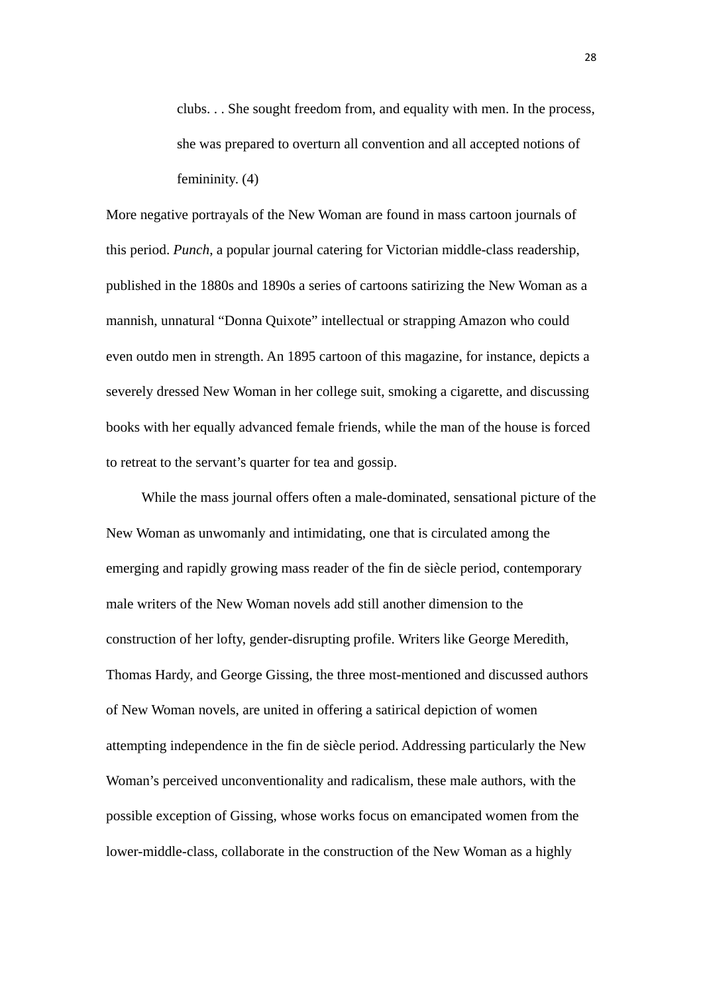clubs. . . She sought freedom from, and equality with men. In the process, she was prepared to overturn all convention and all accepted notions of femininity. (4)

More negative portrayals of the New Woman are found in mass cartoon journals of this period. *Punch*, a popular journal catering for Victorian middle-class readership, published in the 1880s and 1890s a series of cartoons satirizing the New Woman as a mannish, unnatural "Donna Quixote" intellectual or strapping Amazon who could even outdo men in strength. An 1895 cartoon of this magazine, for instance, depicts a severely dressed New Woman in her college suit, smoking a cigarette, and discussing books with her equally advanced female friends, while the man of the house is forced to retreat to the servant's quarter for tea and gossip.

While the mass journal offers often a male-dominated, sensational picture of the New Woman as unwomanly and intimidating, one that is circulated among the emerging and rapidly growing mass reader of the fin de siècle period, contemporary male writers of the New Woman novels add still another dimension to the construction of her lofty, gender-disrupting profile. Writers like George Meredith, Thomas Hardy, and George Gissing, the three most-mentioned and discussed authors of New Woman novels, are united in offering a satirical depiction of women attempting independence in the fin de siècle period. Addressing particularly the New Woman's perceived unconventionality and radicalism, these male authors, with the possible exception of Gissing, whose works focus on emancipated women from the lower-middle-class, collaborate in the construction of the New Woman as a highly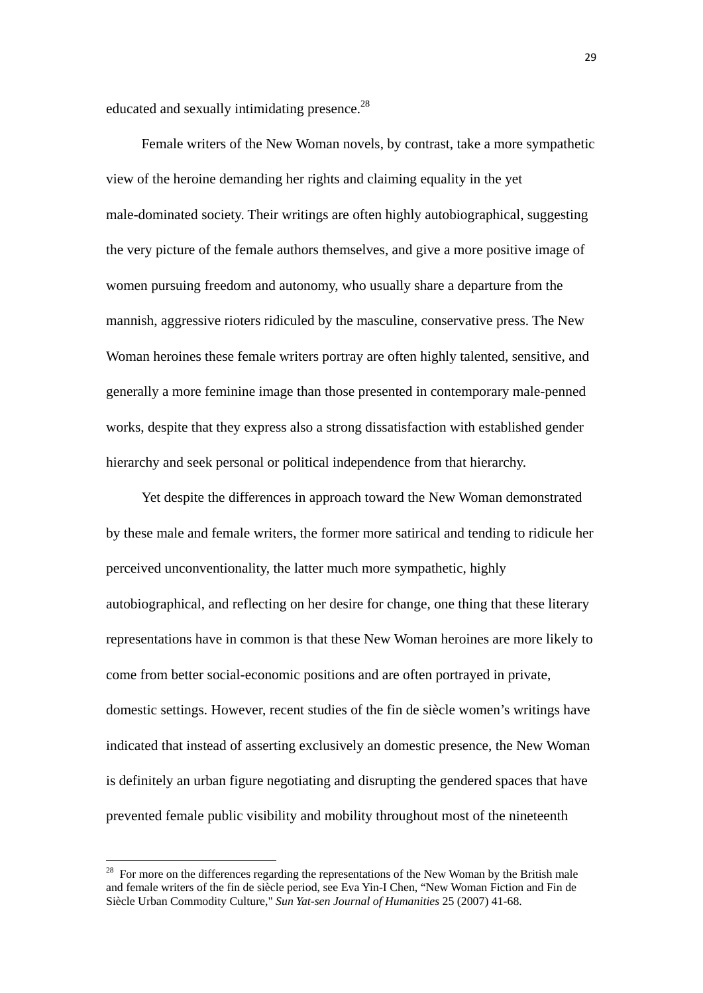educated and sexually intimidating presence.<sup>28</sup>

Female writers of the New Woman novels, by contrast, take a more sympathetic view of the heroine demanding her rights and claiming equality in the yet male-dominated society. Their writings are often highly autobiographical, suggesting the very picture of the female authors themselves, and give a more positive image of women pursuing freedom and autonomy, who usually share a departure from the mannish, aggressive rioters ridiculed by the masculine, conservative press. The New Woman heroines these female writers portray are often highly talented, sensitive, and generally a more feminine image than those presented in contemporary male-penned works, despite that they express also a strong dissatisfaction with established gender hierarchy and seek personal or political independence from that hierarchy.

Yet despite the differences in approach toward the New Woman demonstrated by these male and female writers, the former more satirical and tending to ridicule her perceived unconventionality, the latter much more sympathetic, highly autobiographical, and reflecting on her desire for change, one thing that these literary representations have in common is that these New Woman heroines are more likely to come from better social-economic positions and are often portrayed in private, domestic settings. However, recent studies of the fin de siècle women's writings have indicated that instead of asserting exclusively an domestic presence, the New Woman is definitely an urban figure negotiating and disrupting the gendered spaces that have prevented female public visibility and mobility throughout most of the nineteenth

 $28$  For more on the differences regarding the representations of the New Woman by the British male and female writers of the fin de siècle period, see Eva Yin-I Chen, "New Woman Fiction and Fin de Siècle Urban Commodity Culture," *Sun Yat-sen Journal of Humanities* 25 (2007) 41-68.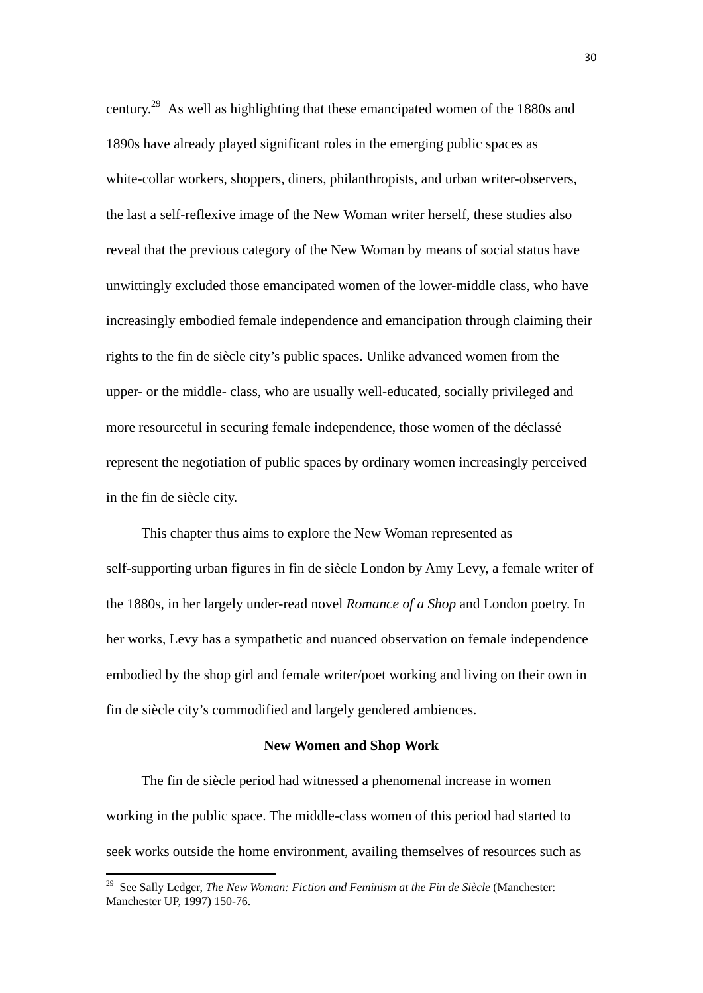century.29 As well as highlighting that these emancipated women of the 1880s and 1890s have already played significant roles in the emerging public spaces as white-collar workers, shoppers, diners, philanthropists, and urban writer-observers, the last a self-reflexive image of the New Woman writer herself, these studies also reveal that the previous category of the New Woman by means of social status have unwittingly excluded those emancipated women of the lower-middle class, who have increasingly embodied female independence and emancipation through claiming their rights to the fin de siècle city's public spaces. Unlike advanced women from the upper- or the middle- class, who are usually well-educated, socially privileged and more resourceful in securing female independence, those women of the déclassé represent the negotiation of public spaces by ordinary women increasingly perceived in the fin de siècle city.

This chapter thus aims to explore the New Woman represented as self-supporting urban figures in fin de siècle London by Amy Levy, a female writer of the 1880s, in her largely under-read novel *Romance of a Shop* and London poetry. In her works, Levy has a sympathetic and nuanced observation on female independence embodied by the shop girl and female writer/poet working and living on their own in fin de siècle city's commodified and largely gendered ambiences.

## **New Women and Shop Work**

The fin de siècle period had witnessed a phenomenal increase in women working in the public space. The middle-class women of this period had started to seek works outside the home environment, availing themselves of resources such as

<sup>29</sup> See Sally Ledger, *The New Woman: Fiction and Feminism at the Fin de Siècle* (Manchester: Manchester UP, 1997) 150-76.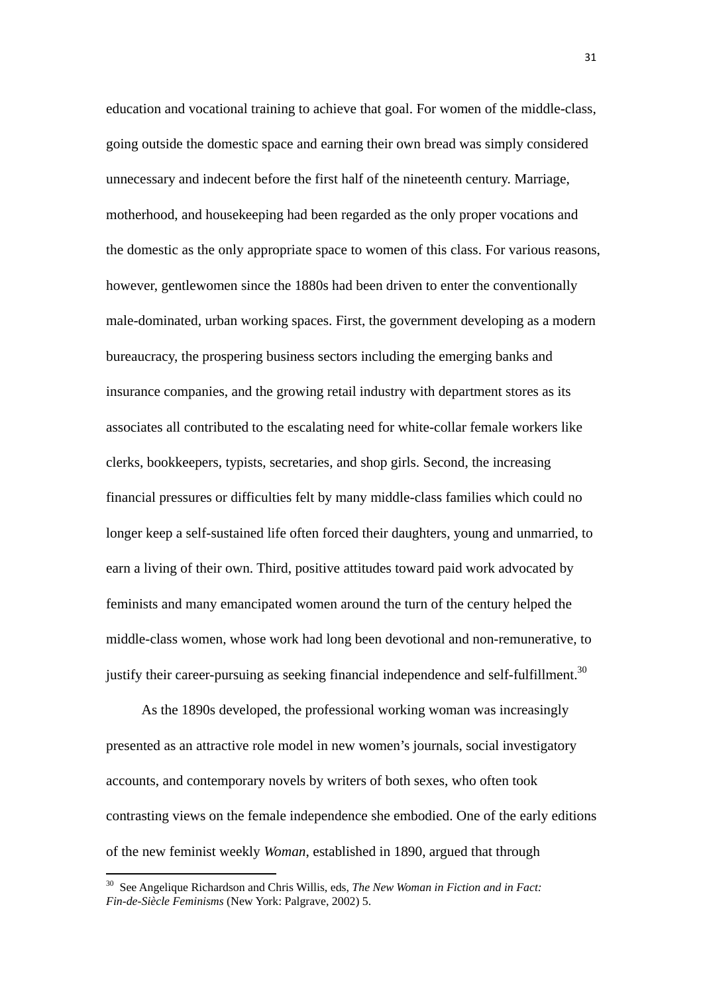education and vocational training to achieve that goal. For women of the middle-class, going outside the domestic space and earning their own bread was simply considered unnecessary and indecent before the first half of the nineteenth century. Marriage, motherhood, and housekeeping had been regarded as the only proper vocations and the domestic as the only appropriate space to women of this class. For various reasons, however, gentlewomen since the 1880s had been driven to enter the conventionally male-dominated, urban working spaces. First, the government developing as a modern bureaucracy, the prospering business sectors including the emerging banks and insurance companies, and the growing retail industry with department stores as its associates all contributed to the escalating need for white-collar female workers like clerks, bookkeepers, typists, secretaries, and shop girls. Second, the increasing financial pressures or difficulties felt by many middle-class families which could no longer keep a self-sustained life often forced their daughters, young and unmarried, to earn a living of their own. Third, positive attitudes toward paid work advocated by feminists and many emancipated women around the turn of the century helped the middle-class women, whose work had long been devotional and non-remunerative, to justify their career-pursuing as seeking financial independence and self-fulfillment.<sup>30</sup>

As the 1890s developed, the professional working woman was increasingly presented as an attractive role model in new women's journals, social investigatory accounts, and contemporary novels by writers of both sexes, who often took contrasting views on the female independence she embodied. One of the early editions of the new feminist weekly *Woman*, established in 1890, argued that through

<sup>30</sup> See Angelique Richardson and Chris Willis, eds, *The New Woman in Fiction and in Fact: Fin-de-Siècle Feminisms* (New York: Palgrave, 2002) 5.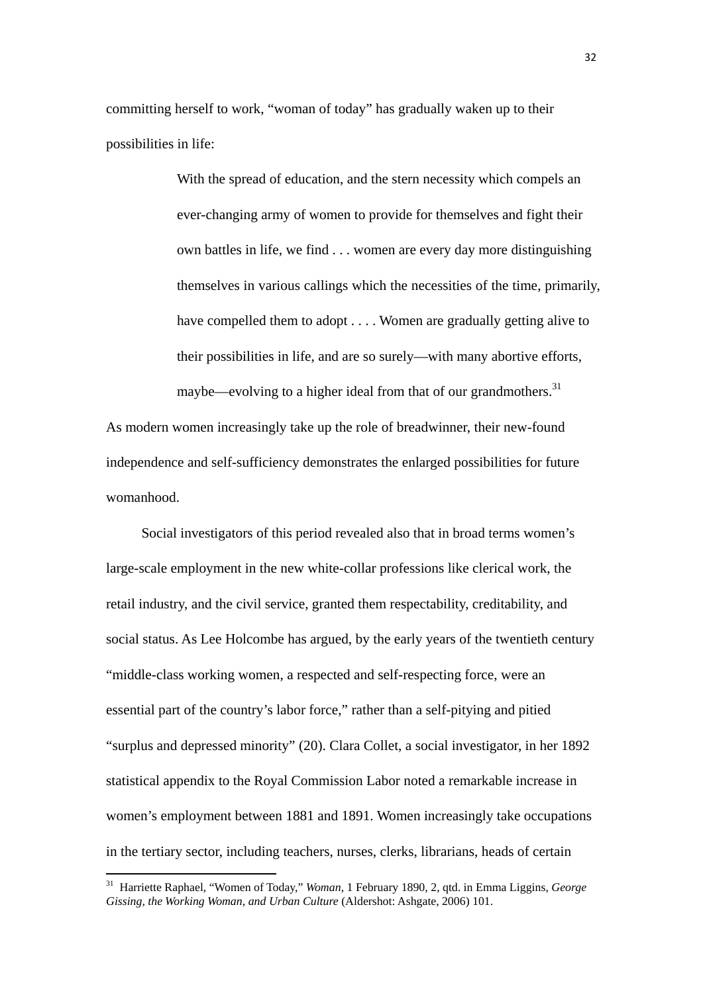committing herself to work, "woman of today" has gradually waken up to their possibilities in life:

> With the spread of education, and the stern necessity which compels an ever-changing army of women to provide for themselves and fight their own battles in life, we find . . . women are every day more distinguishing themselves in various callings which the necessities of the time, primarily, have compelled them to adopt . . . . Women are gradually getting alive to their possibilities in life, and are so surely—with many abortive efforts, maybe—evolving to a higher ideal from that of our grandmothers.<sup>31</sup>

As modern women increasingly take up the role of breadwinner, their new-found independence and self-sufficiency demonstrates the enlarged possibilities for future womanhood.

Social investigators of this period revealed also that in broad terms women's large-scale employment in the new white-collar professions like clerical work, the retail industry, and the civil service, granted them respectability, creditability, and social status. As Lee Holcombe has argued, by the early years of the twentieth century "middle-class working women, a respected and self-respecting force, were an essential part of the country's labor force," rather than a self-pitying and pitied "surplus and depressed minority" (20). Clara Collet, a social investigator, in her 1892 statistical appendix to the Royal Commission Labor noted a remarkable increase in women's employment between 1881 and 1891. Women increasingly take occupations in the tertiary sector, including teachers, nurses, clerks, librarians, heads of certain

<sup>31</sup> Harriette Raphael, "Women of Today," *Woman*, 1 February 1890, 2, qtd. in Emma Liggins, *George Gissing, the Working Woman, and Urban Culture* (Aldershot: Ashgate, 2006) 101.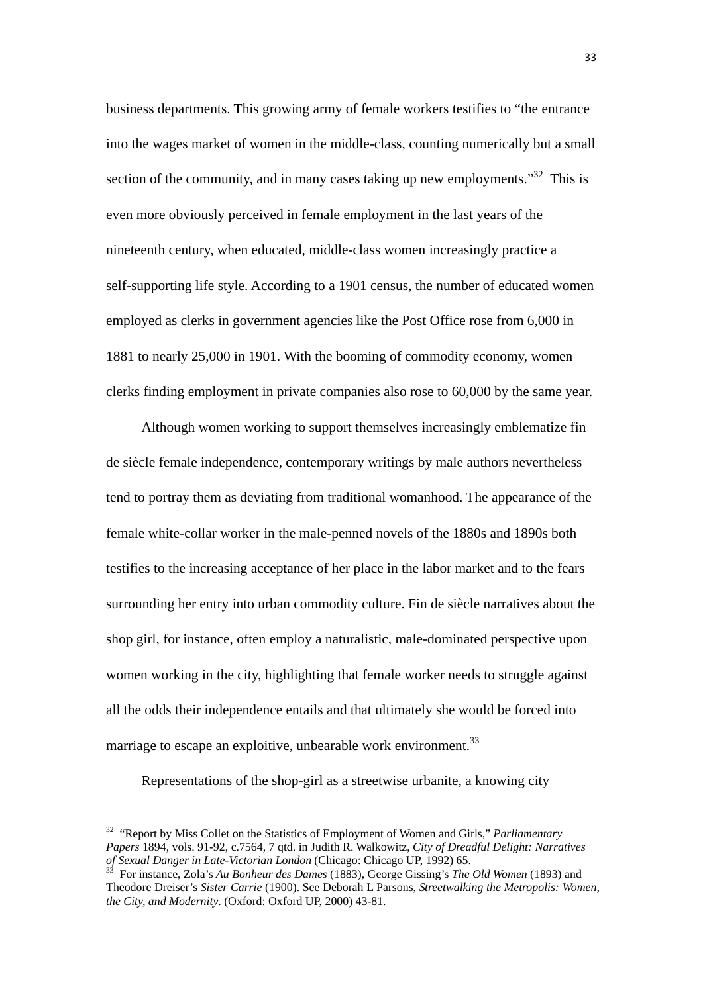business departments. This growing army of female workers testifies to "the entrance into the wages market of women in the middle-class, counting numerically but a small section of the community, and in many cases taking up new employments.<sup> $32$ </sup> This is even more obviously perceived in female employment in the last years of the nineteenth century, when educated, middle-class women increasingly practice a self-supporting life style. According to a 1901 census, the number of educated women employed as clerks in government agencies like the Post Office rose from 6,000 in 1881 to nearly 25,000 in 1901. With the booming of commodity economy, women clerks finding employment in private companies also rose to 60,000 by the same year.

 Although women working to support themselves increasingly emblematize fin de siècle female independence, contemporary writings by male authors nevertheless tend to portray them as deviating from traditional womanhood. The appearance of the female white-collar worker in the male-penned novels of the 1880s and 1890s both testifies to the increasing acceptance of her place in the labor market and to the fears surrounding her entry into urban commodity culture. Fin de siècle narratives about the shop girl, for instance, often employ a naturalistic, male-dominated perspective upon women working in the city, highlighting that female worker needs to struggle against all the odds their independence entails and that ultimately she would be forced into marriage to escape an exploitive, unbearable work environment.<sup>33</sup>

Representations of the shop-girl as a streetwise urbanite, a knowing city

<sup>32 &</sup>quot;Report by Miss Collet on the Statistics of Employment of Women and Girls," *Parliamentary Papers* 1894, vols. 91-92, c.7564, 7 qtd. in Judith R. Walkowitz, *City of Dreadful Delight: Narratives of Sexual Danger in Late-Victorian London* (Chicago: Chicago UP, 1992) 65. 33 For instance, Zola's *Au Bonheur des Dames* (1883), George Gissing's *The Old Women* (1893) and

Theodore Dreiser's *Sister Carrie* (1900). See Deborah L Parsons, *Streetwalking the Metropolis: Women, the City, and Modernity*. (Oxford: Oxford UP, 2000) 43-81.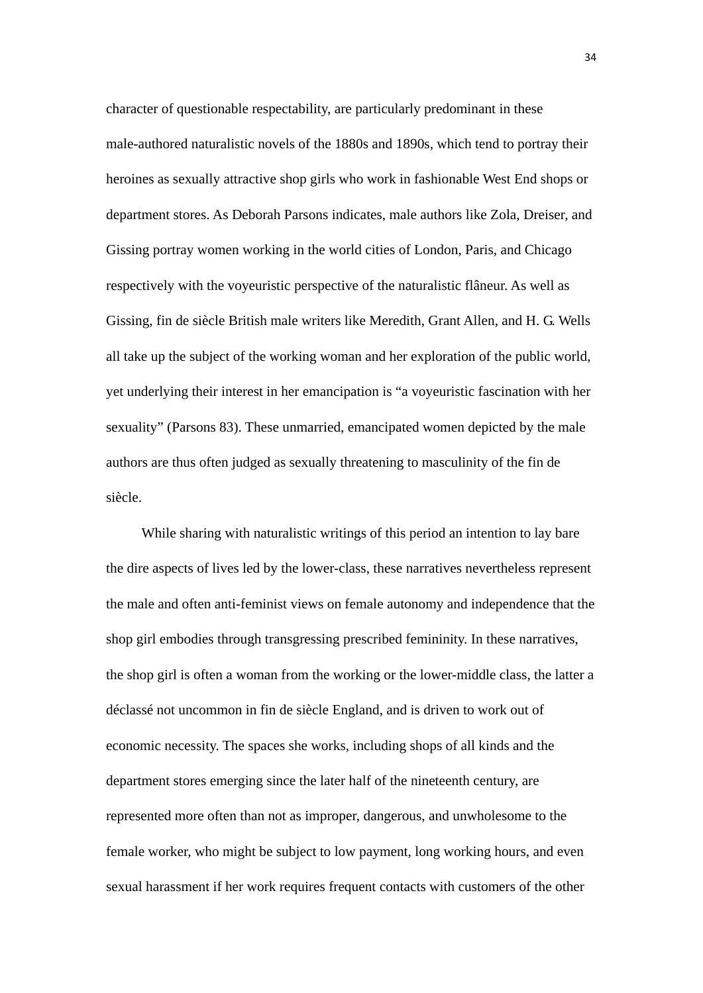character of questionable respectability, are particularly predominant in these male-authored naturalistic novels of the 1880s and 1890s, which tend to portray their heroines as sexually attractive shop girls who work in fashionable West End shops or department stores. As Deborah Parsons indicates, male authors like Zola, Dreiser, and Gissing portray women working in the world cities of London, Paris, and Chicago respectively with the voyeuristic perspective of the naturalistic flâneur. As well as Gissing, fin de siècle British male writers like Meredith, Grant Allen, and H. G. Wells all take up the subject of the working woman and her exploration of the public world, yet underlying their interest in her emancipation is "a voyeuristic fascination with her sexuality" (Parsons 83). These unmarried, emancipated women depicted by the male authors are thus often judged as sexually threatening to masculinity of the fin de siècle.

While sharing with naturalistic writings of this period an intention to lay bare the dire aspects of lives led by the lower-class, these narratives nevertheless represent the male and often anti-feminist views on female autonomy and independence that the shop girl embodies through transgressing prescribed femininity. In these narratives, the shop girl is often a woman from the working or the lower-middle class, the latter a déclassé not uncommon in fin de siècle England, and is driven to work out of economic necessity. The spaces she works, including shops of all kinds and the department stores emerging since the later half of the nineteenth century, are represented more often than not as improper, dangerous, and unwholesome to the female worker, who might be subject to low payment, long working hours, and even sexual harassment if her work requires frequent contacts with customers of the other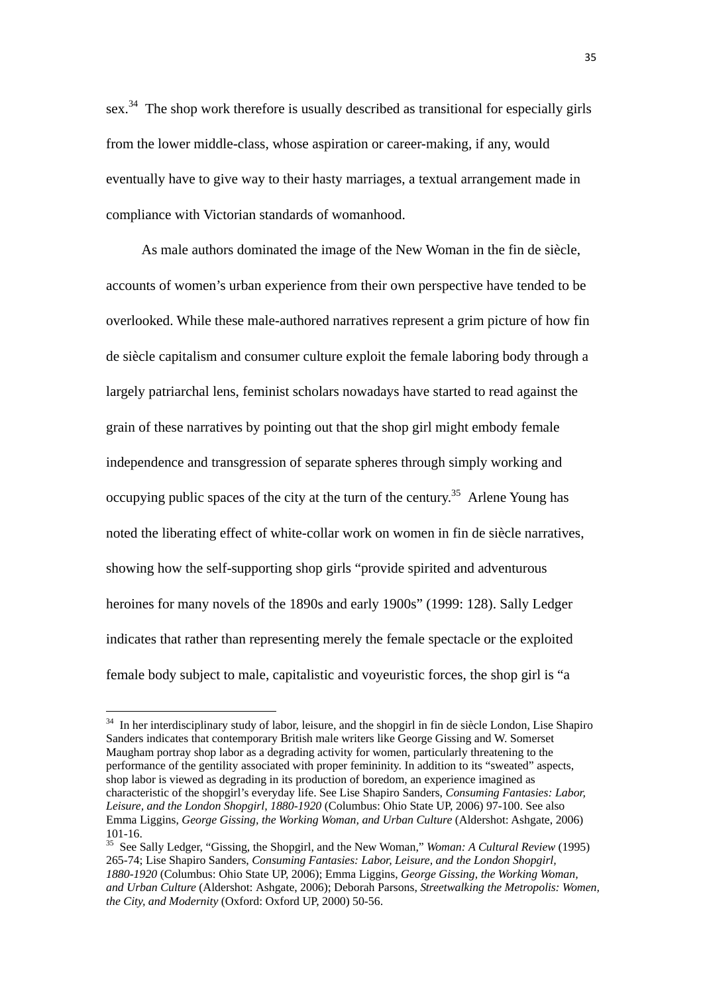sex.<sup>34</sup> The shop work therefore is usually described as transitional for especially girls from the lower middle-class, whose aspiration or career-making, if any, would eventually have to give way to their hasty marriages, a textual arrangement made in compliance with Victorian standards of womanhood.

 As male authors dominated the image of the New Woman in the fin de siècle, accounts of women's urban experience from their own perspective have tended to be overlooked. While these male-authored narratives represent a grim picture of how fin de siècle capitalism and consumer culture exploit the female laboring body through a largely patriarchal lens, feminist scholars nowadays have started to read against the grain of these narratives by pointing out that the shop girl might embody female independence and transgression of separate spheres through simply working and occupying public spaces of the city at the turn of the century.<sup>35</sup> Arlene Young has noted the liberating effect of white-collar work on women in fin de siècle narratives, showing how the self-supporting shop girls "provide spirited and adventurous heroines for many novels of the 1890s and early 1900s" (1999: 128). Sally Ledger indicates that rather than representing merely the female spectacle or the exploited female body subject to male, capitalistic and voyeuristic forces, the shop girl is "a

<sup>&</sup>lt;sup>34</sup> In her interdisciplinary study of labor, leisure, and the shopgirl in fin de siècle London, Lise Shapiro Sanders indicates that contemporary British male writers like George Gissing and W. Somerset Maugham portray shop labor as a degrading activity for women, particularly threatening to the performance of the gentility associated with proper femininity. In addition to its "sweated" aspects, shop labor is viewed as degrading in its production of boredom, an experience imagined as characteristic of the shopgirl's everyday life. See Lise Shapiro Sanders, *Consuming Fantasies: Labor, Leisure, and the London Shopgirl, 1880-1920* (Columbus: Ohio State UP, 2006) 97-100. See also Emma Liggins, *George Gissing, the Working Woman, and Urban Culture* (Aldershot: Ashgate, 2006) 101-16.

<sup>35</sup> See Sally Ledger, "Gissing, the Shopgirl, and the New Woman," *Woman: A Cultural Review* (1995) 265-74; Lise Shapiro Sanders, *Consuming Fantasies: Labor, Leisure, and the London Shopgirl, 1880-1920* (Columbus: Ohio State UP, 2006); Emma Liggins, *George Gissing, the Working Woman, and Urban Culture* (Aldershot: Ashgate, 2006); Deborah Parsons, *Streetwalking the Metropolis: Women, the City, and Modernity* (Oxford: Oxford UP, 2000) 50-56.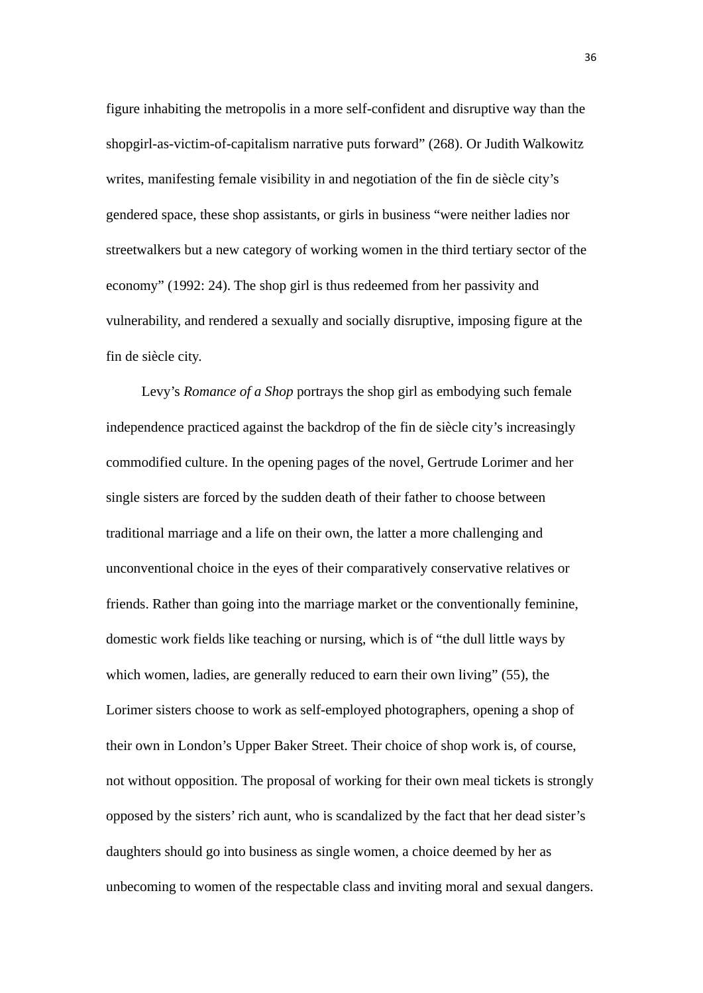figure inhabiting the metropolis in a more self-confident and disruptive way than the shopgirl-as-victim-of-capitalism narrative puts forward" (268). Or Judith Walkowitz writes, manifesting female visibility in and negotiation of the fin de siècle city's gendered space, these shop assistants, or girls in business "were neither ladies nor streetwalkers but a new category of working women in the third tertiary sector of the economy" (1992: 24). The shop girl is thus redeemed from her passivity and vulnerability, and rendered a sexually and socially disruptive, imposing figure at the fin de siècle city.

 Levy's *Romance of a Shop* portrays the shop girl as embodying such female independence practiced against the backdrop of the fin de siècle city's increasingly commodified culture. In the opening pages of the novel, Gertrude Lorimer and her single sisters are forced by the sudden death of their father to choose between traditional marriage and a life on their own, the latter a more challenging and unconventional choice in the eyes of their comparatively conservative relatives or friends. Rather than going into the marriage market or the conventionally feminine, domestic work fields like teaching or nursing, which is of "the dull little ways by which women, ladies, are generally reduced to earn their own living" (55), the Lorimer sisters choose to work as self-employed photographers, opening a shop of their own in London's Upper Baker Street. Their choice of shop work is, of course, not without opposition. The proposal of working for their own meal tickets is strongly opposed by the sisters' rich aunt, who is scandalized by the fact that her dead sister's daughters should go into business as single women, a choice deemed by her as unbecoming to women of the respectable class and inviting moral and sexual dangers.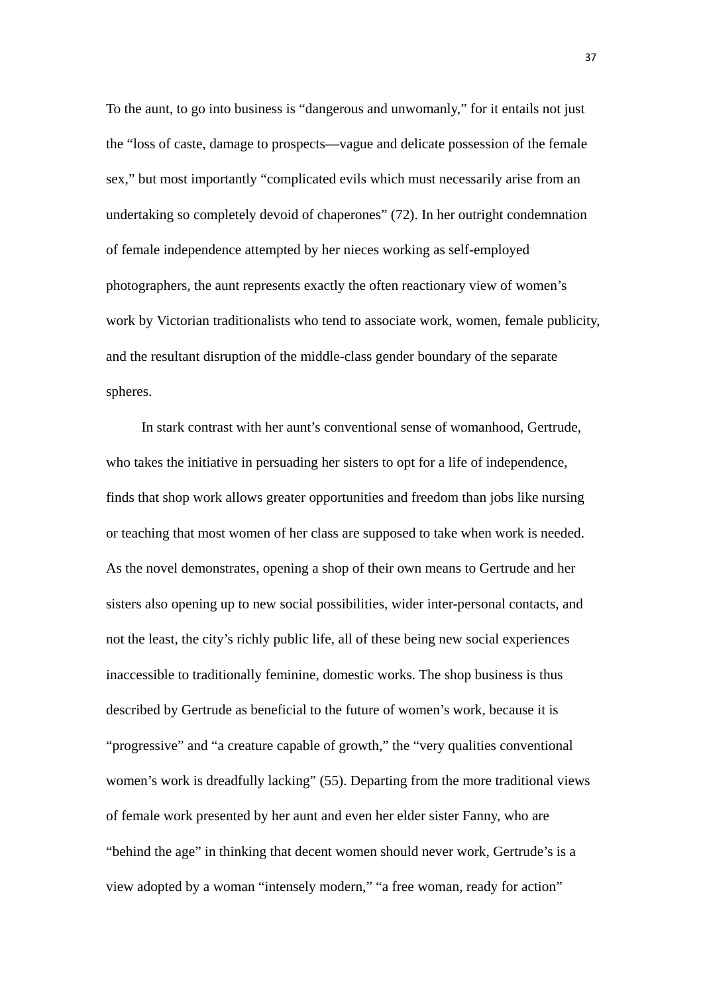To the aunt, to go into business is "dangerous and unwomanly," for it entails not just the "loss of caste, damage to prospects—vague and delicate possession of the female sex," but most importantly "complicated evils which must necessarily arise from an undertaking so completely devoid of chaperones" (72). In her outright condemnation of female independence attempted by her nieces working as self-employed photographers, the aunt represents exactly the often reactionary view of women's work by Victorian traditionalists who tend to associate work, women, female publicity, and the resultant disruption of the middle-class gender boundary of the separate spheres.

 In stark contrast with her aunt's conventional sense of womanhood, Gertrude, who takes the initiative in persuading her sisters to opt for a life of independence, finds that shop work allows greater opportunities and freedom than jobs like nursing or teaching that most women of her class are supposed to take when work is needed. As the novel demonstrates, opening a shop of their own means to Gertrude and her sisters also opening up to new social possibilities, wider inter-personal contacts, and not the least, the city's richly public life, all of these being new social experiences inaccessible to traditionally feminine, domestic works. The shop business is thus described by Gertrude as beneficial to the future of women's work, because it is "progressive" and "a creature capable of growth," the "very qualities conventional women's work is dreadfully lacking" (55). Departing from the more traditional views of female work presented by her aunt and even her elder sister Fanny, who are "behind the age" in thinking that decent women should never work, Gertrude's is a view adopted by a woman "intensely modern," "a free woman, ready for action"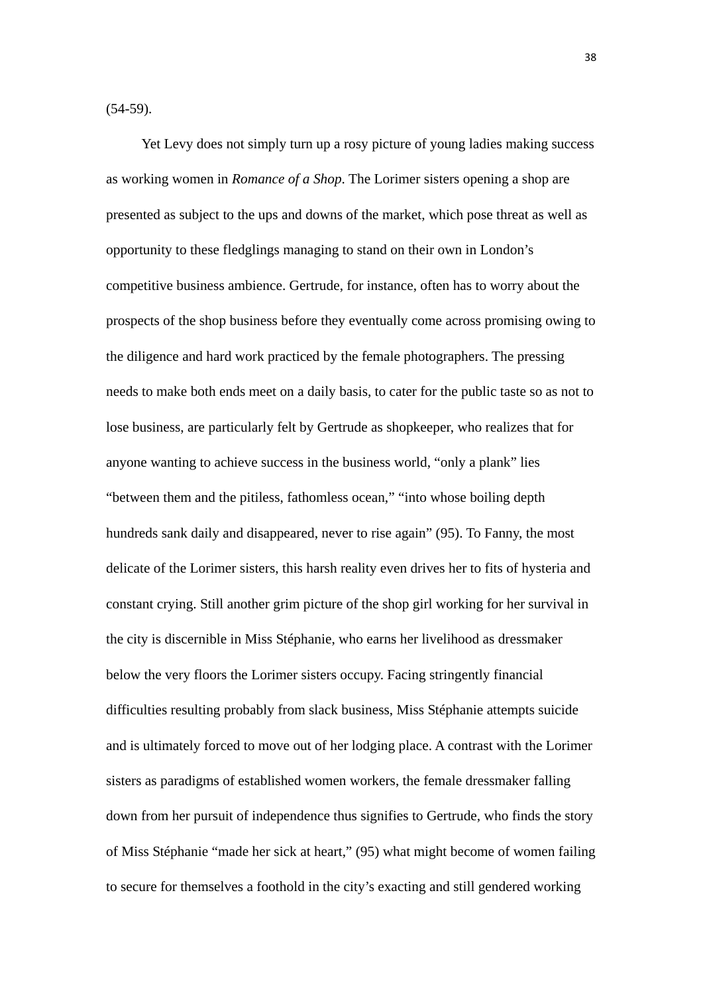(54-59).

Yet Levy does not simply turn up a rosy picture of young ladies making success as working women in *Romance of a Shop*. The Lorimer sisters opening a shop are presented as subject to the ups and downs of the market, which pose threat as well as opportunity to these fledglings managing to stand on their own in London's competitive business ambience. Gertrude, for instance, often has to worry about the prospects of the shop business before they eventually come across promising owing to the diligence and hard work practiced by the female photographers. The pressing needs to make both ends meet on a daily basis, to cater for the public taste so as not to lose business, are particularly felt by Gertrude as shopkeeper, who realizes that for anyone wanting to achieve success in the business world, "only a plank" lies "between them and the pitiless, fathomless ocean," "into whose boiling depth hundreds sank daily and disappeared, never to rise again" (95). To Fanny, the most delicate of the Lorimer sisters, this harsh reality even drives her to fits of hysteria and constant crying. Still another grim picture of the shop girl working for her survival in the city is discernible in Miss Stéphanie, who earns her livelihood as dressmaker below the very floors the Lorimer sisters occupy. Facing stringently financial difficulties resulting probably from slack business, Miss Stéphanie attempts suicide and is ultimately forced to move out of her lodging place. A contrast with the Lorimer sisters as paradigms of established women workers, the female dressmaker falling down from her pursuit of independence thus signifies to Gertrude, who finds the story of Miss Stéphanie "made her sick at heart," (95) what might become of women failing to secure for themselves a foothold in the city's exacting and still gendered working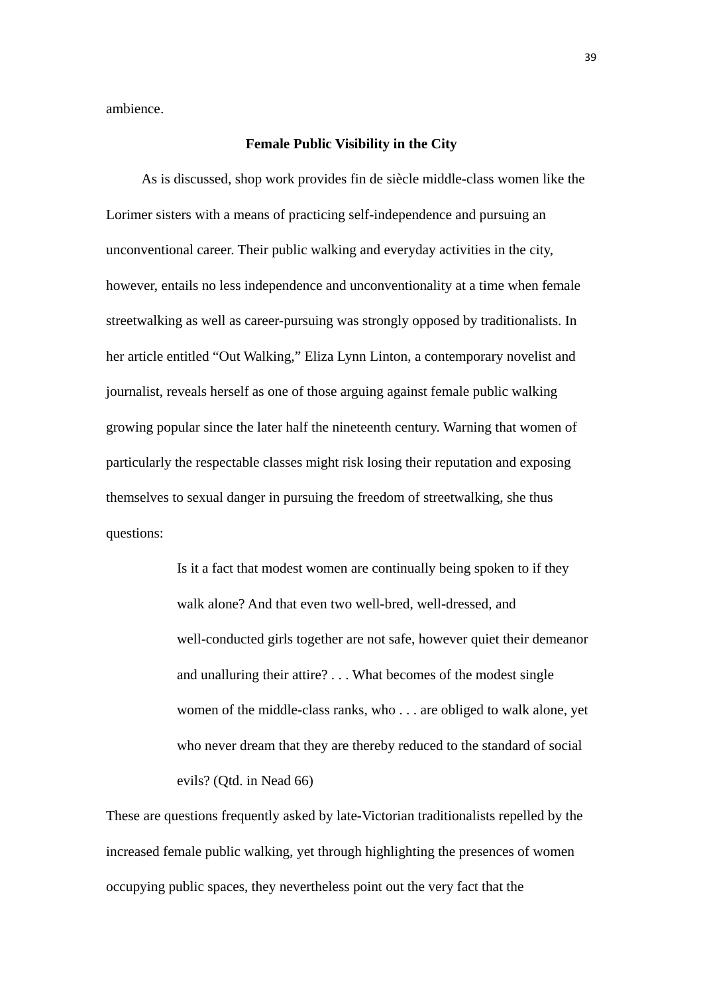ambience.

## **Female Public Visibility in the City**

As is discussed, shop work provides fin de siècle middle-class women like the Lorimer sisters with a means of practicing self-independence and pursuing an unconventional career. Their public walking and everyday activities in the city, however, entails no less independence and unconventionality at a time when female streetwalking as well as career-pursuing was strongly opposed by traditionalists. In her article entitled "Out Walking," Eliza Lynn Linton, a contemporary novelist and journalist, reveals herself as one of those arguing against female public walking growing popular since the later half the nineteenth century. Warning that women of particularly the respectable classes might risk losing their reputation and exposing themselves to sexual danger in pursuing the freedom of streetwalking, she thus questions:

> Is it a fact that modest women are continually being spoken to if they walk alone? And that even two well-bred, well-dressed, and well-conducted girls together are not safe, however quiet their demeanor and unalluring their attire? . . . What becomes of the modest single women of the middle-class ranks, who . . . are obliged to walk alone, yet who never dream that they are thereby reduced to the standard of social evils? (Qtd. in Nead 66)

These are questions frequently asked by late-Victorian traditionalists repelled by the increased female public walking, yet through highlighting the presences of women occupying public spaces, they nevertheless point out the very fact that the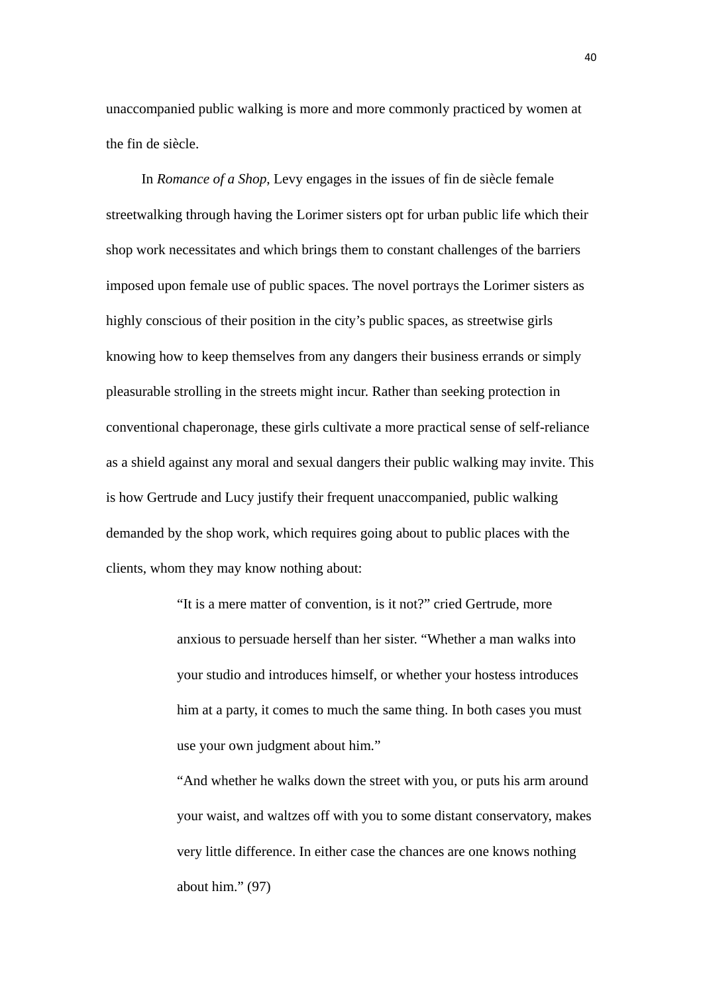unaccompanied public walking is more and more commonly practiced by women at the fin de siècle.

 In *Romance of a Shop*, Levy engages in the issues of fin de siècle female streetwalking through having the Lorimer sisters opt for urban public life which their shop work necessitates and which brings them to constant challenges of the barriers imposed upon female use of public spaces. The novel portrays the Lorimer sisters as highly conscious of their position in the city's public spaces, as streetwise girls knowing how to keep themselves from any dangers their business errands or simply pleasurable strolling in the streets might incur. Rather than seeking protection in conventional chaperonage, these girls cultivate a more practical sense of self-reliance as a shield against any moral and sexual dangers their public walking may invite. This is how Gertrude and Lucy justify their frequent unaccompanied, public walking demanded by the shop work, which requires going about to public places with the clients, whom they may know nothing about:

> "It is a mere matter of convention, is it not?" cried Gertrude, more anxious to persuade herself than her sister. "Whether a man walks into your studio and introduces himself, or whether your hostess introduces him at a party, it comes to much the same thing. In both cases you must use your own judgment about him."

"And whether he walks down the street with you, or puts his arm around your waist, and waltzes off with you to some distant conservatory, makes very little difference. In either case the chances are one knows nothing about him." (97)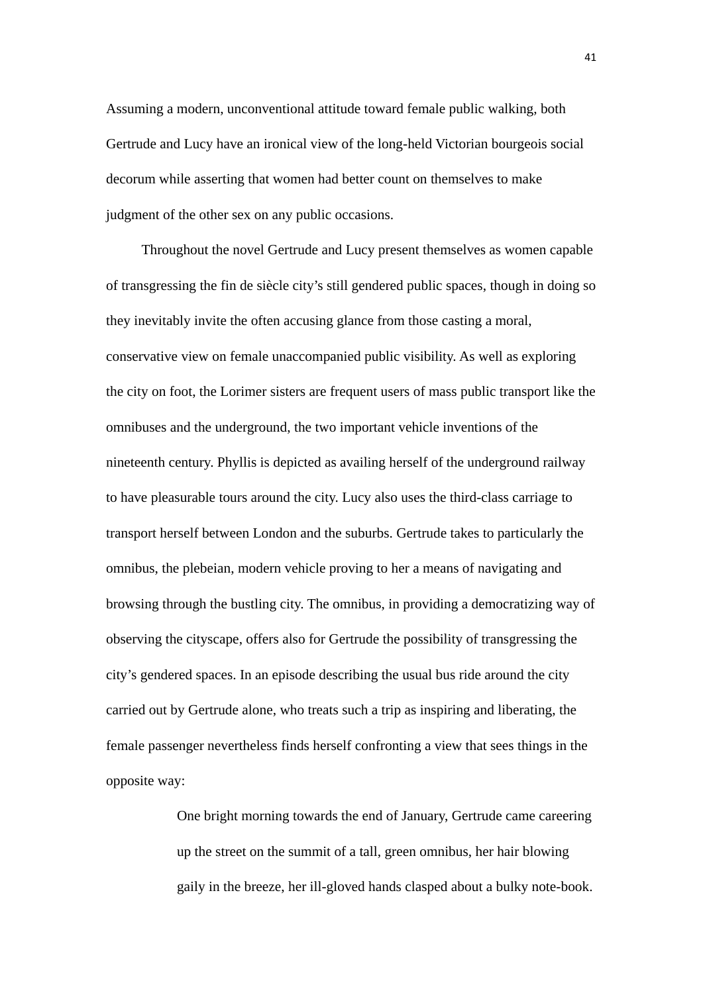Assuming a modern, unconventional attitude toward female public walking, both Gertrude and Lucy have an ironical view of the long-held Victorian bourgeois social decorum while asserting that women had better count on themselves to make judgment of the other sex on any public occasions.

 Throughout the novel Gertrude and Lucy present themselves as women capable of transgressing the fin de siècle city's still gendered public spaces, though in doing so they inevitably invite the often accusing glance from those casting a moral, conservative view on female unaccompanied public visibility. As well as exploring the city on foot, the Lorimer sisters are frequent users of mass public transport like the omnibuses and the underground, the two important vehicle inventions of the nineteenth century. Phyllis is depicted as availing herself of the underground railway to have pleasurable tours around the city. Lucy also uses the third-class carriage to transport herself between London and the suburbs. Gertrude takes to particularly the omnibus, the plebeian, modern vehicle proving to her a means of navigating and browsing through the bustling city. The omnibus, in providing a democratizing way of observing the cityscape, offers also for Gertrude the possibility of transgressing the city's gendered spaces. In an episode describing the usual bus ride around the city carried out by Gertrude alone, who treats such a trip as inspiring and liberating, the female passenger nevertheless finds herself confronting a view that sees things in the opposite way:

> One bright morning towards the end of January, Gertrude came careering up the street on the summit of a tall, green omnibus, her hair blowing gaily in the breeze, her ill-gloved hands clasped about a bulky note-book.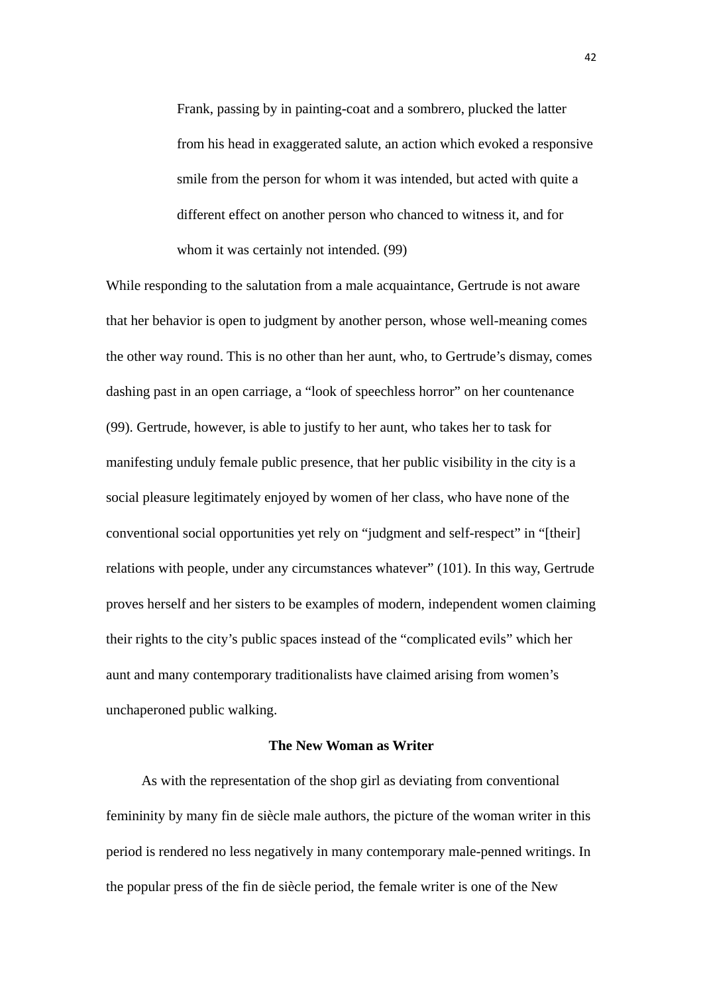Frank, passing by in painting-coat and a sombrero, plucked the latter from his head in exaggerated salute, an action which evoked a responsive smile from the person for whom it was intended, but acted with quite a different effect on another person who chanced to witness it, and for whom it was certainly not intended. (99)

While responding to the salutation from a male acquaintance, Gertrude is not aware that her behavior is open to judgment by another person, whose well-meaning comes the other way round. This is no other than her aunt, who, to Gertrude's dismay, comes dashing past in an open carriage, a "look of speechless horror" on her countenance (99). Gertrude, however, is able to justify to her aunt, who takes her to task for manifesting unduly female public presence, that her public visibility in the city is a social pleasure legitimately enjoyed by women of her class, who have none of the conventional social opportunities yet rely on "judgment and self-respect" in "[their] relations with people, under any circumstances whatever" (101). In this way, Gertrude proves herself and her sisters to be examples of modern, independent women claiming their rights to the city's public spaces instead of the "complicated evils" which her aunt and many contemporary traditionalists have claimed arising from women's unchaperoned public walking.

## **The New Woman as Writer**

 As with the representation of the shop girl as deviating from conventional femininity by many fin de siècle male authors, the picture of the woman writer in this period is rendered no less negatively in many contemporary male-penned writings. In the popular press of the fin de siècle period, the female writer is one of the New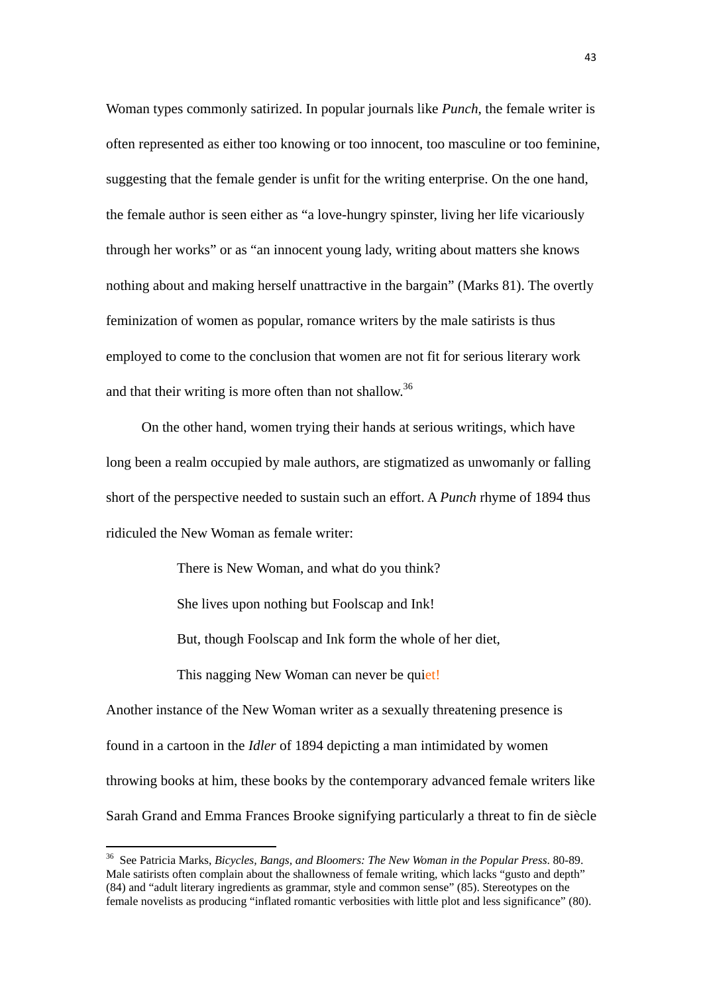Woman types commonly satirized. In popular journals like *Punch*, the female writer is often represented as either too knowing or too innocent, too masculine or too feminine, suggesting that the female gender is unfit for the writing enterprise. On the one hand, the female author is seen either as "a love-hungry spinster, living her life vicariously through her works" or as "an innocent young lady, writing about matters she knows nothing about and making herself unattractive in the bargain" (Marks 81). The overtly feminization of women as popular, romance writers by the male satirists is thus employed to come to the conclusion that women are not fit for serious literary work and that their writing is more often than not shallow.<sup>36</sup>

On the other hand, women trying their hands at serious writings, which have long been a realm occupied by male authors, are stigmatized as unwomanly or falling short of the perspective needed to sustain such an effort. A *Punch* rhyme of 1894 thus ridiculed the New Woman as female writer:

There is New Woman, and what do you think?

She lives upon nothing but Foolscap and Ink!

But, though Foolscap and Ink form the whole of her diet,

This nagging New Woman can never be quiet!

Another instance of the New Woman writer as a sexually threatening presence is found in a cartoon in the *Idler* of 1894 depicting a man intimidated by women throwing books at him, these books by the contemporary advanced female writers like Sarah Grand and Emma Frances Brooke signifying particularly a threat to fin de siècle

<sup>36</sup> See Patricia Marks, *Bicycles, Bangs, and Bloomers: The New Woman in the Popular Press*. 80-89. Male satirists often complain about the shallowness of female writing, which lacks "gusto and depth" (84) and "adult literary ingredients as grammar, style and common sense" (85). Stereotypes on the female novelists as producing "inflated romantic verbosities with little plot and less significance" (80).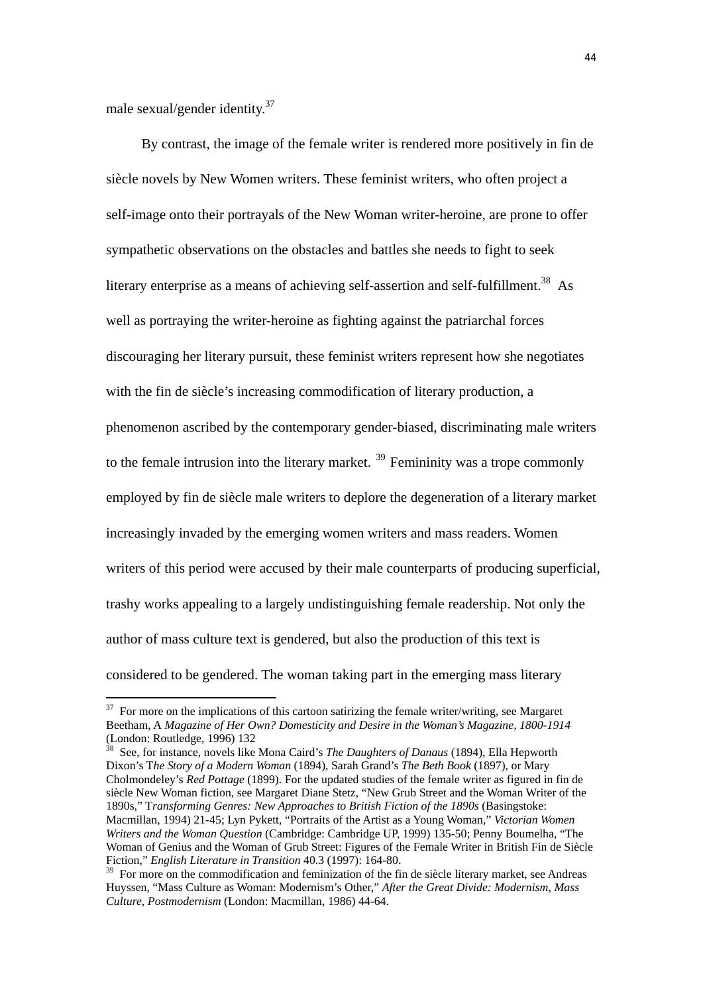male sexual/gender identity.<sup>37</sup>

 By contrast, the image of the female writer is rendered more positively in fin de siècle novels by New Women writers. These feminist writers, who often project a self-image onto their portrayals of the New Woman writer-heroine, are prone to offer sympathetic observations on the obstacles and battles she needs to fight to seek literary enterprise as a means of achieving self-assertion and self-fulfillment.<sup>38</sup> As well as portraying the writer-heroine as fighting against the patriarchal forces discouraging her literary pursuit, these feminist writers represent how she negotiates with the fin de siècle's increasing commodification of literary production, a phenomenon ascribed by the contemporary gender-biased, discriminating male writers to the female intrusion into the literary market.  $39$  Femininity was a trope commonly employed by fin de siècle male writers to deplore the degeneration of a literary market increasingly invaded by the emerging women writers and mass readers. Women writers of this period were accused by their male counterparts of producing superficial, trashy works appealing to a largely undistinguishing female readership. Not only the author of mass culture text is gendered, but also the production of this text is considered to be gendered. The woman taking part in the emerging mass literary

38 See, for instance, novels like Mona Caird's *The Daughters of Danaus* (1894), Ella Hepworth Dixon's T*he Story of a Modern Woman* (1894), Sarah Grand's *The Beth Book* (1897), or Mary Cholmondeley's *Red Pottage* (1899). For the updated studies of the female writer as figured in fin de siècle New Woman fiction, see Margaret Diane Stetz, "New Grub Street and the Woman Writer of the 1890s," T*ransforming Genres: New Approaches to British Fiction of the 1890s* (Basingstoke: Macmillan, 1994) 21-45; Lyn Pykett, "Portraits of the Artist as a Young Woman," *Victorian Women Writers and the Woman Question* (Cambridge: Cambridge UP, 1999) 135-50; Penny Boumelha, "The Woman of Genius and the Woman of Grub Street: Figures of the Female Writer in British Fin de Siècle Fiction," *English Literature in Transition* 40.3 (1997): 164-80.

 $37$  For more on the implications of this cartoon satirizing the female writer/writing, see Margaret Beetham, A *Magazine of Her Own? Domesticity and Desire in the Woman's Magazine, 1800-1914* (London: Routledge, 1996) 132<br>  $\frac{38}{132}$ 

<sup>&</sup>lt;sup>39</sup> For more on the commodification and feminization of the fin de siècle literary market, see Andreas Huyssen, "Mass Culture as Woman: Modernism's Other," *After the Great Divide: Modernism, Mass Culture, Postmodernism* (London: Macmillan, 1986) 44-64.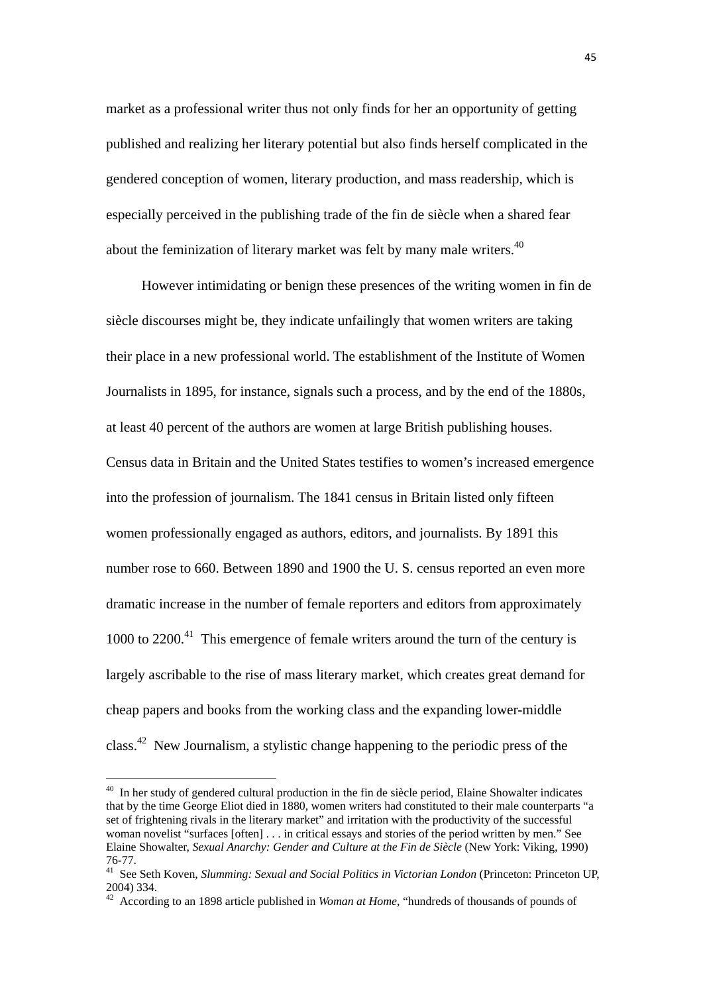market as a professional writer thus not only finds for her an opportunity of getting published and realizing her literary potential but also finds herself complicated in the gendered conception of women, literary production, and mass readership, which is especially perceived in the publishing trade of the fin de siècle when a shared fear about the feminization of literary market was felt by many male writers.<sup>40</sup>

 However intimidating or benign these presences of the writing women in fin de siècle discourses might be, they indicate unfailingly that women writers are taking their place in a new professional world. The establishment of the Institute of Women Journalists in 1895, for instance, signals such a process, and by the end of the 1880s, at least 40 percent of the authors are women at large British publishing houses. Census data in Britain and the United States testifies to women's increased emergence into the profession of journalism. The 1841 census in Britain listed only fifteen women professionally engaged as authors, editors, and journalists. By 1891 this number rose to 660. Between 1890 and 1900 the U. S. census reported an even more dramatic increase in the number of female reporters and editors from approximately  $1000$  to  $2200<sup>41</sup>$ . This emergence of female writers around the turn of the century is largely ascribable to the rise of mass literary market, which creates great demand for cheap papers and books from the working class and the expanding lower-middle class.42 New Journalism, a stylistic change happening to the periodic press of the

 $40$  In her study of gendered cultural production in the fin de siècle period, Elaine Showalter indicates that by the time George Eliot died in 1880, women writers had constituted to their male counterparts "a set of frightening rivals in the literary market" and irritation with the productivity of the successful woman novelist "surfaces [often] . . . in critical essays and stories of the period written by men." See Elaine Showalter, *Sexual Anarchy: Gender and Culture at the Fin de Siècle* (New York: Viking, 1990) 76-77.

<sup>41</sup> See Seth Koven, *Slumming: Sexual and Social Politics in Victorian London* (Princeton: Princeton UP, 2004) 334.

<sup>42</sup> According to an 1898 article published in *Woman at Home*, "hundreds of thousands of pounds of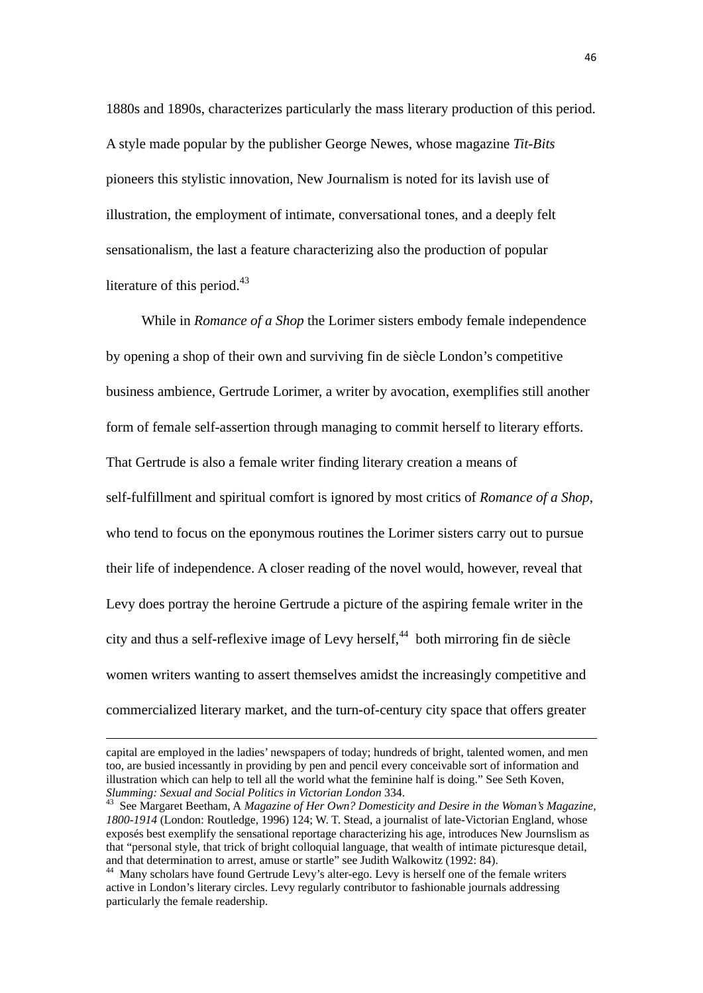1880s and 1890s, characterizes particularly the mass literary production of this period. A style made popular by the publisher George Newes, whose magazine *Tit-Bits* pioneers this stylistic innovation, New Journalism is noted for its lavish use of illustration, the employment of intimate, conversational tones, and a deeply felt sensationalism, the last a feature characterizing also the production of popular literature of this period. $43$ 

 While in *Romance of a Shop* the Lorimer sisters embody female independence by opening a shop of their own and surviving fin de siècle London's competitive business ambience, Gertrude Lorimer, a writer by avocation, exemplifies still another form of female self-assertion through managing to commit herself to literary efforts. That Gertrude is also a female writer finding literary creation a means of self-fulfillment and spiritual comfort is ignored by most critics of *Romance of a Shop*, who tend to focus on the eponymous routines the Lorimer sisters carry out to pursue their life of independence. A closer reading of the novel would, however, reveal that Levy does portray the heroine Gertrude a picture of the aspiring female writer in the city and thus a self-reflexive image of Levy herself,  $44$  both mirroring fin de siècle women writers wanting to assert themselves amidst the increasingly competitive and commercialized literary market, and the turn-of-century city space that offers greater

<u> 1989 - Johann Stoff, amerikansk politiker (d. 1989)</u>

capital are employed in the ladies' newspapers of today; hundreds of bright, talented women, and men too, are busied incessantly in providing by pen and pencil every conceivable sort of information and illustration which can help to tell all the world what the feminine half is doing." See Seth Koven, *Slumming: Sexual and Social Politics in Victorian London* 334.<br><sup>43</sup> See Margaret Beetham, A *Magazine of Her Own? Domesticity and Desire in the Woman's Magazine,* 

*<sup>1800-1914</sup>* (London: Routledge, 1996) 124; W. T. Stead, a journalist of late-Victorian England, whose exposés best exemplify the sensational reportage characterizing his age, introduces New Journslism as that "personal style, that trick of bright colloquial language, that wealth of intimate picturesque detail, and that determination to arrest, amuse or startle" see Judith Walkowitz (1992: 84).

<sup>44</sup> Many scholars have found Gertrude Levy's alter-ego. Levy is herself one of the female writers active in London's literary circles. Levy regularly contributor to fashionable journals addressing particularly the female readership.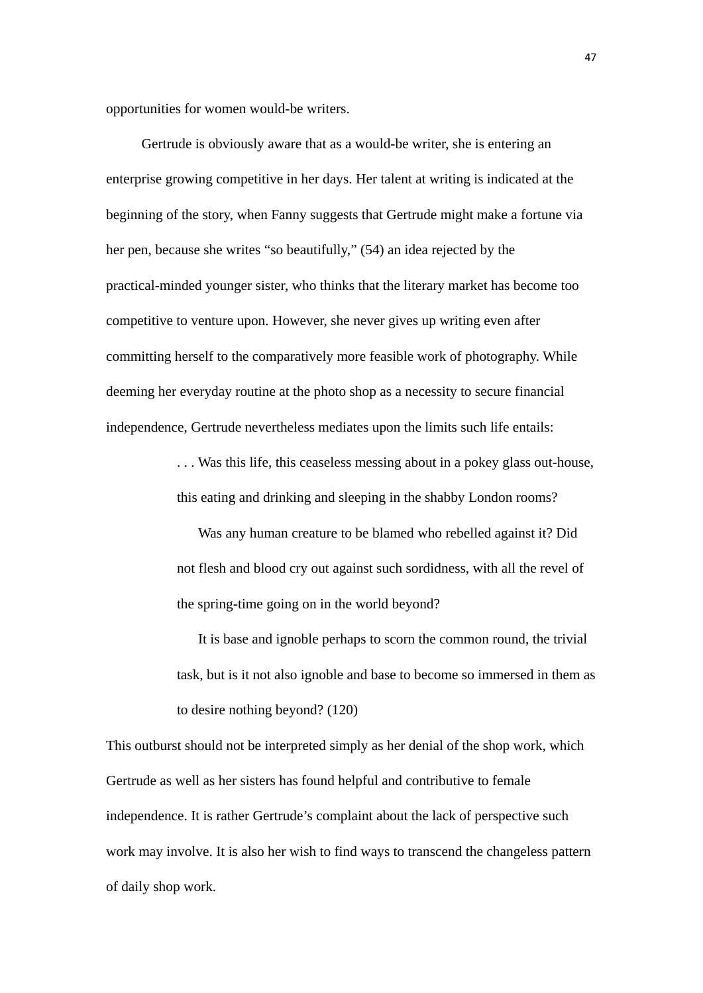opportunities for women would-be writers.

 Gertrude is obviously aware that as a would-be writer, she is entering an enterprise growing competitive in her days. Her talent at writing is indicated at the beginning of the story, when Fanny suggests that Gertrude might make a fortune via her pen, because she writes "so beautifully," (54) an idea rejected by the practical-minded younger sister, who thinks that the literary market has become too competitive to venture upon. However, she never gives up writing even after committing herself to the comparatively more feasible work of photography. While deeming her everyday routine at the photo shop as a necessity to secure financial independence, Gertrude nevertheless mediates upon the limits such life entails:

> . . . Was this life, this ceaseless messing about in a pokey glass out-house, this eating and drinking and sleeping in the shabby London rooms?

 Was any human creature to be blamed who rebelled against it? Did not flesh and blood cry out against such sordidness, with all the revel of the spring-time going on in the world beyond?

 It is base and ignoble perhaps to scorn the common round, the trivial task, but is it not also ignoble and base to become so immersed in them as to desire nothing beyond? (120)

This outburst should not be interpreted simply as her denial of the shop work, which Gertrude as well as her sisters has found helpful and contributive to female independence. It is rather Gertrude's complaint about the lack of perspective such work may involve. It is also her wish to find ways to transcend the changeless pattern of daily shop work.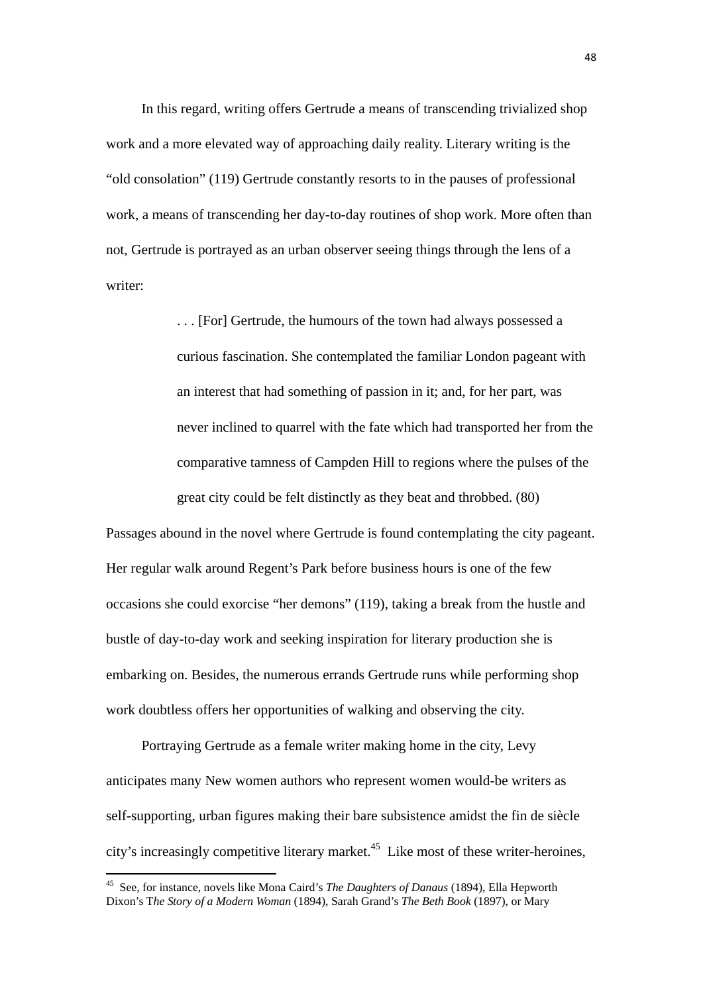In this regard, writing offers Gertrude a means of transcending trivialized shop work and a more elevated way of approaching daily reality. Literary writing is the "old consolation" (119) Gertrude constantly resorts to in the pauses of professional work, a means of transcending her day-to-day routines of shop work. More often than not, Gertrude is portrayed as an urban observer seeing things through the lens of a writer:

> . . . [For] Gertrude, the humours of the town had always possessed a curious fascination. She contemplated the familiar London pageant with an interest that had something of passion in it; and, for her part, was never inclined to quarrel with the fate which had transported her from the comparative tamness of Campden Hill to regions where the pulses of the great city could be felt distinctly as they beat and throbbed. (80)

Passages abound in the novel where Gertrude is found contemplating the city pageant. Her regular walk around Regent's Park before business hours is one of the few occasions she could exorcise "her demons" (119), taking a break from the hustle and bustle of day-to-day work and seeking inspiration for literary production she is embarking on. Besides, the numerous errands Gertrude runs while performing shop work doubtless offers her opportunities of walking and observing the city.

 Portraying Gertrude as a female writer making home in the city, Levy anticipates many New women authors who represent women would-be writers as self-supporting, urban figures making their bare subsistence amidst the fin de siècle city's increasingly competitive literary market.<sup>45</sup> Like most of these writer-heroines,

<sup>45</sup> See, for instance, novels like Mona Caird's *The Daughters of Danaus* (1894), Ella Hepworth Dixon's T*he Story of a Modern Woman* (1894), Sarah Grand's *The Beth Book* (1897), or Mary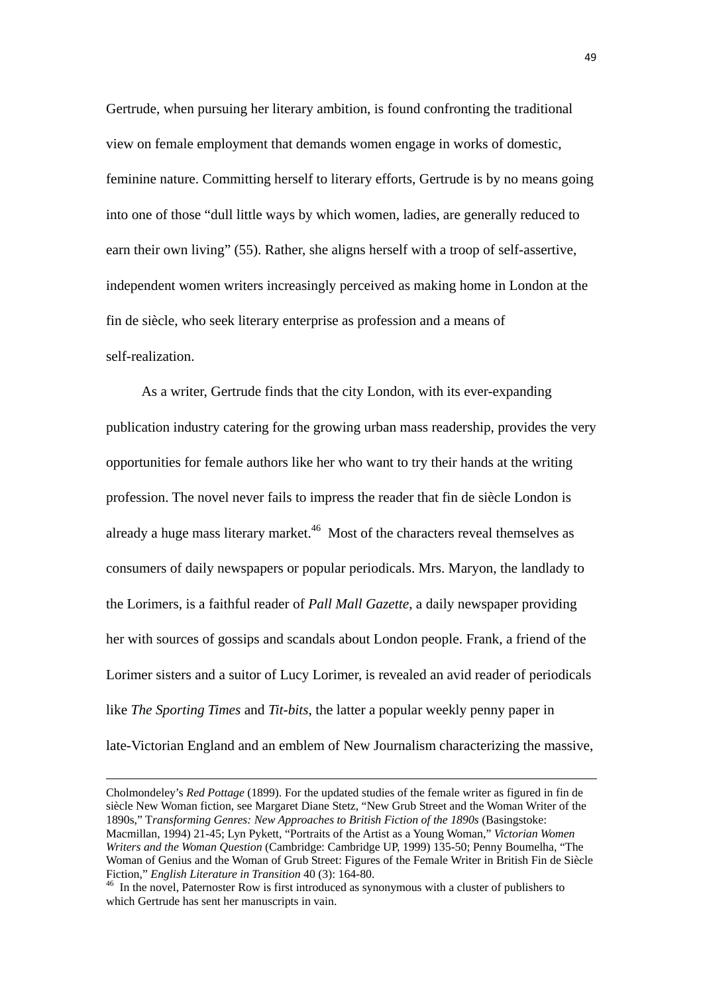Gertrude, when pursuing her literary ambition, is found confronting the traditional view on female employment that demands women engage in works of domestic, feminine nature. Committing herself to literary efforts, Gertrude is by no means going into one of those "dull little ways by which women, ladies, are generally reduced to earn their own living" (55). Rather, she aligns herself with a troop of self-assertive, independent women writers increasingly perceived as making home in London at the fin de siècle, who seek literary enterprise as profession and a means of self-realization.

As a writer, Gertrude finds that the city London, with its ever-expanding publication industry catering for the growing urban mass readership, provides the very opportunities for female authors like her who want to try their hands at the writing profession. The novel never fails to impress the reader that fin de siècle London is already a huge mass literary market.<sup>46</sup> Most of the characters reveal themselves as consumers of daily newspapers or popular periodicals. Mrs. Maryon, the landlady to the Lorimers, is a faithful reader of *Pall Mall Gazette*, a daily newspaper providing her with sources of gossips and scandals about London people. Frank, a friend of the Lorimer sisters and a suitor of Lucy Lorimer, is revealed an avid reader of periodicals like *The Sporting Times* and *Tit-bits*, the latter a popular weekly penny paper in late-Victorian England and an emblem of New Journalism characterizing the massive,

Cholmondeley's *Red Pottage* (1899). For the updated studies of the female writer as figured in fin de siècle New Woman fiction, see Margaret Diane Stetz, "New Grub Street and the Woman Writer of the 1890s," T*ransforming Genres: New Approaches to British Fiction of the 1890s* (Basingstoke: Macmillan, 1994) 21-45; Lyn Pykett, "Portraits of the Artist as a Young Woman," *Victorian Women Writers and the Woman Question* (Cambridge: Cambridge UP, 1999) 135-50; Penny Boumelha, "The Woman of Genius and the Woman of Grub Street: Figures of the Female Writer in British Fin de Siècle Fiction," *English Literature in Transition* 40 (3): 164-80.<br><sup>46</sup> In the novel, Paternoster Row is first introduced as synonymous with a cluster of publishers to

which Gertrude has sent her manuscripts in vain.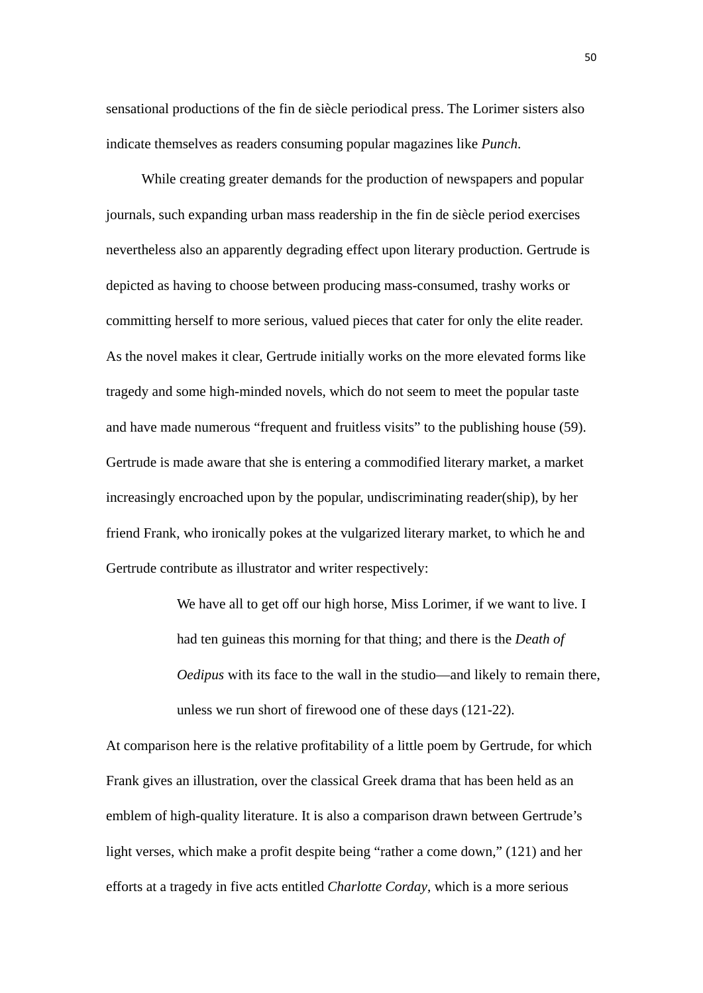sensational productions of the fin de siècle periodical press. The Lorimer sisters also indicate themselves as readers consuming popular magazines like *Punch*.

 While creating greater demands for the production of newspapers and popular journals, such expanding urban mass readership in the fin de siècle period exercises nevertheless also an apparently degrading effect upon literary production. Gertrude is depicted as having to choose between producing mass-consumed, trashy works or committing herself to more serious, valued pieces that cater for only the elite reader. As the novel makes it clear, Gertrude initially works on the more elevated forms like tragedy and some high-minded novels, which do not seem to meet the popular taste and have made numerous "frequent and fruitless visits" to the publishing house (59). Gertrude is made aware that she is entering a commodified literary market, a market increasingly encroached upon by the popular, undiscriminating reader(ship), by her friend Frank, who ironically pokes at the vulgarized literary market, to which he and Gertrude contribute as illustrator and writer respectively:

> We have all to get off our high horse, Miss Lorimer, if we want to live. I had ten guineas this morning for that thing; and there is the *Death of Oedipus* with its face to the wall in the studio—and likely to remain there, unless we run short of firewood one of these days (121-22).

At comparison here is the relative profitability of a little poem by Gertrude, for which Frank gives an illustration, over the classical Greek drama that has been held as an emblem of high-quality literature. It is also a comparison drawn between Gertrude's light verses, which make a profit despite being "rather a come down," (121) and her efforts at a tragedy in five acts entitled *Charlotte Corday*, which is a more serious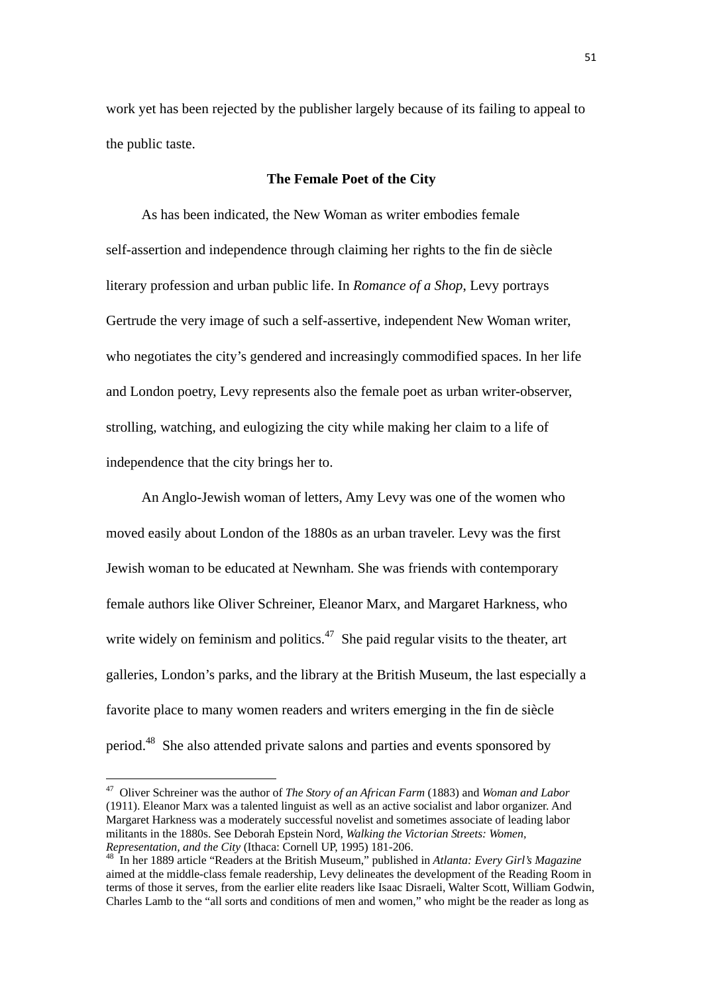work yet has been rejected by the publisher largely because of its failing to appeal to the public taste.

## **The Female Poet of the City**

As has been indicated, the New Woman as writer embodies female self-assertion and independence through claiming her rights to the fin de siècle literary profession and urban public life. In *Romance of a Shop*, Levy portrays Gertrude the very image of such a self-assertive, independent New Woman writer, who negotiates the city's gendered and increasingly commodified spaces. In her life and London poetry, Levy represents also the female poet as urban writer-observer, strolling, watching, and eulogizing the city while making her claim to a life of independence that the city brings her to.

 An Anglo-Jewish woman of letters, Amy Levy was one of the women who moved easily about London of the 1880s as an urban traveler. Levy was the first Jewish woman to be educated at Newnham. She was friends with contemporary female authors like Oliver Schreiner, Eleanor Marx, and Margaret Harkness, who write widely on feminism and politics.<sup>47</sup> She paid regular visits to the theater, art galleries, London's parks, and the library at the British Museum, the last especially a favorite place to many women readers and writers emerging in the fin de siècle period.48 She also attended private salons and parties and events sponsored by

<sup>47</sup> Oliver Schreiner was the author of *The Story of an African Farm* (1883) and *Woman and Labor* (1911). Eleanor Marx was a talented linguist as well as an active socialist and labor organizer. And Margaret Harkness was a moderately successful novelist and sometimes associate of leading labor militants in the 1880s. See Deborah Epstein Nord, *Walking the Victorian Streets: Women,* 

*Representation, and the City* (Ithaca: Cornell UP, 1995) 181-206. 48 In her 1889 article "Readers at the British Museum," published in *Atlanta: Every Girl's Magazine* aimed at the middle-class female readership, Levy delineates the development of the Reading Room in terms of those it serves, from the earlier elite readers like Isaac Disraeli, Walter Scott, William Godwin, Charles Lamb to the "all sorts and conditions of men and women," who might be the reader as long as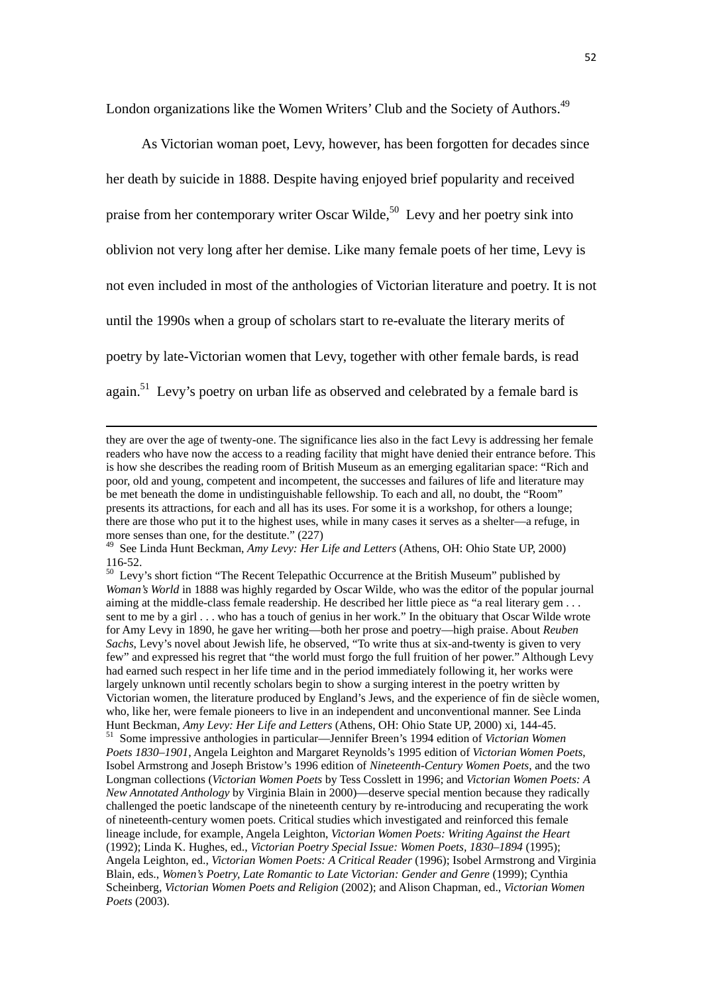London organizations like the Women Writers' Club and the Society of Authors.<sup>49</sup>

As Victorian woman poet, Levy, however, has been forgotten for decades since her death by suicide in 1888. Despite having enjoyed brief popularity and received praise from her contemporary writer Oscar Wilde,<sup>50</sup> Levy and her poetry sink into oblivion not very long after her demise. Like many female poets of her time, Levy is not even included in most of the anthologies of Victorian literature and poetry. It is not until the 1990s when a group of scholars start to re-evaluate the literary merits of poetry by late-Victorian women that Levy, together with other female bards, is read again.<sup>51</sup> Levy's poetry on urban life as observed and celebrated by a female bard is

<u> 1989 - Johann Barbara, marka a shekara tsara 1989 - An tsara 1989 - An tsara 1989 - An tsara 1989 - An tsara</u>

they are over the age of twenty-one. The significance lies also in the fact Levy is addressing her female readers who have now the access to a reading facility that might have denied their entrance before. This is how she describes the reading room of British Museum as an emerging egalitarian space: "Rich and poor, old and young, competent and incompetent, the successes and failures of life and literature may be met beneath the dome in undistinguishable fellowship. To each and all, no doubt, the "Room" presents its attractions, for each and all has its uses. For some it is a workshop, for others a lounge; there are those who put it to the highest uses, while in many cases it serves as a shelter—a refuge, in more senses than one, for the destitute." (227)

<sup>49</sup> See Linda Hunt Beckman, *Amy Levy: Her Life and Letters* (Athens, OH: Ohio State UP, 2000) 116-52.

<sup>&</sup>lt;sup>50</sup> Levy's short fiction "The Recent Telepathic Occurrence at the British Museum" published by *Woman's World* in 1888 was highly regarded by Oscar Wilde, who was the editor of the popular journal aiming at the middle-class female readership. He described her little piece as "a real literary gem . . . sent to me by a girl . . . who has a touch of genius in her work." In the obituary that Oscar Wilde wrote for Amy Levy in 1890, he gave her writing—both her prose and poetry—high praise. About *Reuben Sachs*, Levy's novel about Jewish life, he observed, "To write thus at six-and-twenty is given to very few" and expressed his regret that "the world must forgo the full fruition of her power." Although Levy had earned such respect in her life time and in the period immediately following it, her works were largely unknown until recently scholars begin to show a surging interest in the poetry written by Victorian women, the literature produced by England's Jews, and the experience of fin de siècle women, who, like her, were female pioneers to live in an independent and unconventional manner. See Linda Hunt Beckman, *Amy Levy: Her Life and Letters* (Athens, OH: Ohio State UP, 2000) xi, 144-45. 51 Some impressive anthologies in particular—Jennifer Breen's 1994 edition of *Victorian Women Poets 1830–1901*, Angela Leighton and Margaret Reynolds's 1995 edition of *Victorian Women Poets*, Isobel Armstrong and Joseph Bristow's 1996 edition of *Nineteenth-Century Women Poets*, and the two Longman collections (*Victorian Women Poets* by Tess Cosslett in 1996; and *Victorian Women Poets: A New Annotated Anthology* by Virginia Blain in 2000)—deserve special mention because they radically challenged the poetic landscape of the nineteenth century by re-introducing and recuperating the work of nineteenth-century women poets. Critical studies which investigated and reinforced this female lineage include, for example, Angela Leighton, *Victorian Women Poets: Writing Against the Heart* (1992); Linda K. Hughes, ed., *Victorian Poetry Special Issue: Women Poets, 1830–1894* (1995); Angela Leighton, ed., *Victorian Women Poets: A Critical Reader* (1996); Isobel Armstrong and Virginia Blain, eds., *Women's Poetry, Late Romantic to Late Victorian: Gender and Genre* (1999); Cynthia Scheinberg, *Victorian Women Poets and Religion* (2002); and Alison Chapman, ed., *Victorian Women Poets* (2003).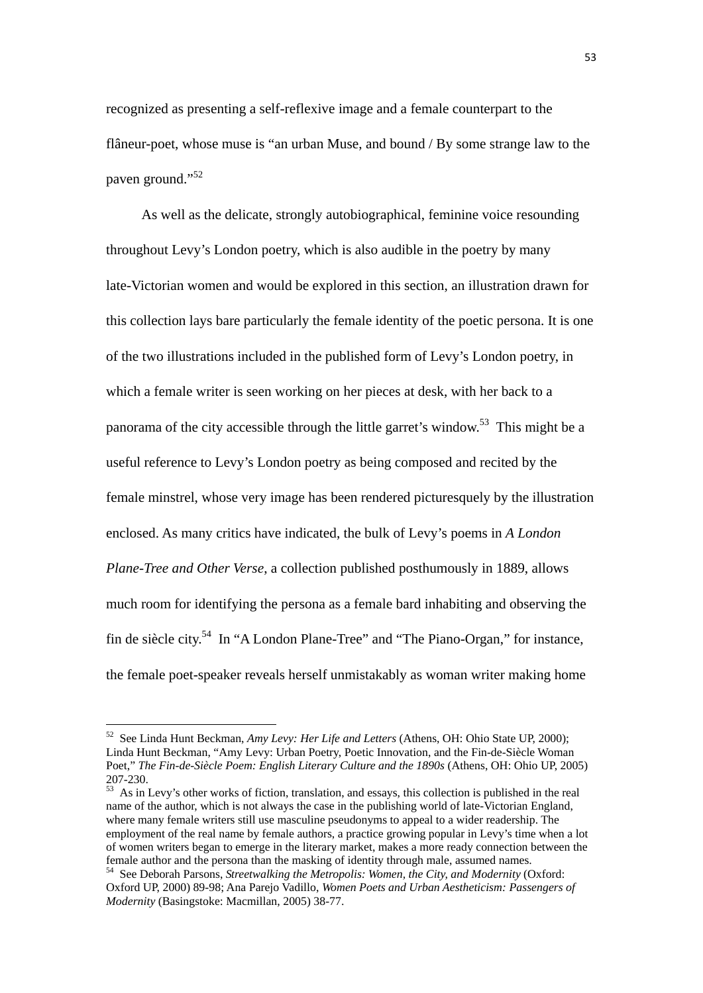recognized as presenting a self-reflexive image and a female counterpart to the flâneur-poet, whose muse is "an urban Muse, and bound / By some strange law to the paven ground."<sup>52</sup>

As well as the delicate, strongly autobiographical, feminine voice resounding throughout Levy's London poetry, which is also audible in the poetry by many late-Victorian women and would be explored in this section, an illustration drawn for this collection lays bare particularly the female identity of the poetic persona. It is one of the two illustrations included in the published form of Levy's London poetry, in which a female writer is seen working on her pieces at desk, with her back to a panorama of the city accessible through the little garret's window.53 This might be a useful reference to Levy's London poetry as being composed and recited by the female minstrel, whose very image has been rendered picturesquely by the illustration enclosed. As many critics have indicated, the bulk of Levy's poems in *A London Plane-Tree and Other Verse*, a collection published posthumously in 1889, allows much room for identifying the persona as a female bard inhabiting and observing the fin de siècle city.54 In "A London Plane-Tree" and "The Piano-Organ," for instance, the female poet-speaker reveals herself unmistakably as woman writer making home

<sup>52</sup> See Linda Hunt Beckman, *Amy Levy: Her Life and Letters* (Athens, OH: Ohio State UP, 2000); Linda Hunt Beckman, "Amy Levy: Urban Poetry, Poetic Innovation, and the Fin-de-Siècle Woman Poet," *The Fin-de-Siècle Poem: English Literary Culture and the 1890s* (Athens, OH: Ohio UP, 2005) 207-230.

 $53$  As in Levy's other works of fiction, translation, and essays, this collection is published in the real name of the author, which is not always the case in the publishing world of late-Victorian England, where many female writers still use masculine pseudonyms to appeal to a wider readership. The employment of the real name by female authors, a practice growing popular in Levy's time when a lot of women writers began to emerge in the literary market, makes a more ready connection between the female author and the persona than the masking of identity through male, assumed names.

<sup>54</sup> See Deborah Parsons, *Streetwalking the Metropolis: Women, the City, and Modernity* (Oxford: Oxford UP, 2000) 89-98; Ana Parejo Vadillo, *Women Poets and Urban Aestheticism: Passengers of Modernity* (Basingstoke: Macmillan, 2005) 38-77.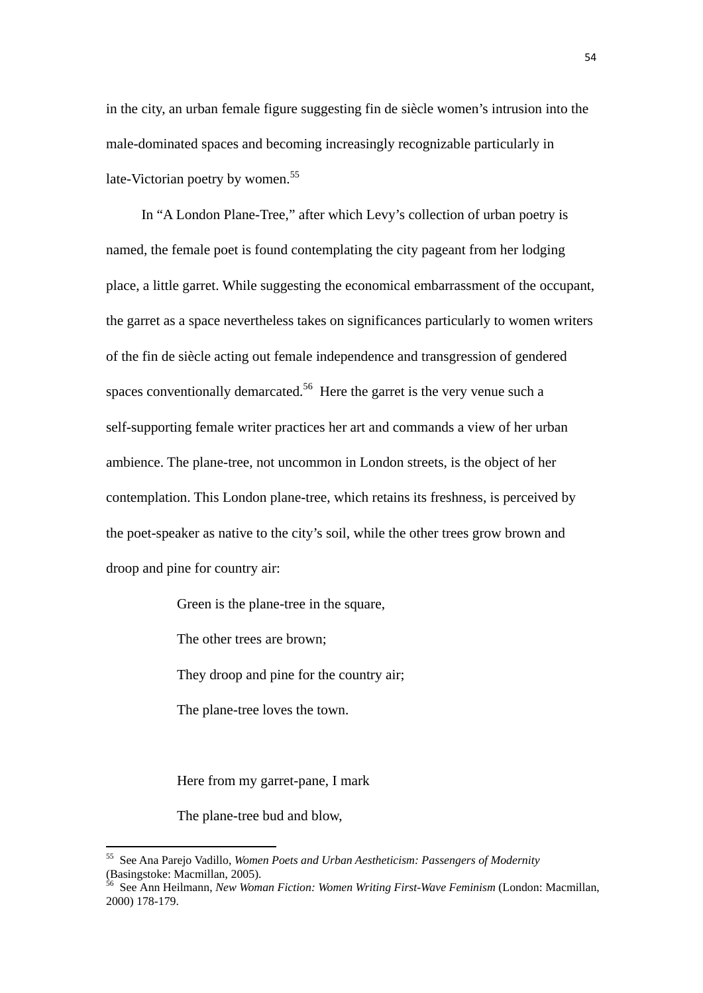in the city, an urban female figure suggesting fin de siècle women's intrusion into the male-dominated spaces and becoming increasingly recognizable particularly in late-Victorian poetry by women.<sup>55</sup>

In "A London Plane-Tree," after which Levy's collection of urban poetry is named, the female poet is found contemplating the city pageant from her lodging place, a little garret. While suggesting the economical embarrassment of the occupant, the garret as a space nevertheless takes on significances particularly to women writers of the fin de siècle acting out female independence and transgression of gendered spaces conventionally demarcated.<sup>56</sup> Here the garret is the very venue such a self-supporting female writer practices her art and commands a view of her urban ambience. The plane-tree, not uncommon in London streets, is the object of her contemplation. This London plane-tree, which retains its freshness, is perceived by the poet-speaker as native to the city's soil, while the other trees grow brown and droop and pine for country air:

Green is the plane-tree in the square,

The other trees are brown;

They droop and pine for the country air;

The plane-tree loves the town.

Here from my garret-pane, I mark

The plane-tree bud and blow,

<sup>55</sup> See Ana Parejo Vadillo, *Women Poets and Urban Aestheticism: Passengers of Modernity*  $\frac{1}{100}$ , wome<br>(Basingstoke: Macmillan, 2005).

<sup>56</sup> See Ann Heilmann, *New Woman Fiction: Women Writing First-Wave Feminism* (London: Macmillan, 2000) 178-179.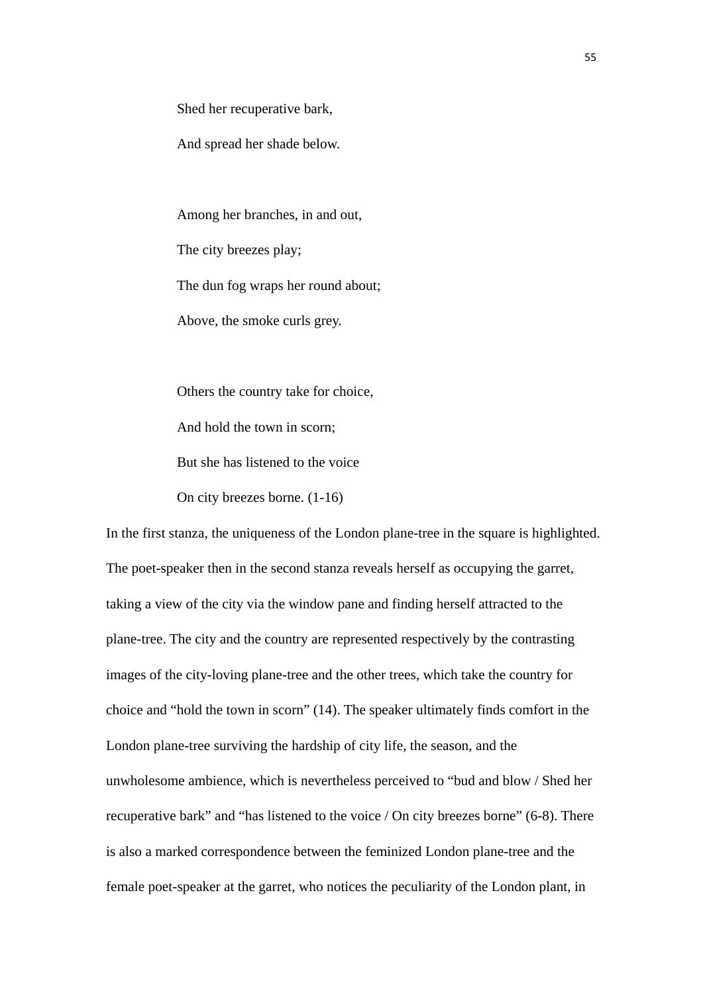Shed her recuperative bark,

And spread her shade below.

Among her branches, in and out, The city breezes play; The dun fog wraps her round about; Above, the smoke curls grey.

Others the country take for choice, And hold the town in scorn; But she has listened to the voice On city breezes borne. (1-16)

In the first stanza, the uniqueness of the London plane-tree in the square is highlighted. The poet-speaker then in the second stanza reveals herself as occupying the garret, taking a view of the city via the window pane and finding herself attracted to the plane-tree. The city and the country are represented respectively by the contrasting images of the city-loving plane-tree and the other trees, which take the country for choice and "hold the town in scorn" (14). The speaker ultimately finds comfort in the London plane-tree surviving the hardship of city life, the season, and the unwholesome ambience, which is nevertheless perceived to "bud and blow / Shed her recuperative bark" and "has listened to the voice / On city breezes borne" (6-8). There is also a marked correspondence between the feminized London plane-tree and the female poet-speaker at the garret, who notices the peculiarity of the London plant, in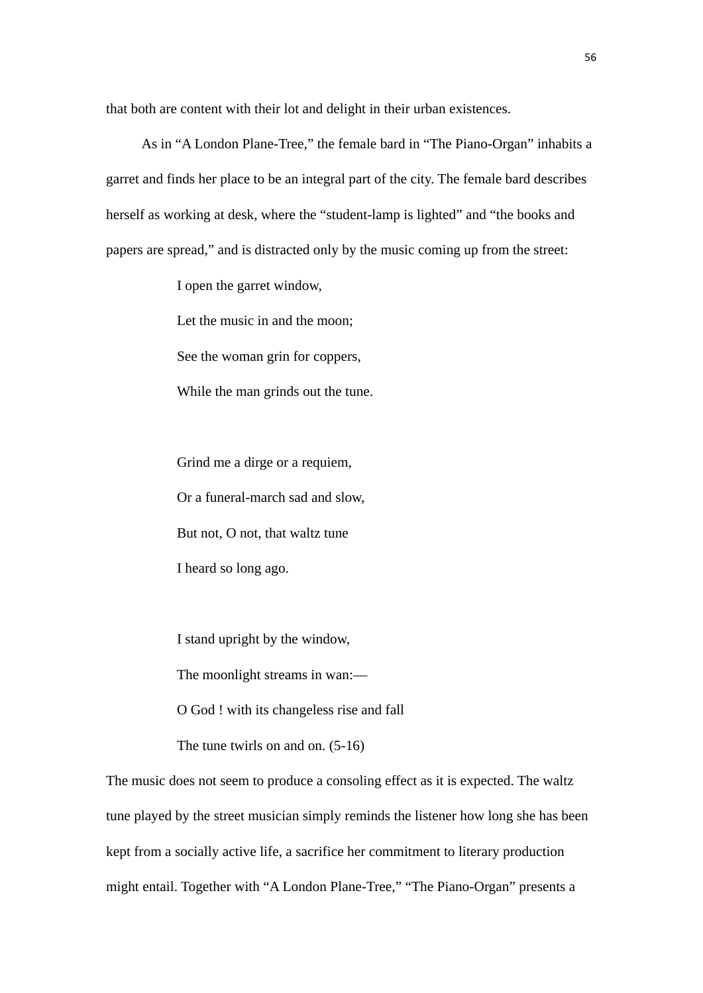that both are content with their lot and delight in their urban existences.

As in "A London Plane-Tree," the female bard in "The Piano-Organ" inhabits a garret and finds her place to be an integral part of the city. The female bard describes herself as working at desk, where the "student-lamp is lighted" and "the books and papers are spread," and is distracted only by the music coming up from the street:

I open the garret window,

Let the music in and the moon;

See the woman grin for coppers,

While the man grinds out the tune.

Grind me a dirge or a requiem, Or a funeral-march sad and slow, But not, O not, that waltz tune I heard so long ago.

I stand upright by the window,

The moonlight streams in wan:—

O God ! with its changeless rise and fall

The tune twirls on and on. (5-16)

The music does not seem to produce a consoling effect as it is expected. The waltz tune played by the street musician simply reminds the listener how long she has been kept from a socially active life, a sacrifice her commitment to literary production might entail. Together with "A London Plane-Tree," "The Piano-Organ" presents a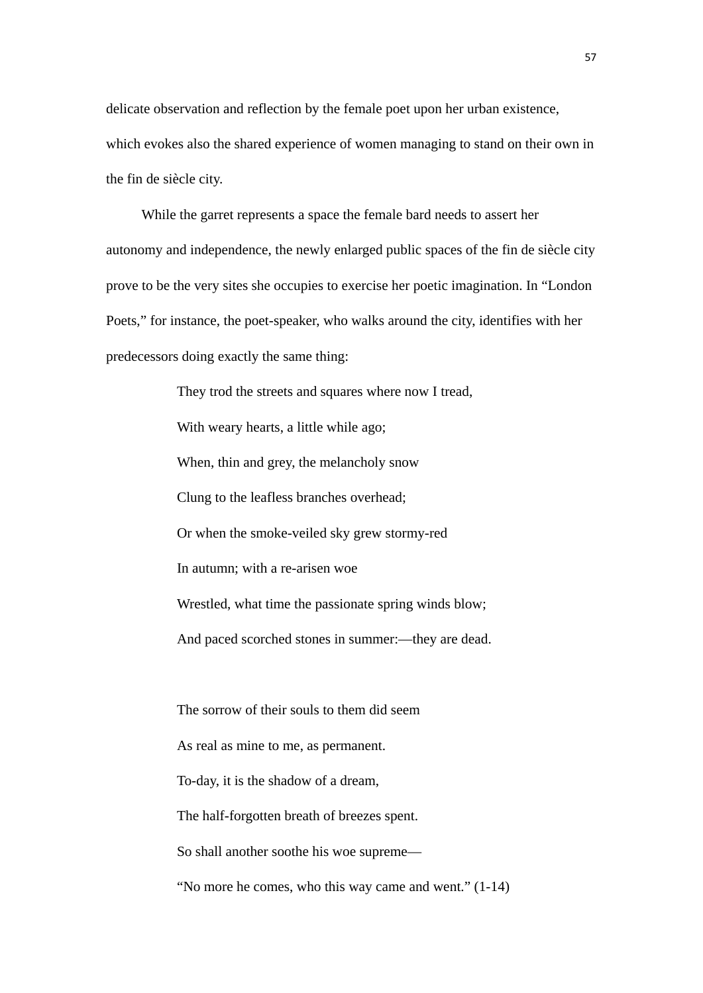delicate observation and reflection by the female poet upon her urban existence, which evokes also the shared experience of women managing to stand on their own in the fin de siècle city.

 While the garret represents a space the female bard needs to assert her autonomy and independence, the newly enlarged public spaces of the fin de siècle city prove to be the very sites she occupies to exercise her poetic imagination. In "London Poets," for instance, the poet-speaker, who walks around the city, identifies with her predecessors doing exactly the same thing:

> They trod the streets and squares where now I tread, With weary hearts, a little while ago; When, thin and grey, the melancholy snow Clung to the leafless branches overhead; Or when the smoke-veiled sky grew stormy-red In autumn; with a re-arisen woe Wrestled, what time the passionate spring winds blow; And paced scorched stones in summer:—they are dead. The sorrow of their souls to them did seem As real as mine to me, as permanent. To-day, it is the shadow of a dream,

The half-forgotten breath of breezes spent.

So shall another soothe his woe supreme—

"No more he comes, who this way came and went." (1-14)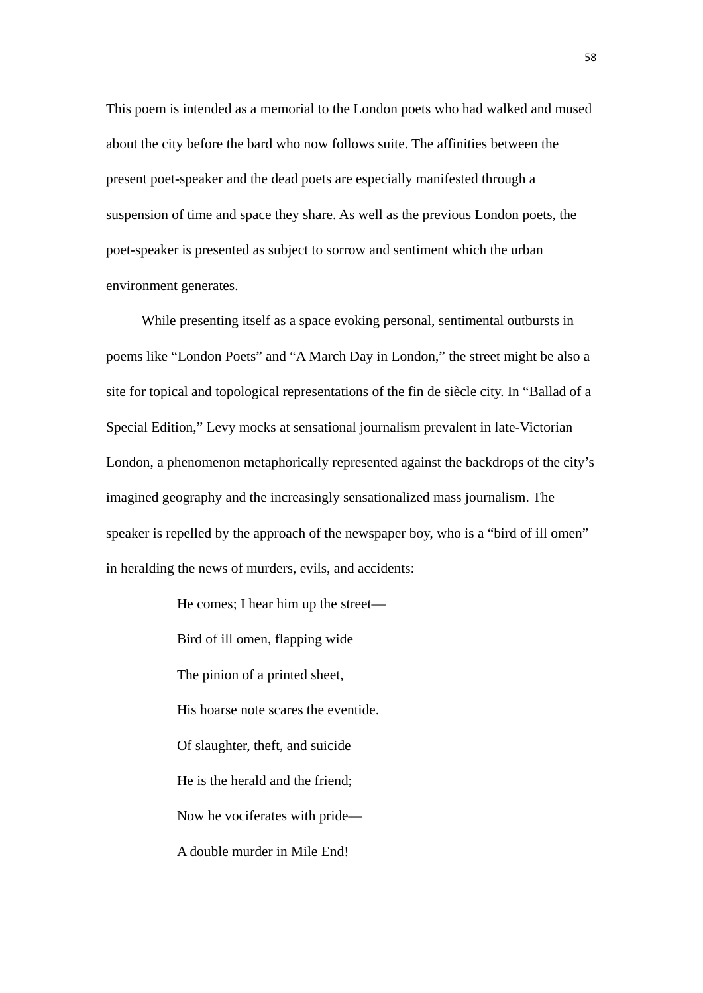This poem is intended as a memorial to the London poets who had walked and mused about the city before the bard who now follows suite. The affinities between the present poet-speaker and the dead poets are especially manifested through a suspension of time and space they share. As well as the previous London poets, the poet-speaker is presented as subject to sorrow and sentiment which the urban environment generates.

 While presenting itself as a space evoking personal, sentimental outbursts in poems like "London Poets" and "A March Day in London," the street might be also a site for topical and topological representations of the fin de siècle city. In "Ballad of a Special Edition," Levy mocks at sensational journalism prevalent in late-Victorian London, a phenomenon metaphorically represented against the backdrops of the city's imagined geography and the increasingly sensationalized mass journalism. The speaker is repelled by the approach of the newspaper boy, who is a "bird of ill omen" in heralding the news of murders, evils, and accidents:

> He comes; I hear him up the street— Bird of ill omen, flapping wide The pinion of a printed sheet, His hoarse note scares the eventide. Of slaughter, theft, and suicide He is the herald and the friend; Now he vociferates with pride— A double murder in Mile End!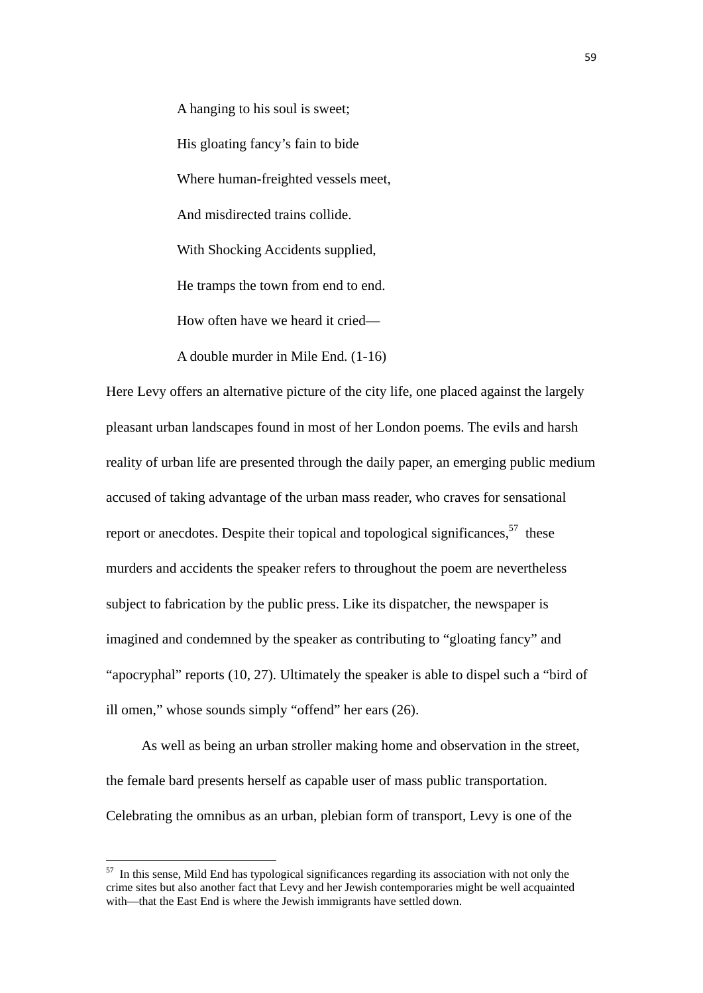A hanging to his soul is sweet; His gloating fancy's fain to bide Where human-freighted vessels meet, And misdirected trains collide. With Shocking Accidents supplied, He tramps the town from end to end. How often have we heard it cried—

A double murder in Mile End. (1-16)

Here Levy offers an alternative picture of the city life, one placed against the largely pleasant urban landscapes found in most of her London poems. The evils and harsh reality of urban life are presented through the daily paper, an emerging public medium accused of taking advantage of the urban mass reader, who craves for sensational report or anecdotes. Despite their topical and topological significances.<sup>57</sup> these murders and accidents the speaker refers to throughout the poem are nevertheless subject to fabrication by the public press. Like its dispatcher, the newspaper is imagined and condemned by the speaker as contributing to "gloating fancy" and "apocryphal" reports (10, 27). Ultimately the speaker is able to dispel such a "bird of ill omen," whose sounds simply "offend" her ears (26).

As well as being an urban stroller making home and observation in the street, the female bard presents herself as capable user of mass public transportation. Celebrating the omnibus as an urban, plebian form of transport, Levy is one of the

 $57$  In this sense, Mild End has typological significances regarding its association with not only the crime sites but also another fact that Levy and her Jewish contemporaries might be well acquainted with—that the East End is where the Jewish immigrants have settled down.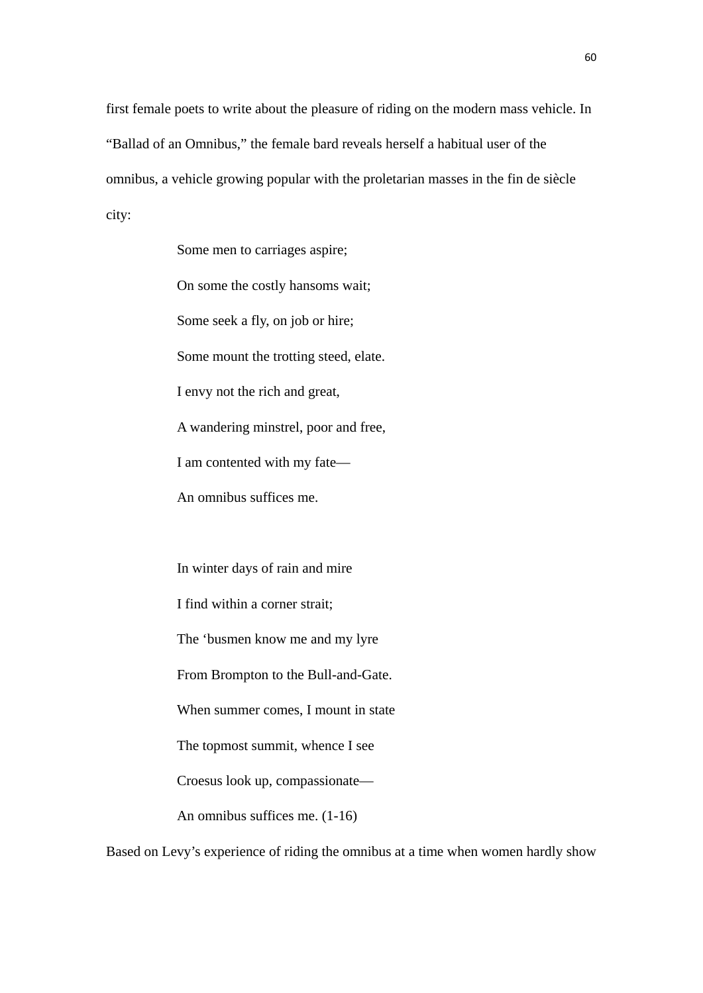first female poets to write about the pleasure of riding on the modern mass vehicle. In "Ballad of an Omnibus," the female bard reveals herself a habitual user of the omnibus, a vehicle growing popular with the proletarian masses in the fin de siècle city:

Some men to carriages aspire;

On some the costly hansoms wait;

Some seek a fly, on job or hire;

Some mount the trotting steed, elate.

I envy not the rich and great,

A wandering minstrel, poor and free,

I am contented with my fate—

An omnibus suffices me.

In winter days of rain and mire

I find within a corner strait;

The 'busmen know me and my lyre

From Brompton to the Bull-and-Gate.

When summer comes, I mount in state

The topmost summit, whence I see

Croesus look up, compassionate—

An omnibus suffices me. (1-16)

Based on Levy's experience of riding the omnibus at a time when women hardly show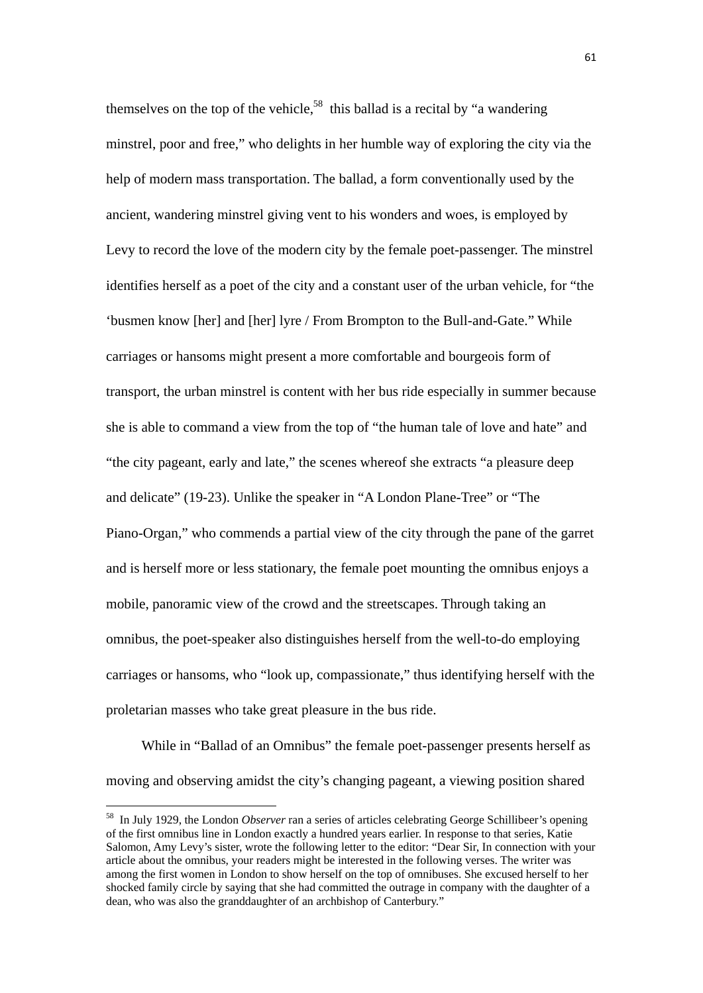themselves on the top of the vehicle,<sup>58</sup> this ballad is a recital by "a wandering" minstrel, poor and free," who delights in her humble way of exploring the city via the help of modern mass transportation. The ballad, a form conventionally used by the ancient, wandering minstrel giving vent to his wonders and woes, is employed by Levy to record the love of the modern city by the female poet-passenger. The minstrel identifies herself as a poet of the city and a constant user of the urban vehicle, for "the 'busmen know [her] and [her] lyre / From Brompton to the Bull-and-Gate." While carriages or hansoms might present a more comfortable and bourgeois form of transport, the urban minstrel is content with her bus ride especially in summer because she is able to command a view from the top of "the human tale of love and hate" and "the city pageant, early and late," the scenes whereof she extracts "a pleasure deep and delicate" (19-23). Unlike the speaker in "A London Plane-Tree" or "The Piano-Organ," who commends a partial view of the city through the pane of the garret and is herself more or less stationary, the female poet mounting the omnibus enjoys a mobile, panoramic view of the crowd and the streetscapes. Through taking an omnibus, the poet-speaker also distinguishes herself from the well-to-do employing carriages or hansoms, who "look up, compassionate," thus identifying herself with the proletarian masses who take great pleasure in the bus ride.

While in "Ballad of an Omnibus" the female poet-passenger presents herself as moving and observing amidst the city's changing pageant, a viewing position shared

<sup>58</sup> In July 1929, the London *Observer* ran a series of articles celebrating George Schillibeer's opening of the first omnibus line in London exactly a hundred years earlier. In response to that series, Katie Salomon, Amy Levy's sister, wrote the following letter to the editor: "Dear Sir, In connection with your article about the omnibus, your readers might be interested in the following verses. The writer was among the first women in London to show herself on the top of omnibuses. She excused herself to her shocked family circle by saying that she had committed the outrage in company with the daughter of a dean, who was also the granddaughter of an archbishop of Canterbury."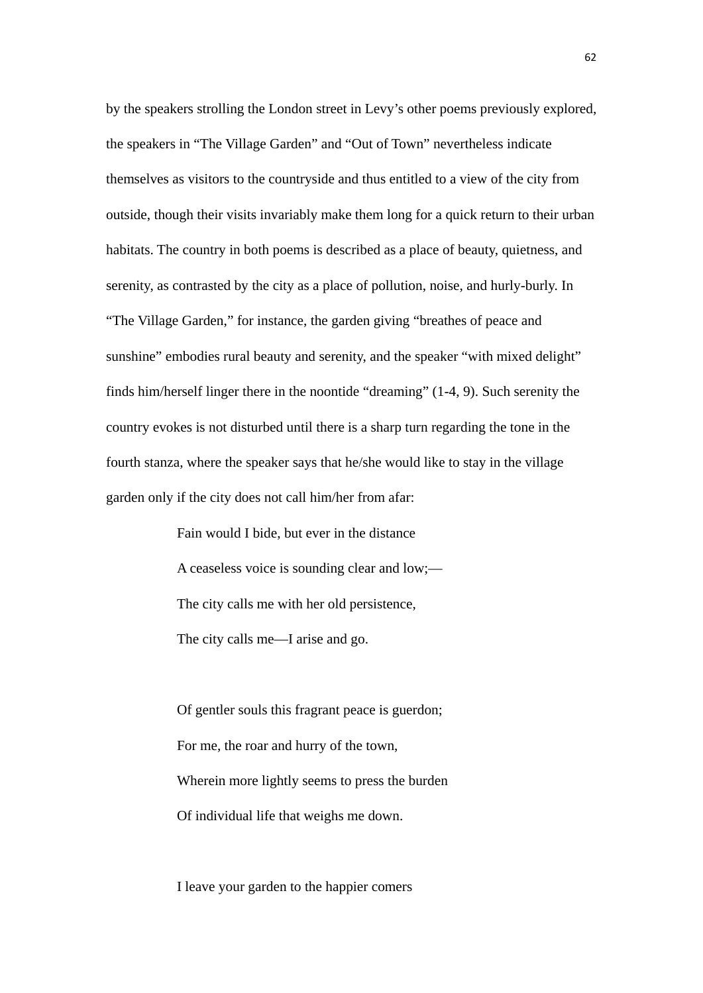by the speakers strolling the London street in Levy's other poems previously explored, the speakers in "The Village Garden" and "Out of Town" nevertheless indicate themselves as visitors to the countryside and thus entitled to a view of the city from outside, though their visits invariably make them long for a quick return to their urban habitats. The country in both poems is described as a place of beauty, quietness, and serenity, as contrasted by the city as a place of pollution, noise, and hurly-burly. In "The Village Garden," for instance, the garden giving "breathes of peace and sunshine" embodies rural beauty and serenity, and the speaker "with mixed delight" finds him/herself linger there in the noontide "dreaming" (1-4, 9). Such serenity the country evokes is not disturbed until there is a sharp turn regarding the tone in the fourth stanza, where the speaker says that he/she would like to stay in the village garden only if the city does not call him/her from afar:

> Fain would I bide, but ever in the distance A ceaseless voice is sounding clear and low;— The city calls me with her old persistence, The city calls me—I arise and go.

Of gentler souls this fragrant peace is guerdon; For me, the roar and hurry of the town, Wherein more lightly seems to press the burden Of individual life that weighs me down.

I leave your garden to the happier comers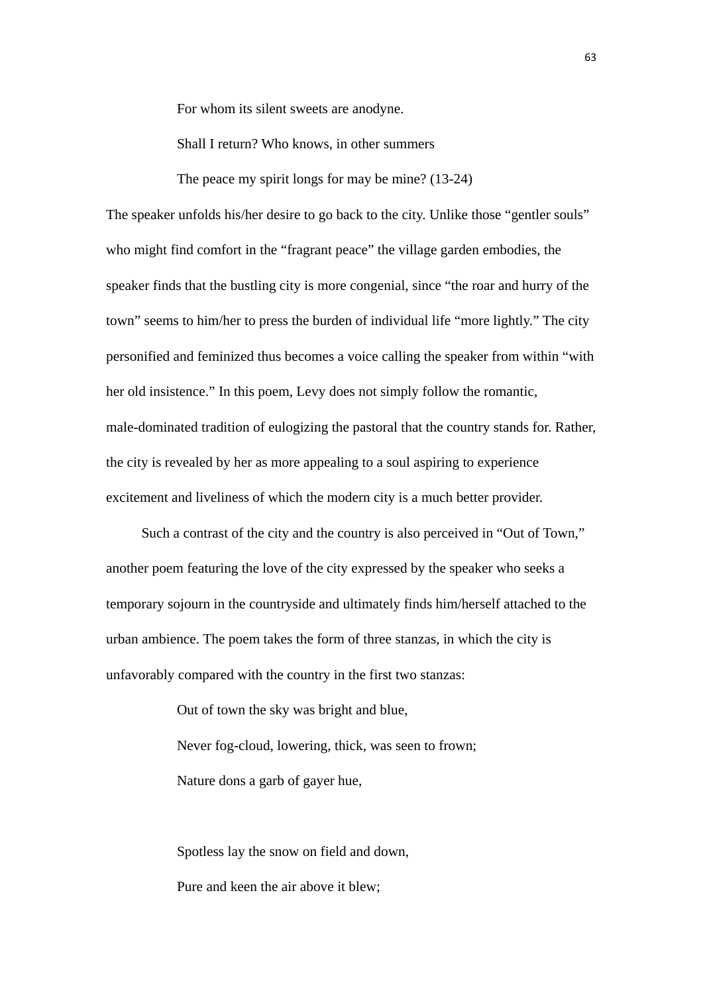For whom its silent sweets are anodyne.

Shall I return? Who knows, in other summers

The peace my spirit longs for may be mine? (13-24)

The speaker unfolds his/her desire to go back to the city. Unlike those "gentler souls" who might find comfort in the "fragrant peace" the village garden embodies, the speaker finds that the bustling city is more congenial, since "the roar and hurry of the town" seems to him/her to press the burden of individual life "more lightly." The city personified and feminized thus becomes a voice calling the speaker from within "with her old insistence." In this poem, Levy does not simply follow the romantic, male-dominated tradition of eulogizing the pastoral that the country stands for. Rather, the city is revealed by her as more appealing to a soul aspiring to experience excitement and liveliness of which the modern city is a much better provider.

Such a contrast of the city and the country is also perceived in "Out of Town," another poem featuring the love of the city expressed by the speaker who seeks a temporary sojourn in the countryside and ultimately finds him/herself attached to the urban ambience. The poem takes the form of three stanzas, in which the city is unfavorably compared with the country in the first two stanzas:

> Out of town the sky was bright and blue, Never fog-cloud, lowering, thick, was seen to frown; Nature dons a garb of gayer hue,

Spotless lay the snow on field and down, Pure and keen the air above it blew;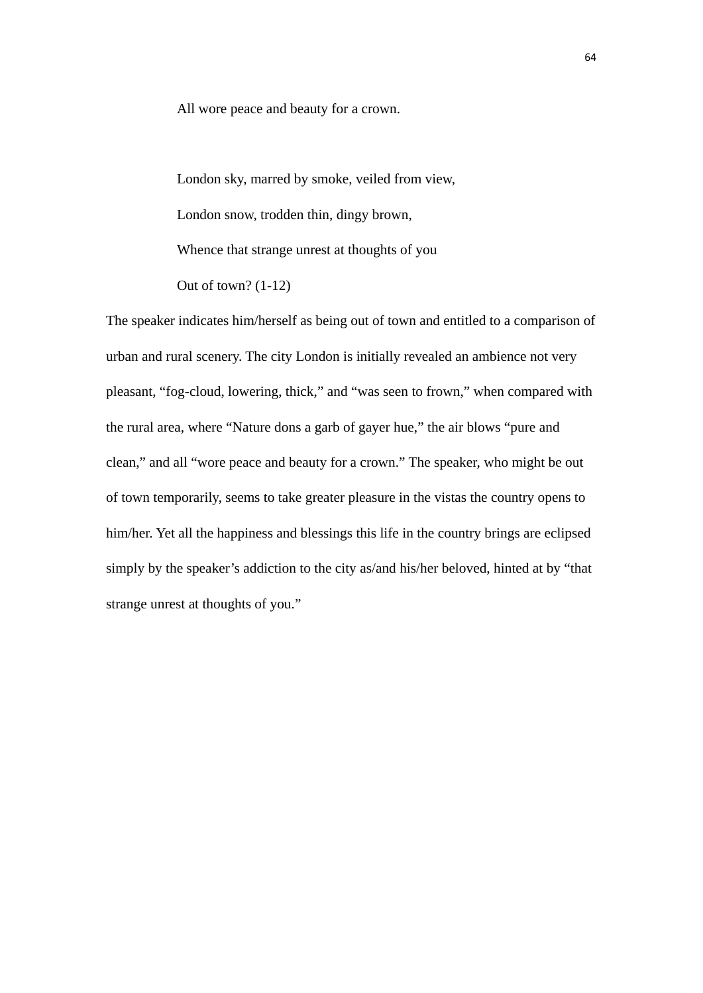All wore peace and beauty for a crown.

London sky, marred by smoke, veiled from view, London snow, trodden thin, dingy brown, Whence that strange unrest at thoughts of you Out of town? (1-12)

The speaker indicates him/herself as being out of town and entitled to a comparison of urban and rural scenery. The city London is initially revealed an ambience not very pleasant, "fog-cloud, lowering, thick," and "was seen to frown," when compared with the rural area, where "Nature dons a garb of gayer hue," the air blows "pure and clean," and all "wore peace and beauty for a crown." The speaker, who might be out of town temporarily, seems to take greater pleasure in the vistas the country opens to him/her. Yet all the happiness and blessings this life in the country brings are eclipsed simply by the speaker's addiction to the city as/and his/her beloved, hinted at by "that strange unrest at thoughts of you."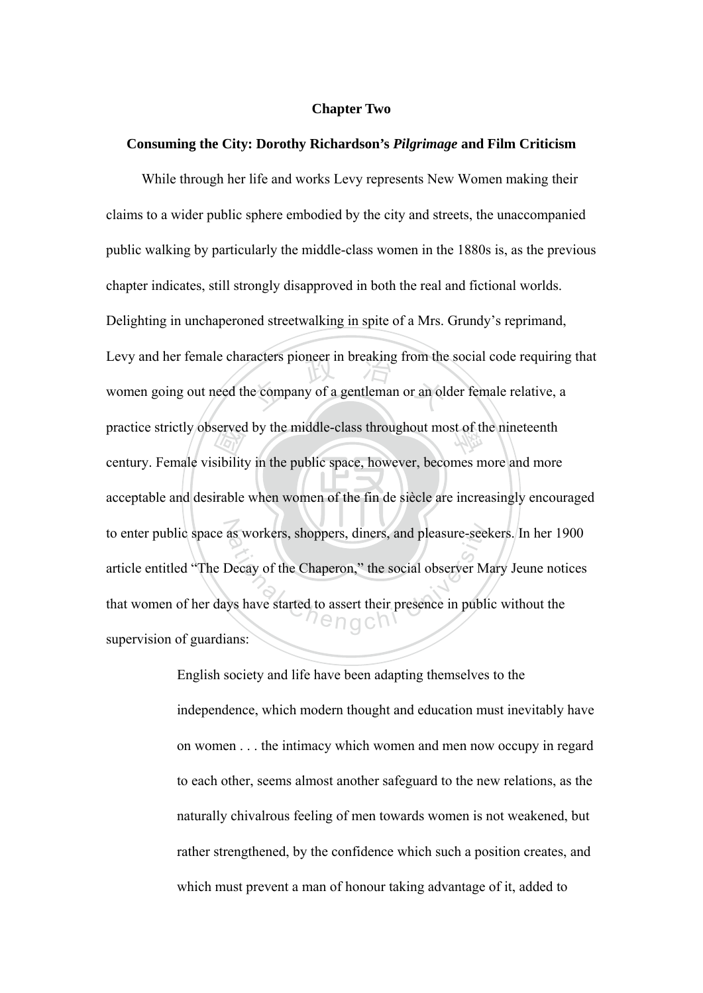# **Chapter Two**

# **Consuming the City: Dorothy Richardson's** *Pilgrimage* **and Film Criticism**

acceptable and desirable when women of the fin de siècle are increasingly encouraged served<br>sibility<br>irable racters pioneer in breaking from the<br>le company of a gentleman or an old practice strictly observed by the middle-class throughout most of the nineteenth to enter public space as workers, shoppers, diners, and pleasure-seekers. In her 1900 as workers, shoppers, diners, and pleasure-seed<br>Decay of the Chaperon," the social observer M<br>ys have started to assert their presence in public<br> $\bigcap_{n=0}^{\infty}$  O O  $\bigcap_{n=0}^{\infty}$ While through her life and works Levy represents New Women making their claims to a wider public sphere embodied by the city and streets, the unaccompanied public walking by particularly the middle-class women in the 1880s is, as the previous chapter indicates, still strongly disapproved in both the real and fictional worlds. Delighting in unchaperoned streetwalking in spite of a Mrs. Grundy's reprimand, Levy and her female characters pioneer in breaking from the social code requiring that women going out need the company of a gentleman or an older female relative, a century. Female visibility in the public space, however, becomes more and more article entitled "The Decay of the Chaperon," the social observer Mary Jeune notices that women of her days have started to assert their presence in public without the supervision of guardians:

> English society and life have been adapting themselves to the independence, which modern thought and education must inevitably have on women . . . the intimacy which women and men now occupy in regard to each other, seems almost another safeguard to the new relations, as the naturally chivalrous feeling of men towards women is not weakened, but rather strengthened, by the confidence which such a position creates, and which must prevent a man of honour taking advantage of it, added to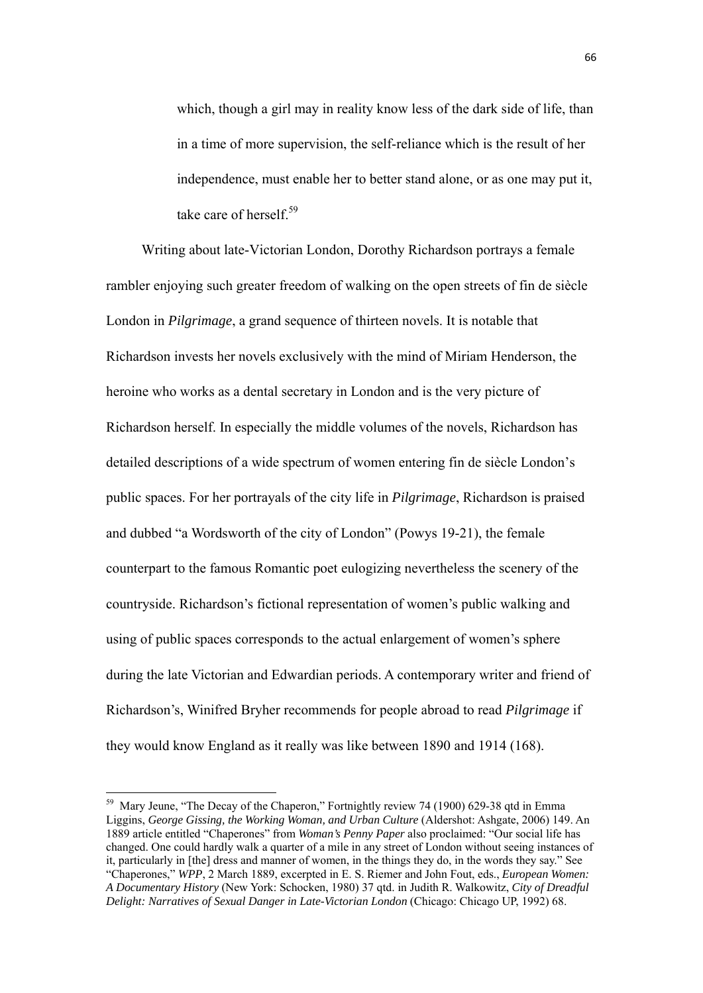which, though a girl may in reality know less of the dark side of life, than in a time of more supervision, the self-reliance which is the result of her independence, must enable her to better stand alone, or as one may put it, take care of herself<sup>59</sup>

Writing about late-Victorian London, Dorothy Richardson portrays a female rambler enjoying such greater freedom of walking on the open streets of fin de siècle London in *Pilgrimage*, a grand sequence of thirteen novels. It is notable that Richardson invests her novels exclusively with the mind of Miriam Henderson, the heroine who works as a dental secretary in London and is the very picture of Richardson herself. In especially the middle volumes of the novels, Richardson has detailed descriptions of a wide spectrum of women entering fin de siècle London's public spaces. For her portrayals of the city life in *Pilgrimage*, Richardson is praised and dubbed "a Wordsworth of the city of London" (Powys 19-21), the female counterpart to the famous Romantic poet eulogizing nevertheless the scenery of the countryside. Richardson's fictional representation of women's public walking and using of public spaces corresponds to the actual enlargement of women's sphere during the late Victorian and Edwardian periods. A contemporary writer and friend of Richardson's, Winifred Bryher recommends for people abroad to read *Pilgrimage* if they would know England as it really was like between 1890 and 1914 (168).

<sup>&</sup>lt;sup>59</sup> Mary Jeune, "The Decay of the Chaperon," Fortnightly review 74 (1900) 629-38 qtd in Emma Liggins, *George Gissing, the Working Woman, and Urban Culture* (Aldershot: Ashgate, 2006) 149. An 1889 article entitled "Chaperones" from *Woman's Penny Paper* also proclaimed: "Our social life has changed. One could hardly walk a quarter of a mile in any street of London without seeing instances of it, particularly in [the] dress and manner of women, in the things they do, in the words they say." See "Chaperones," *WPP*, 2 March 1889, excerpted in E. S. Riemer and John Fout, eds., *European Women: A Documentary History* (New York: Schocken, 1980) 37 qtd. in Judith R. Walkowitz, *City of Dreadful Delight: Narratives of Sexual Danger in Late-Victorian London* (Chicago: Chicago UP, 1992) 68.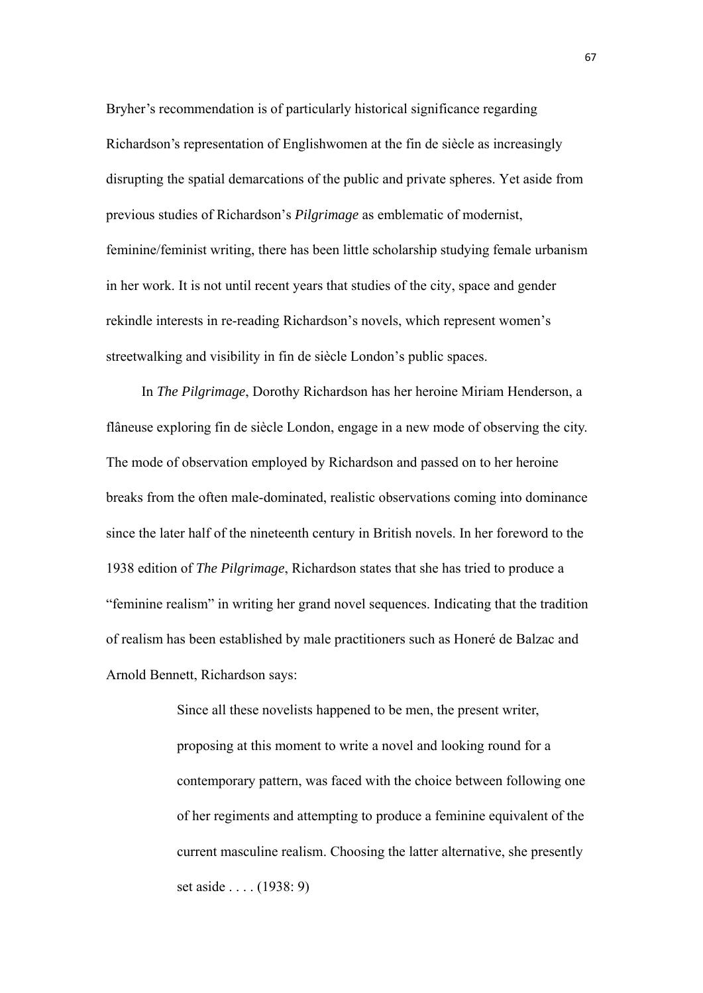Bryher's recommendation is of particularly historical significance regarding Richardson's representation of Englishwomen at the fin de siècle as increasingly disrupting the spatial demarcations of the public and private spheres. Yet aside from previous studies of Richardson's *Pilgrimage* as emblematic of modernist, feminine/feminist writing, there has been little scholarship studying female urbanism in her work. It is not until recent years that studies of the city, space and gender rekindle interests in re-reading Richardson's novels, which represent women's streetwalking and visibility in fin de siècle London's public spaces.

 In *The Pilgrimage*, Dorothy Richardson has her heroine Miriam Henderson, a flâneuse exploring fin de siècle London, engage in a new mode of observing the city. The mode of observation employed by Richardson and passed on to her heroine breaks from the often male-dominated, realistic observations coming into dominance since the later half of the nineteenth century in British novels. In her foreword to the 1938 edition of *The Pilgrimage*, Richardson states that she has tried to produce a "feminine realism" in writing her grand novel sequences. Indicating that the tradition of realism has been established by male practitioners such as Honeré de Balzac and Arnold Bennett, Richardson says:

> Since all these novelists happened to be men, the present writer, proposing at this moment to write a novel and looking round for a contemporary pattern, was faced with the choice between following one of her regiments and attempting to produce a feminine equivalent of the current masculine realism. Choosing the latter alternative, she presently set aside . . . . (1938: 9)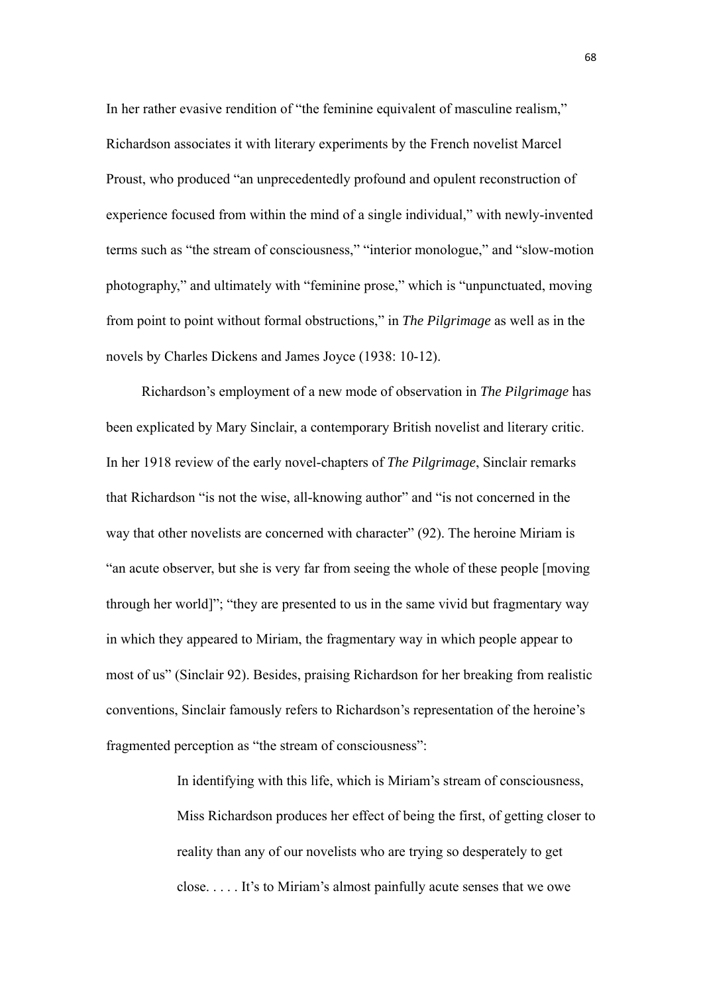In her rather evasive rendition of "the feminine equivalent of masculine realism," Richardson associates it with literary experiments by the French novelist Marcel Proust, who produced "an unprecedentedly profound and opulent reconstruction of experience focused from within the mind of a single individual," with newly-invented terms such as "the stream of consciousness," "interior monologue," and "slow-motion photography," and ultimately with "feminine prose," which is "unpunctuated, moving from point to point without formal obstructions," in *The Pilgrimage* as well as in the novels by Charles Dickens and James Joyce (1938: 10-12).

Richardson's employment of a new mode of observation in *The Pilgrimage* has been explicated by Mary Sinclair, a contemporary British novelist and literary critic. In her 1918 review of the early novel-chapters of *The Pilgrimage*, Sinclair remarks that Richardson "is not the wise, all-knowing author" and "is not concerned in the way that other novelists are concerned with character" (92). The heroine Miriam is "an acute observer, but she is very far from seeing the whole of these people [moving through her world]"; "they are presented to us in the same vivid but fragmentary way in which they appeared to Miriam, the fragmentary way in which people appear to most of us" (Sinclair 92). Besides, praising Richardson for her breaking from realistic conventions, Sinclair famously refers to Richardson's representation of the heroine's fragmented perception as "the stream of consciousness":

> In identifying with this life, which is Miriam's stream of consciousness, Miss Richardson produces her effect of being the first, of getting closer to reality than any of our novelists who are trying so desperately to get close. . . . . It's to Miriam's almost painfully acute senses that we owe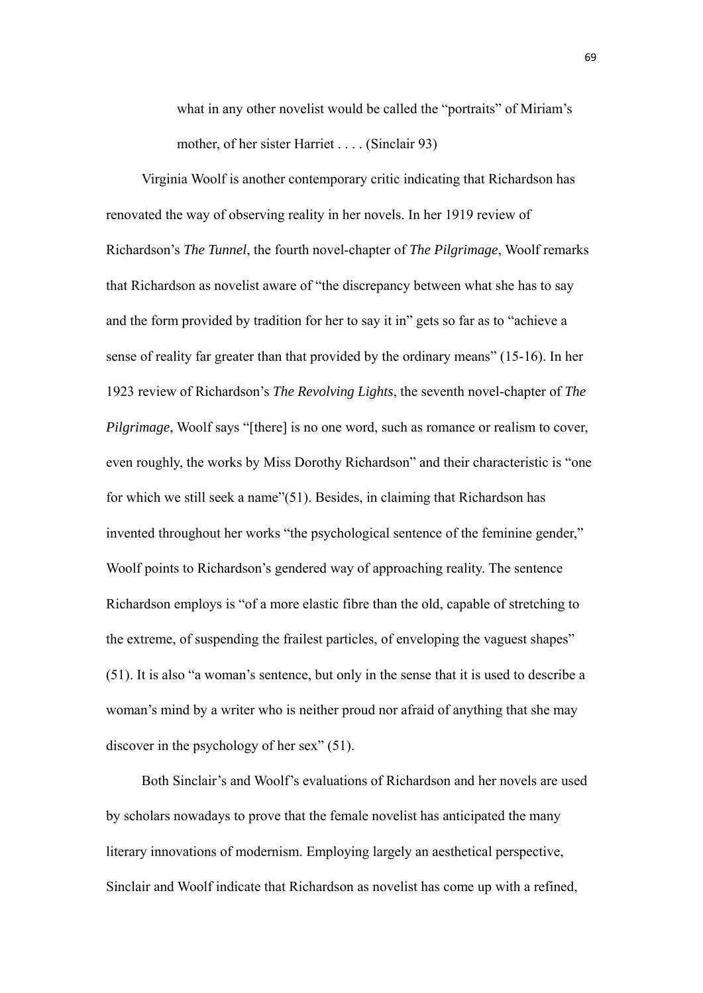what in any other novelist would be called the "portraits" of Miriam's mother, of her sister Harriet . . . . (Sinclair 93)

Virginia Woolf is another contemporary critic indicating that Richardson has renovated the way of observing reality in her novels. In her 1919 review of Richardson's *The Tunnel*, the fourth novel-chapter of *The Pilgrimage*, Woolf remarks that Richardson as novelist aware of "the discrepancy between what she has to say and the form provided by tradition for her to say it in" gets so far as to "achieve a sense of reality far greater than that provided by the ordinary means" (15-16). In her 1923 review of Richardson's *The Revolving Lights*, the seventh novel-chapter of *The Pilgrimage*, Woolf says "[there] is no one word, such as romance or realism to cover, even roughly, the works by Miss Dorothy Richardson" and their characteristic is "one for which we still seek a name"(51). Besides, in claiming that Richardson has invented throughout her works "the psychological sentence of the feminine gender," Woolf points to Richardson's gendered way of approaching reality. The sentence Richardson employs is "of a more elastic fibre than the old, capable of stretching to the extreme, of suspending the frailest particles, of enveloping the vaguest shapes" (51). It is also "a woman's sentence, but only in the sense that it is used to describe a woman's mind by a writer who is neither proud nor afraid of anything that she may discover in the psychology of her sex" (51).

 Both Sinclair's and Woolf's evaluations of Richardson and her novels are used by scholars nowadays to prove that the female novelist has anticipated the many literary innovations of modernism. Employing largely an aesthetical perspective, Sinclair and Woolf indicate that Richardson as novelist has come up with a refined,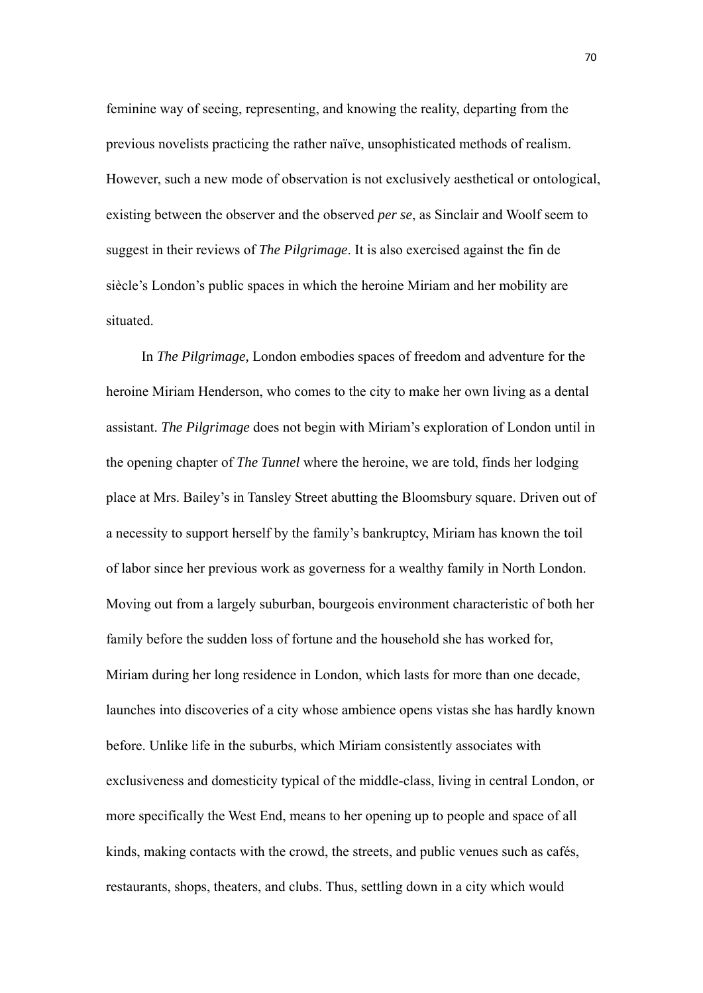feminine way of seeing, representing, and knowing the reality, departing from the previous novelists practicing the rather naïve, unsophisticated methods of realism. However, such a new mode of observation is not exclusively aesthetical or ontological, existing between the observer and the observed *per se*, as Sinclair and Woolf seem to suggest in their reviews of *The Pilgrimage*. It is also exercised against the fin de siècle's London's public spaces in which the heroine Miriam and her mobility are situated.

 In *The Pilgrimage,* London embodies spaces of freedom and adventure for the heroine Miriam Henderson, who comes to the city to make her own living as a dental assistant. *The Pilgrimage* does not begin with Miriam's exploration of London until in the opening chapter of *The Tunnel* where the heroine, we are told, finds her lodging place at Mrs. Bailey's in Tansley Street abutting the Bloomsbury square. Driven out of a necessity to support herself by the family's bankruptcy, Miriam has known the toil of labor since her previous work as governess for a wealthy family in North London. Moving out from a largely suburban, bourgeois environment characteristic of both her family before the sudden loss of fortune and the household she has worked for, Miriam during her long residence in London, which lasts for more than one decade, launches into discoveries of a city whose ambience opens vistas she has hardly known before. Unlike life in the suburbs, which Miriam consistently associates with exclusiveness and domesticity typical of the middle-class, living in central London, or more specifically the West End, means to her opening up to people and space of all kinds, making contacts with the crowd, the streets, and public venues such as cafés, restaurants, shops, theaters, and clubs. Thus, settling down in a city which would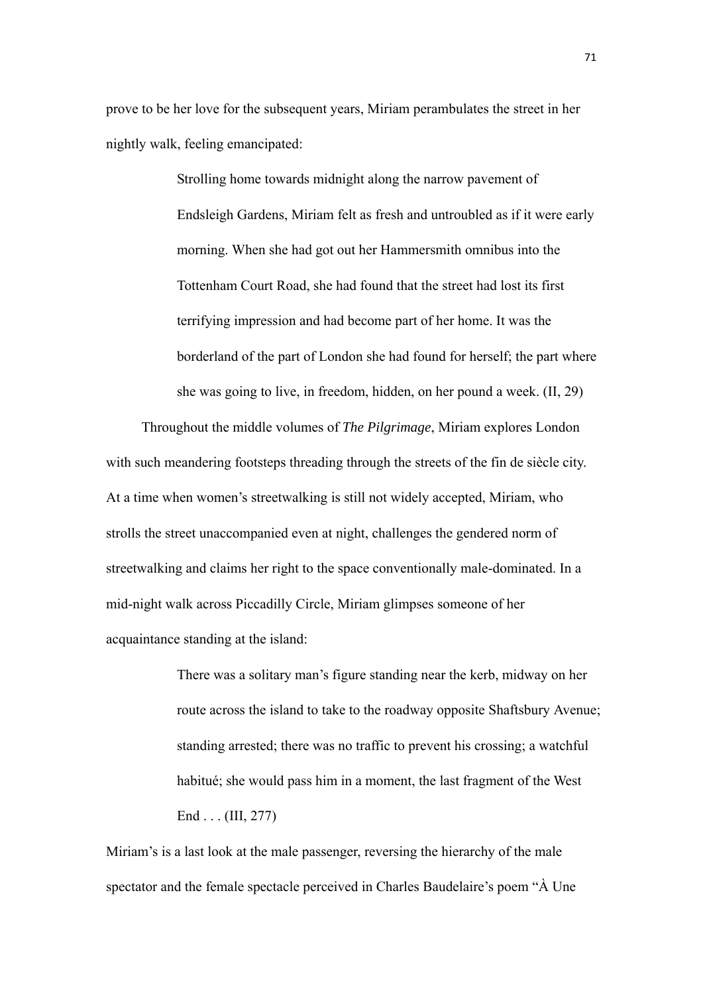prove to be her love for the subsequent years, Miriam perambulates the street in her nightly walk, feeling emancipated:

> Strolling home towards midnight along the narrow pavement of Endsleigh Gardens, Miriam felt as fresh and untroubled as if it were early morning. When she had got out her Hammersmith omnibus into the Tottenham Court Road, she had found that the street had lost its first terrifying impression and had become part of her home. It was the borderland of the part of London she had found for herself; the part where she was going to live, in freedom, hidden, on her pound a week. (II, 29)

 Throughout the middle volumes of *The Pilgrimage*, Miriam explores London with such meandering footsteps threading through the streets of the fin de siècle city. At a time when women's streetwalking is still not widely accepted, Miriam, who strolls the street unaccompanied even at night, challenges the gendered norm of streetwalking and claims her right to the space conventionally male-dominated. In a mid-night walk across Piccadilly Circle, Miriam glimpses someone of her acquaintance standing at the island:

> There was a solitary man's figure standing near the kerb, midway on her route across the island to take to the roadway opposite Shaftsbury Avenue; standing arrested; there was no traffic to prevent his crossing; a watchful habitué; she would pass him in a moment, the last fragment of the West End . . . (III, 277)

Miriam's is a last look at the male passenger, reversing the hierarchy of the male spectator and the female spectacle perceived in Charles Baudelaire's poem "À Une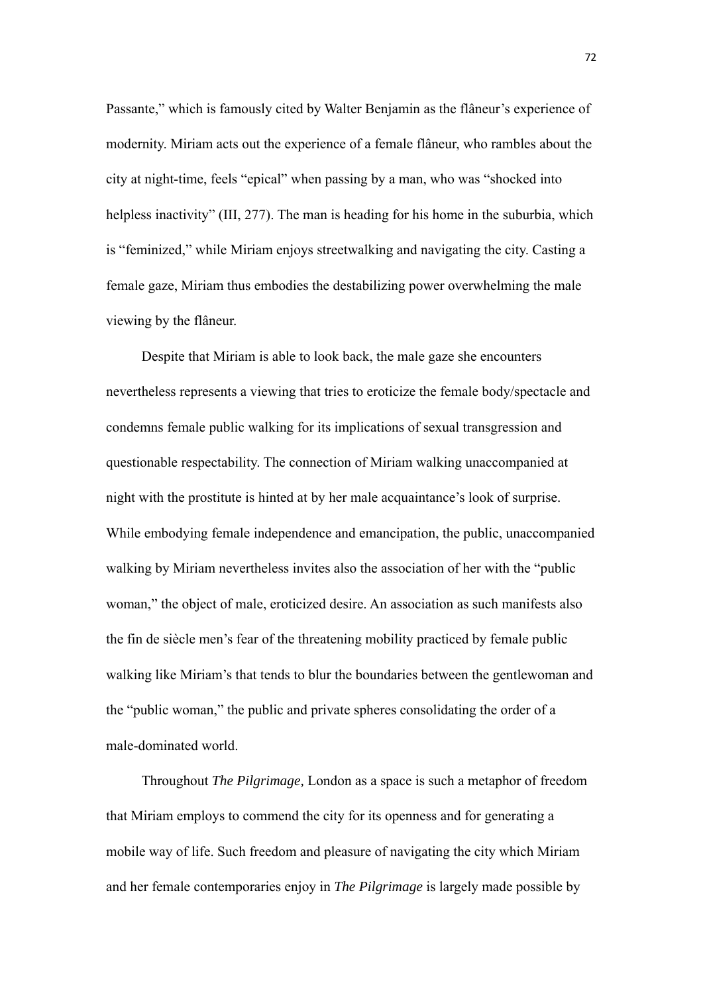Passante," which is famously cited by Walter Benjamin as the flâneur's experience of modernity. Miriam acts out the experience of a female flâneur, who rambles about the city at night-time, feels "epical" when passing by a man, who was "shocked into helpless inactivity" (III, 277). The man is heading for his home in the suburbia, which is "feminized," while Miriam enjoys streetwalking and navigating the city. Casting a female gaze, Miriam thus embodies the destabilizing power overwhelming the male viewing by the flâneur.

 Despite that Miriam is able to look back, the male gaze she encounters nevertheless represents a viewing that tries to eroticize the female body/spectacle and condemns female public walking for its implications of sexual transgression and questionable respectability. The connection of Miriam walking unaccompanied at night with the prostitute is hinted at by her male acquaintance's look of surprise. While embodying female independence and emancipation, the public, unaccompanied walking by Miriam nevertheless invites also the association of her with the "public woman," the object of male, eroticized desire. An association as such manifests also the fin de siècle men's fear of the threatening mobility practiced by female public walking like Miriam's that tends to blur the boundaries between the gentlewoman and the "public woman," the public and private spheres consolidating the order of a male-dominated world.

 Throughout *The Pilgrimage,* London as a space is such a metaphor of freedom that Miriam employs to commend the city for its openness and for generating a mobile way of life. Such freedom and pleasure of navigating the city which Miriam and her female contemporaries enjoy in *The Pilgrimage* is largely made possible by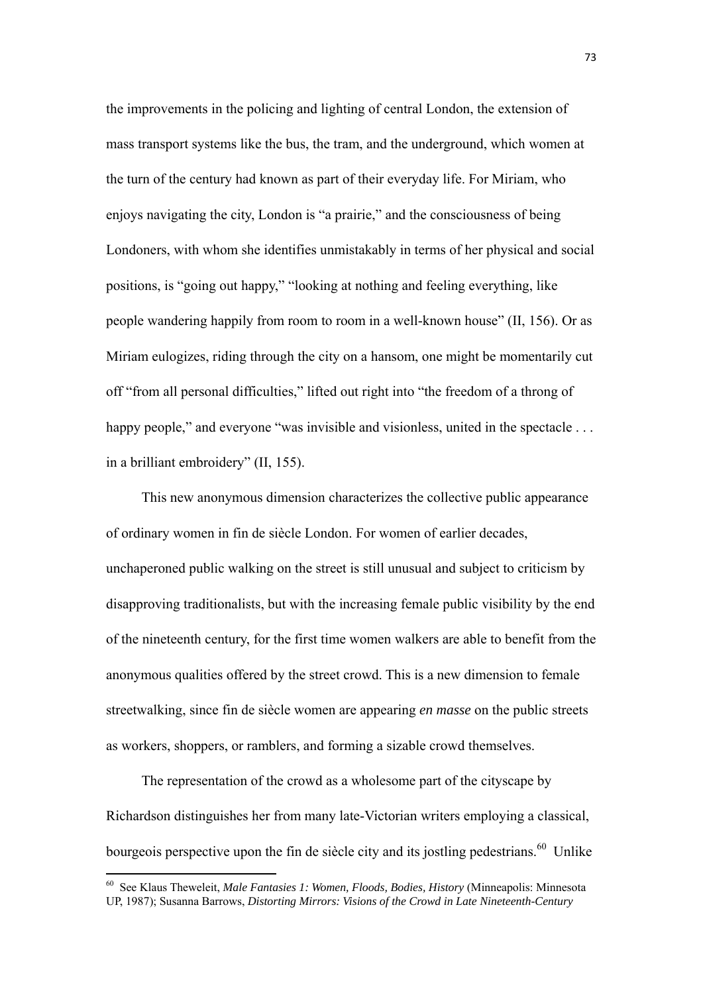the improvements in the policing and lighting of central London, the extension of mass transport systems like the bus, the tram, and the underground, which women at the turn of the century had known as part of their everyday life. For Miriam, who enjoys navigating the city, London is "a prairie," and the consciousness of being Londoners, with whom she identifies unmistakably in terms of her physical and social positions, is "going out happy," "looking at nothing and feeling everything, like people wandering happily from room to room in a well-known house" (II, 156). Or as Miriam eulogizes, riding through the city on a hansom, one might be momentarily cut off "from all personal difficulties," lifted out right into "the freedom of a throng of happy people," and everyone "was invisible and visionless, united in the spectacle ... in a brilliant embroidery" (II, 155).

 This new anonymous dimension characterizes the collective public appearance of ordinary women in fin de siècle London. For women of earlier decades, unchaperoned public walking on the street is still unusual and subject to criticism by disapproving traditionalists, but with the increasing female public visibility by the end of the nineteenth century, for the first time women walkers are able to benefit from the anonymous qualities offered by the street crowd. This is a new dimension to female streetwalking, since fin de siècle women are appearing *en masse* on the public streets as workers, shoppers, or ramblers, and forming a sizable crowd themselves.

The representation of the crowd as a wholesome part of the cityscape by Richardson distinguishes her from many late-Victorian writers employing a classical, bourgeois perspective upon the fin de siècle city and its jostling pedestrians.<sup>60</sup> Unlike

<sup>60</sup> See Klaus Theweleit, *Male Fantasies 1: Women, Floods, Bodies, History* (Minneapolis: Minnesota UP, 1987); Susanna Barrows, *Distorting Mirrors: Visions of the Crowd in Late Nineteenth-Century*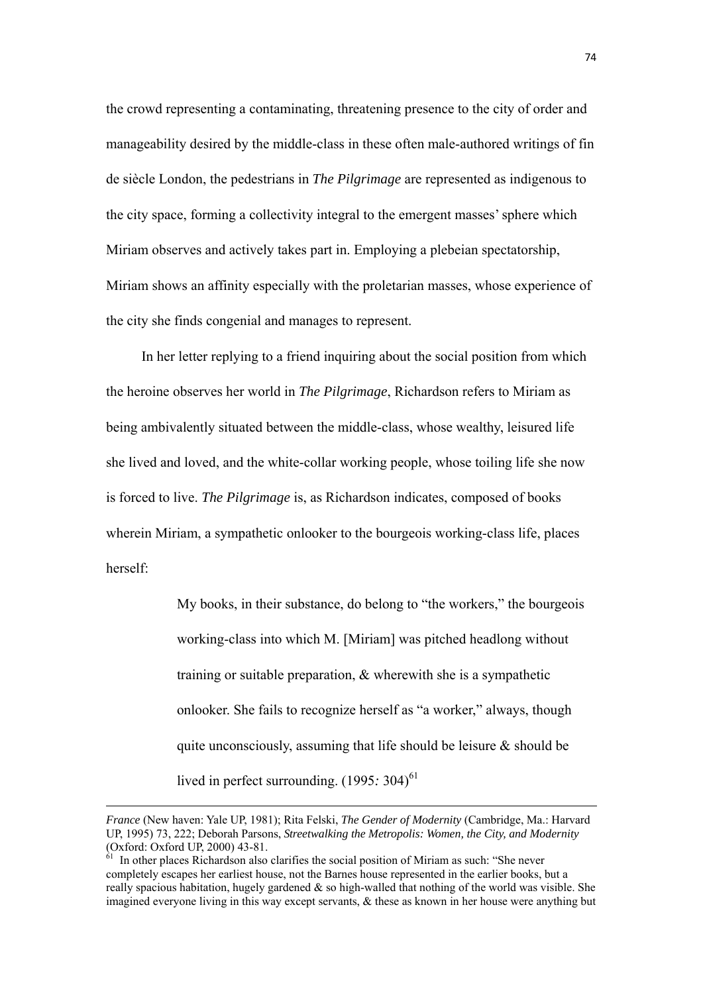the crowd representing a contaminating, threatening presence to the city of order and manageability desired by the middle-class in these often male-authored writings of fin de siècle London, the pedestrians in *The Pilgrimage* are represented as indigenous to the city space, forming a collectivity integral to the emergent masses' sphere which Miriam observes and actively takes part in. Employing a plebeian spectatorship, Miriam shows an affinity especially with the proletarian masses, whose experience of the city she finds congenial and manages to represent.

In her letter replying to a friend inquiring about the social position from which the heroine observes her world in *The Pilgrimage*, Richardson refers to Miriam as being ambivalently situated between the middle-class, whose wealthy, leisured life she lived and loved, and the white-collar working people, whose toiling life she now is forced to live. *The Pilgrimage* is, as Richardson indicates, composed of books wherein Miriam, a sympathetic onlooker to the bourgeois working-class life, places herself:

> My books, in their substance, do belong to "the workers," the bourgeois working-class into which M. [Miriam] was pitched headlong without training or suitable preparation, & wherewith she is a sympathetic onlooker. She fails to recognize herself as "a worker," always, though quite unconsciously, assuming that life should be leisure  $\&$  should be lived in perfect surrounding.  $(1995: 304)^{61}$

<u> 1989 - Johann Barbara, marka a shekara tsara 1989 - An tsara 1989 - An tsara 1989 - An tsara 1989 - An tsara</u>

*France* (New haven: Yale UP, 1981); Rita Felski, *The Gender of Modernity* (Cambridge, Ma.: Harvard UP, 1995) 73, 222; Deborah Parsons, *Streetwalking the Metropolis: Women, the City, and Modernity* (Oxford: Oxford UP, 2000) 43-81.

<sup>&</sup>lt;sup>61</sup> In other places Richardson also clarifies the social position of Miriam as such: "She never completely escapes her earliest house, not the Barnes house represented in the earlier books, but a really spacious habitation, hugely gardened  $\&$  so high-walled that nothing of the world was visible. She imagined everyone living in this way except servants, & these as known in her house were anything but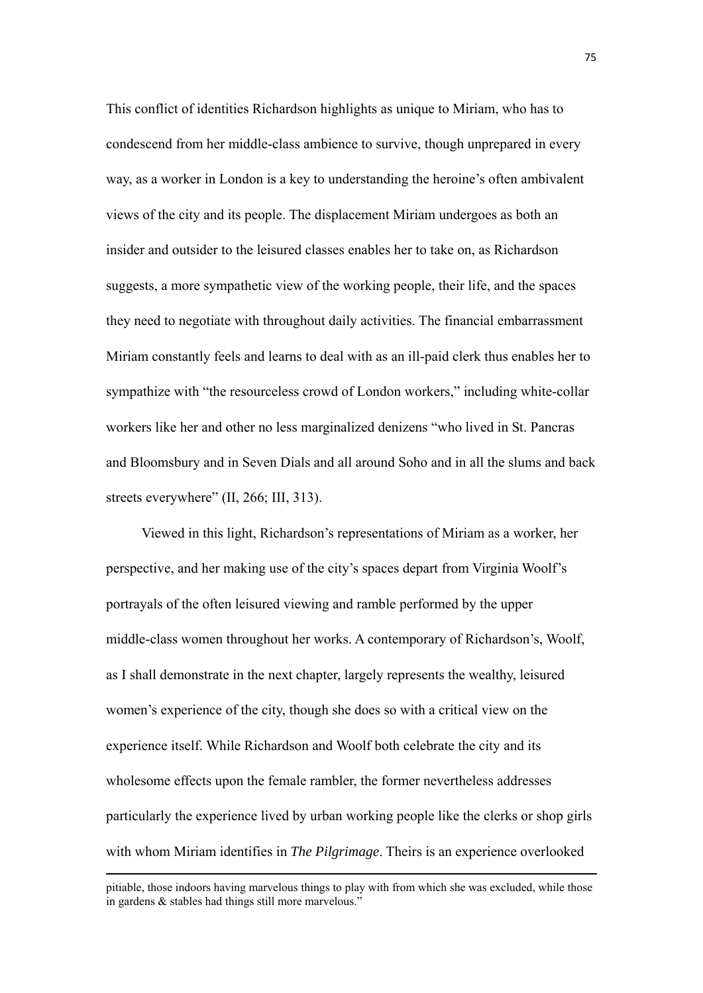This conflict of identities Richardson highlights as unique to Miriam, who has to condescend from her middle-class ambience to survive, though unprepared in every way, as a worker in London is a key to understanding the heroine's often ambivalent views of the city and its people. The displacement Miriam undergoes as both an insider and outsider to the leisured classes enables her to take on, as Richardson suggests, a more sympathetic view of the working people, their life, and the spaces they need to negotiate with throughout daily activities. The financial embarrassment Miriam constantly feels and learns to deal with as an ill-paid clerk thus enables her to sympathize with "the resourceless crowd of London workers," including white-collar workers like her and other no less marginalized denizens "who lived in St. Pancras and Bloomsbury and in Seven Dials and all around Soho and in all the slums and back streets everywhere" (II, 266; III, 313).

Viewed in this light, Richardson's representations of Miriam as a worker, her perspective, and her making use of the city's spaces depart from Virginia Woolf's portrayals of the often leisured viewing and ramble performed by the upper middle-class women throughout her works. A contemporary of Richardson's, Woolf, as I shall demonstrate in the next chapter, largely represents the wealthy, leisured women's experience of the city, though she does so with a critical view on the experience itself. While Richardson and Woolf both celebrate the city and its wholesome effects upon the female rambler, the former nevertheless addresses particularly the experience lived by urban working people like the clerks or shop girls with whom Miriam identifies in *The Pilgrimage*. Theirs is an experience overlooked

<sup>&</sup>lt;u> 1989 - Johann Barbara, marka a shekara tsara 1989 - An tsara 1989 - An tsara 1989 - An tsara 1989 - An tsara</u> pitiable, those indoors having marvelous things to play with from which she was excluded, while those in gardens & stables had things still more marvelous."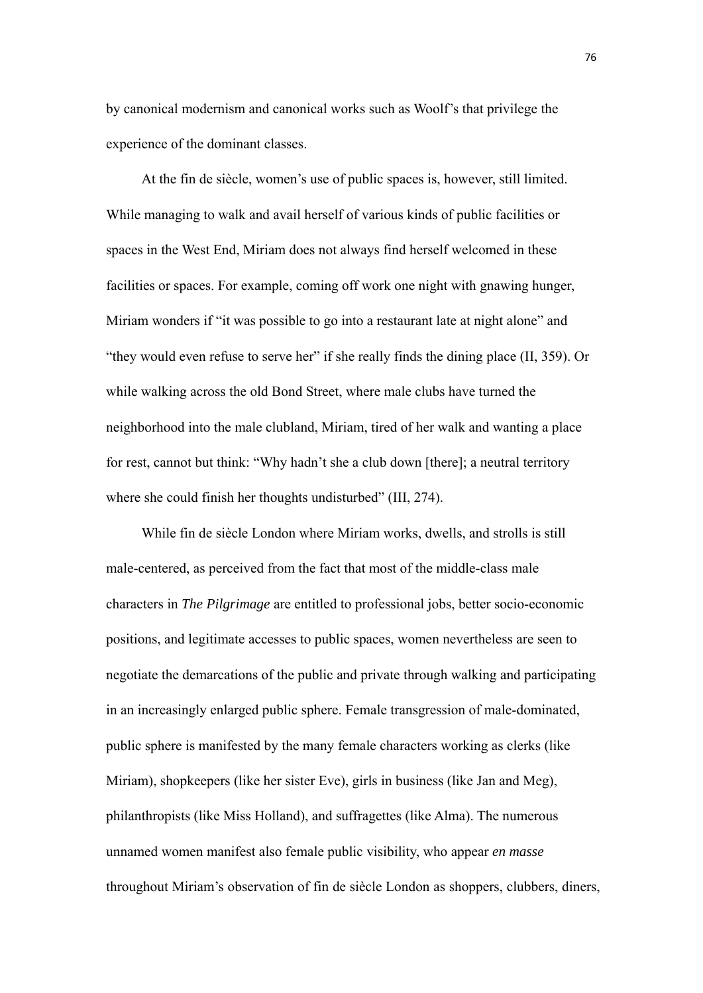by canonical modernism and canonical works such as Woolf's that privilege the experience of the dominant classes.

 At the fin de siècle, women's use of public spaces is, however, still limited. While managing to walk and avail herself of various kinds of public facilities or spaces in the West End, Miriam does not always find herself welcomed in these facilities or spaces. For example, coming off work one night with gnawing hunger, Miriam wonders if "it was possible to go into a restaurant late at night alone" and "they would even refuse to serve her" if she really finds the dining place (II, 359). Or while walking across the old Bond Street, where male clubs have turned the neighborhood into the male clubland, Miriam, tired of her walk and wanting a place for rest, cannot but think: "Why hadn't she a club down [there]; a neutral territory where she could finish her thoughts undisturbed" (III, 274).

 While fin de siècle London where Miriam works, dwells, and strolls is still male-centered, as perceived from the fact that most of the middle-class male characters in *The Pilgrimage* are entitled to professional jobs, better socio-economic positions, and legitimate accesses to public spaces, women nevertheless are seen to negotiate the demarcations of the public and private through walking and participating in an increasingly enlarged public sphere. Female transgression of male-dominated, public sphere is manifested by the many female characters working as clerks (like Miriam), shopkeepers (like her sister Eve), girls in business (like Jan and Meg), philanthropists (like Miss Holland), and suffragettes (like Alma). The numerous unnamed women manifest also female public visibility, who appear *en masse* throughout Miriam's observation of fin de siècle London as shoppers, clubbers, diners,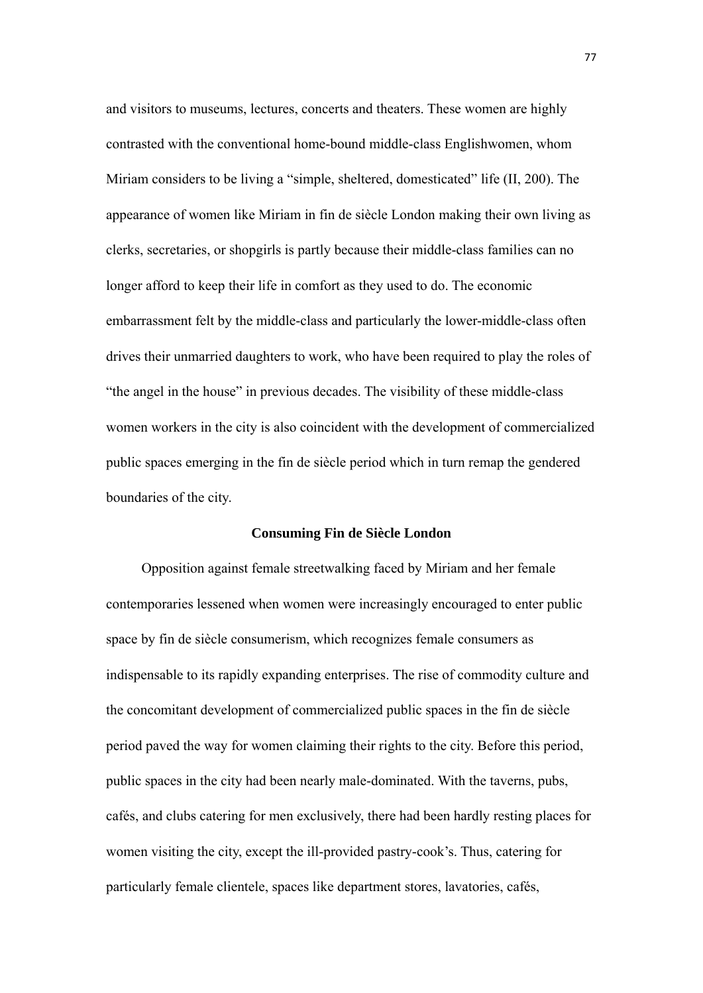and visitors to museums, lectures, concerts and theaters. These women are highly contrasted with the conventional home-bound middle-class Englishwomen, whom Miriam considers to be living a "simple, sheltered, domesticated" life (II, 200). The appearance of women like Miriam in fin de siècle London making their own living as clerks, secretaries, or shopgirls is partly because their middle-class families can no longer afford to keep their life in comfort as they used to do. The economic embarrassment felt by the middle-class and particularly the lower-middle-class often drives their unmarried daughters to work, who have been required to play the roles of "the angel in the house" in previous decades. The visibility of these middle-class women workers in the city is also coincident with the development of commercialized public spaces emerging in the fin de siècle period which in turn remap the gendered boundaries of the city.

# **Consuming Fin de Siècle London**

 Opposition against female streetwalking faced by Miriam and her female contemporaries lessened when women were increasingly encouraged to enter public space by fin de siècle consumerism, which recognizes female consumers as indispensable to its rapidly expanding enterprises. The rise of commodity culture and the concomitant development of commercialized public spaces in the fin de siècle period paved the way for women claiming their rights to the city. Before this period, public spaces in the city had been nearly male-dominated. With the taverns, pubs, cafés, and clubs catering for men exclusively, there had been hardly resting places for women visiting the city, except the ill-provided pastry-cook's. Thus, catering for particularly female clientele, spaces like department stores, lavatories, cafés,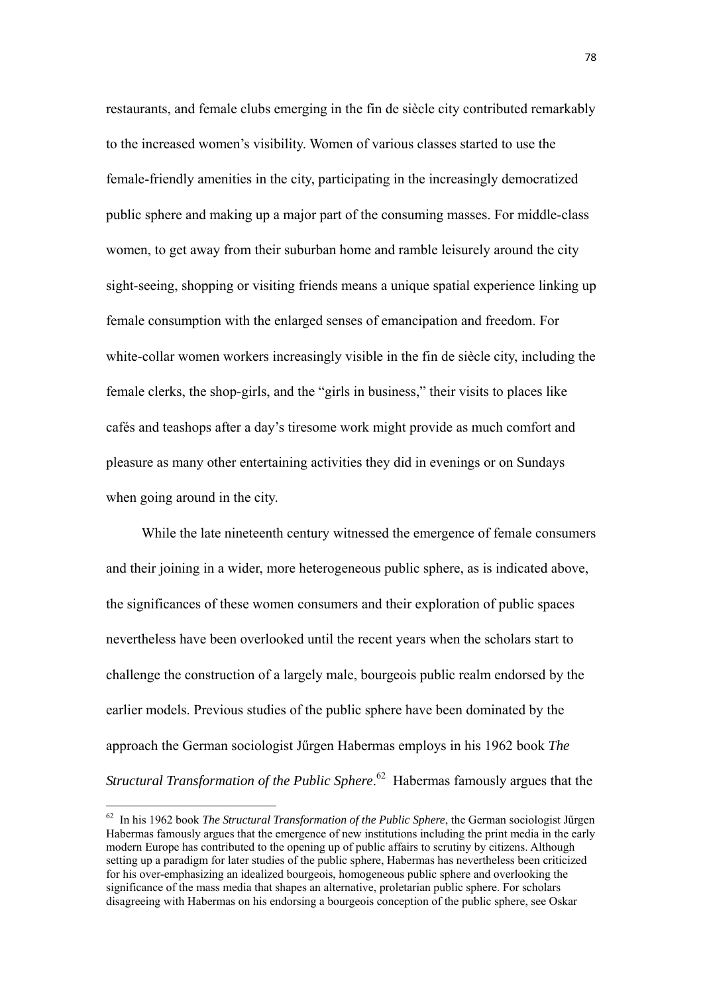restaurants, and female clubs emerging in the fin de siècle city contributed remarkably to the increased women's visibility. Women of various classes started to use the female-friendly amenities in the city, participating in the increasingly democratized public sphere and making up a major part of the consuming masses. For middle-class women, to get away from their suburban home and ramble leisurely around the city sight-seeing, shopping or visiting friends means a unique spatial experience linking up female consumption with the enlarged senses of emancipation and freedom. For white-collar women workers increasingly visible in the fin de siècle city, including the female clerks, the shop-girls, and the "girls in business," their visits to places like cafés and teashops after a day's tiresome work might provide as much comfort and pleasure as many other entertaining activities they did in evenings or on Sundays when going around in the city.

 While the late nineteenth century witnessed the emergence of female consumers and their joining in a wider, more heterogeneous public sphere, as is indicated above, the significances of these women consumers and their exploration of public spaces nevertheless have been overlooked until the recent years when the scholars start to challenge the construction of a largely male, bourgeois public realm endorsed by the earlier models. Previous studies of the public sphere have been dominated by the approach the German sociologist Jűrgen Habermas employs in his 1962 book *The Structural Transformation of the Public Sphere*. 62 Habermas famously argues that the

<sup>62</sup> In his 1962 book *The Structural Transformation of the Public Sphere*, the German sociologist Jűrgen Habermas famously argues that the emergence of new institutions including the print media in the early modern Europe has contributed to the opening up of public affairs to scrutiny by citizens. Although setting up a paradigm for later studies of the public sphere, Habermas has nevertheless been criticized for his over-emphasizing an idealized bourgeois, homogeneous public sphere and overlooking the significance of the mass media that shapes an alternative, proletarian public sphere. For scholars disagreeing with Habermas on his endorsing a bourgeois conception of the public sphere, see Oskar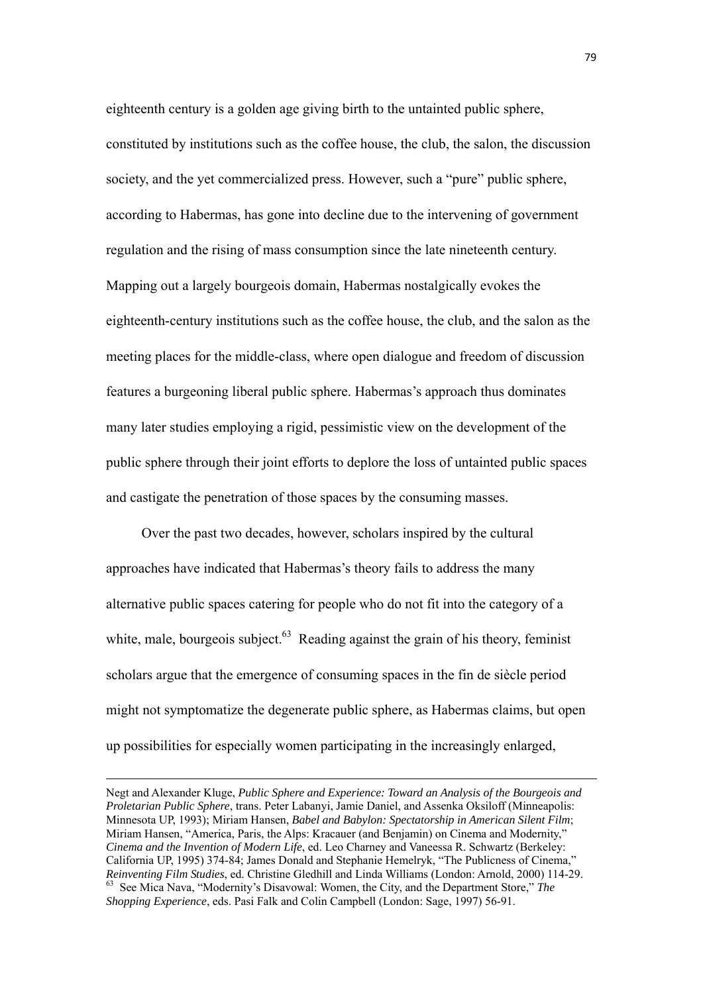eighteenth century is a golden age giving birth to the untainted public sphere, constituted by institutions such as the coffee house, the club, the salon, the discussion society, and the yet commercialized press. However, such a "pure" public sphere, according to Habermas, has gone into decline due to the intervening of government regulation and the rising of mass consumption since the late nineteenth century. Mapping out a largely bourgeois domain, Habermas nostalgically evokes the eighteenth-century institutions such as the coffee house, the club, and the salon as the meeting places for the middle-class, where open dialogue and freedom of discussion features a burgeoning liberal public sphere. Habermas's approach thus dominates many later studies employing a rigid, pessimistic view on the development of the public sphere through their joint efforts to deplore the loss of untainted public spaces and castigate the penetration of those spaces by the consuming masses.

Over the past two decades, however, scholars inspired by the cultural approaches have indicated that Habermas's theory fails to address the many alternative public spaces catering for people who do not fit into the category of a white, male, bourgeois subject. $63$  Reading against the grain of his theory, feminist scholars argue that the emergence of consuming spaces in the fin de siècle period might not symptomatize the degenerate public sphere, as Habermas claims, but open up possibilities for especially women participating in the increasingly enlarged,

Negt and Alexander Kluge, *Public Sphere and Experience: Toward an Analysis of the Bourgeois and Proletarian Public Sphere*, trans. Peter Labanyi, Jamie Daniel, and Assenka Oksiloff (Minneapolis: Minnesota UP, 1993); Miriam Hansen, *Babel and Babylon: Spectatorship in American Silent Film*; Miriam Hansen, "America, Paris, the Alps: Kracauer (and Benjamin) on Cinema and Modernity," *Cinema and the Invention of Modern Life*, ed. Leo Charney and Vaneessa R. Schwartz (Berkeley: California UP, 1995) 374-84; James Donald and Stephanie Hemelryk, "The Publicness of Cinema," *Reinventing Film Studies*, ed. Christine Gledhill and Linda Williams (London: Arnold, 2000) 114-29. 63 See Mica Nava, "Modernity's Disavowal: Women, the City, and the Department Store," *The Shopping Experience*, eds. Pasi Falk and Colin Campbell (London: Sage, 1997) 56-91.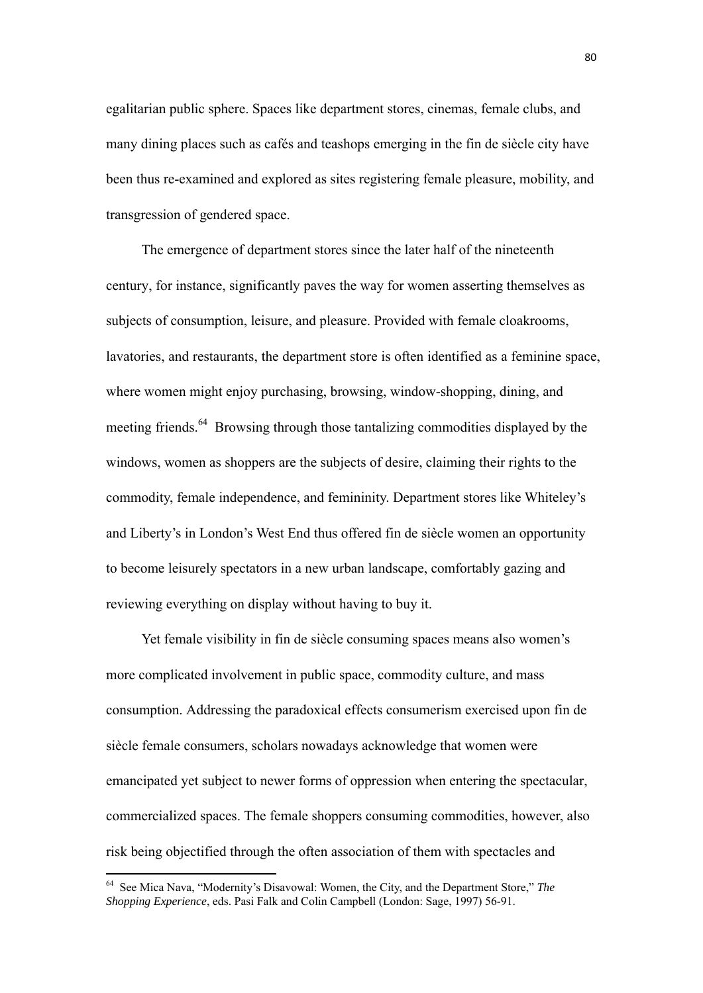egalitarian public sphere. Spaces like department stores, cinemas, female clubs, and many dining places such as cafés and teashops emerging in the fin de siècle city have been thus re-examined and explored as sites registering female pleasure, mobility, and transgression of gendered space.

The emergence of department stores since the later half of the nineteenth century, for instance, significantly paves the way for women asserting themselves as subjects of consumption, leisure, and pleasure. Provided with female cloakrooms, lavatories, and restaurants, the department store is often identified as a feminine space, where women might enjoy purchasing, browsing, window-shopping, dining, and meeting friends.<sup>64</sup> Browsing through those tantalizing commodities displayed by the windows, women as shoppers are the subjects of desire, claiming their rights to the commodity, female independence, and femininity. Department stores like Whiteley's and Liberty's in London's West End thus offered fin de siècle women an opportunity to become leisurely spectators in a new urban landscape, comfortably gazing and reviewing everything on display without having to buy it.

Yet female visibility in fin de siècle consuming spaces means also women's more complicated involvement in public space, commodity culture, and mass consumption. Addressing the paradoxical effects consumerism exercised upon fin de siècle female consumers, scholars nowadays acknowledge that women were emancipated yet subject to newer forms of oppression when entering the spectacular, commercialized spaces. The female shoppers consuming commodities, however, also risk being objectified through the often association of them with spectacles and

<sup>64</sup> See Mica Nava, "Modernity's Disavowal: Women, the City, and the Department Store," *The Shopping Experience*, eds. Pasi Falk and Colin Campbell (London: Sage, 1997) 56-91.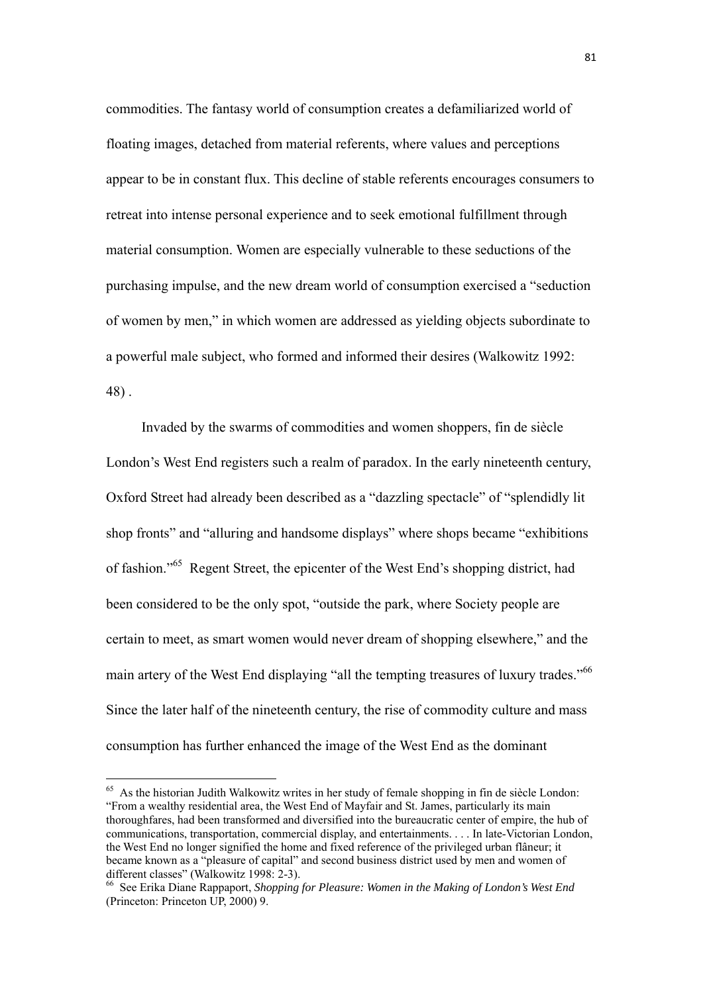commodities. The fantasy world of consumption creates a defamiliarized world of floating images, detached from material referents, where values and perceptions appear to be in constant flux. This decline of stable referents encourages consumers to retreat into intense personal experience and to seek emotional fulfillment through material consumption. Women are especially vulnerable to these seductions of the purchasing impulse, and the new dream world of consumption exercised a "seduction of women by men," in which women are addressed as yielding objects subordinate to a powerful male subject, who formed and informed their desires (Walkowitz 1992: 48) .

 Invaded by the swarms of commodities and women shoppers, fin de siècle London's West End registers such a realm of paradox. In the early nineteenth century, Oxford Street had already been described as a "dazzling spectacle" of "splendidly lit shop fronts" and "alluring and handsome displays" where shops became "exhibitions of fashion."65 Regent Street, the epicenter of the West End's shopping district, had been considered to be the only spot, "outside the park, where Society people are certain to meet, as smart women would never dream of shopping elsewhere," and the main artery of the West End displaying "all the tempting treasures of luxury trades."<sup>66</sup> Since the later half of the nineteenth century, the rise of commodity culture and mass consumption has further enhanced the image of the West End as the dominant

 $65$  As the historian Judith Walkowitz writes in her study of female shopping in fin de siècle London: "From a wealthy residential area, the West End of Mayfair and St. James, particularly its main thoroughfares, had been transformed and diversified into the bureaucratic center of empire, the hub of communications, transportation, commercial display, and entertainments. . . . In late-Victorian London, the West End no longer signified the home and fixed reference of the privileged urban flâneur; it became known as a "pleasure of capital" and second business district used by men and women of different classes" (Walkowitz 1998: 2-3).

<sup>66</sup> See Erika Diane Rappaport, *Shopping for Pleasure: Women in the Making of London's West End* (Princeton: Princeton UP, 2000) 9.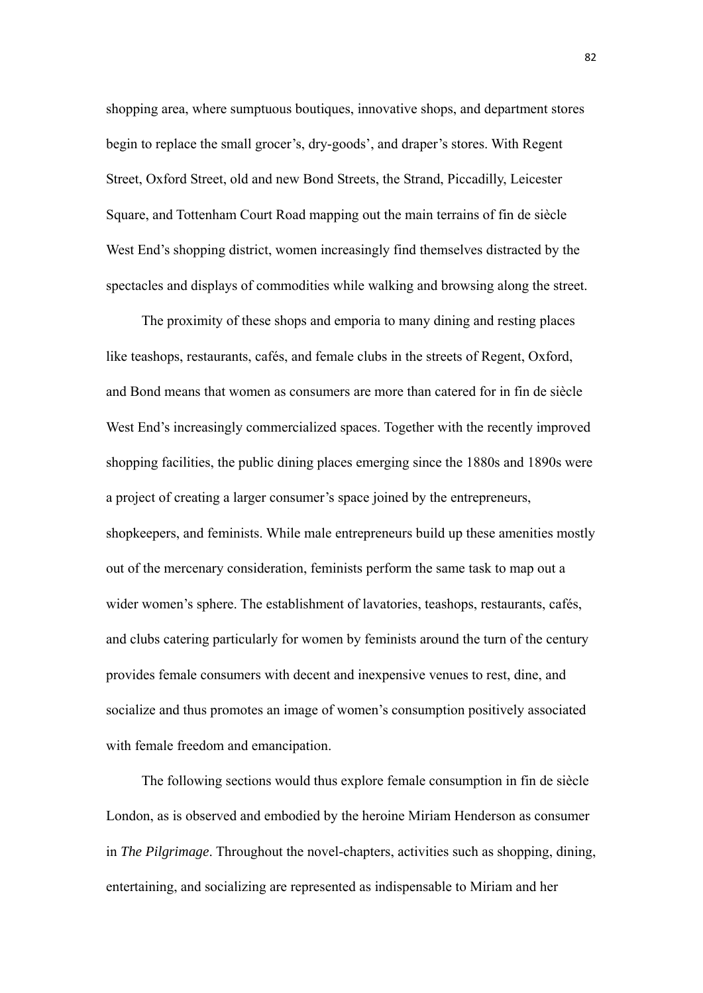shopping area, where sumptuous boutiques, innovative shops, and department stores begin to replace the small grocer's, dry-goods', and draper's stores. With Regent Street, Oxford Street, old and new Bond Streets, the Strand, Piccadilly, Leicester Square, and Tottenham Court Road mapping out the main terrains of fin de siècle West End's shopping district, women increasingly find themselves distracted by the spectacles and displays of commodities while walking and browsing along the street.

 The proximity of these shops and emporia to many dining and resting places like teashops, restaurants, cafés, and female clubs in the streets of Regent, Oxford, and Bond means that women as consumers are more than catered for in fin de siècle West End's increasingly commercialized spaces. Together with the recently improved shopping facilities, the public dining places emerging since the 1880s and 1890s were a project of creating a larger consumer's space joined by the entrepreneurs, shopkeepers, and feminists. While male entrepreneurs build up these amenities mostly out of the mercenary consideration, feminists perform the same task to map out a wider women's sphere. The establishment of lavatories, teashops, restaurants, cafés, and clubs catering particularly for women by feminists around the turn of the century provides female consumers with decent and inexpensive venues to rest, dine, and socialize and thus promotes an image of women's consumption positively associated with female freedom and emancipation.

 The following sections would thus explore female consumption in fin de siècle London, as is observed and embodied by the heroine Miriam Henderson as consumer in *The Pilgrimage*. Throughout the novel-chapters, activities such as shopping, dining, entertaining, and socializing are represented as indispensable to Miriam and her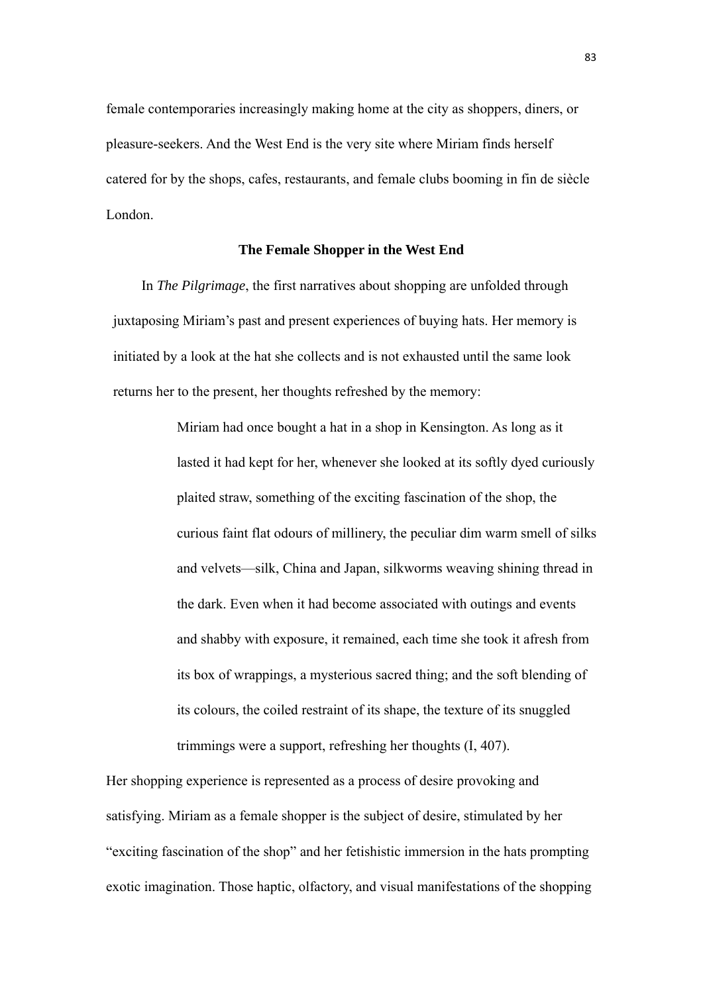female contemporaries increasingly making home at the city as shoppers, diners, or pleasure-seekers. And the West End is the very site where Miriam finds herself catered for by the shops, cafes, restaurants, and female clubs booming in fin de siècle London.

#### **The Female Shopper in the West End**

In *The Pilgrimage*, the first narratives about shopping are unfolded through juxtaposing Miriam's past and present experiences of buying hats. Her memory is initiated by a look at the hat she collects and is not exhausted until the same look returns her to the present, her thoughts refreshed by the memory:

> Miriam had once bought a hat in a shop in Kensington. As long as it lasted it had kept for her, whenever she looked at its softly dyed curiously plaited straw, something of the exciting fascination of the shop, the curious faint flat odours of millinery, the peculiar dim warm smell of silks and velvets—silk, China and Japan, silkworms weaving shining thread in the dark. Even when it had become associated with outings and events and shabby with exposure, it remained, each time she took it afresh from its box of wrappings, a mysterious sacred thing; and the soft blending of its colours, the coiled restraint of its shape, the texture of its snuggled trimmings were a support, refreshing her thoughts (I, 407).

Her shopping experience is represented as a process of desire provoking and satisfying. Miriam as a female shopper is the subject of desire, stimulated by her "exciting fascination of the shop" and her fetishistic immersion in the hats prompting exotic imagination. Those haptic, olfactory, and visual manifestations of the shopping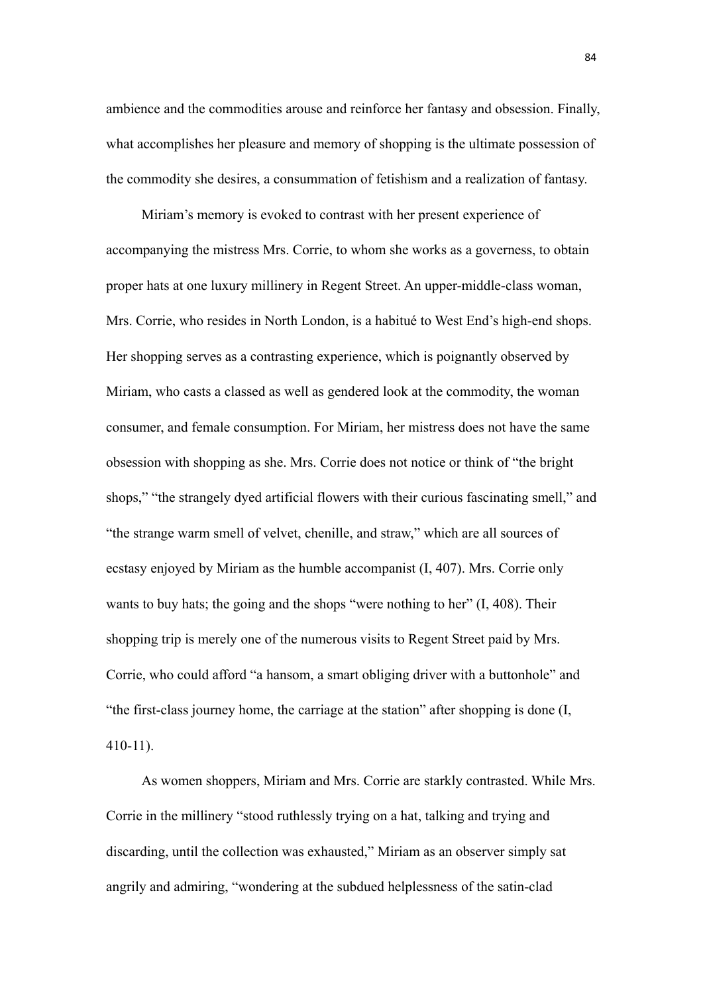ambience and the commodities arouse and reinforce her fantasy and obsession. Finally, what accomplishes her pleasure and memory of shopping is the ultimate possession of the commodity she desires, a consummation of fetishism and a realization of fantasy.

 Miriam's memory is evoked to contrast with her present experience of accompanying the mistress Mrs. Corrie, to whom she works as a governess, to obtain proper hats at one luxury millinery in Regent Street. An upper-middle-class woman, Mrs. Corrie, who resides in North London, is a habitué to West End's high-end shops. Her shopping serves as a contrasting experience, which is poignantly observed by Miriam, who casts a classed as well as gendered look at the commodity, the woman consumer, and female consumption. For Miriam, her mistress does not have the same obsession with shopping as she. Mrs. Corrie does not notice or think of "the bright shops," "the strangely dyed artificial flowers with their curious fascinating smell," and "the strange warm smell of velvet, chenille, and straw," which are all sources of ecstasy enjoyed by Miriam as the humble accompanist (I, 407). Mrs. Corrie only wants to buy hats; the going and the shops "were nothing to her" (I, 408). Their shopping trip is merely one of the numerous visits to Regent Street paid by Mrs. Corrie, who could afford "a hansom, a smart obliging driver with a buttonhole" and "the first-class journey home, the carriage at the station" after shopping is done (I, 410-11).

As women shoppers, Miriam and Mrs. Corrie are starkly contrasted. While Mrs. Corrie in the millinery "stood ruthlessly trying on a hat, talking and trying and discarding, until the collection was exhausted," Miriam as an observer simply sat angrily and admiring, "wondering at the subdued helplessness of the satin-clad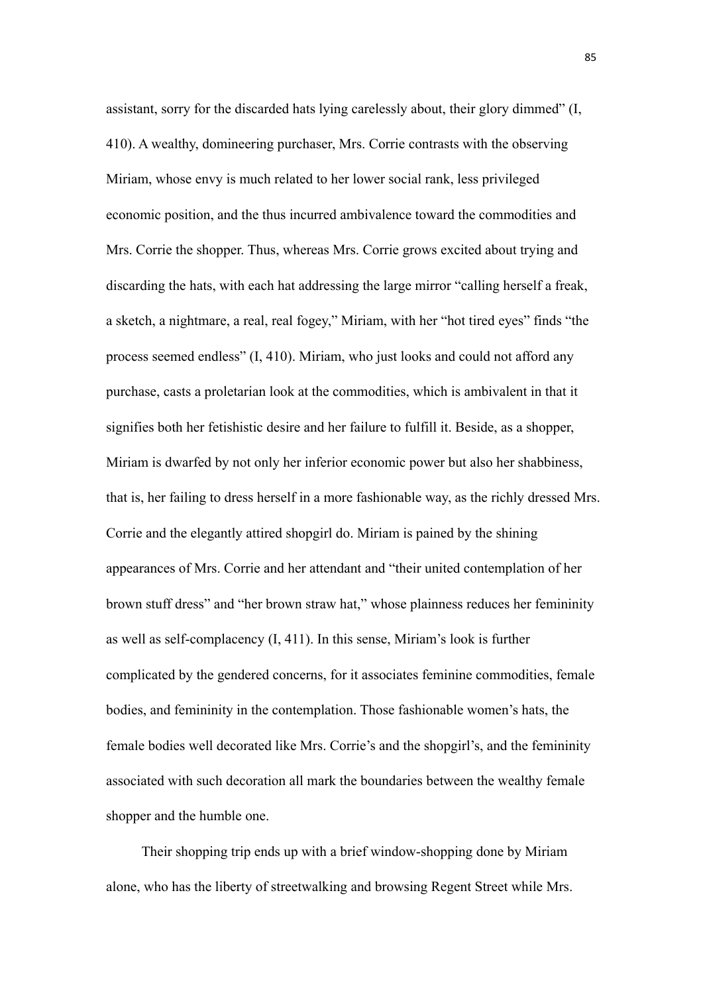assistant, sorry for the discarded hats lying carelessly about, their glory dimmed" (I, 410). A wealthy, domineering purchaser, Mrs. Corrie contrasts with the observing Miriam, whose envy is much related to her lower social rank, less privileged economic position, and the thus incurred ambivalence toward the commodities and Mrs. Corrie the shopper. Thus, whereas Mrs. Corrie grows excited about trying and discarding the hats, with each hat addressing the large mirror "calling herself a freak, a sketch, a nightmare, a real, real fogey," Miriam, with her "hot tired eyes" finds "the process seemed endless" (I, 410). Miriam, who just looks and could not afford any purchase, casts a proletarian look at the commodities, which is ambivalent in that it signifies both her fetishistic desire and her failure to fulfill it. Beside, as a shopper, Miriam is dwarfed by not only her inferior economic power but also her shabbiness, that is, her failing to dress herself in a more fashionable way, as the richly dressed Mrs. Corrie and the elegantly attired shopgirl do. Miriam is pained by the shining appearances of Mrs. Corrie and her attendant and "their united contemplation of her brown stuff dress" and "her brown straw hat," whose plainness reduces her femininity as well as self-complacency (I, 411). In this sense, Miriam's look is further complicated by the gendered concerns, for it associates feminine commodities, female bodies, and femininity in the contemplation. Those fashionable women's hats, the female bodies well decorated like Mrs. Corrie's and the shopgirl's, and the femininity associated with such decoration all mark the boundaries between the wealthy female shopper and the humble one.

Their shopping trip ends up with a brief window-shopping done by Miriam alone, who has the liberty of streetwalking and browsing Regent Street while Mrs.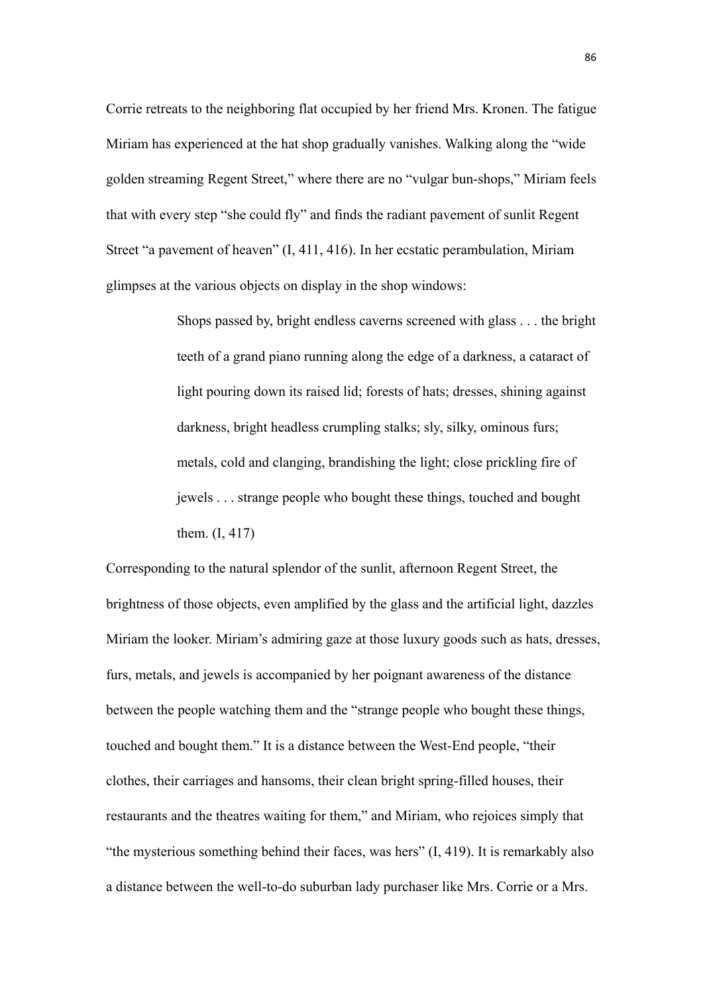Corrie retreats to the neighboring flat occupied by her friend Mrs. Kronen. The fatigue Miriam has experienced at the hat shop gradually vanishes. Walking along the "wide golden streaming Regent Street," where there are no "vulgar bun-shops," Miriam feels that with every step "she could fly" and finds the radiant pavement of sunlit Regent Street "a pavement of heaven" (I, 411, 416). In her ecstatic perambulation, Miriam glimpses at the various objects on display in the shop windows:

> Shops passed by, bright endless caverns screened with glass . . . the bright teeth of a grand piano running along the edge of a darkness, a cataract of light pouring down its raised lid; forests of hats; dresses, shining against darkness, bright headless crumpling stalks; sly, silky, ominous furs; metals, cold and clanging, brandishing the light; close prickling fire of jewels . . . strange people who bought these things, touched and bought them. (I, 417)

Corresponding to the natural splendor of the sunlit, afternoon Regent Street, the brightness of those objects, even amplified by the glass and the artificial light, dazzles Miriam the looker. Miriam's admiring gaze at those luxury goods such as hats, dresses, furs, metals, and jewels is accompanied by her poignant awareness of the distance between the people watching them and the "strange people who bought these things, touched and bought them." It is a distance between the West-End people, "their clothes, their carriages and hansoms, their clean bright spring-filled houses, their restaurants and the theatres waiting for them," and Miriam, who rejoices simply that "the mysterious something behind their faces, was hers" (I, 419). It is remarkably also a distance between the well-to-do suburban lady purchaser like Mrs. Corrie or a Mrs.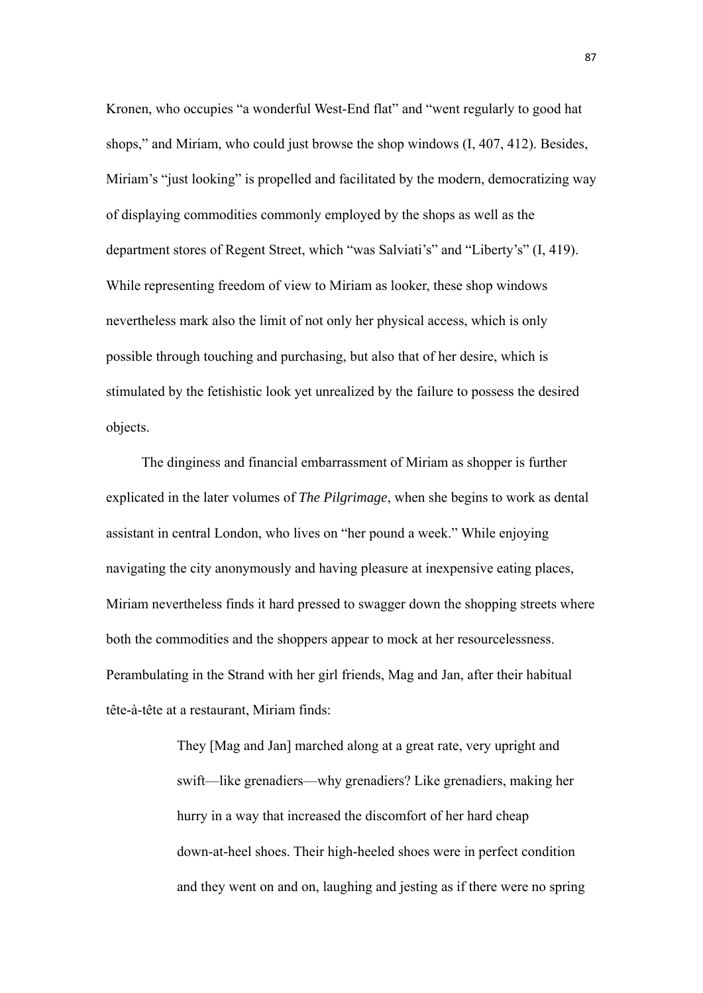Kronen, who occupies "a wonderful West-End flat" and "went regularly to good hat shops," and Miriam, who could just browse the shop windows (I, 407, 412). Besides, Miriam's "just looking" is propelled and facilitated by the modern, democratizing way of displaying commodities commonly employed by the shops as well as the department stores of Regent Street, which "was Salviati's" and "Liberty's" (I, 419). While representing freedom of view to Miriam as looker, these shop windows nevertheless mark also the limit of not only her physical access, which is only possible through touching and purchasing, but also that of her desire, which is stimulated by the fetishistic look yet unrealized by the failure to possess the desired objects.

 The dinginess and financial embarrassment of Miriam as shopper is further explicated in the later volumes of *The Pilgrimage*, when she begins to work as dental assistant in central London, who lives on "her pound a week." While enjoying navigating the city anonymously and having pleasure at inexpensive eating places, Miriam nevertheless finds it hard pressed to swagger down the shopping streets where both the commodities and the shoppers appear to mock at her resourcelessness. Perambulating in the Strand with her girl friends, Mag and Jan, after their habitual tête-à-tête at a restaurant, Miriam finds:

> They [Mag and Jan] marched along at a great rate, very upright and swift—like grenadiers—why grenadiers? Like grenadiers, making her hurry in a way that increased the discomfort of her hard cheap down-at-heel shoes. Their high-heeled shoes were in perfect condition and they went on and on, laughing and jesting as if there were no spring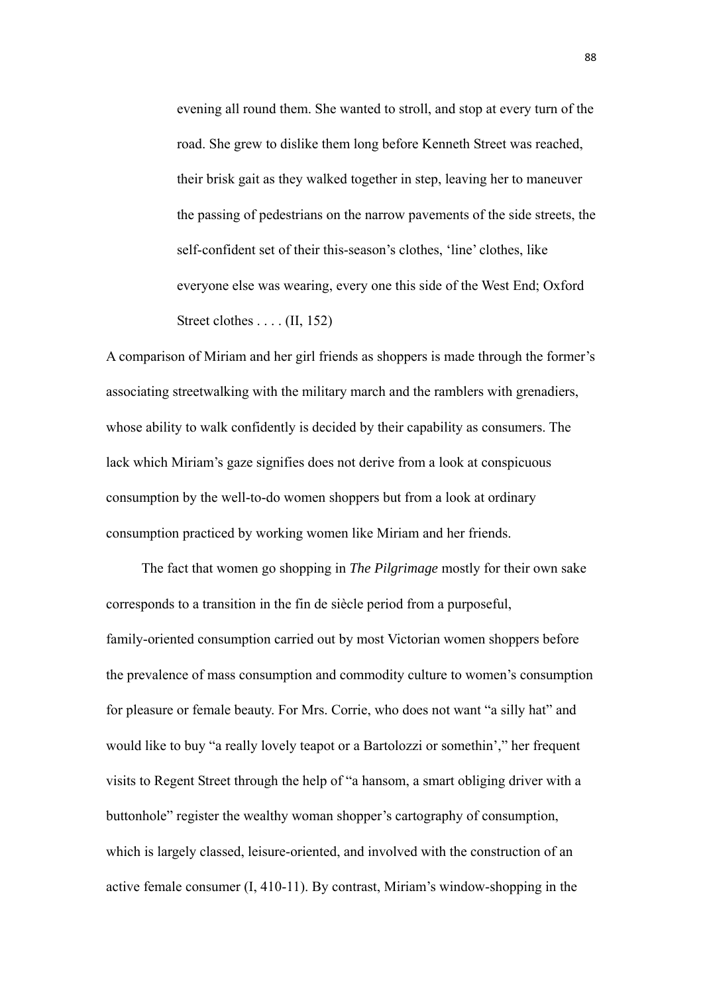evening all round them. She wanted to stroll, and stop at every turn of the road. She grew to dislike them long before Kenneth Street was reached, their brisk gait as they walked together in step, leaving her to maneuver the passing of pedestrians on the narrow pavements of the side streets, the self-confident set of their this-season's clothes, 'line' clothes, like everyone else was wearing, every one this side of the West End; Oxford Street clothes . . . . (II, 152)

A comparison of Miriam and her girl friends as shoppers is made through the former's associating streetwalking with the military march and the ramblers with grenadiers, whose ability to walk confidently is decided by their capability as consumers. The lack which Miriam's gaze signifies does not derive from a look at conspicuous consumption by the well-to-do women shoppers but from a look at ordinary consumption practiced by working women like Miriam and her friends.

 The fact that women go shopping in *The Pilgrimage* mostly for their own sake corresponds to a transition in the fin de siècle period from a purposeful, family-oriented consumption carried out by most Victorian women shoppers before the prevalence of mass consumption and commodity culture to women's consumption for pleasure or female beauty. For Mrs. Corrie, who does not want "a silly hat" and would like to buy "a really lovely teapot or a Bartolozzi or somethin'," her frequent visits to Regent Street through the help of "a hansom, a smart obliging driver with a buttonhole" register the wealthy woman shopper's cartography of consumption, which is largely classed, leisure-oriented, and involved with the construction of an active female consumer (I, 410-11). By contrast, Miriam's window-shopping in the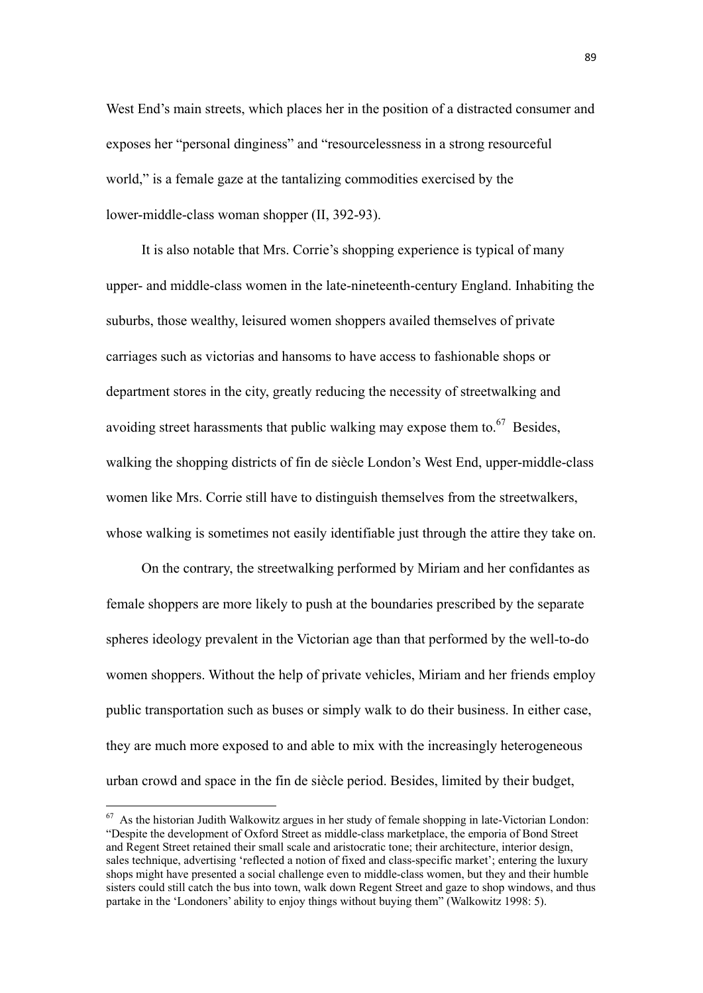West End's main streets, which places her in the position of a distracted consumer and exposes her "personal dinginess" and "resourcelessness in a strong resourceful world," is a female gaze at the tantalizing commodities exercised by the lower-middle-class woman shopper (II, 392-93).

 It is also notable that Mrs. Corrie's shopping experience is typical of many upper- and middle-class women in the late-nineteenth-century England. Inhabiting the suburbs, those wealthy, leisured women shoppers availed themselves of private carriages such as victorias and hansoms to have access to fashionable shops or department stores in the city, greatly reducing the necessity of streetwalking and avoiding street harassments that public walking may expose them to. $67$  Besides, walking the shopping districts of fin de siècle London's West End, upper-middle-class women like Mrs. Corrie still have to distinguish themselves from the streetwalkers, whose walking is sometimes not easily identifiable just through the attire they take on.

 On the contrary, the streetwalking performed by Miriam and her confidantes as female shoppers are more likely to push at the boundaries prescribed by the separate spheres ideology prevalent in the Victorian age than that performed by the well-to-do women shoppers. Without the help of private vehicles, Miriam and her friends employ public transportation such as buses or simply walk to do their business. In either case, they are much more exposed to and able to mix with the increasingly heterogeneous urban crowd and space in the fin de siècle period. Besides, limited by their budget,

 $67$  As the historian Judith Walkowitz argues in her study of female shopping in late-Victorian London: "Despite the development of Oxford Street as middle-class marketplace, the emporia of Bond Street and Regent Street retained their small scale and aristocratic tone; their architecture, interior design, sales technique, advertising 'reflected a notion of fixed and class-specific market'; entering the luxury shops might have presented a social challenge even to middle-class women, but they and their humble sisters could still catch the bus into town, walk down Regent Street and gaze to shop windows, and thus partake in the 'Londoners' ability to enjoy things without buying them" (Walkowitz 1998: 5).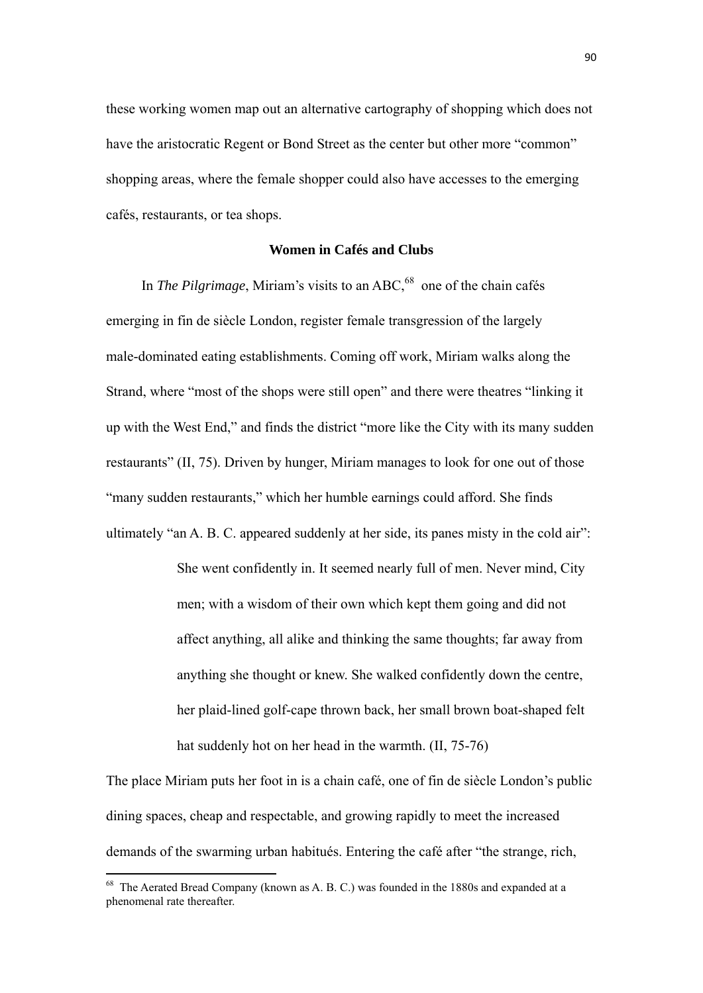these working women map out an alternative cartography of shopping which does not have the aristocratic Regent or Bond Street as the center but other more "common" shopping areas, where the female shopper could also have accesses to the emerging cafés, restaurants, or tea shops.

# **Women in Cafés and Clubs**

In *The Pilgrimage*, Miriam's visits to an ABC,<sup>68</sup> one of the chain cafés emerging in fin de siècle London, register female transgression of the largely male-dominated eating establishments. Coming off work, Miriam walks along the Strand, where "most of the shops were still open" and there were theatres "linking it up with the West End," and finds the district "more like the City with its many sudden restaurants" (II, 75). Driven by hunger, Miriam manages to look for one out of those "many sudden restaurants," which her humble earnings could afford. She finds ultimately "an A. B. C. appeared suddenly at her side, its panes misty in the cold air":

> She went confidently in. It seemed nearly full of men. Never mind, City men; with a wisdom of their own which kept them going and did not affect anything, all alike and thinking the same thoughts; far away from anything she thought or knew. She walked confidently down the centre, her plaid-lined golf-cape thrown back, her small brown boat-shaped felt hat suddenly hot on her head in the warmth. (II, 75-76)

The place Miriam puts her foot in is a chain café, one of fin de siècle London's public dining spaces, cheap and respectable, and growing rapidly to meet the increased demands of the swarming urban habitués. Entering the café after "the strange, rich,

 $68$  The Aerated Bread Company (known as A. B. C.) was founded in the 1880s and expanded at a phenomenal rate thereafter.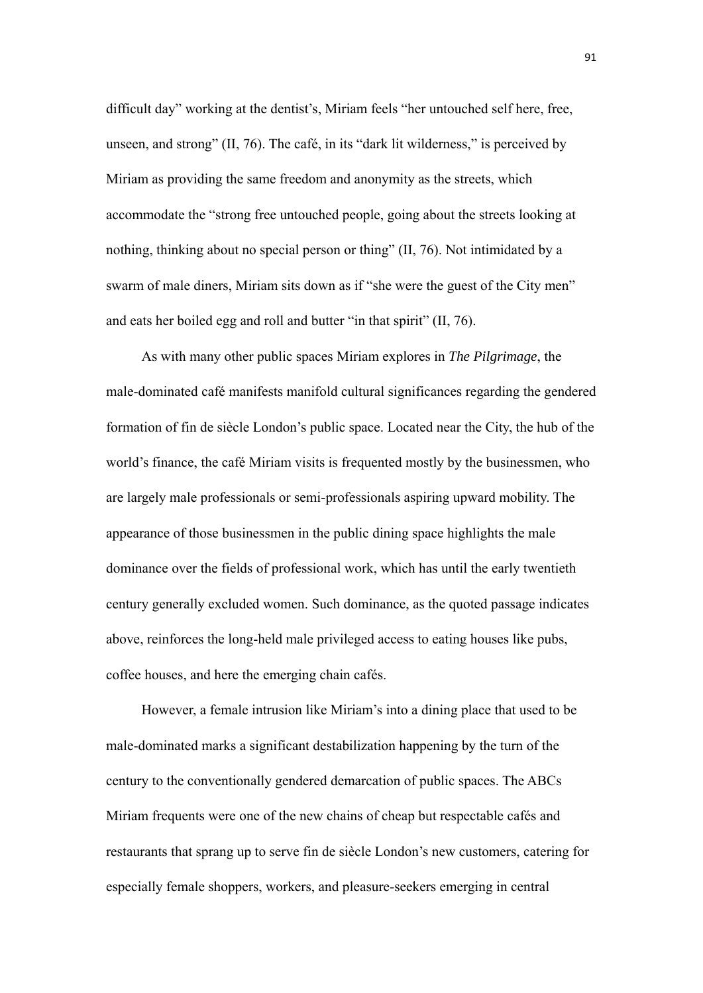difficult day" working at the dentist's, Miriam feels "her untouched self here, free, unseen, and strong" (II, 76). The café, in its "dark lit wilderness," is perceived by Miriam as providing the same freedom and anonymity as the streets, which accommodate the "strong free untouched people, going about the streets looking at nothing, thinking about no special person or thing" (II, 76). Not intimidated by a swarm of male diners, Miriam sits down as if "she were the guest of the City men" and eats her boiled egg and roll and butter "in that spirit" (II, 76).

 As with many other public spaces Miriam explores in *The Pilgrimage*, the male-dominated café manifests manifold cultural significances regarding the gendered formation of fin de siècle London's public space. Located near the City, the hub of the world's finance, the café Miriam visits is frequented mostly by the businessmen, who are largely male professionals or semi-professionals aspiring upward mobility. The appearance of those businessmen in the public dining space highlights the male dominance over the fields of professional work, which has until the early twentieth century generally excluded women. Such dominance, as the quoted passage indicates above, reinforces the long-held male privileged access to eating houses like pubs, coffee houses, and here the emerging chain cafés.

However, a female intrusion like Miriam's into a dining place that used to be male-dominated marks a significant destabilization happening by the turn of the century to the conventionally gendered demarcation of public spaces. The ABCs Miriam frequents were one of the new chains of cheap but respectable cafés and restaurants that sprang up to serve fin de siècle London's new customers, catering for especially female shoppers, workers, and pleasure-seekers emerging in central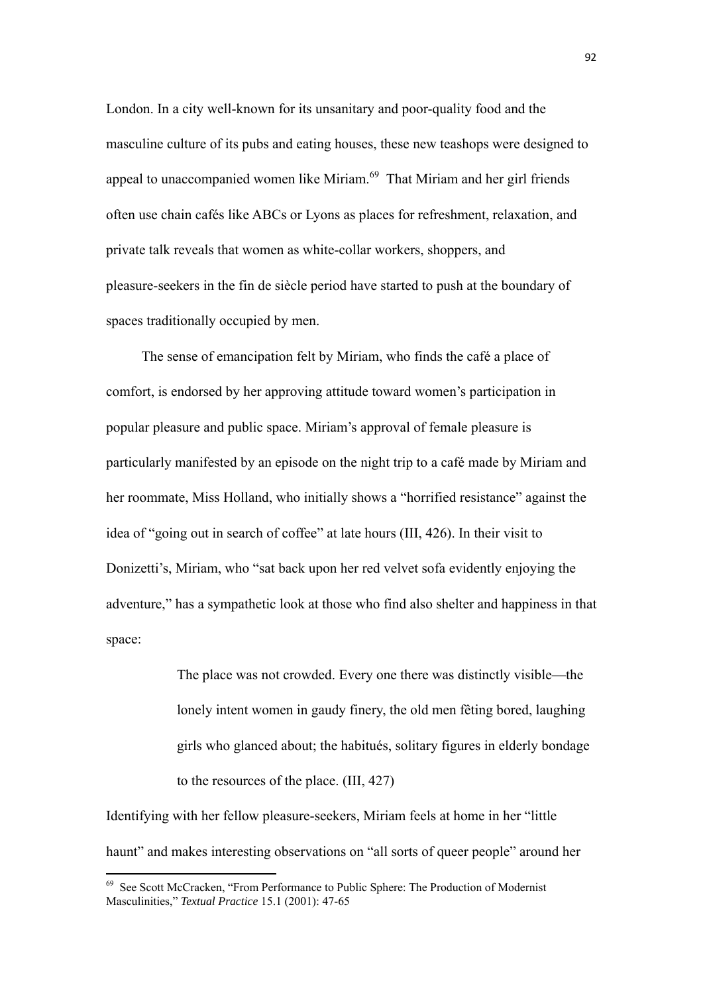London. In a city well-known for its unsanitary and poor-quality food and the masculine culture of its pubs and eating houses, these new teashops were designed to appeal to unaccompanied women like Miriam.69 That Miriam and her girl friends often use chain cafés like ABCs or Lyons as places for refreshment, relaxation, and private talk reveals that women as white-collar workers, shoppers, and pleasure-seekers in the fin de siècle period have started to push at the boundary of spaces traditionally occupied by men.

 The sense of emancipation felt by Miriam, who finds the café a place of comfort, is endorsed by her approving attitude toward women's participation in popular pleasure and public space. Miriam's approval of female pleasure is particularly manifested by an episode on the night trip to a café made by Miriam and her roommate, Miss Holland, who initially shows a "horrified resistance" against the idea of "going out in search of coffee" at late hours (III, 426). In their visit to Donizetti's, Miriam, who "sat back upon her red velvet sofa evidently enjoying the adventure," has a sympathetic look at those who find also shelter and happiness in that space:

> The place was not crowded. Every one there was distinctly visible—the lonely intent women in gaudy finery, the old men fêting bored, laughing girls who glanced about; the habitués, solitary figures in elderly bondage to the resources of the place. (III, 427)

Identifying with her fellow pleasure-seekers, Miriam feels at home in her "little haunt" and makes interesting observations on "all sorts of queer people" around her

<sup>69</sup> See Scott McCracken, "From Performance to Public Sphere: The Production of Modernist Masculinities," *Textual Practice* 15.1 (2001): 47-65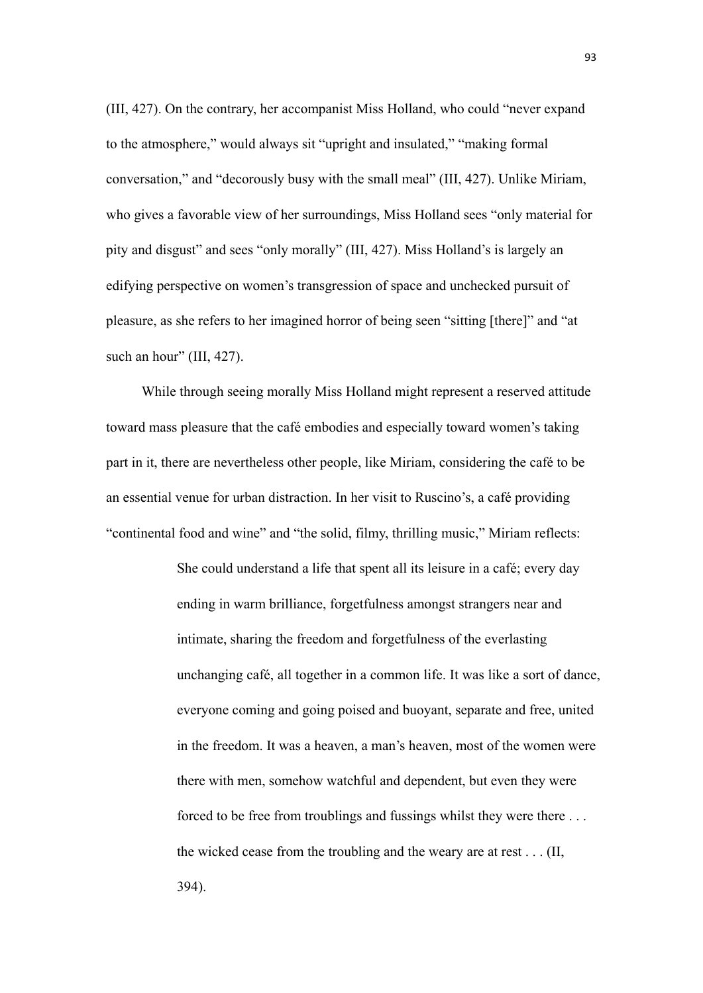(III, 427). On the contrary, her accompanist Miss Holland, who could "never expand to the atmosphere," would always sit "upright and insulated," "making formal conversation," and "decorously busy with the small meal" (III, 427). Unlike Miriam, who gives a favorable view of her surroundings, Miss Holland sees "only material for pity and disgust" and sees "only morally" (III, 427). Miss Holland's is largely an edifying perspective on women's transgression of space and unchecked pursuit of pleasure, as she refers to her imagined horror of being seen "sitting [there]" and "at such an hour" (III, 427).

 While through seeing morally Miss Holland might represent a reserved attitude toward mass pleasure that the café embodies and especially toward women's taking part in it, there are nevertheless other people, like Miriam, considering the café to be an essential venue for urban distraction. In her visit to Ruscino's, a café providing "continental food and wine" and "the solid, filmy, thrilling music," Miriam reflects:

> She could understand a life that spent all its leisure in a café; every day ending in warm brilliance, forgetfulness amongst strangers near and intimate, sharing the freedom and forgetfulness of the everlasting unchanging café, all together in a common life. It was like a sort of dance, everyone coming and going poised and buoyant, separate and free, united in the freedom. It was a heaven, a man's heaven, most of the women were there with men, somehow watchful and dependent, but even they were forced to be free from troublings and fussings whilst they were there . . . the wicked cease from the troubling and the weary are at rest . . . (II, 394).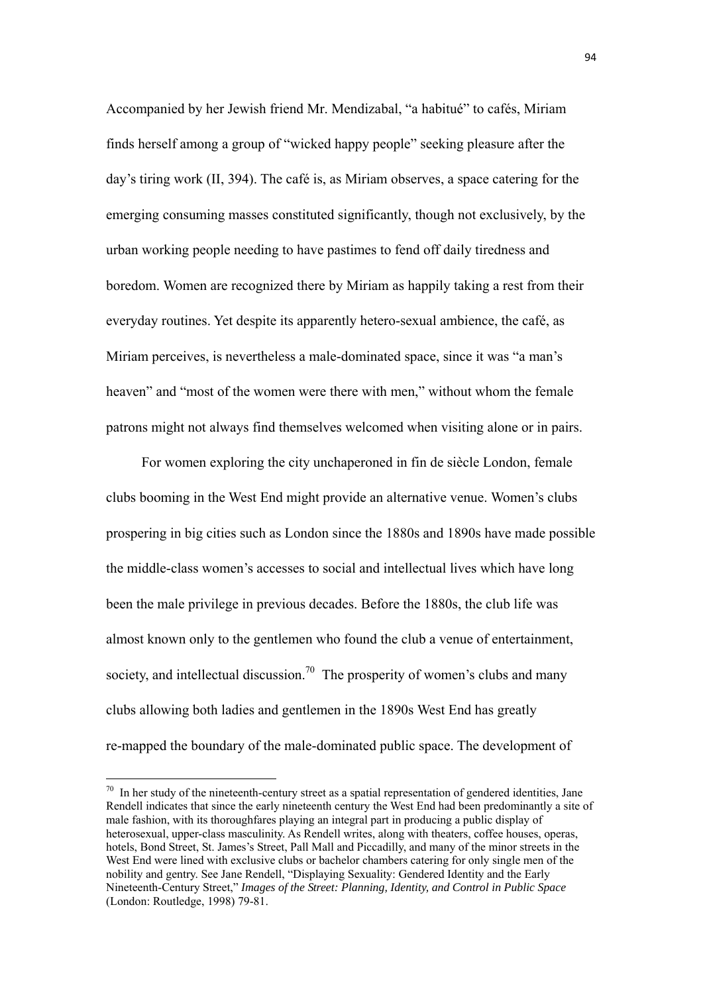Accompanied by her Jewish friend Mr. Mendizabal, "a habitué" to cafés, Miriam finds herself among a group of "wicked happy people" seeking pleasure after the day's tiring work (II, 394). The café is, as Miriam observes, a space catering for the emerging consuming masses constituted significantly, though not exclusively, by the urban working people needing to have pastimes to fend off daily tiredness and boredom. Women are recognized there by Miriam as happily taking a rest from their everyday routines. Yet despite its apparently hetero-sexual ambience, the café, as Miriam perceives, is nevertheless a male-dominated space, since it was "a man's heaven" and "most of the women were there with men," without whom the female patrons might not always find themselves welcomed when visiting alone or in pairs.

 For women exploring the city unchaperoned in fin de siècle London, female clubs booming in the West End might provide an alternative venue. Women's clubs prospering in big cities such as London since the 1880s and 1890s have made possible the middle-class women's accesses to social and intellectual lives which have long been the male privilege in previous decades. Before the 1880s, the club life was almost known only to the gentlemen who found the club a venue of entertainment, society, and intellectual discussion.<sup>70</sup> The prosperity of women's clubs and many clubs allowing both ladies and gentlemen in the 1890s West End has greatly re-mapped the boundary of the male-dominated public space. The development of

 $70$  In her study of the nineteenth-century street as a spatial representation of gendered identities, Jane Rendell indicates that since the early nineteenth century the West End had been predominantly a site of male fashion, with its thoroughfares playing an integral part in producing a public display of heterosexual, upper-class masculinity. As Rendell writes, along with theaters, coffee houses, operas, hotels, Bond Street, St. James's Street, Pall Mall and Piccadilly, and many of the minor streets in the West End were lined with exclusive clubs or bachelor chambers catering for only single men of the nobility and gentry. See Jane Rendell, "Displaying Sexuality: Gendered Identity and the Early Nineteenth-Century Street," *Images of the Street: Planning, Identity, and Control in Public Space* (London: Routledge, 1998) 79-81.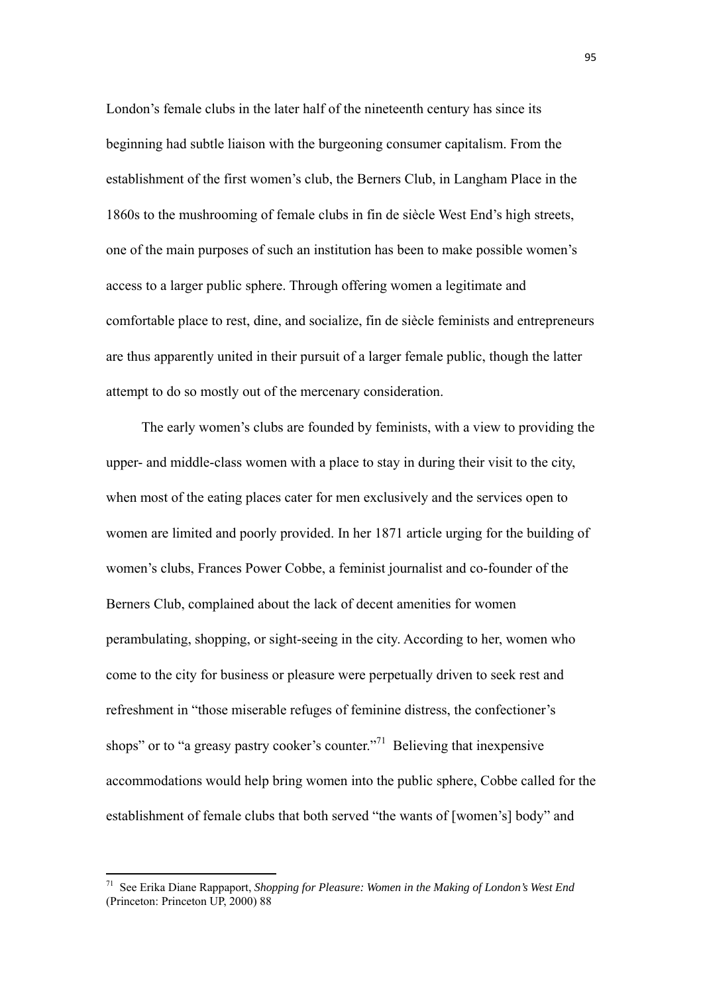London's female clubs in the later half of the nineteenth century has since its beginning had subtle liaison with the burgeoning consumer capitalism. From the establishment of the first women's club, the Berners Club, in Langham Place in the 1860s to the mushrooming of female clubs in fin de siècle West End's high streets, one of the main purposes of such an institution has been to make possible women's access to a larger public sphere. Through offering women a legitimate and comfortable place to rest, dine, and socialize, fin de siècle feminists and entrepreneurs are thus apparently united in their pursuit of a larger female public, though the latter attempt to do so mostly out of the mercenary consideration.

The early women's clubs are founded by feminists, with a view to providing the upper- and middle-class women with a place to stay in during their visit to the city, when most of the eating places cater for men exclusively and the services open to women are limited and poorly provided. In her 1871 article urging for the building of women's clubs, Frances Power Cobbe, a feminist journalist and co-founder of the Berners Club, complained about the lack of decent amenities for women perambulating, shopping, or sight-seeing in the city. According to her, women who come to the city for business or pleasure were perpetually driven to seek rest and refreshment in "those miserable refuges of feminine distress, the confectioner's shops" or to "a greasy pastry cooker's counter."<sup>71</sup> Believing that inexpensive accommodations would help bring women into the public sphere, Cobbe called for the establishment of female clubs that both served "the wants of [women's] body" and

<sup>71</sup> See Erika Diane Rappaport, *Shopping for Pleasure: Women in the Making of London's West End* (Princeton: Princeton UP, 2000) 88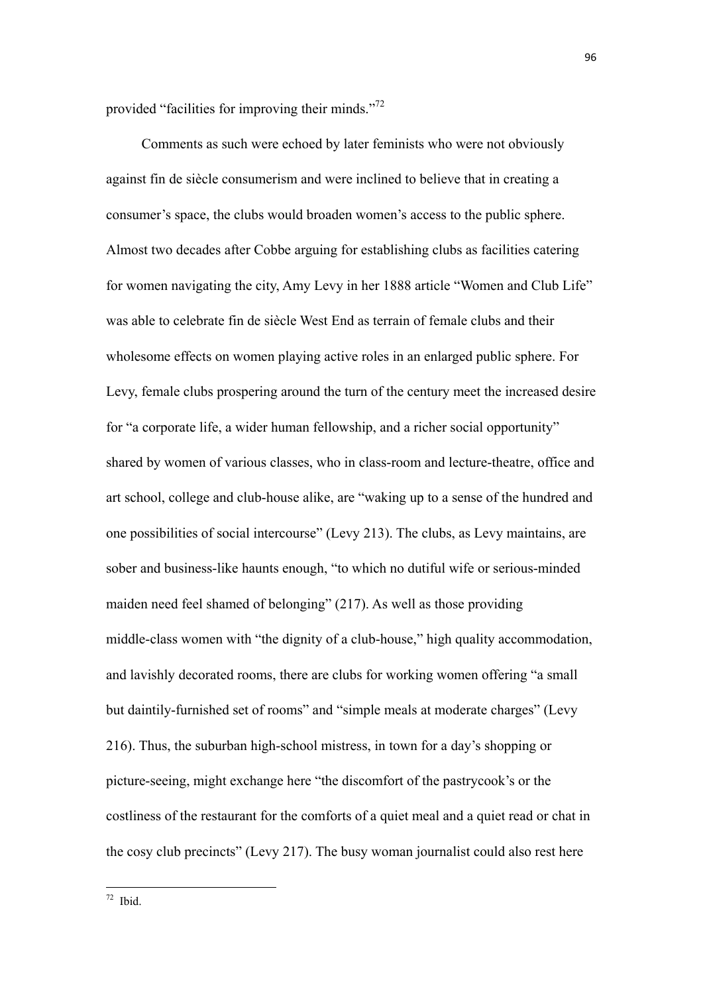provided "facilities for improving their minds."<sup>72</sup>

Comments as such were echoed by later feminists who were not obviously against fin de siècle consumerism and were inclined to believe that in creating a consumer's space, the clubs would broaden women's access to the public sphere. Almost two decades after Cobbe arguing for establishing clubs as facilities catering for women navigating the city, Amy Levy in her 1888 article "Women and Club Life" was able to celebrate fin de siècle West End as terrain of female clubs and their wholesome effects on women playing active roles in an enlarged public sphere. For Levy, female clubs prospering around the turn of the century meet the increased desire for "a corporate life, a wider human fellowship, and a richer social opportunity" shared by women of various classes, who in class-room and lecture-theatre, office and art school, college and club-house alike, are "waking up to a sense of the hundred and one possibilities of social intercourse" (Levy 213). The clubs, as Levy maintains, are sober and business-like haunts enough, "to which no dutiful wife or serious-minded maiden need feel shamed of belonging" (217). As well as those providing middle-class women with "the dignity of a club-house," high quality accommodation, and lavishly decorated rooms, there are clubs for working women offering "a small but daintily-furnished set of rooms" and "simple meals at moderate charges" (Levy 216). Thus, the suburban high-school mistress, in town for a day's shopping or picture-seeing, might exchange here "the discomfort of the pastrycook's or the costliness of the restaurant for the comforts of a quiet meal and a quiet read or chat in the cosy club precincts" (Levy 217). The busy woman journalist could also rest here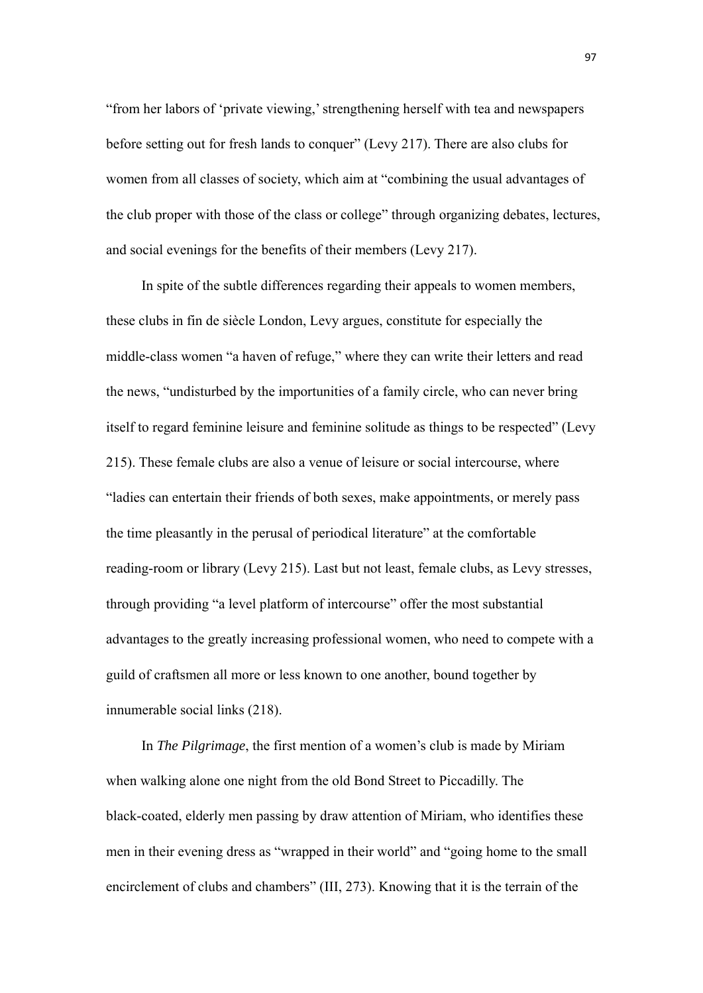"from her labors of 'private viewing,' strengthening herself with tea and newspapers before setting out for fresh lands to conquer" (Levy 217). There are also clubs for women from all classes of society, which aim at "combining the usual advantages of the club proper with those of the class or college" through organizing debates, lectures, and social evenings for the benefits of their members (Levy 217).

In spite of the subtle differences regarding their appeals to women members, these clubs in fin de siècle London, Levy argues, constitute for especially the middle-class women "a haven of refuge," where they can write their letters and read the news, "undisturbed by the importunities of a family circle, who can never bring itself to regard feminine leisure and feminine solitude as things to be respected" (Levy 215). These female clubs are also a venue of leisure or social intercourse, where "ladies can entertain their friends of both sexes, make appointments, or merely pass the time pleasantly in the perusal of periodical literature" at the comfortable reading-room or library (Levy 215). Last but not least, female clubs, as Levy stresses, through providing "a level platform of intercourse" offer the most substantial advantages to the greatly increasing professional women, who need to compete with a guild of craftsmen all more or less known to one another, bound together by innumerable social links (218).

 In *The Pilgrimage*, the first mention of a women's club is made by Miriam when walking alone one night from the old Bond Street to Piccadilly. The black-coated, elderly men passing by draw attention of Miriam, who identifies these men in their evening dress as "wrapped in their world" and "going home to the small encirclement of clubs and chambers" (III, 273). Knowing that it is the terrain of the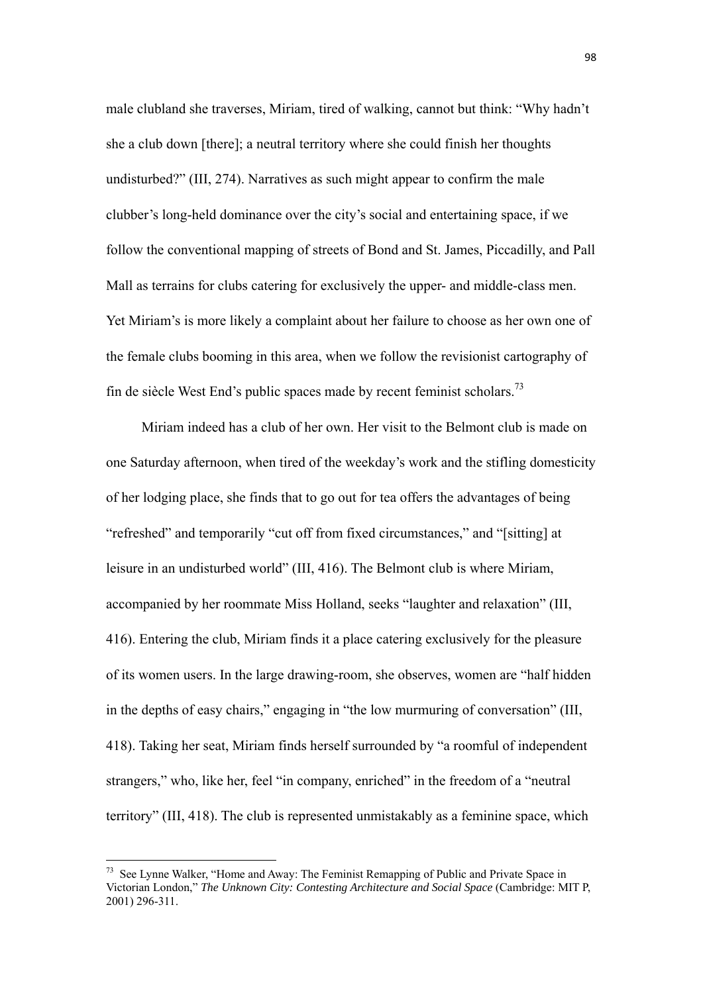male clubland she traverses, Miriam, tired of walking, cannot but think: "Why hadn't she a club down [there]; a neutral territory where she could finish her thoughts undisturbed?" (III, 274). Narratives as such might appear to confirm the male clubber's long-held dominance over the city's social and entertaining space, if we follow the conventional mapping of streets of Bond and St. James, Piccadilly, and Pall Mall as terrains for clubs catering for exclusively the upper- and middle-class men. Yet Miriam's is more likely a complaint about her failure to choose as her own one of the female clubs booming in this area, when we follow the revisionist cartography of fin de siècle West End's public spaces made by recent feminist scholars.<sup>73</sup>

 Miriam indeed has a club of her own. Her visit to the Belmont club is made on one Saturday afternoon, when tired of the weekday's work and the stifling domesticity of her lodging place, she finds that to go out for tea offers the advantages of being "refreshed" and temporarily "cut off from fixed circumstances," and "[sitting] at leisure in an undisturbed world" (III, 416). The Belmont club is where Miriam, accompanied by her roommate Miss Holland, seeks "laughter and relaxation" (III, 416). Entering the club, Miriam finds it a place catering exclusively for the pleasure of its women users. In the large drawing-room, she observes, women are "half hidden in the depths of easy chairs," engaging in "the low murmuring of conversation" (III, 418). Taking her seat, Miriam finds herself surrounded by "a roomful of independent strangers," who, like her, feel "in company, enriched" in the freedom of a "neutral territory" (III, 418). The club is represented unmistakably as a feminine space, which

 $<sup>73</sup>$  See Lynne Walker, "Home and Away: The Feminist Remapping of Public and Private Space in</sup> Victorian London," *The Unknown City: Contesting Architecture and Social Space* (Cambridge: MIT P, 2001) 296-311.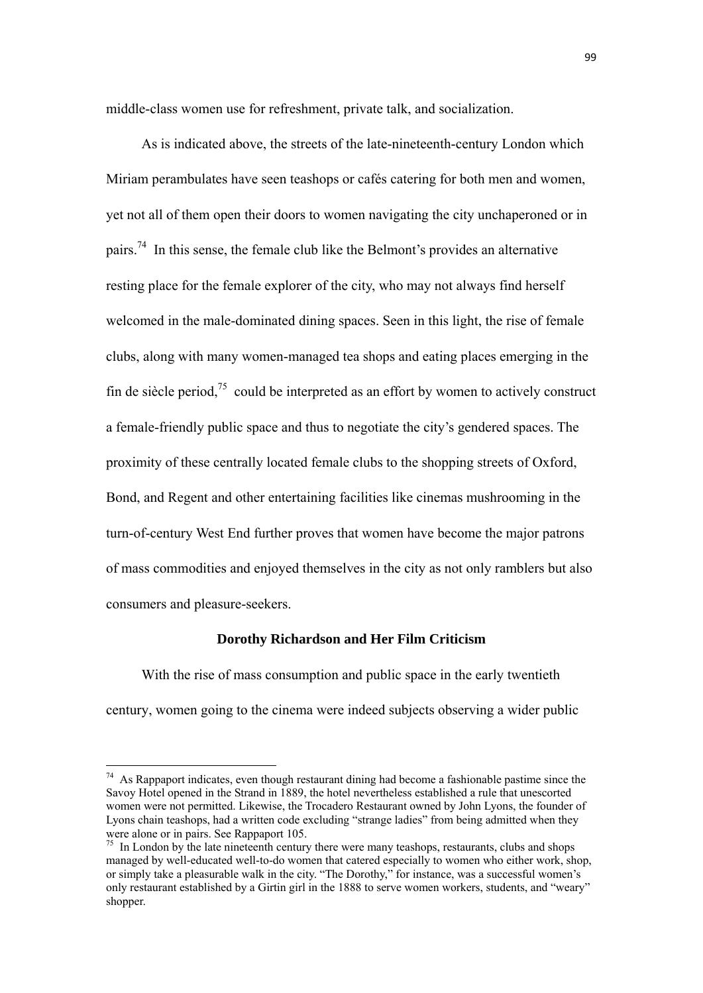middle-class women use for refreshment, private talk, and socialization.

 As is indicated above, the streets of the late-nineteenth-century London which Miriam perambulates have seen teashops or cafés catering for both men and women, yet not all of them open their doors to women navigating the city unchaperoned or in pairs.<sup>74</sup> In this sense, the female club like the Belmont's provides an alternative resting place for the female explorer of the city, who may not always find herself welcomed in the male-dominated dining spaces. Seen in this light, the rise of female clubs, along with many women-managed tea shops and eating places emerging in the fin de siècle period,<sup>75</sup> could be interpreted as an effort by women to actively construct a female-friendly public space and thus to negotiate the city's gendered spaces. The proximity of these centrally located female clubs to the shopping streets of Oxford, Bond, and Regent and other entertaining facilities like cinemas mushrooming in the turn-of-century West End further proves that women have become the major patrons of mass commodities and enjoyed themselves in the city as not only ramblers but also consumers and pleasure-seekers.

# **Dorothy Richardson and Her Film Criticism**

With the rise of mass consumption and public space in the early twentieth century, women going to the cinema were indeed subjects observing a wider public

<sup>&</sup>lt;sup>74</sup> As Rappaport indicates, even though restaurant dining had become a fashionable pastime since the Savoy Hotel opened in the Strand in 1889, the hotel nevertheless established a rule that unescorted women were not permitted. Likewise, the Trocadero Restaurant owned by John Lyons, the founder of Lyons chain teashops, had a written code excluding "strange ladies" from being admitted when they were alone or in pairs. See Rappaport 105.

 $75$  In London by the late nineteenth century there were many teashops, restaurants, clubs and shops managed by well-educated well-to-do women that catered especially to women who either work, shop, or simply take a pleasurable walk in the city. "The Dorothy," for instance, was a successful women's only restaurant established by a Girtin girl in the 1888 to serve women workers, students, and "weary" shopper.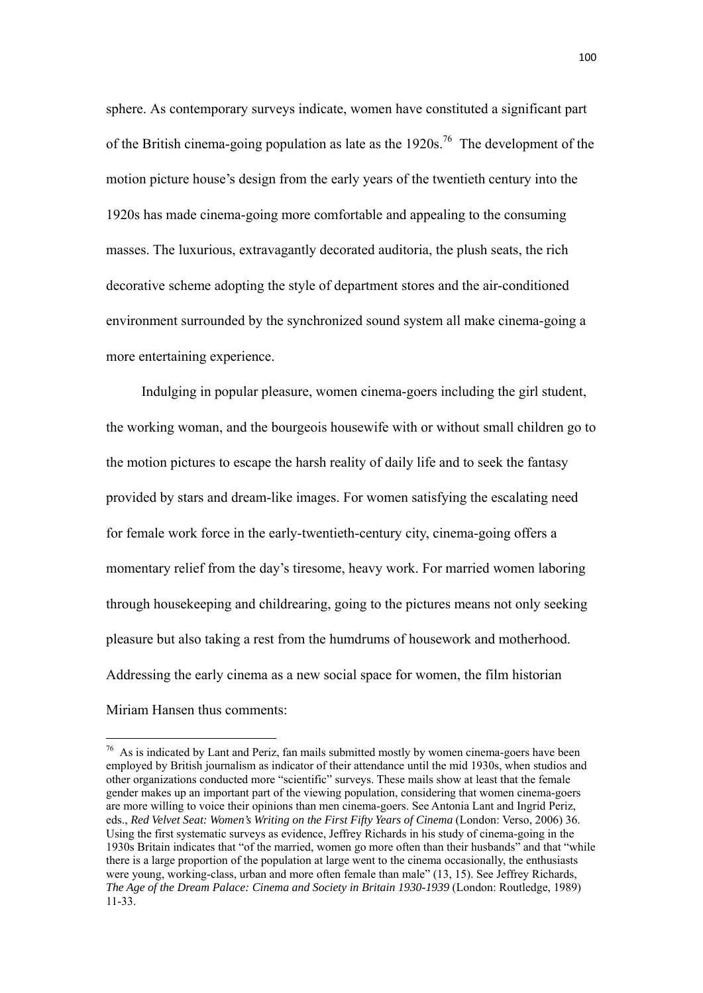sphere. As contemporary surveys indicate, women have constituted a significant part of the British cinema-going population as late as the  $1920s^{76}$  The development of the motion picture house's design from the early years of the twentieth century into the 1920s has made cinema-going more comfortable and appealing to the consuming masses. The luxurious, extravagantly decorated auditoria, the plush seats, the rich decorative scheme adopting the style of department stores and the air-conditioned environment surrounded by the synchronized sound system all make cinema-going a more entertaining experience.

Indulging in popular pleasure, women cinema-goers including the girl student, the working woman, and the bourgeois housewife with or without small children go to the motion pictures to escape the harsh reality of daily life and to seek the fantasy provided by stars and dream-like images. For women satisfying the escalating need for female work force in the early-twentieth-century city, cinema-going offers a momentary relief from the day's tiresome, heavy work. For married women laboring through housekeeping and childrearing, going to the pictures means not only seeking pleasure but also taking a rest from the humdrums of housework and motherhood. Addressing the early cinema as a new social space for women, the film historian Miriam Hansen thus comments:

 $76$  As is indicated by Lant and Periz, fan mails submitted mostly by women cinema-goers have been employed by British journalism as indicator of their attendance until the mid 1930s, when studios and other organizations conducted more "scientific" surveys. These mails show at least that the female gender makes up an important part of the viewing population, considering that women cinema-goers are more willing to voice their opinions than men cinema-goers. See Antonia Lant and Ingrid Periz, eds., *Red Velvet Seat: Women's Writing on the First Fifty Years of Cinema* (London: Verso, 2006) 36. Using the first systematic surveys as evidence, Jeffrey Richards in his study of cinema-going in the 1930s Britain indicates that "of the married, women go more often than their husbands" and that "while there is a large proportion of the population at large went to the cinema occasionally, the enthusiasts were young, working-class, urban and more often female than male" (13, 15). See Jeffrey Richards, *The Age of the Dream Palace: Cinema and Society in Britain 1930-1939* (London: Routledge, 1989) 11-33.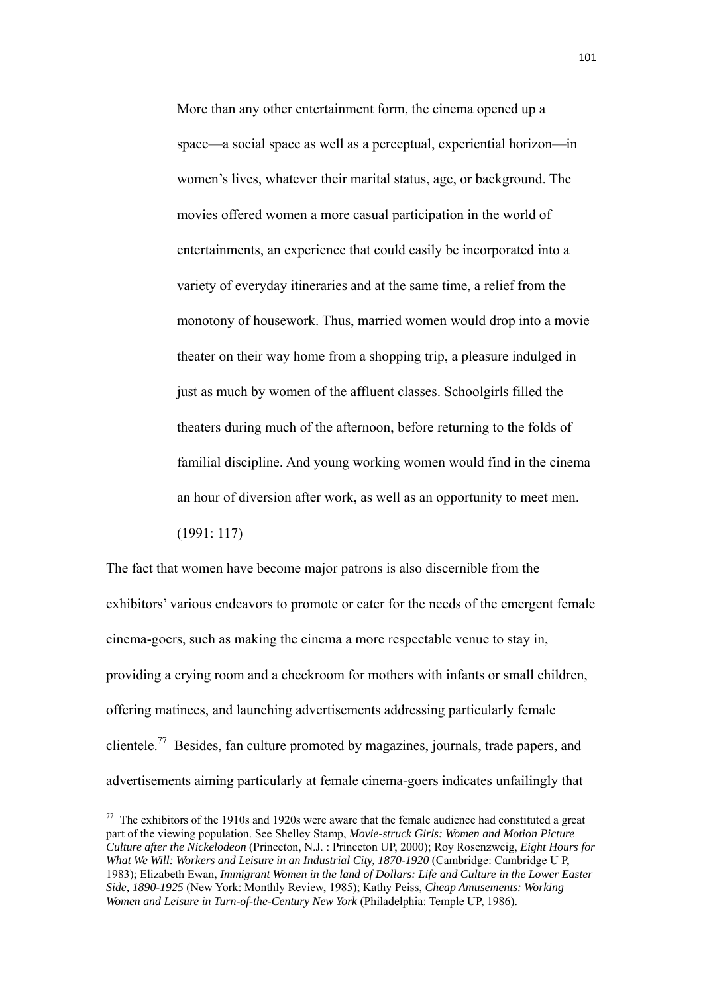More than any other entertainment form, the cinema opened up a space—a social space as well as a perceptual, experiential horizon—in women's lives, whatever their marital status, age, or background. The movies offered women a more casual participation in the world of entertainments, an experience that could easily be incorporated into a variety of everyday itineraries and at the same time, a relief from the monotony of housework. Thus, married women would drop into a movie theater on their way home from a shopping trip, a pleasure indulged in just as much by women of the affluent classes. Schoolgirls filled the theaters during much of the afternoon, before returning to the folds of familial discipline. And young working women would find in the cinema an hour of diversion after work, as well as an opportunity to meet men. (1991: 117)

The fact that women have become major patrons is also discernible from the exhibitors' various endeavors to promote or cater for the needs of the emergent female cinema-goers, such as making the cinema a more respectable venue to stay in, providing a crying room and a checkroom for mothers with infants or small children, offering matinees, and launching advertisements addressing particularly female clientele.77 Besides, fan culture promoted by magazines, journals, trade papers, and advertisements aiming particularly at female cinema-goers indicates unfailingly that

 $77$  The exhibitors of the 1910s and 1920s were aware that the female audience had constituted a great part of the viewing population. See Shelley Stamp, *Movie-struck Girls: Women and Motion Picture Culture after the Nickelodeon* (Princeton, N.J. : Princeton UP, 2000); Roy Rosenzweig, *Eight Hours for What We Will: Workers and Leisure in an Industrial City, 1870-1920* (Cambridge: Cambridge U P, 1983); Elizabeth Ewan, *Immigrant Women in the land of Dollars: Life and Culture in the Lower Easter Side, 1890-1925* (New York: Monthly Review, 1985); Kathy Peiss, *Cheap Amusements: Working Women and Leisure in Turn-of-the-Century New York* (Philadelphia: Temple UP, 1986).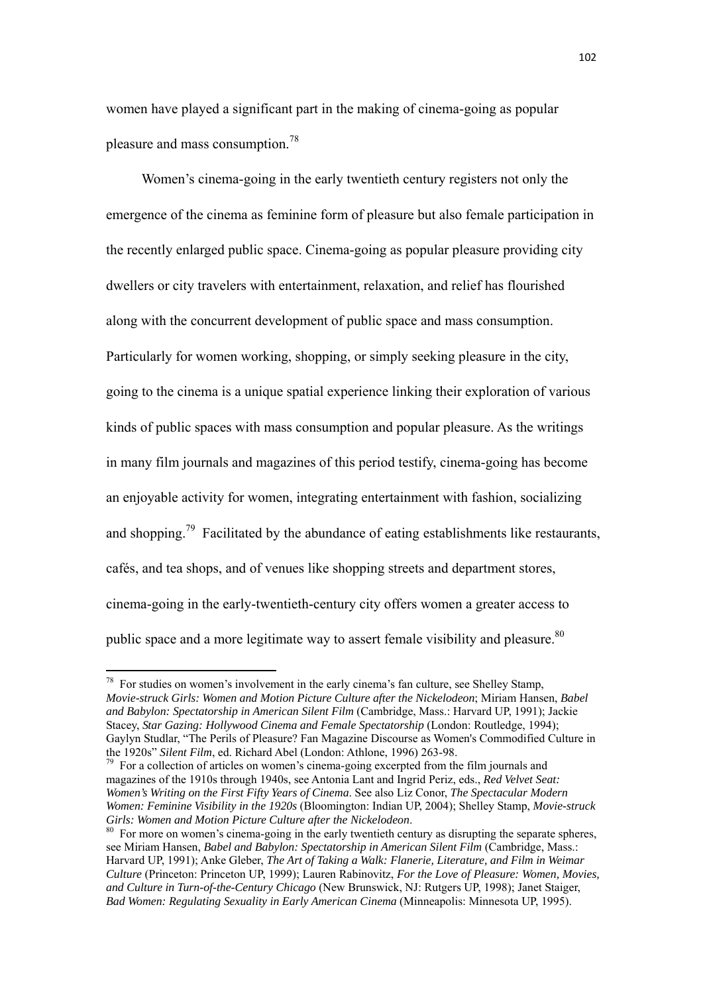women have played a significant part in the making of cinema-going as popular pleasure and mass consumption.<sup>78</sup>

Women's cinema-going in the early twentieth century registers not only the emergence of the cinema as feminine form of pleasure but also female participation in the recently enlarged public space. Cinema-going as popular pleasure providing city dwellers or city travelers with entertainment, relaxation, and relief has flourished along with the concurrent development of public space and mass consumption. Particularly for women working, shopping, or simply seeking pleasure in the city, going to the cinema is a unique spatial experience linking their exploration of various kinds of public spaces with mass consumption and popular pleasure. As the writings in many film journals and magazines of this period testify, cinema-going has become an enjoyable activity for women, integrating entertainment with fashion, socializing and shopping.<sup>79</sup> Facilitated by the abundance of eating establishments like restaurants, cafés, and tea shops, and of venues like shopping streets and department stores, cinema-going in the early-twentieth-century city offers women a greater access to public space and a more legitimate way to assert female visibility and pleasure.<sup>80</sup>

 $78$  For studies on women's involvement in the early cinema's fan culture, see Shelley Stamp. *Movie-struck Girls: Women and Motion Picture Culture after the Nickelodeon*; Miriam Hansen, *Babel and Babylon: Spectatorship in American Silent Film* (Cambridge, Mass.: Harvard UP, 1991); Jackie Stacey, *Star Gazing: Hollywood Cinema and Female Spectatorship* (London: Routledge, 1994); Gaylyn Studlar, "The Perils of Pleasure? Fan Magazine Discourse as Women's Commodified Culture in the 1920s" *Silent Film*, ed. Richard Abel (London: Athlone, 1996) 263-98.<br><sup>79</sup> For a collection of articles on women's cinema-going excerpted from the film journals and

magazines of the 1910s through 1940s, see Antonia Lant and Ingrid Periz, eds., *Red Velvet Seat: Women's Writing on the First Fifty Years of Cinema*. See also Liz Conor, *The Spectacular Modern Women: Feminine Visibility in the 1920s* (Bloomington: Indian UP, 2004); Shelley Stamp, *Movie-struck Girls: Women and Motion Picture Culture after the Nickelodeon.* <sup>80</sup> For more on women's cinema-going in the early twentieth century as disrupting the separate spheres,

see Miriam Hansen, *Babel and Babylon: Spectatorship in American Silent Film* (Cambridge, Mass.: Harvard UP, 1991); Anke Gleber, *The Art of Taking a Walk: Flanerie, Literature, and Film in Weimar Culture* (Princeton: Princeton UP, 1999); Lauren Rabinovitz, *For the Love of Pleasure: Women, Movies, and Culture in Turn-of-the-Century Chicago* (New Brunswick, NJ: Rutgers UP, 1998); Janet Staiger, *Bad Women: Regulating Sexuality in Early American Cinema* (Minneapolis: Minnesota UP, 1995).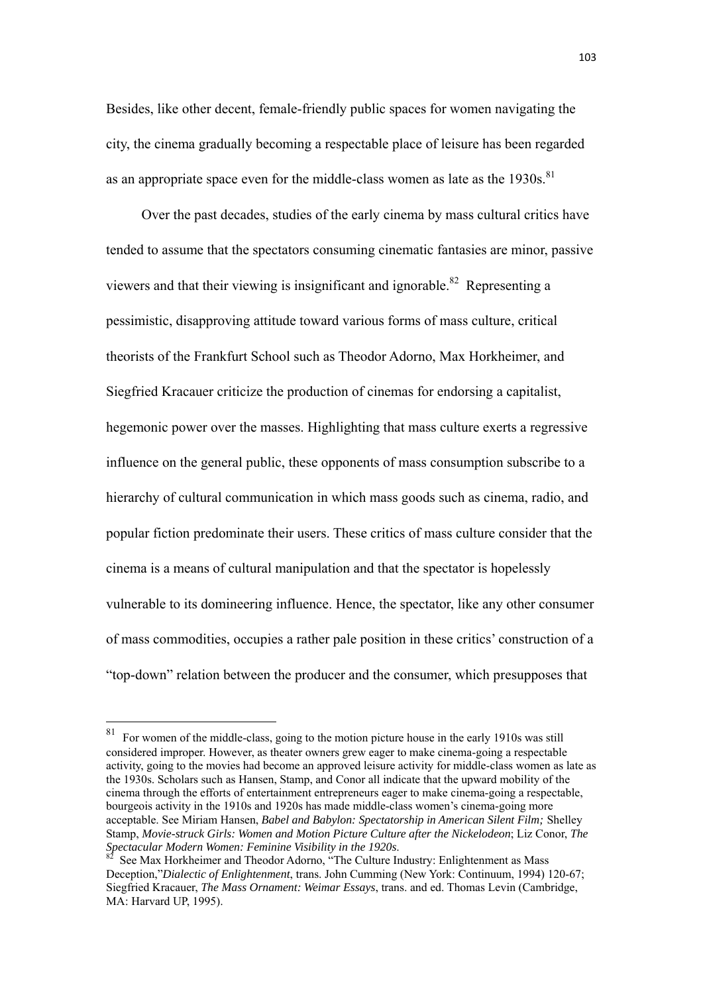Besides, like other decent, female-friendly public spaces for women navigating the city, the cinema gradually becoming a respectable place of leisure has been regarded as an appropriate space even for the middle-class women as late as the  $1930s$ .<sup>81</sup>

Over the past decades, studies of the early cinema by mass cultural critics have tended to assume that the spectators consuming cinematic fantasies are minor, passive viewers and that their viewing is insignificant and ignorable.<sup>82</sup> Representing a pessimistic, disapproving attitude toward various forms of mass culture, critical theorists of the Frankfurt School such as Theodor Adorno, Max Horkheimer, and Siegfried Kracauer criticize the production of cinemas for endorsing a capitalist, hegemonic power over the masses. Highlighting that mass culture exerts a regressive influence on the general public, these opponents of mass consumption subscribe to a hierarchy of cultural communication in which mass goods such as cinema, radio, and popular fiction predominate their users. These critics of mass culture consider that the cinema is a means of cultural manipulation and that the spectator is hopelessly vulnerable to its domineering influence. Hence, the spectator, like any other consumer of mass commodities, occupies a rather pale position in these critics' construction of a "top-down" relation between the producer and the consumer, which presupposes that

 $81$  For women of the middle-class, going to the motion picture house in the early 1910s was still considered improper. However, as theater owners grew eager to make cinema-going a respectable activity, going to the movies had become an approved leisure activity for middle-class women as late as the 1930s. Scholars such as Hansen, Stamp, and Conor all indicate that the upward mobility of the cinema through the efforts of entertainment entrepreneurs eager to make cinema-going a respectable, bourgeois activity in the 1910s and 1920s has made middle-class women's cinema-going more acceptable. See Miriam Hansen, *Babel and Babylon: Spectatorship in American Silent Film;* Shelley Stamp, *Movie-struck Girls: Women and Motion Picture Culture after the Nickelodeon*; Liz Conor, *The* 

*Spectacular Modern Women: Feminine Visibility in the 1920s*. 82 See Max Horkheimer and Theodor Adorno, "The Culture Industry: Enlightenment as Mass Deception,"*Dialectic of Enlightenment*, trans. John Cumming (New York: Continuum, 1994) 120-67; Siegfried Kracauer, *The Mass Ornament: Weimar Essays*, trans. and ed. Thomas Levin (Cambridge, MA: Harvard UP, 1995).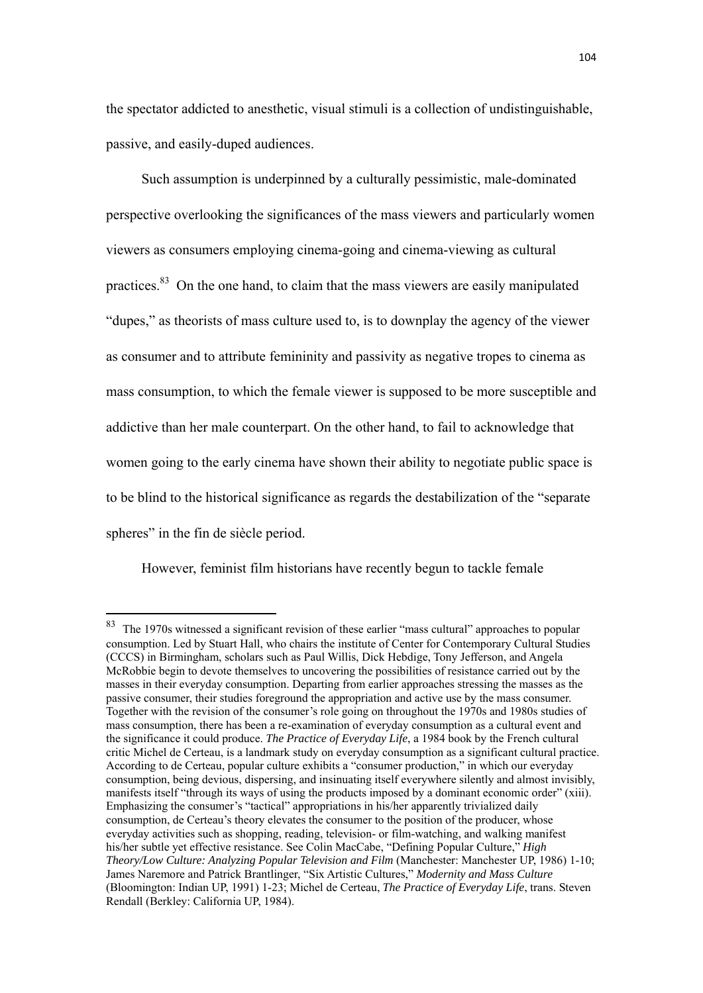the spectator addicted to anesthetic, visual stimuli is a collection of undistinguishable, passive, and easily-duped audiences.

Such assumption is underpinned by a culturally pessimistic, male-dominated perspective overlooking the significances of the mass viewers and particularly women viewers as consumers employing cinema-going and cinema-viewing as cultural practices.83 On the one hand, to claim that the mass viewers are easily manipulated "dupes," as theorists of mass culture used to, is to downplay the agency of the viewer as consumer and to attribute femininity and passivity as negative tropes to cinema as mass consumption, to which the female viewer is supposed to be more susceptible and addictive than her male counterpart. On the other hand, to fail to acknowledge that women going to the early cinema have shown their ability to negotiate public space is to be blind to the historical significance as regards the destabilization of the "separate spheres" in the fin de siècle period.

However, feminist film historians have recently begun to tackle female

 $83$  The 1970s witnessed a significant revision of these earlier "mass cultural" approaches to popular consumption. Led by Stuart Hall, who chairs the institute of Center for Contemporary Cultural Studies (CCCS) in Birmingham, scholars such as Paul Willis, Dick Hebdige, Tony Jefferson, and Angela McRobbie begin to devote themselves to uncovering the possibilities of resistance carried out by the masses in their everyday consumption. Departing from earlier approaches stressing the masses as the passive consumer, their studies foreground the appropriation and active use by the mass consumer. Together with the revision of the consumer's role going on throughout the 1970s and 1980s studies of mass consumption, there has been a re-examination of everyday consumption as a cultural event and the significance it could produce. *The Practice of Everyday Life*, a 1984 book by the French cultural critic Michel de Certeau, is a landmark study on everyday consumption as a significant cultural practice. According to de Certeau, popular culture exhibits a "consumer production," in which our everyday consumption, being devious, dispersing, and insinuating itself everywhere silently and almost invisibly, manifests itself "through its ways of using the products imposed by a dominant economic order" (xiii). Emphasizing the consumer's "tactical" appropriations in his/her apparently trivialized daily consumption, de Certeau's theory elevates the consumer to the position of the producer, whose everyday activities such as shopping, reading, television- or film-watching, and walking manifest his/her subtle yet effective resistance. See Colin MacCabe, "Defining Popular Culture," *High Theory/Low Culture: Analyzing Popular Television and Film* (Manchester: Manchester UP, 1986) 1-10; James Naremore and Patrick Brantlinger, "Six Artistic Cultures," *Modernity and Mass Culture* (Bloomington: Indian UP, 1991) 1-23; Michel de Certeau, *The Practice of Everyday Life*, trans. Steven Rendall (Berkley: California UP, 1984).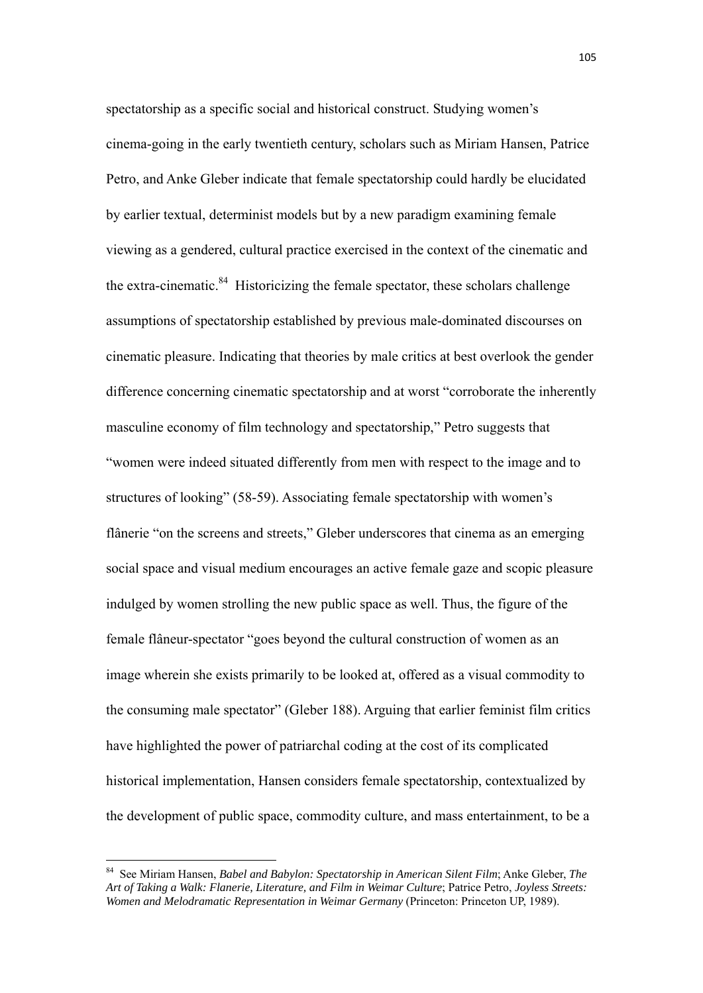spectatorship as a specific social and historical construct. Studying women's cinema-going in the early twentieth century, scholars such as Miriam Hansen, Patrice Petro, and Anke Gleber indicate that female spectatorship could hardly be elucidated by earlier textual, determinist models but by a new paradigm examining female viewing as a gendered, cultural practice exercised in the context of the cinematic and the extra-cinematic. $84$  Historicizing the female spectator, these scholars challenge assumptions of spectatorship established by previous male-dominated discourses on cinematic pleasure. Indicating that theories by male critics at best overlook the gender difference concerning cinematic spectatorship and at worst "corroborate the inherently masculine economy of film technology and spectatorship," Petro suggests that "women were indeed situated differently from men with respect to the image and to structures of looking" (58-59). Associating female spectatorship with women's flânerie "on the screens and streets," Gleber underscores that cinema as an emerging social space and visual medium encourages an active female gaze and scopic pleasure indulged by women strolling the new public space as well. Thus, the figure of the female flâneur-spectator "goes beyond the cultural construction of women as an image wherein she exists primarily to be looked at, offered as a visual commodity to the consuming male spectator" (Gleber 188). Arguing that earlier feminist film critics have highlighted the power of patriarchal coding at the cost of its complicated historical implementation, Hansen considers female spectatorship, contextualized by the development of public space, commodity culture, and mass entertainment, to be a

<sup>84</sup> See Miriam Hansen, *Babel and Babylon: Spectatorship in American Silent Film*; Anke Gleber, *The Art of Taking a Walk: Flanerie, Literature, and Film in Weimar Culture*; Patrice Petro, *Joyless Streets: Women and Melodramatic Representation in Weimar Germany* (Princeton: Princeton UP, 1989).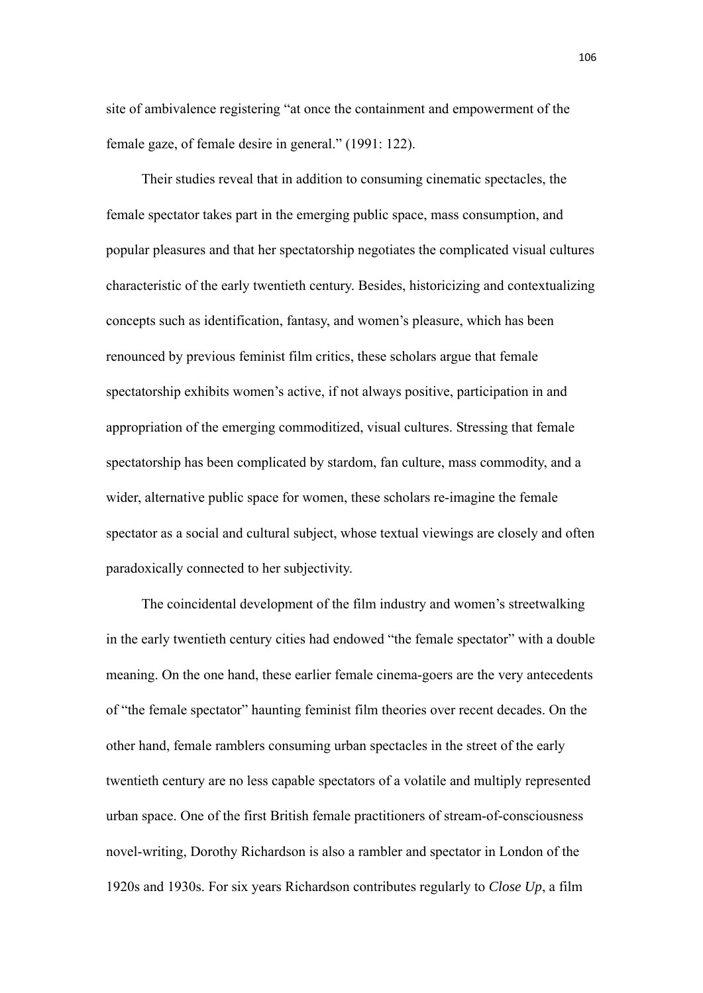site of ambivalence registering "at once the containment and empowerment of the female gaze, of female desire in general." (1991: 122).

Their studies reveal that in addition to consuming cinematic spectacles, the female spectator takes part in the emerging public space, mass consumption, and popular pleasures and that her spectatorship negotiates the complicated visual cultures characteristic of the early twentieth century. Besides, historicizing and contextualizing concepts such as identification, fantasy, and women's pleasure, which has been renounced by previous feminist film critics, these scholars argue that female spectatorship exhibits women's active, if not always positive, participation in and appropriation of the emerging commoditized, visual cultures. Stressing that female spectatorship has been complicated by stardom, fan culture, mass commodity, and a wider, alternative public space for women, these scholars re-imagine the female spectator as a social and cultural subject, whose textual viewings are closely and often paradoxically connected to her subjectivity.

The coincidental development of the film industry and women's streetwalking in the early twentieth century cities had endowed "the female spectator" with a double meaning. On the one hand, these earlier female cinema-goers are the very antecedents of "the female spectator" haunting feminist film theories over recent decades. On the other hand, female ramblers consuming urban spectacles in the street of the early twentieth century are no less capable spectators of a volatile and multiply represented urban space. One of the first British female practitioners of stream-of-consciousness novel-writing, Dorothy Richardson is also a rambler and spectator in London of the 1920s and 1930s. For six years Richardson contributes regularly to *Close Up*, a film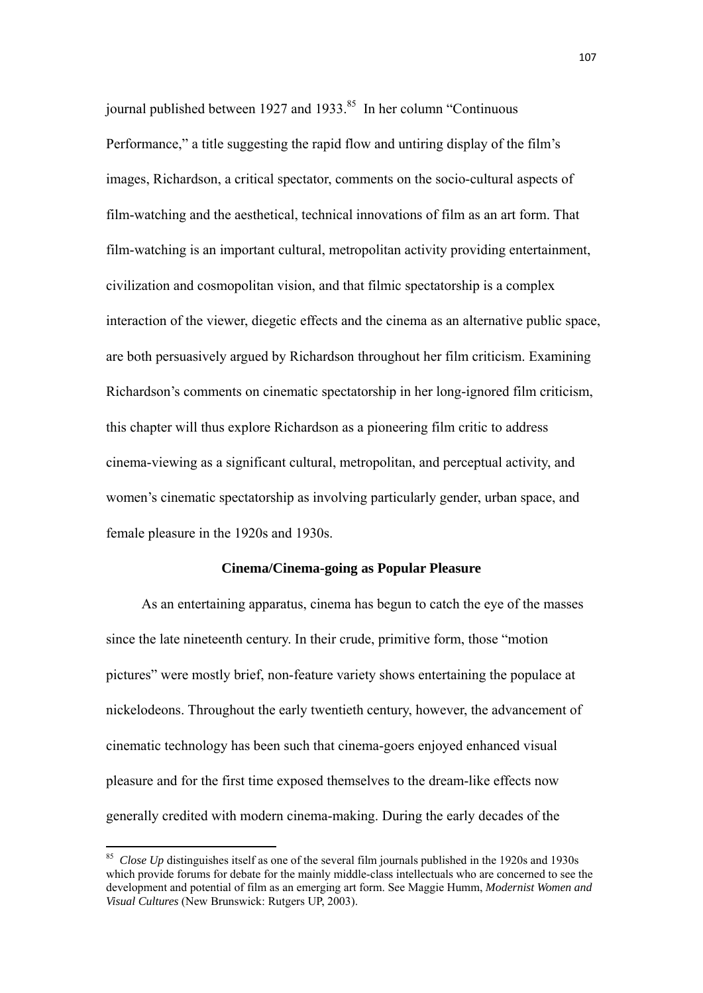journal published between 1927 and 1933. $85$  In her column "Continuous" Performance," a title suggesting the rapid flow and untiring display of the film's images, Richardson, a critical spectator, comments on the socio-cultural aspects of film-watching and the aesthetical, technical innovations of film as an art form. That film-watching is an important cultural, metropolitan activity providing entertainment, civilization and cosmopolitan vision, and that filmic spectatorship is a complex interaction of the viewer, diegetic effects and the cinema as an alternative public space, are both persuasively argued by Richardson throughout her film criticism. Examining Richardson's comments on cinematic spectatorship in her long-ignored film criticism, this chapter will thus explore Richardson as a pioneering film critic to address cinema-viewing as a significant cultural, metropolitan, and perceptual activity, and women's cinematic spectatorship as involving particularly gender, urban space, and female pleasure in the 1920s and 1930s.

### **Cinema/Cinema-going as Popular Pleasure**

As an entertaining apparatus, cinema has begun to catch the eye of the masses since the late nineteenth century. In their crude, primitive form, those "motion pictures" were mostly brief, non-feature variety shows entertaining the populace at nickelodeons. Throughout the early twentieth century, however, the advancement of cinematic technology has been such that cinema-goers enjoyed enhanced visual pleasure and for the first time exposed themselves to the dream-like effects now generally credited with modern cinema-making. During the early decades of the

<sup>&</sup>lt;sup>85</sup> *Close Up* distinguishes itself as one of the several film journals published in the 1920s and 1930s which provide forums for debate for the mainly middle-class intellectuals who are concerned to see the development and potential of film as an emerging art form. See Maggie Humm, *Modernist Women and Visual Cultures* (New Brunswick: Rutgers UP, 2003).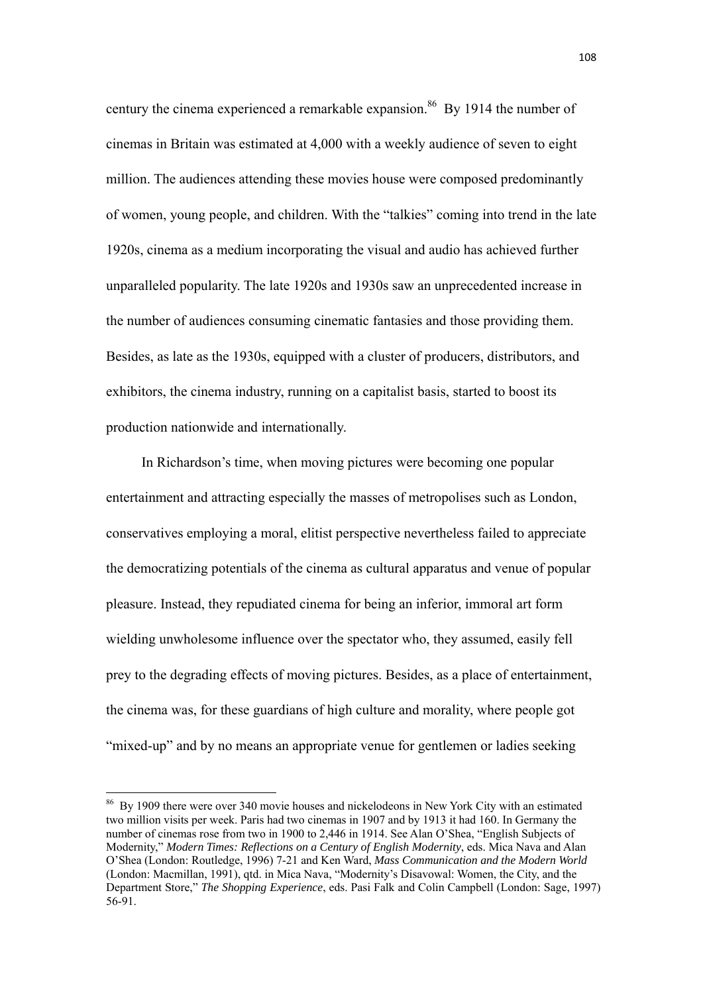century the cinema experienced a remarkable expansion.<sup>86</sup> By 1914 the number of cinemas in Britain was estimated at 4,000 with a weekly audience of seven to eight million. The audiences attending these movies house were composed predominantly of women, young people, and children. With the "talkies" coming into trend in the late 1920s, cinema as a medium incorporating the visual and audio has achieved further unparalleled popularity. The late 1920s and 1930s saw an unprecedented increase in the number of audiences consuming cinematic fantasies and those providing them. Besides, as late as the 1930s, equipped with a cluster of producers, distributors, and exhibitors, the cinema industry, running on a capitalist basis, started to boost its production nationwide and internationally.

In Richardson's time, when moving pictures were becoming one popular entertainment and attracting especially the masses of metropolises such as London, conservatives employing a moral, elitist perspective nevertheless failed to appreciate the democratizing potentials of the cinema as cultural apparatus and venue of popular pleasure. Instead, they repudiated cinema for being an inferior, immoral art form wielding unwholesome influence over the spectator who, they assumed, easily fell prey to the degrading effects of moving pictures. Besides, as a place of entertainment, the cinema was, for these guardians of high culture and morality, where people got "mixed-up" and by no means an appropriate venue for gentlemen or ladies seeking

<sup>&</sup>lt;sup>86</sup> By 1909 there were over 340 movie houses and nickelodeons in New York City with an estimated two million visits per week. Paris had two cinemas in 1907 and by 1913 it had 160. In Germany the number of cinemas rose from two in 1900 to 2,446 in 1914. See Alan O'Shea, "English Subjects of Modernity," *Modern Times: Reflections on a Century of English Modernity*, eds. Mica Nava and Alan O'Shea (London: Routledge, 1996) 7-21 and Ken Ward, *Mass Communication and the Modern World* (London: Macmillan, 1991), qtd. in Mica Nava, "Modernity's Disavowal: Women, the City, and the Department Store," *The Shopping Experience*, eds. Pasi Falk and Colin Campbell (London: Sage, 1997) 56-91.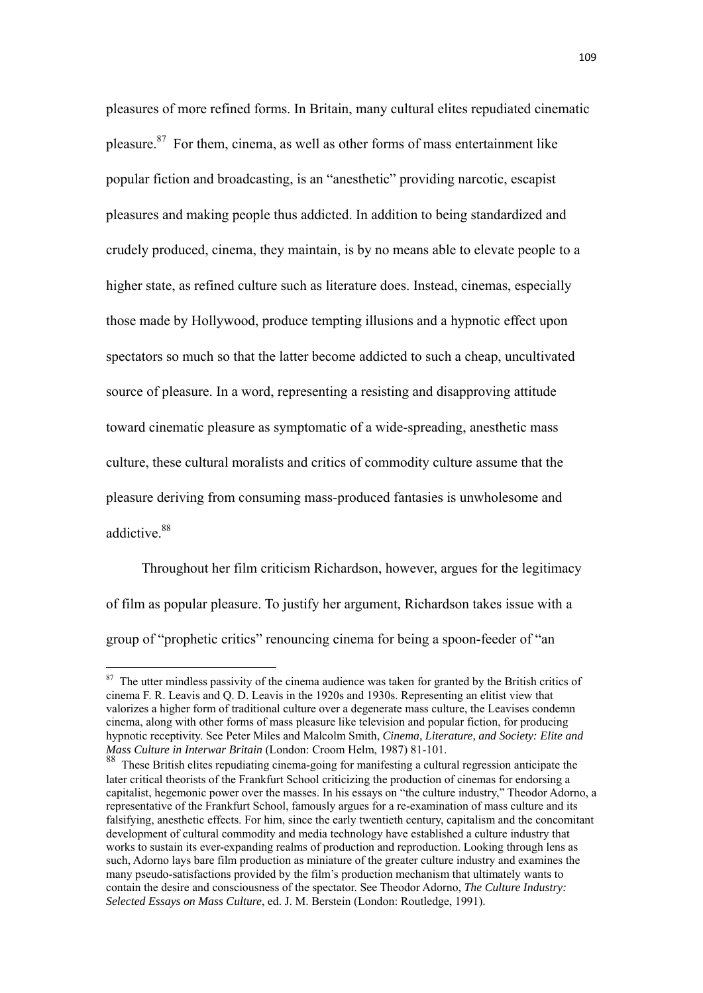pleasures of more refined forms. In Britain, many cultural elites repudiated cinematic pleasure. $87$  For them, cinema, as well as other forms of mass entertainment like popular fiction and broadcasting, is an "anesthetic" providing narcotic, escapist pleasures and making people thus addicted. In addition to being standardized and crudely produced, cinema, they maintain, is by no means able to elevate people to a higher state, as refined culture such as literature does. Instead, cinemas, especially those made by Hollywood, produce tempting illusions and a hypnotic effect upon spectators so much so that the latter become addicted to such a cheap, uncultivated source of pleasure. In a word, representing a resisting and disapproving attitude toward cinematic pleasure as symptomatic of a wide-spreading, anesthetic mass culture, these cultural moralists and critics of commodity culture assume that the pleasure deriving from consuming mass-produced fantasies is unwholesome and addictive.<sup>88</sup>

Throughout her film criticism Richardson, however, argues for the legitimacy of film as popular pleasure. To justify her argument, Richardson takes issue with a group of "prophetic critics" renouncing cinema for being a spoon-feeder of "an

 $87$  The utter mindless passivity of the cinema audience was taken for granted by the British critics of cinema F. R. Leavis and Q. D. Leavis in the 1920s and 1930s. Representing an elitist view that valorizes a higher form of traditional culture over a degenerate mass culture, the Leavises condemn cinema, along with other forms of mass pleasure like television and popular fiction, for producing hypnotic receptivity. See Peter Miles and Malcolm Smith, *Cinema, Literature, and Society: Elite and Mass Culture in Interwar Britain* (London: Croom Helm, 1987) 81-101.

<sup>88</sup> These British elites repudiating cinema-going for manifesting a cultural regression anticipate the later critical theorists of the Frankfurt School criticizing the production of cinemas for endorsing a capitalist, hegemonic power over the masses. In his essays on "the culture industry," Theodor Adorno, a representative of the Frankfurt School, famously argues for a re-examination of mass culture and its falsifying, anesthetic effects. For him, since the early twentieth century, capitalism and the concomitant development of cultural commodity and media technology have established a culture industry that works to sustain its ever-expanding realms of production and reproduction. Looking through lens as such, Adorno lays bare film production as miniature of the greater culture industry and examines the many pseudo-satisfactions provided by the film's production mechanism that ultimately wants to contain the desire and consciousness of the spectator. See Theodor Adorno, *The Culture Industry: Selected Essays on Mass Culture*, ed. J. M. Berstein (London: Routledge, 1991).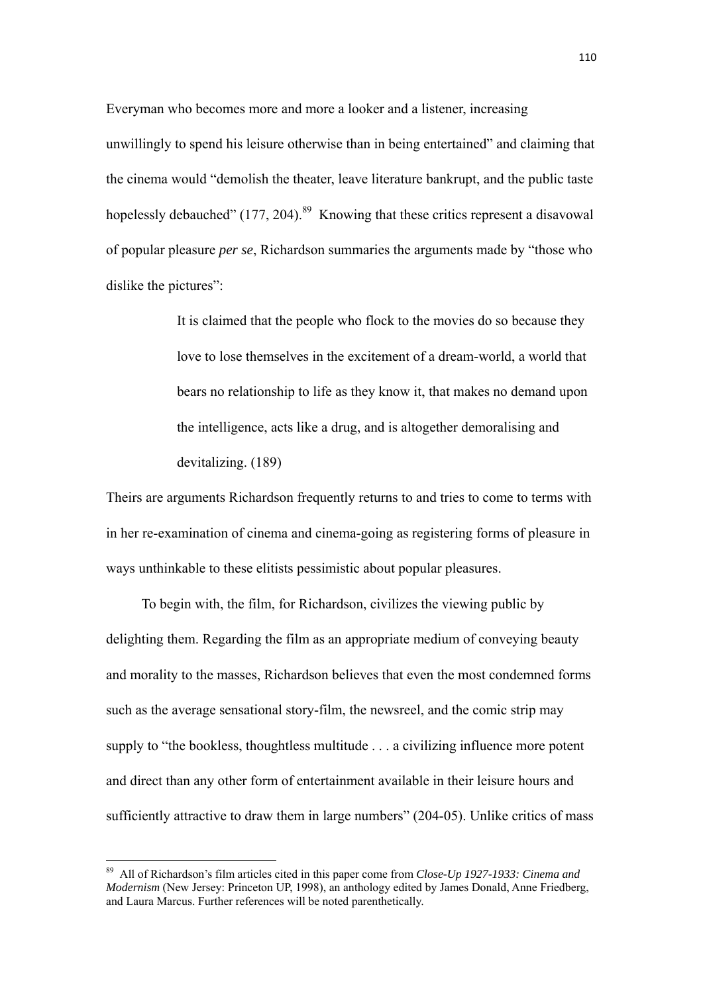Everyman who becomes more and more a looker and a listener, increasing unwillingly to spend his leisure otherwise than in being entertained" and claiming that the cinema would "demolish the theater, leave literature bankrupt, and the public taste hopelessly debauched"  $(177, 204)$ .<sup>89</sup> Knowing that these critics represent a disavowal of popular pleasure *per se*, Richardson summaries the arguments made by "those who dislike the pictures":

> It is claimed that the people who flock to the movies do so because they love to lose themselves in the excitement of a dream-world, a world that bears no relationship to life as they know it, that makes no demand upon the intelligence, acts like a drug, and is altogether demoralising and devitalizing. (189)

Theirs are arguments Richardson frequently returns to and tries to come to terms with in her re-examination of cinema and cinema-going as registering forms of pleasure in ways unthinkable to these elitists pessimistic about popular pleasures.

To begin with, the film, for Richardson, civilizes the viewing public by delighting them. Regarding the film as an appropriate medium of conveying beauty and morality to the masses, Richardson believes that even the most condemned forms such as the average sensational story-film, the newsreel, and the comic strip may supply to "the bookless, thoughtless multitude . . . a civilizing influence more potent and direct than any other form of entertainment available in their leisure hours and sufficiently attractive to draw them in large numbers" (204-05). Unlike critics of mass

<sup>89</sup> All of Richardson's film articles cited in this paper come from *Close-Up 1927-1933: Cinema and Modernism* (New Jersey: Princeton UP, 1998), an anthology edited by James Donald, Anne Friedberg, and Laura Marcus. Further references will be noted parenthetically.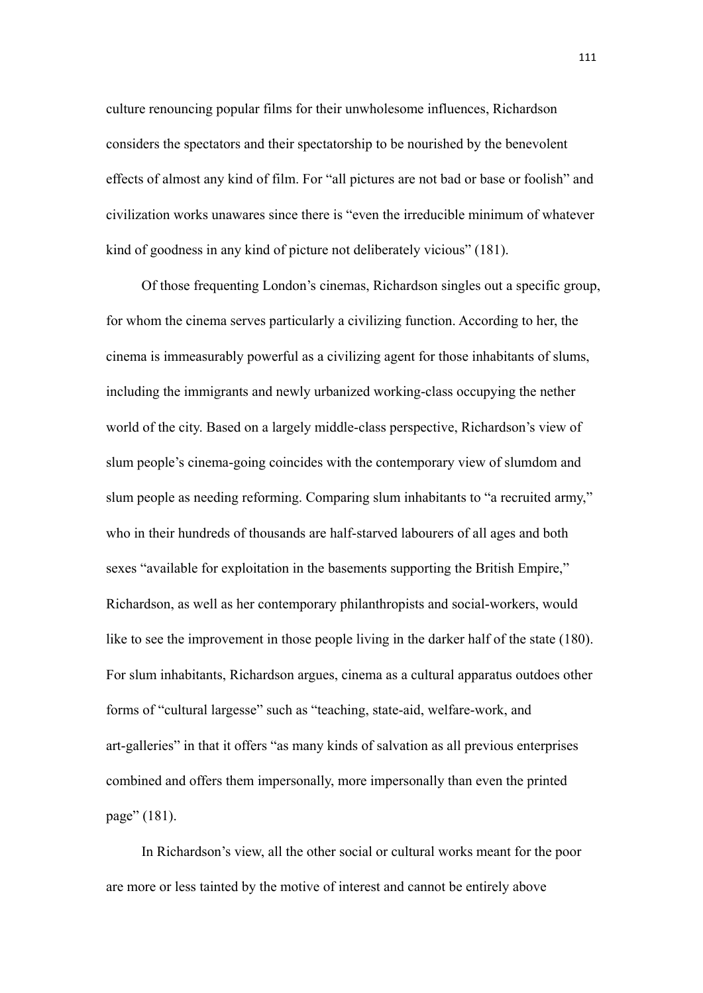culture renouncing popular films for their unwholesome influences, Richardson considers the spectators and their spectatorship to be nourished by the benevolent effects of almost any kind of film. For "all pictures are not bad or base or foolish" and civilization works unawares since there is "even the irreducible minimum of whatever kind of goodness in any kind of picture not deliberately vicious" (181).

Of those frequenting London's cinemas, Richardson singles out a specific group, for whom the cinema serves particularly a civilizing function. According to her, the cinema is immeasurably powerful as a civilizing agent for those inhabitants of slums, including the immigrants and newly urbanized working-class occupying the nether world of the city. Based on a largely middle-class perspective, Richardson's view of slum people's cinema-going coincides with the contemporary view of slumdom and slum people as needing reforming. Comparing slum inhabitants to "a recruited army," who in their hundreds of thousands are half-starved labourers of all ages and both sexes "available for exploitation in the basements supporting the British Empire," Richardson, as well as her contemporary philanthropists and social-workers, would like to see the improvement in those people living in the darker half of the state (180). For slum inhabitants, Richardson argues, cinema as a cultural apparatus outdoes other forms of "cultural largesse" such as "teaching, state-aid, welfare-work, and art-galleries" in that it offers "as many kinds of salvation as all previous enterprises combined and offers them impersonally, more impersonally than even the printed page" (181).

In Richardson's view, all the other social or cultural works meant for the poor are more or less tainted by the motive of interest and cannot be entirely above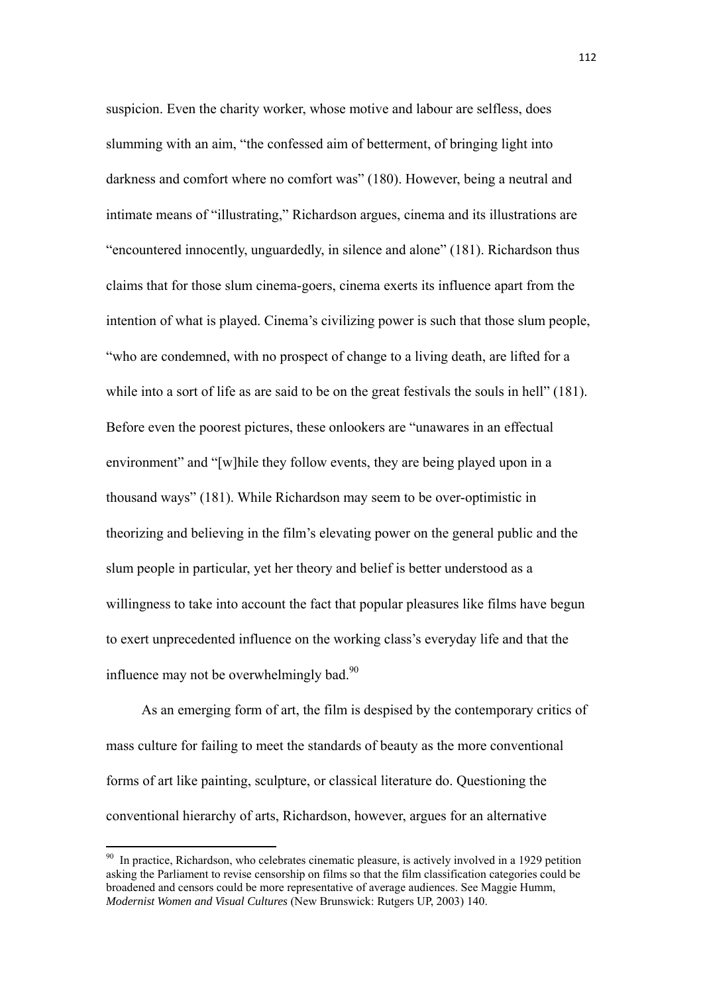suspicion. Even the charity worker, whose motive and labour are selfless, does slumming with an aim, "the confessed aim of betterment, of bringing light into darkness and comfort where no comfort was" (180). However, being a neutral and intimate means of "illustrating," Richardson argues, cinema and its illustrations are "encountered innocently, unguardedly, in silence and alone" (181). Richardson thus claims that for those slum cinema-goers, cinema exerts its influence apart from the intention of what is played. Cinema's civilizing power is such that those slum people, "who are condemned, with no prospect of change to a living death, are lifted for a while into a sort of life as are said to be on the great festivals the souls in hell" (181). Before even the poorest pictures, these onlookers are "unawares in an effectual environment" and "[w]hile they follow events, they are being played upon in a thousand ways" (181). While Richardson may seem to be over-optimistic in theorizing and believing in the film's elevating power on the general public and the slum people in particular, yet her theory and belief is better understood as a willingness to take into account the fact that popular pleasures like films have begun to exert unprecedented influence on the working class's everyday life and that the influence may not be overwhelmingly bad. $90$ 

As an emerging form of art, the film is despised by the contemporary critics of mass culture for failing to meet the standards of beauty as the more conventional forms of art like painting, sculpture, or classical literature do. Questioning the conventional hierarchy of arts, Richardson, however, argues for an alternative

<sup>&</sup>lt;sup>90</sup> In practice, Richardson, who celebrates cinematic pleasure, is actively involved in a 1929 petition asking the Parliament to revise censorship on films so that the film classification categories could be broadened and censors could be more representative of average audiences. See Maggie Humm, *Modernist Women and Visual Cultures* (New Brunswick: Rutgers UP, 2003) 140.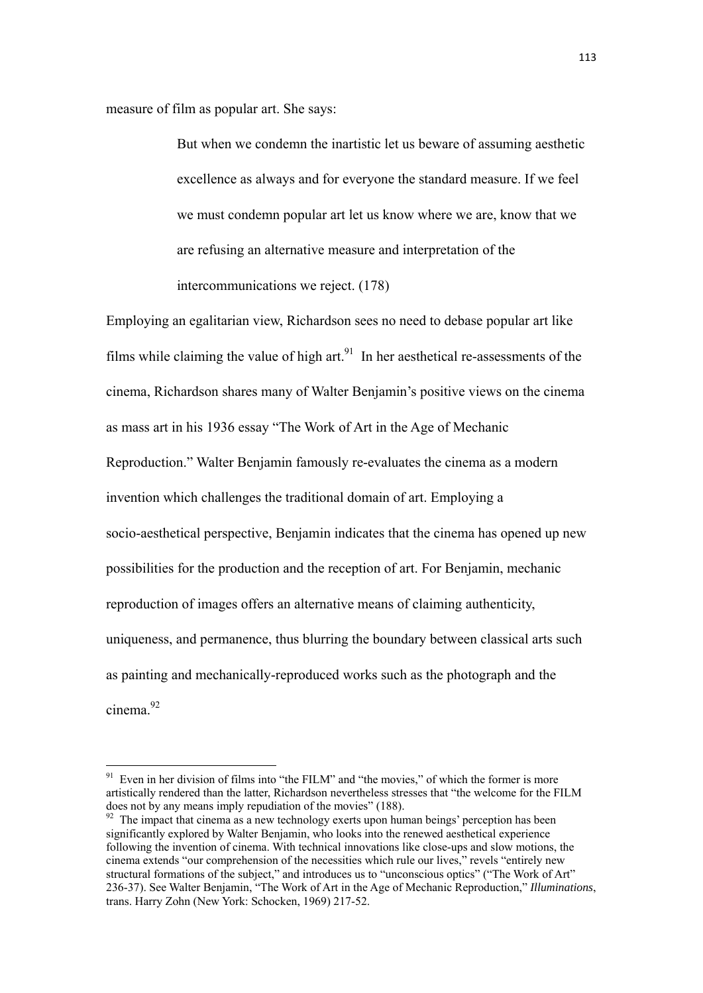measure of film as popular art. She says:

 But when we condemn the inartistic let us beware of assuming aesthetic excellence as always and for everyone the standard measure. If we feel we must condemn popular art let us know where we are, know that we are refusing an alternative measure and interpretation of the intercommunications we reject. (178)

Employing an egalitarian view, Richardson sees no need to debase popular art like films while claiming the value of high  $art<sub>1</sub><sup>91</sup>$  In her aesthetical re-assessments of the cinema, Richardson shares many of Walter Benjamin's positive views on the cinema as mass art in his 1936 essay "The Work of Art in the Age of Mechanic Reproduction." Walter Benjamin famously re-evaluates the cinema as a modern invention which challenges the traditional domain of art. Employing a socio-aesthetical perspective, Benjamin indicates that the cinema has opened up new possibilities for the production and the reception of art. For Benjamin, mechanic reproduction of images offers an alternative means of claiming authenticity, uniqueness, and permanence, thus blurring the boundary between classical arts such as painting and mechanically-reproduced works such as the photograph and the cinema<sup>92</sup>

 $91$  Even in her division of films into "the FILM" and "the movies," of which the former is more artistically rendered than the latter, Richardson nevertheless stresses that "the welcome for the FILM does not by any means imply repudiation of the movies" (188).

 $92$  The impact that cinema as a new technology exerts upon human beings' perception has been significantly explored by Walter Benjamin, who looks into the renewed aesthetical experience following the invention of cinema. With technical innovations like close-ups and slow motions, the cinema extends "our comprehension of the necessities which rule our lives," revels "entirely new structural formations of the subject," and introduces us to "unconscious optics" ("The Work of Art" 236-37). See Walter Benjamin, "The Work of Art in the Age of Mechanic Reproduction," *Illuminations*, trans. Harry Zohn (New York: Schocken, 1969) 217-52.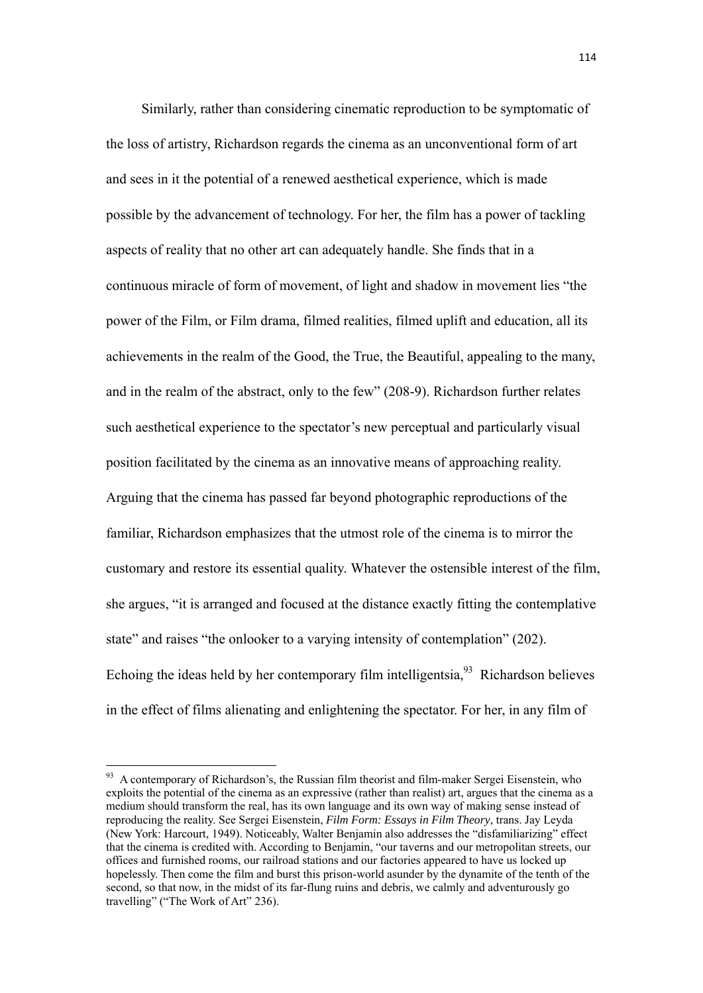Similarly, rather than considering cinematic reproduction to be symptomatic of the loss of artistry, Richardson regards the cinema as an unconventional form of art and sees in it the potential of a renewed aesthetical experience, which is made possible by the advancement of technology. For her, the film has a power of tackling aspects of reality that no other art can adequately handle. She finds that in a continuous miracle of form of movement, of light and shadow in movement lies "the power of the Film, or Film drama, filmed realities, filmed uplift and education, all its achievements in the realm of the Good, the True, the Beautiful, appealing to the many, and in the realm of the abstract, only to the few" (208-9). Richardson further relates such aesthetical experience to the spectator's new perceptual and particularly visual position facilitated by the cinema as an innovative means of approaching reality. Arguing that the cinema has passed far beyond photographic reproductions of the familiar, Richardson emphasizes that the utmost role of the cinema is to mirror the customary and restore its essential quality. Whatever the ostensible interest of the film, she argues, "it is arranged and focused at the distance exactly fitting the contemplative state" and raises "the onlooker to a varying intensity of contemplation" (202). Echoing the ideas held by her contemporary film intelligentsia,  $93$  Richardson believes in the effect of films alienating and enlightening the spectator. For her, in any film of

 $93$  A contemporary of Richardson's, the Russian film theorist and film-maker Sergei Eisenstein, who exploits the potential of the cinema as an expressive (rather than realist) art, argues that the cinema as a medium should transform the real, has its own language and its own way of making sense instead of reproducing the reality. See Sergei Eisenstein, *Film Form: Essays in Film Theory*, trans. Jay Leyda (New York: Harcourt, 1949). Noticeably, Walter Benjamin also addresses the "disfamiliarizing" effect that the cinema is credited with. According to Benjamin, "our taverns and our metropolitan streets, our offices and furnished rooms, our railroad stations and our factories appeared to have us locked up hopelessly. Then come the film and burst this prison-world asunder by the dynamite of the tenth of the second, so that now, in the midst of its far-flung ruins and debris, we calmly and adventurously go travelling" ("The Work of Art" 236).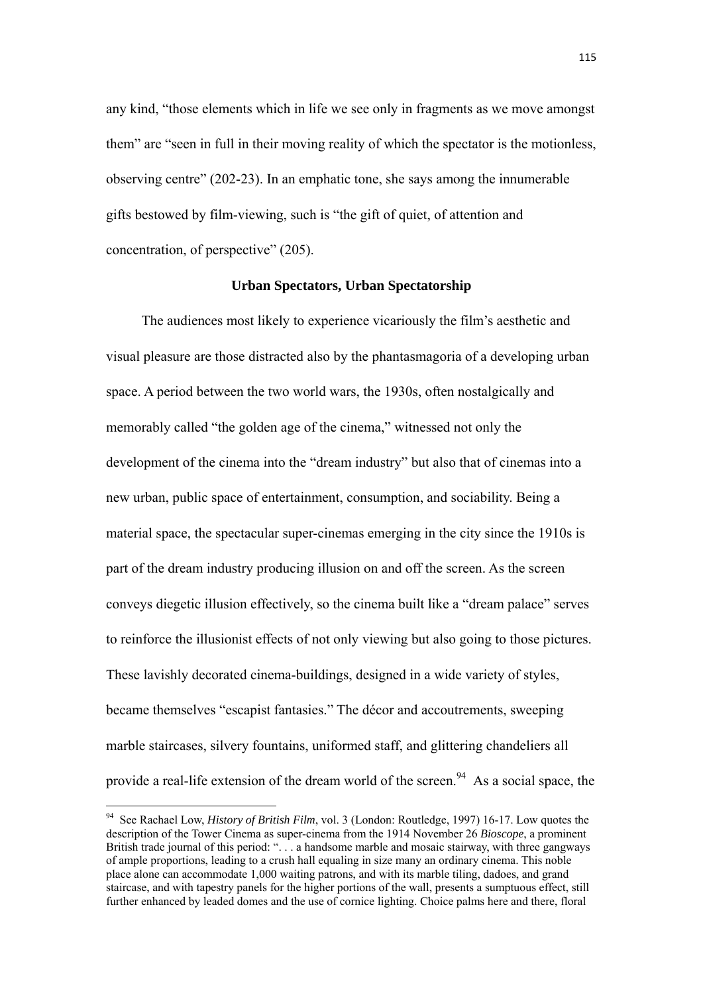any kind, "those elements which in life we see only in fragments as we move amongst them" are "seen in full in their moving reality of which the spectator is the motionless, observing centre" (202-23). In an emphatic tone, she says among the innumerable gifts bestowed by film-viewing, such is "the gift of quiet, of attention and concentration, of perspective" (205).

## **Urban Spectators, Urban Spectatorship**

The audiences most likely to experience vicariously the film's aesthetic and visual pleasure are those distracted also by the phantasmagoria of a developing urban space. A period between the two world wars, the 1930s, often nostalgically and memorably called "the golden age of the cinema," witnessed not only the development of the cinema into the "dream industry" but also that of cinemas into a new urban, public space of entertainment, consumption, and sociability. Being a material space, the spectacular super-cinemas emerging in the city since the 1910s is part of the dream industry producing illusion on and off the screen. As the screen conveys diegetic illusion effectively, so the cinema built like a "dream palace" serves to reinforce the illusionist effects of not only viewing but also going to those pictures. These lavishly decorated cinema-buildings, designed in a wide variety of styles, became themselves "escapist fantasies." The décor and accoutrements, sweeping marble staircases, silvery fountains, uniformed staff, and glittering chandeliers all provide a real-life extension of the dream world of the screen.<sup>94</sup> As a social space, the

<sup>94</sup> See Rachael Low, *History of British Film*, vol. 3 (London: Routledge, 1997) 16-17. Low quotes the description of the Tower Cinema as super-cinema from the 1914 November 26 *Bioscope*, a prominent British trade journal of this period: ". . . a handsome marble and mosaic stairway, with three gangways of ample proportions, leading to a crush hall equaling in size many an ordinary cinema. This noble place alone can accommodate 1,000 waiting patrons, and with its marble tiling, dadoes, and grand staircase, and with tapestry panels for the higher portions of the wall, presents a sumptuous effect, still further enhanced by leaded domes and the use of cornice lighting. Choice palms here and there, floral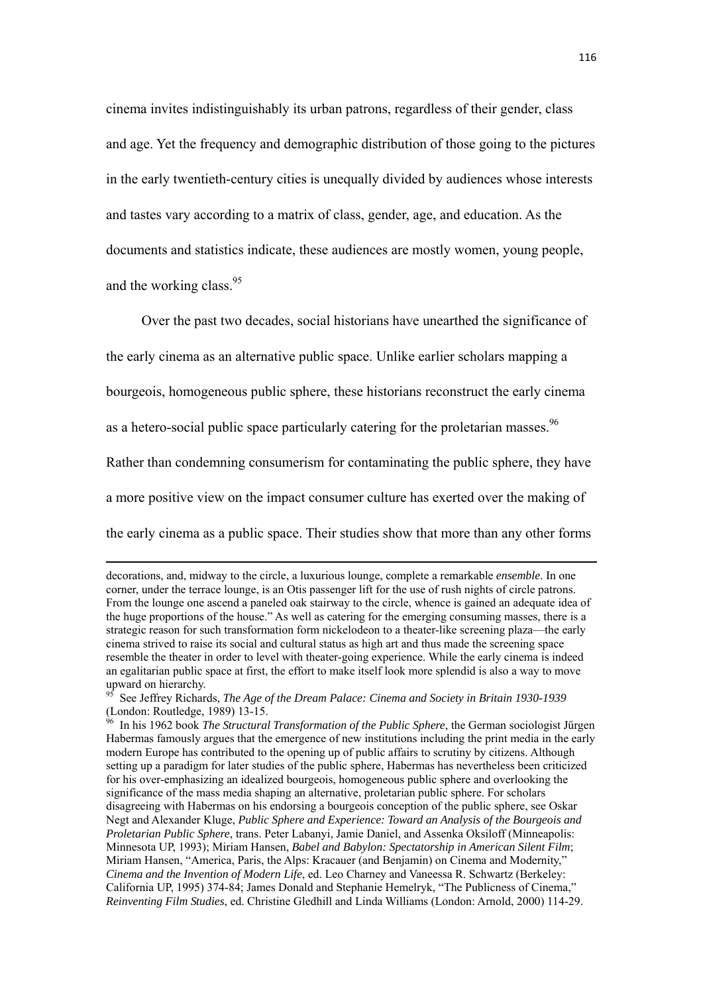cinema invites indistinguishably its urban patrons, regardless of their gender, class and age. Yet the frequency and demographic distribution of those going to the pictures in the early twentieth-century cities is unequally divided by audiences whose interests and tastes vary according to a matrix of class, gender, age, and education. As the documents and statistics indicate, these audiences are mostly women, young people, and the working class.<sup>95</sup>

Over the past two decades, social historians have unearthed the significance of the early cinema as an alternative public space. Unlike earlier scholars mapping a bourgeois, homogeneous public sphere, these historians reconstruct the early cinema as a hetero-social public space particularly catering for the proletarian masses.<sup>96</sup> Rather than condemning consumerism for contaminating the public sphere, they have a more positive view on the impact consumer culture has exerted over the making of the early cinema as a public space. Their studies show that more than any other forms

<u> 1989 - Johann Barbara, marka a shekara tsara 1989 - An tsara 1989 - An tsara 1989 - An tsara 1989 - An tsara</u>

decorations, and, midway to the circle, a luxurious lounge, complete a remarkable *ensemble*. In one corner, under the terrace lounge, is an Otis passenger lift for the use of rush nights of circle patrons. From the lounge one ascend a paneled oak stairway to the circle, whence is gained an adequate idea of the huge proportions of the house." As well as catering for the emerging consuming masses, there is a strategic reason for such transformation form nickelodeon to a theater-like screening plaza—the early cinema strived to raise its social and cultural status as high art and thus made the screening space resemble the theater in order to level with theater-going experience. While the early cinema is indeed an egalitarian public space at first, the effort to make itself look more splendid is also a way to move upward on hierarchy.

<sup>&</sup>lt;sup>95</sup> See Jeffrey Richards, *The Age of the Dream Palace: Cinema and Society in Britain 1930-1939* (London: Routledge, 1989) 13-15.

<sup>96</sup> In his 1962 book *The Structural Transformation of the Public Sphere*, the German sociologist Jűrgen Habermas famously argues that the emergence of new institutions including the print media in the early modern Europe has contributed to the opening up of public affairs to scrutiny by citizens. Although setting up a paradigm for later studies of the public sphere, Habermas has nevertheless been criticized for his over-emphasizing an idealized bourgeois, homogeneous public sphere and overlooking the significance of the mass media shaping an alternative, proletarian public sphere. For scholars disagreeing with Habermas on his endorsing a bourgeois conception of the public sphere, see Oskar Negt and Alexander Kluge, *Public Sphere and Experience: Toward an Analysis of the Bourgeois and Proletarian Public Sphere*, trans. Peter Labanyi, Jamie Daniel, and Assenka Oksiloff (Minneapolis: Minnesota UP, 1993); Miriam Hansen, *Babel and Babylon: Spectatorship in American Silent Film*; Miriam Hansen, "America, Paris, the Alps: Kracauer (and Benjamin) on Cinema and Modernity," *Cinema and the Invention of Modern Life*, ed. Leo Charney and Vaneessa R. Schwartz (Berkeley: California UP, 1995) 374-84; James Donald and Stephanie Hemelryk, "The Publicness of Cinema," *Reinventing Film Studies*, ed. Christine Gledhill and Linda Williams (London: Arnold, 2000) 114-29.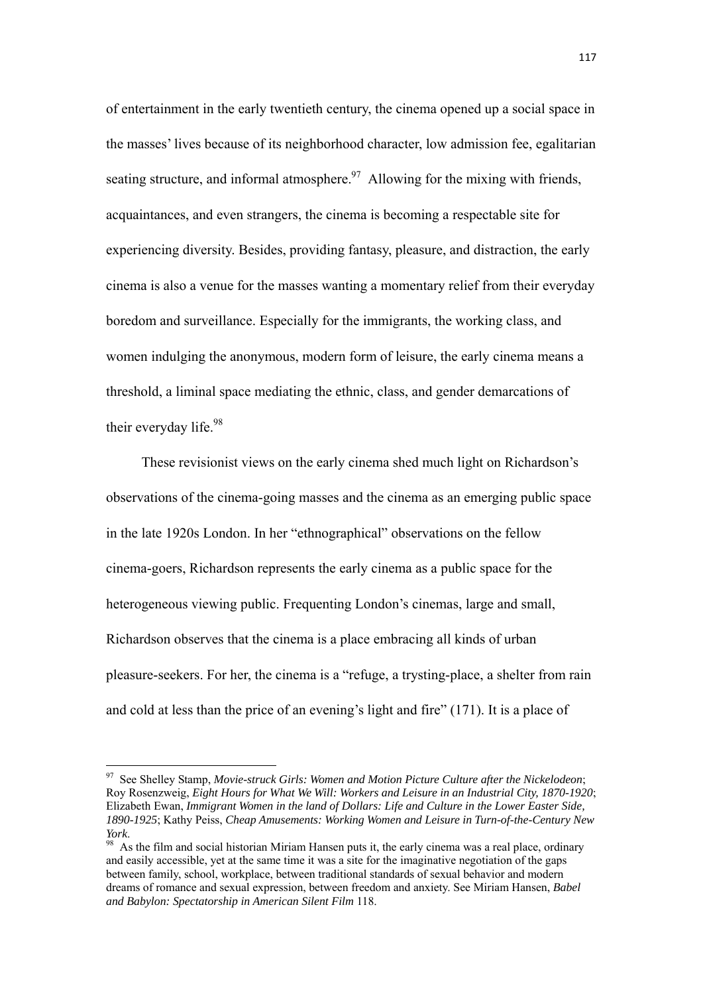of entertainment in the early twentieth century, the cinema opened up a social space in the masses' lives because of its neighborhood character, low admission fee, egalitarian seating structure, and informal atmosphere.<sup>97</sup> Allowing for the mixing with friends, acquaintances, and even strangers, the cinema is becoming a respectable site for experiencing diversity. Besides, providing fantasy, pleasure, and distraction, the early cinema is also a venue for the masses wanting a momentary relief from their everyday boredom and surveillance. Especially for the immigrants, the working class, and women indulging the anonymous, modern form of leisure, the early cinema means a threshold, a liminal space mediating the ethnic, class, and gender demarcations of their everyday life.<sup>98</sup>

These revisionist views on the early cinema shed much light on Richardson's observations of the cinema-going masses and the cinema as an emerging public space in the late 1920s London. In her "ethnographical" observations on the fellow cinema-goers, Richardson represents the early cinema as a public space for the heterogeneous viewing public. Frequenting London's cinemas, large and small, Richardson observes that the cinema is a place embracing all kinds of urban pleasure-seekers. For her, the cinema is a "refuge, a trysting-place, a shelter from rain and cold at less than the price of an evening's light and fire" (171). It is a place of

<sup>97</sup> See Shelley Stamp, *Movie-struck Girls: Women and Motion Picture Culture after the Nickelodeon*; Roy Rosenzweig, *Eight Hours for What We Will: Workers and Leisure in an Industrial City, 1870-1920*; Elizabeth Ewan, *Immigrant Women in the land of Dollars: Life and Culture in the Lower Easter Side, 1890-1925*; Kathy Peiss, *Cheap Amusements: Working Women and Leisure in Turn-of-the-Century New* 

*York*.<br><sup>98</sup> As the film and social historian Miriam Hansen puts it, the early cinema was a real place, ordinary and easily accessible, yet at the same time it was a site for the imaginative negotiation of the gaps between family, school, workplace, between traditional standards of sexual behavior and modern dreams of romance and sexual expression, between freedom and anxiety. See Miriam Hansen, *Babel and Babylon: Spectatorship in American Silent Film* 118.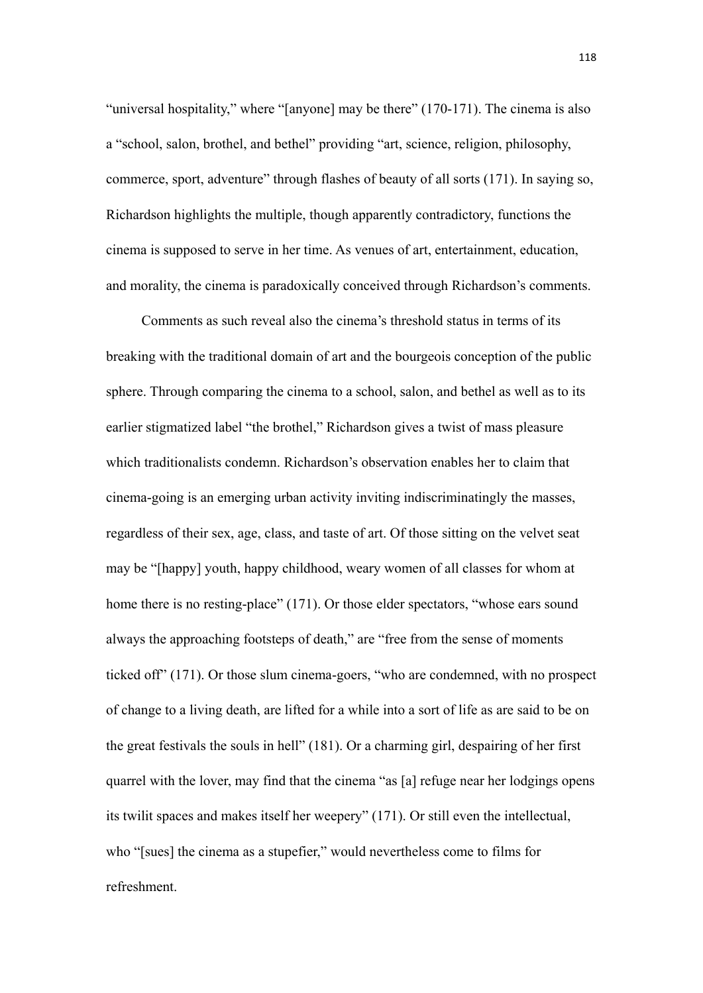"universal hospitality," where "[anyone] may be there" (170-171). The cinema is also a "school, salon, brothel, and bethel" providing "art, science, religion, philosophy, commerce, sport, adventure" through flashes of beauty of all sorts (171). In saying so, Richardson highlights the multiple, though apparently contradictory, functions the cinema is supposed to serve in her time. As venues of art, entertainment, education, and morality, the cinema is paradoxically conceived through Richardson's comments.

Comments as such reveal also the cinema's threshold status in terms of its breaking with the traditional domain of art and the bourgeois conception of the public sphere. Through comparing the cinema to a school, salon, and bethel as well as to its earlier stigmatized label "the brothel," Richardson gives a twist of mass pleasure which traditionalists condemn. Richardson's observation enables her to claim that cinema-going is an emerging urban activity inviting indiscriminatingly the masses, regardless of their sex, age, class, and taste of art. Of those sitting on the velvet seat may be "[happy] youth, happy childhood, weary women of all classes for whom at home there is no resting-place" (171). Or those elder spectators, "whose ears sound always the approaching footsteps of death," are "free from the sense of moments ticked off" (171). Or those slum cinema-goers, "who are condemned, with no prospect of change to a living death, are lifted for a while into a sort of life as are said to be on the great festivals the souls in hell" (181). Or a charming girl, despairing of her first quarrel with the lover, may find that the cinema "as [a] refuge near her lodgings opens its twilit spaces and makes itself her weepery" (171). Or still even the intellectual, who "[sues] the cinema as a stupefier," would nevertheless come to films for refreshment.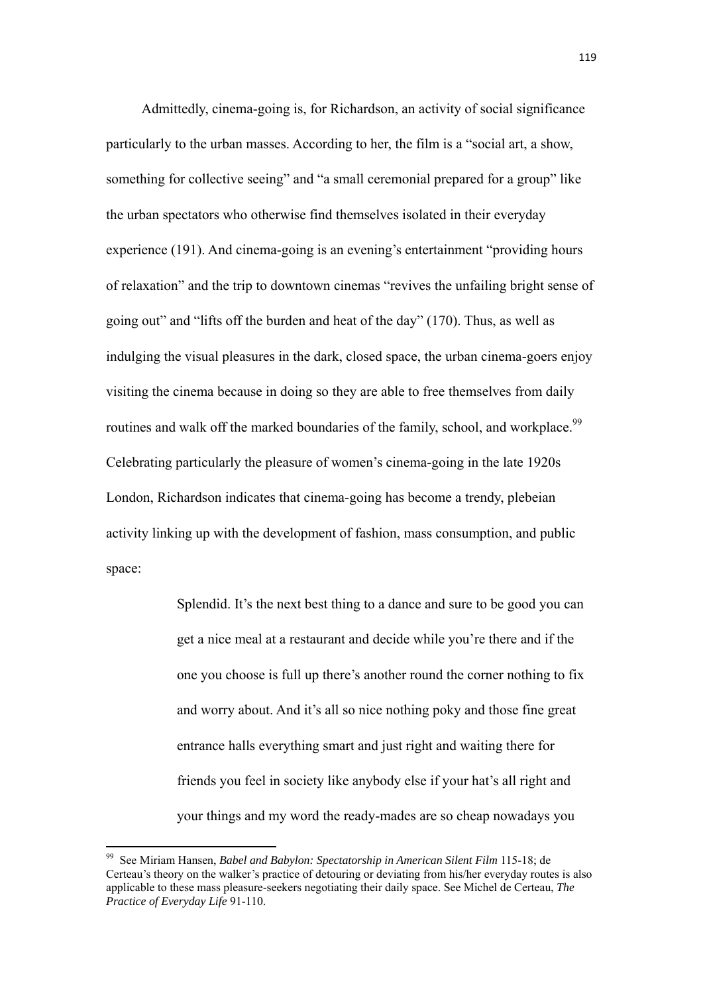Admittedly, cinema-going is, for Richardson, an activity of social significance particularly to the urban masses. According to her, the film is a "social art, a show, something for collective seeing" and "a small ceremonial prepared for a group" like the urban spectators who otherwise find themselves isolated in their everyday experience (191). And cinema-going is an evening's entertainment "providing hours of relaxation" and the trip to downtown cinemas "revives the unfailing bright sense of going out" and "lifts off the burden and heat of the day" (170). Thus, as well as indulging the visual pleasures in the dark, closed space, the urban cinema-goers enjoy visiting the cinema because in doing so they are able to free themselves from daily routines and walk off the marked boundaries of the family, school, and workplace.<sup>99</sup> Celebrating particularly the pleasure of women's cinema-going in the late 1920s London, Richardson indicates that cinema-going has become a trendy, plebeian activity linking up with the development of fashion, mass consumption, and public space:

> Splendid. It's the next best thing to a dance and sure to be good you can get a nice meal at a restaurant and decide while you're there and if the one you choose is full up there's another round the corner nothing to fix and worry about. And it's all so nice nothing poky and those fine great entrance halls everything smart and just right and waiting there for friends you feel in society like anybody else if your hat's all right and your things and my word the ready-mades are so cheap nowadays you

<sup>99</sup> See Miriam Hansen, *Babel and Babylon: Spectatorship in American Silent Film* 115-18; de Certeau's theory on the walker's practice of detouring or deviating from his/her everyday routes is also applicable to these mass pleasure-seekers negotiating their daily space. See Michel de Certeau, *The Practice of Everyday Life* 91-110.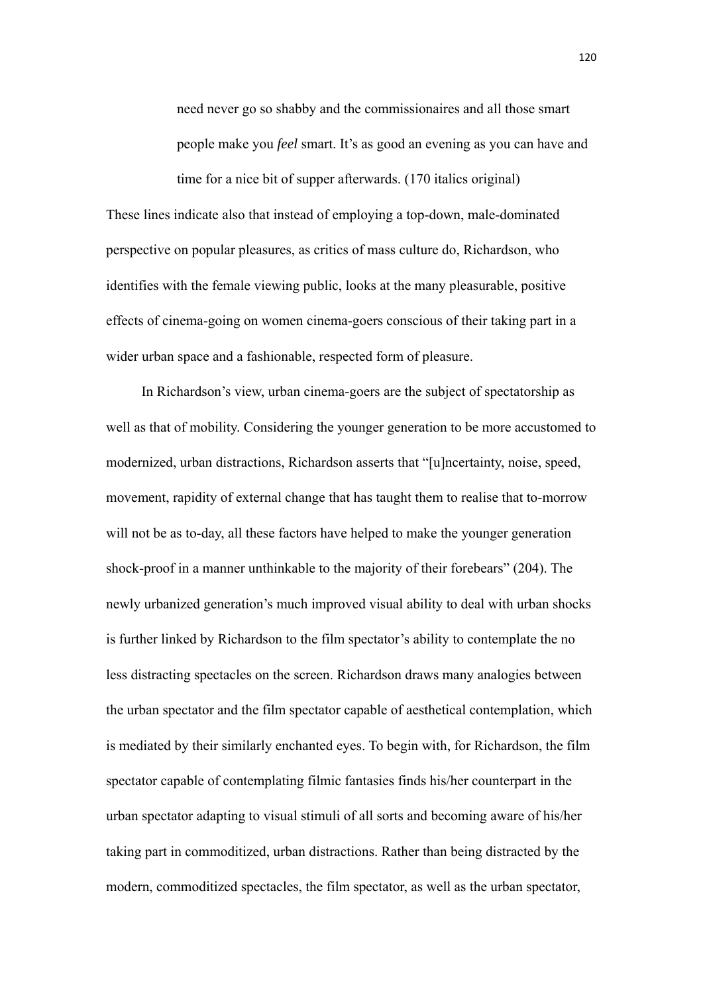need never go so shabby and the commissionaires and all those smart people make you *feel* smart. It's as good an evening as you can have and time for a nice bit of supper afterwards. (170 italics original)

These lines indicate also that instead of employing a top-down, male-dominated perspective on popular pleasures, as critics of mass culture do, Richardson, who identifies with the female viewing public, looks at the many pleasurable, positive effects of cinema-going on women cinema-goers conscious of their taking part in a wider urban space and a fashionable, respected form of pleasure.

 In Richardson's view, urban cinema-goers are the subject of spectatorship as well as that of mobility. Considering the younger generation to be more accustomed to modernized, urban distractions, Richardson asserts that "[u]ncertainty, noise, speed, movement, rapidity of external change that has taught them to realise that to-morrow will not be as to-day, all these factors have helped to make the younger generation shock-proof in a manner unthinkable to the majority of their forebears" (204). The newly urbanized generation's much improved visual ability to deal with urban shocks is further linked by Richardson to the film spectator's ability to contemplate the no less distracting spectacles on the screen. Richardson draws many analogies between the urban spectator and the film spectator capable of aesthetical contemplation, which is mediated by their similarly enchanted eyes. To begin with, for Richardson, the film spectator capable of contemplating filmic fantasies finds his/her counterpart in the urban spectator adapting to visual stimuli of all sorts and becoming aware of his/her taking part in commoditized, urban distractions. Rather than being distracted by the modern, commoditized spectacles, the film spectator, as well as the urban spectator,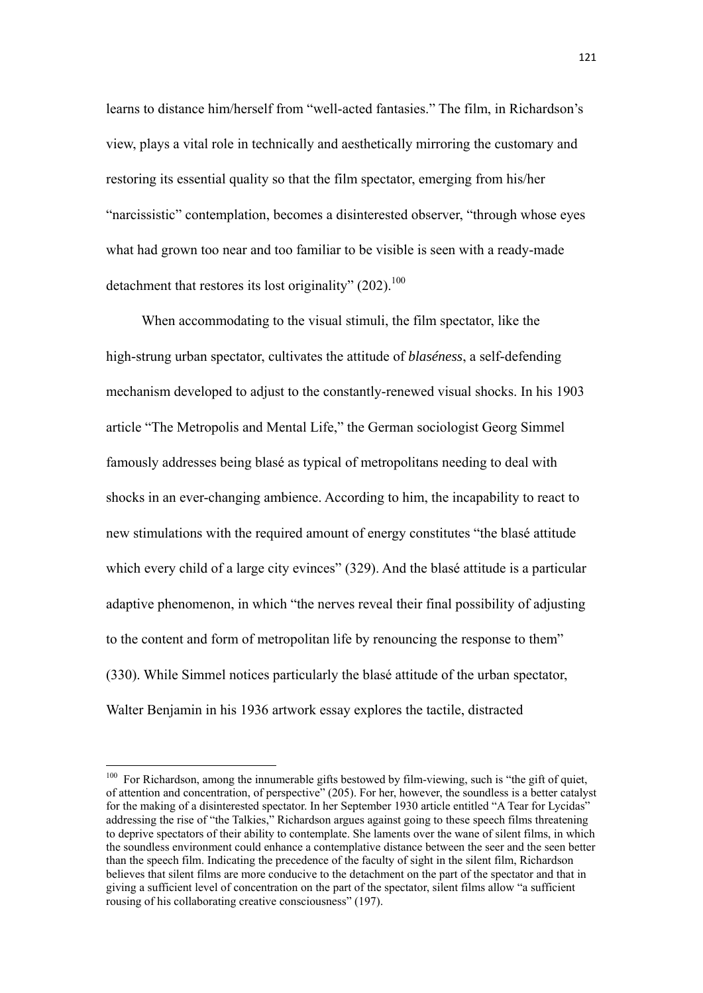learns to distance him/herself from "well-acted fantasies." The film, in Richardson's view, plays a vital role in technically and aesthetically mirroring the customary and restoring its essential quality so that the film spectator, emerging from his/her "narcissistic" contemplation, becomes a disinterested observer, "through whose eyes what had grown too near and too familiar to be visible is seen with a ready-made detachment that restores its lost originality"  $(202)$ <sup>100</sup>

 When accommodating to the visual stimuli, the film spectator, like the high-strung urban spectator, cultivates the attitude of *blaséness*, a self-defending mechanism developed to adjust to the constantly-renewed visual shocks. In his 1903 article "The Metropolis and Mental Life," the German sociologist Georg Simmel famously addresses being blasé as typical of metropolitans needing to deal with shocks in an ever-changing ambience. According to him, the incapability to react to new stimulations with the required amount of energy constitutes "the blasé attitude which every child of a large city evinces" (329). And the blasé attitude is a particular adaptive phenomenon, in which "the nerves reveal their final possibility of adjusting to the content and form of metropolitan life by renouncing the response to them" (330). While Simmel notices particularly the blasé attitude of the urban spectator, Walter Benjamin in his 1936 artwork essay explores the tactile, distracted

 $100$  For Richardson, among the innumerable gifts bestowed by film-viewing, such is "the gift of quiet, of attention and concentration, of perspective" (205). For her, however, the soundless is a better catalyst for the making of a disinterested spectator. In her September 1930 article entitled "A Tear for Lycidas" addressing the rise of "the Talkies," Richardson argues against going to these speech films threatening to deprive spectators of their ability to contemplate. She laments over the wane of silent films, in which the soundless environment could enhance a contemplative distance between the seer and the seen better than the speech film. Indicating the precedence of the faculty of sight in the silent film, Richardson believes that silent films are more conducive to the detachment on the part of the spectator and that in giving a sufficient level of concentration on the part of the spectator, silent films allow "a sufficient rousing of his collaborating creative consciousness" (197).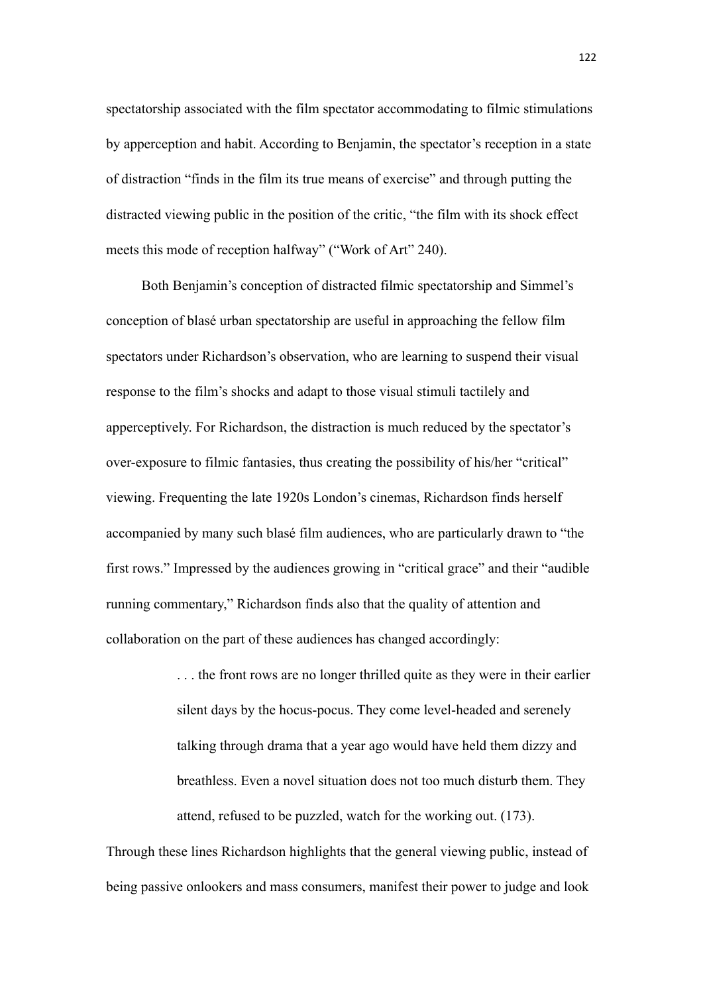spectatorship associated with the film spectator accommodating to filmic stimulations by apperception and habit. According to Benjamin, the spectator's reception in a state of distraction "finds in the film its true means of exercise" and through putting the distracted viewing public in the position of the critic, "the film with its shock effect meets this mode of reception halfway" ("Work of Art" 240).

Both Benjamin's conception of distracted filmic spectatorship and Simmel's conception of blasé urban spectatorship are useful in approaching the fellow film spectators under Richardson's observation, who are learning to suspend their visual response to the film's shocks and adapt to those visual stimuli tactilely and apperceptively. For Richardson, the distraction is much reduced by the spectator's over-exposure to filmic fantasies, thus creating the possibility of his/her "critical" viewing. Frequenting the late 1920s London's cinemas, Richardson finds herself accompanied by many such blasé film audiences, who are particularly drawn to "the first rows." Impressed by the audiences growing in "critical grace" and their "audible running commentary," Richardson finds also that the quality of attention and collaboration on the part of these audiences has changed accordingly:

> . . . the front rows are no longer thrilled quite as they were in their earlier silent days by the hocus-pocus. They come level-headed and serenely talking through drama that a year ago would have held them dizzy and breathless. Even a novel situation does not too much disturb them. They attend, refused to be puzzled, watch for the working out. (173).

Through these lines Richardson highlights that the general viewing public, instead of being passive onlookers and mass consumers, manifest their power to judge and look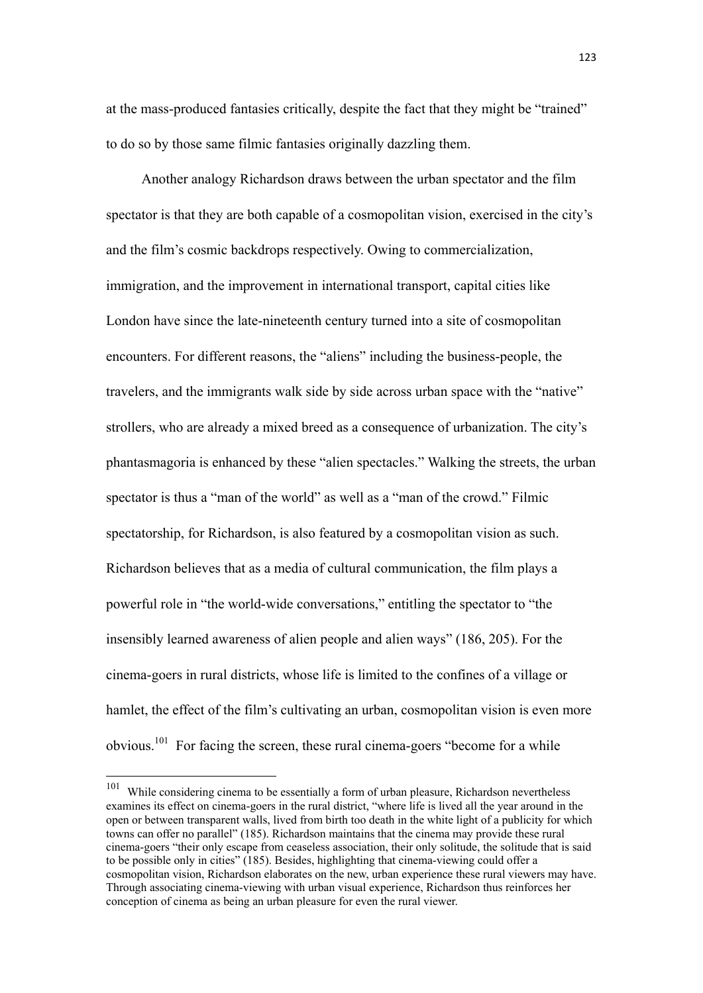at the mass-produced fantasies critically, despite the fact that they might be "trained" to do so by those same filmic fantasies originally dazzling them.

Another analogy Richardson draws between the urban spectator and the film spectator is that they are both capable of a cosmopolitan vision, exercised in the city's and the film's cosmic backdrops respectively. Owing to commercialization, immigration, and the improvement in international transport, capital cities like London have since the late-nineteenth century turned into a site of cosmopolitan encounters. For different reasons, the "aliens" including the business-people, the travelers, and the immigrants walk side by side across urban space with the "native" strollers, who are already a mixed breed as a consequence of urbanization. The city's phantasmagoria is enhanced by these "alien spectacles." Walking the streets, the urban spectator is thus a "man of the world" as well as a "man of the crowd." Filmic spectatorship, for Richardson, is also featured by a cosmopolitan vision as such. Richardson believes that as a media of cultural communication, the film plays a powerful role in "the world-wide conversations," entitling the spectator to "the insensibly learned awareness of alien people and alien ways" (186, 205). For the cinema-goers in rural districts, whose life is limited to the confines of a village or hamlet, the effect of the film's cultivating an urban, cosmopolitan vision is even more obvious.<sup>101</sup> For facing the screen, these rural cinema-goers "become for a while

<sup>&</sup>lt;sup>101</sup> While considering cinema to be essentially a form of urban pleasure, Richardson nevertheless examines its effect on cinema-goers in the rural district, "where life is lived all the year around in the open or between transparent walls, lived from birth too death in the white light of a publicity for which towns can offer no parallel" (185). Richardson maintains that the cinema may provide these rural cinema-goers "their only escape from ceaseless association, their only solitude, the solitude that is said to be possible only in cities" (185). Besides, highlighting that cinema-viewing could offer a cosmopolitan vision, Richardson elaborates on the new, urban experience these rural viewers may have. Through associating cinema-viewing with urban visual experience, Richardson thus reinforces her conception of cinema as being an urban pleasure for even the rural viewer.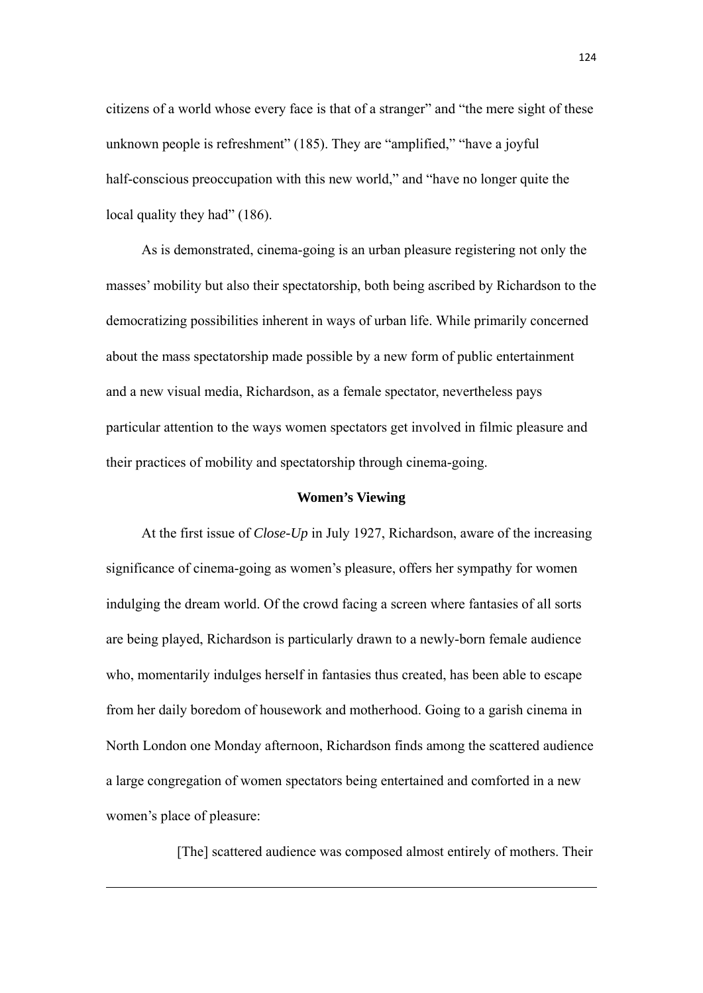citizens of a world whose every face is that of a stranger" and "the mere sight of these unknown people is refreshment" (185). They are "amplified," "have a joyful half-conscious preoccupation with this new world," and "have no longer quite the local quality they had" (186).

As is demonstrated, cinema-going is an urban pleasure registering not only the masses' mobility but also their spectatorship, both being ascribed by Richardson to the democratizing possibilities inherent in ways of urban life. While primarily concerned about the mass spectatorship made possible by a new form of public entertainment and a new visual media, Richardson, as a female spectator, nevertheless pays particular attention to the ways women spectators get involved in filmic pleasure and their practices of mobility and spectatorship through cinema-going.

### **Women's Viewing**

At the first issue of *Close-Up* in July 1927, Richardson, aware of the increasing significance of cinema-going as women's pleasure, offers her sympathy for women indulging the dream world. Of the crowd facing a screen where fantasies of all sorts are being played, Richardson is particularly drawn to a newly-born female audience who, momentarily indulges herself in fantasies thus created, has been able to escape from her daily boredom of housework and motherhood. Going to a garish cinema in North London one Monday afternoon, Richardson finds among the scattered audience a large congregation of women spectators being entertained and comforted in a new women's place of pleasure:

[The] scattered audience was composed almost entirely of mothers. Their

<u> 1989 - Johann Barbara, marka a shekara tsara 1989 - An tsara 1989 - An tsara 1989 - An tsara 1989 - An tsara</u>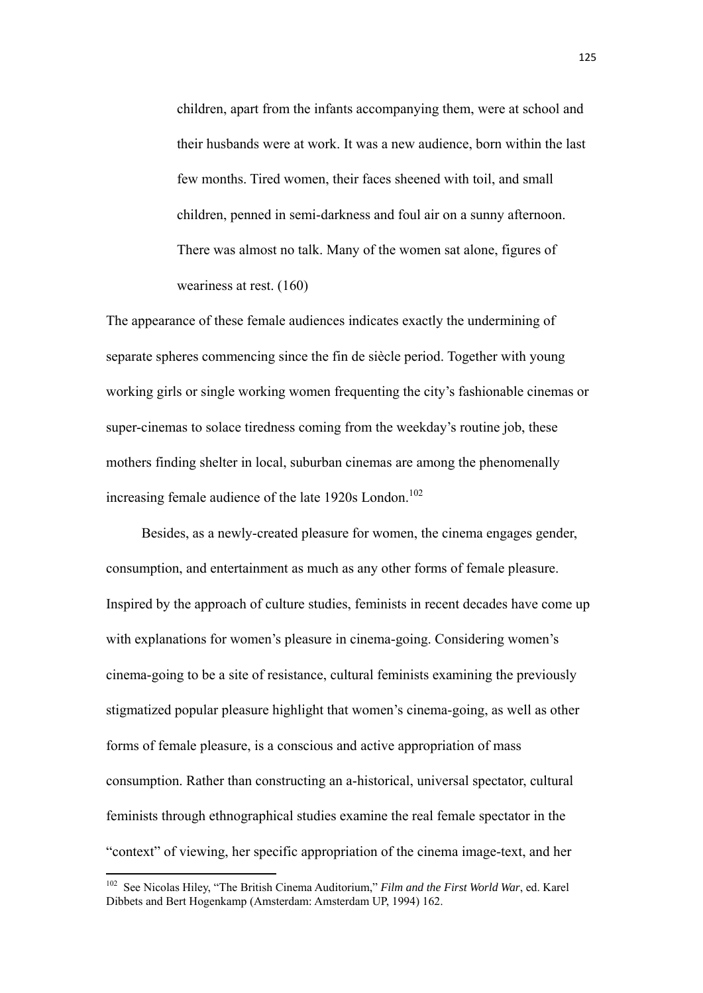children, apart from the infants accompanying them, were at school and their husbands were at work. It was a new audience, born within the last few months. Tired women, their faces sheened with toil, and small children, penned in semi-darkness and foul air on a sunny afternoon. There was almost no talk. Many of the women sat alone, figures of weariness at rest. (160)

The appearance of these female audiences indicates exactly the undermining of separate spheres commencing since the fin de siècle period. Together with young working girls or single working women frequenting the city's fashionable cinemas or super-cinemas to solace tiredness coming from the weekday's routine job, these mothers finding shelter in local, suburban cinemas are among the phenomenally increasing female audience of the late  $1920s$  London.<sup>102</sup>

Besides, as a newly-created pleasure for women, the cinema engages gender, consumption, and entertainment as much as any other forms of female pleasure. Inspired by the approach of culture studies, feminists in recent decades have come up with explanations for women's pleasure in cinema-going. Considering women's cinema-going to be a site of resistance, cultural feminists examining the previously stigmatized popular pleasure highlight that women's cinema-going, as well as other forms of female pleasure, is a conscious and active appropriation of mass consumption. Rather than constructing an a-historical, universal spectator, cultural feminists through ethnographical studies examine the real female spectator in the "context" of viewing, her specific appropriation of the cinema image-text, and her

<sup>102</sup> See Nicolas Hiley, "The British Cinema Auditorium," *Film and the First World War*, ed. Karel Dibbets and Bert Hogenkamp (Amsterdam: Amsterdam UP, 1994) 162.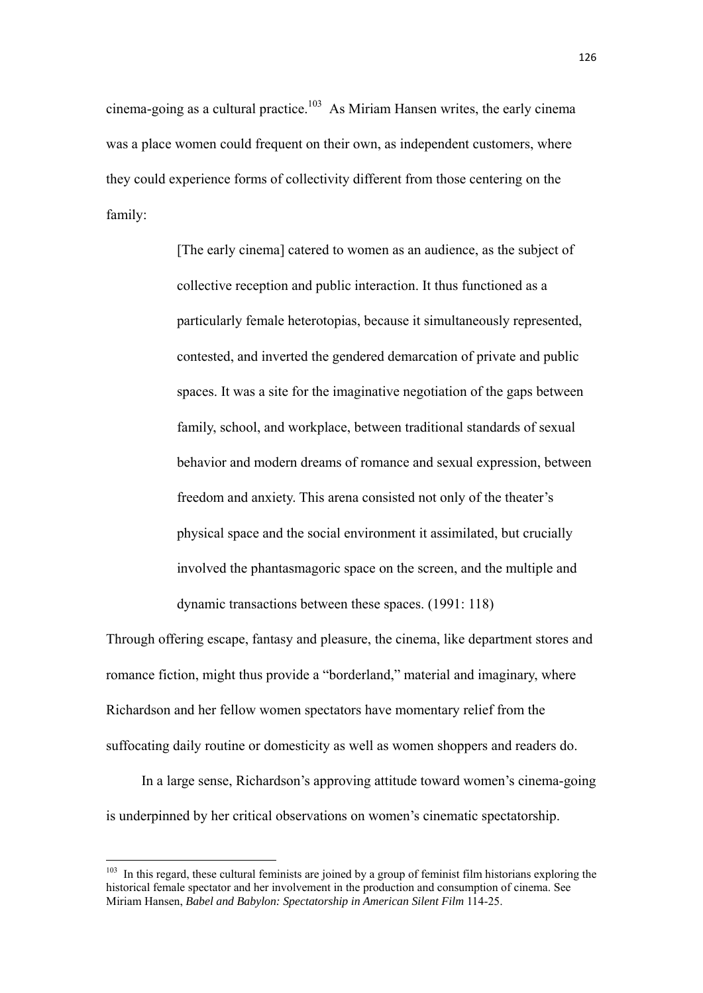cinema-going as a cultural practice.<sup>103</sup> As Miriam Hansen writes, the early cinema was a place women could frequent on their own, as independent customers, where they could experience forms of collectivity different from those centering on the family:

> [The early cinema] catered to women as an audience, as the subject of collective reception and public interaction. It thus functioned as a particularly female heterotopias, because it simultaneously represented, contested, and inverted the gendered demarcation of private and public spaces. It was a site for the imaginative negotiation of the gaps between family, school, and workplace, between traditional standards of sexual behavior and modern dreams of romance and sexual expression, between freedom and anxiety. This arena consisted not only of the theater's physical space and the social environment it assimilated, but crucially involved the phantasmagoric space on the screen, and the multiple and dynamic transactions between these spaces. (1991: 118)

Through offering escape, fantasy and pleasure, the cinema, like department stores and romance fiction, might thus provide a "borderland," material and imaginary, where Richardson and her fellow women spectators have momentary relief from the suffocating daily routine or domesticity as well as women shoppers and readers do.

In a large sense, Richardson's approving attitude toward women's cinema-going is underpinned by her critical observations on women's cinematic spectatorship.

 $103$  In this regard, these cultural feminists are joined by a group of feminist film historians exploring the historical female spectator and her involvement in the production and consumption of cinema. See Miriam Hansen, *Babel and Babylon: Spectatorship in American Silent Film* 114-25.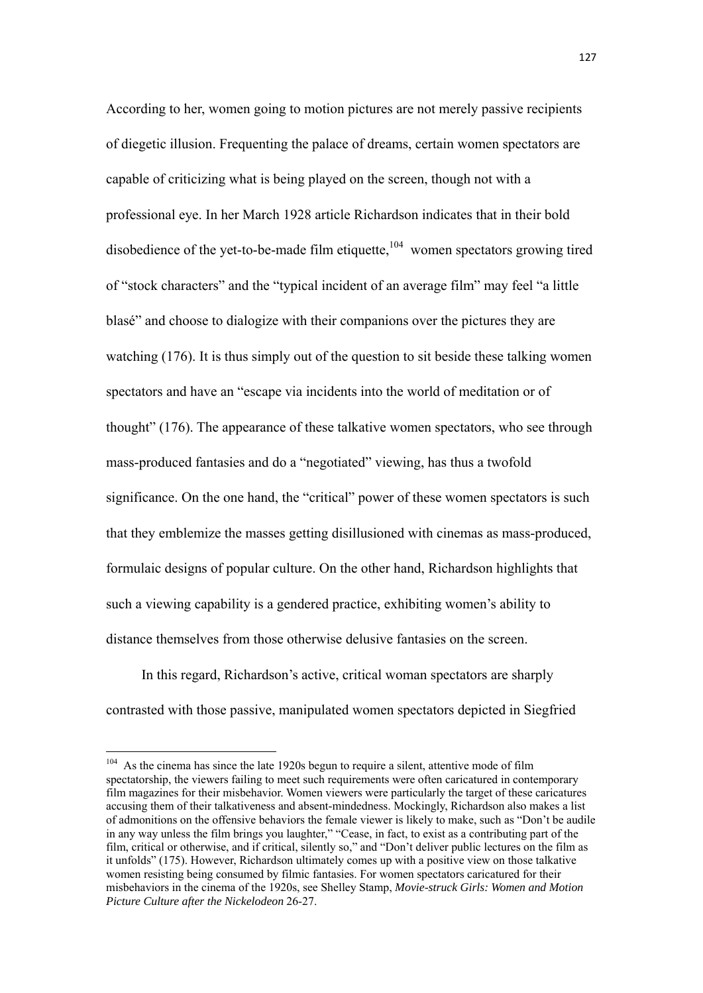According to her, women going to motion pictures are not merely passive recipients of diegetic illusion. Frequenting the palace of dreams, certain women spectators are capable of criticizing what is being played on the screen, though not with a professional eye. In her March 1928 article Richardson indicates that in their bold disobedience of the yet-to-be-made film etiquette, $104$  women spectators growing tired of "stock characters" and the "typical incident of an average film" may feel "a little blasé" and choose to dialogize with their companions over the pictures they are watching (176). It is thus simply out of the question to sit beside these talking women spectators and have an "escape via incidents into the world of meditation or of thought" (176). The appearance of these talkative women spectators, who see through mass-produced fantasies and do a "negotiated" viewing, has thus a twofold significance. On the one hand, the "critical" power of these women spectators is such that they emblemize the masses getting disillusioned with cinemas as mass-produced, formulaic designs of popular culture. On the other hand, Richardson highlights that such a viewing capability is a gendered practice, exhibiting women's ability to distance themselves from those otherwise delusive fantasies on the screen.

In this regard, Richardson's active, critical woman spectators are sharply contrasted with those passive, manipulated women spectators depicted in Siegfried

 $104$  As the cinema has since the late 1920s begun to require a silent, attentive mode of film spectatorship, the viewers failing to meet such requirements were often caricatured in contemporary film magazines for their misbehavior. Women viewers were particularly the target of these caricatures accusing them of their talkativeness and absent-mindedness. Mockingly, Richardson also makes a list of admonitions on the offensive behaviors the female viewer is likely to make, such as "Don't be audile in any way unless the film brings you laughter," "Cease, in fact, to exist as a contributing part of the film, critical or otherwise, and if critical, silently so," and "Don't deliver public lectures on the film as it unfolds" (175). However, Richardson ultimately comes up with a positive view on those talkative women resisting being consumed by filmic fantasies. For women spectators caricatured for their misbehaviors in the cinema of the 1920s, see Shelley Stamp, *Movie-struck Girls: Women and Motion Picture Culture after the Nickelodeon* 26-27.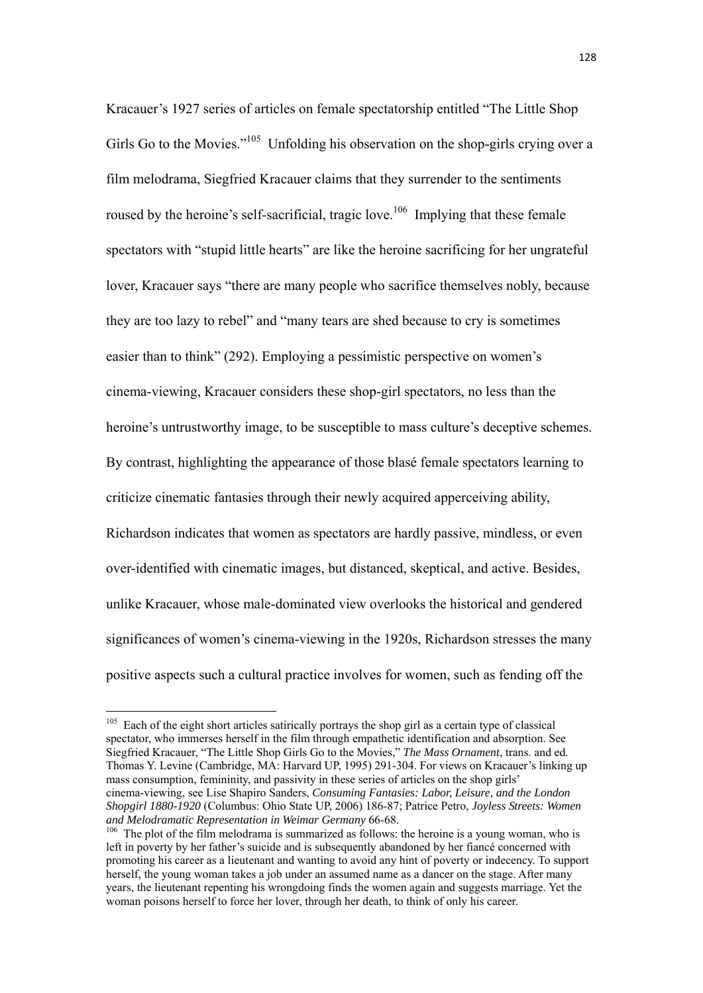Kracauer's 1927 series of articles on female spectatorship entitled "The Little Shop Girls Go to the Movies."<sup>105</sup> Unfolding his observation on the shop-girls crying over a film melodrama, Siegfried Kracauer claims that they surrender to the sentiments roused by the heroine's self-sacrificial, tragic love.<sup>106</sup> Implying that these female spectators with "stupid little hearts" are like the heroine sacrificing for her ungrateful lover, Kracauer says "there are many people who sacrifice themselves nobly, because they are too lazy to rebel" and "many tears are shed because to cry is sometimes easier than to think" (292). Employing a pessimistic perspective on women's cinema-viewing, Kracauer considers these shop-girl spectators, no less than the heroine's untrustworthy image, to be susceptible to mass culture's deceptive schemes. By contrast, highlighting the appearance of those blasé female spectators learning to criticize cinematic fantasies through their newly acquired apperceiving ability, Richardson indicates that women as spectators are hardly passive, mindless, or even over-identified with cinematic images, but distanced, skeptical, and active. Besides, unlike Kracauer, whose male-dominated view overlooks the historical and gendered significances of women's cinema-viewing in the 1920s, Richardson stresses the many positive aspects such a cultural practice involves for women, such as fending off the

<sup>&</sup>lt;sup>105</sup> Each of the eight short articles satirically portrays the shop girl as a certain type of classical spectator, who immerses herself in the film through empathetic identification and absorption. See Siegfried Kracauer, "The Little Shop Girls Go to the Movies," *The Mass Ornament*, trans. and ed. Thomas Y. Levine (Cambridge, MA: Harvard UP, 1995) 291-304. For views on Kracauer's linking up mass consumption, femininity, and passivity in these series of articles on the shop girls' cinema-viewing, see Lise Shapiro Sanders, *Consuming Fantasies: Labor, Leisure, and the London Shopgirl 1880-1920* (Columbus: Ohio State UP, 2006) 186-87; Patrice Petro, *Joyless Streets: Women* 

*and Melodramatic Representation in Weimar Germany* 66-68.<br><sup>106</sup> The plot of the film melodrama is summarized as follows: the heroine is a young woman, who is left in poverty by her father's suicide and is subsequently abandoned by her fiancé concerned with promoting his career as a lieutenant and wanting to avoid any hint of poverty or indecency. To support herself, the young woman takes a job under an assumed name as a dancer on the stage. After many years, the lieutenant repenting his wrongdoing finds the women again and suggests marriage. Yet the woman poisons herself to force her lover, through her death, to think of only his career.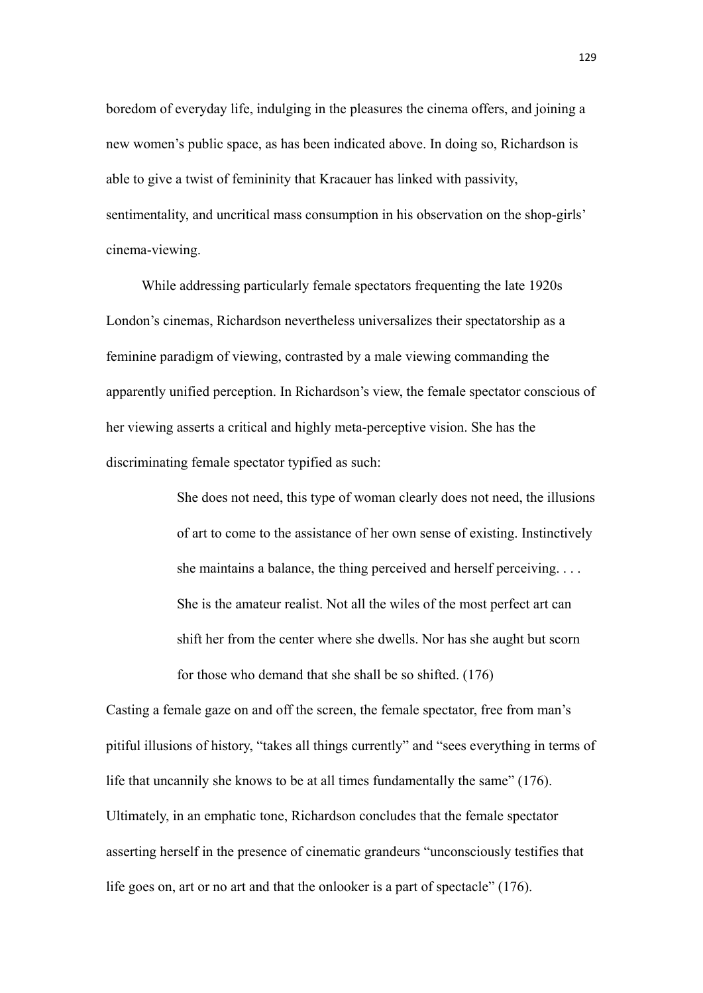boredom of everyday life, indulging in the pleasures the cinema offers, and joining a new women's public space, as has been indicated above. In doing so, Richardson is able to give a twist of femininity that Kracauer has linked with passivity, sentimentality, and uncritical mass consumption in his observation on the shop-girls' cinema-viewing.

While addressing particularly female spectators frequenting the late 1920s London's cinemas, Richardson nevertheless universalizes their spectatorship as a feminine paradigm of viewing, contrasted by a male viewing commanding the apparently unified perception. In Richardson's view, the female spectator conscious of her viewing asserts a critical and highly meta-perceptive vision. She has the discriminating female spectator typified as such:

> She does not need, this type of woman clearly does not need, the illusions of art to come to the assistance of her own sense of existing. Instinctively she maintains a balance, the thing perceived and herself perceiving. . . . She is the amateur realist. Not all the wiles of the most perfect art can shift her from the center where she dwells. Nor has she aught but scorn for those who demand that she shall be so shifted. (176)

Casting a female gaze on and off the screen, the female spectator, free from man's pitiful illusions of history, "takes all things currently" and "sees everything in terms of life that uncannily she knows to be at all times fundamentally the same" (176). Ultimately, in an emphatic tone, Richardson concludes that the female spectator asserting herself in the presence of cinematic grandeurs "unconsciously testifies that life goes on, art or no art and that the onlooker is a part of spectacle" (176).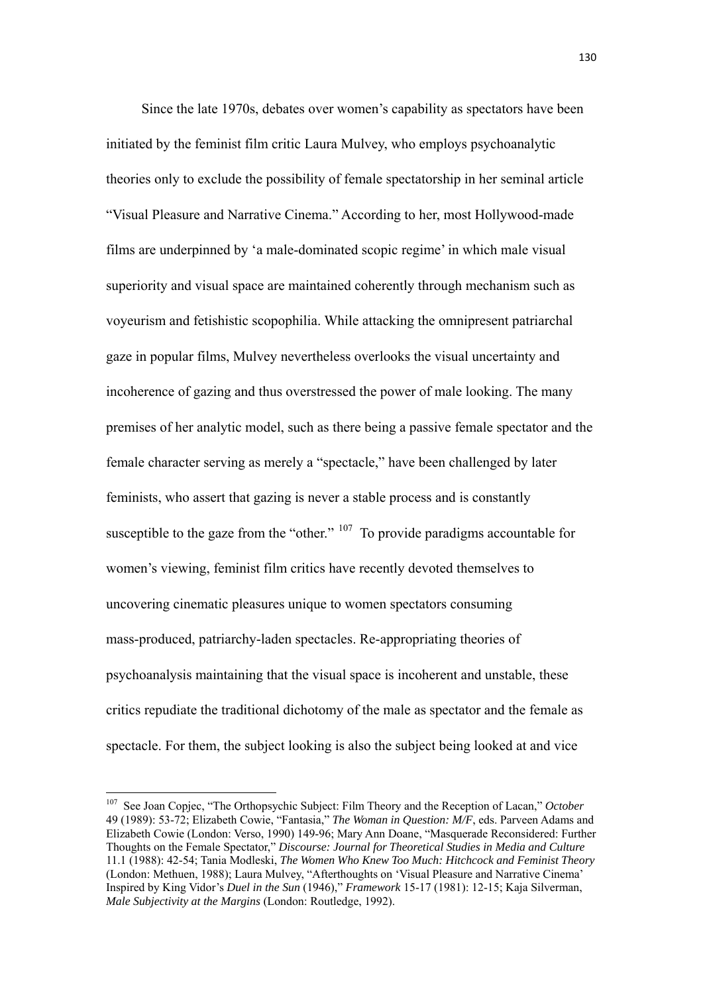Since the late 1970s, debates over women's capability as spectators have been initiated by the feminist film critic Laura Mulvey, who employs psychoanalytic theories only to exclude the possibility of female spectatorship in her seminal article "Visual Pleasure and Narrative Cinema." According to her, most Hollywood-made films are underpinned by 'a male-dominated scopic regime' in which male visual superiority and visual space are maintained coherently through mechanism such as voyeurism and fetishistic scopophilia. While attacking the omnipresent patriarchal gaze in popular films, Mulvey nevertheless overlooks the visual uncertainty and incoherence of gazing and thus overstressed the power of male looking. The many premises of her analytic model, such as there being a passive female spectator and the female character serving as merely a "spectacle," have been challenged by later feminists, who assert that gazing is never a stable process and is constantly susceptible to the gaze from the "other."  $107$  To provide paradigms accountable for women's viewing, feminist film critics have recently devoted themselves to uncovering cinematic pleasures unique to women spectators consuming mass-produced, patriarchy-laden spectacles. Re-appropriating theories of psychoanalysis maintaining that the visual space is incoherent and unstable, these critics repudiate the traditional dichotomy of the male as spectator and the female as spectacle. For them, the subject looking is also the subject being looked at and vice

<sup>107</sup> See Joan Copjec, "The Orthopsychic Subject: Film Theory and the Reception of Lacan," *October* 49 (1989): 53-72; Elizabeth Cowie, "Fantasia," *The Woman in Question: M/F*, eds. Parveen Adams and Elizabeth Cowie (London: Verso, 1990) 149-96; Mary Ann Doane, "Masquerade Reconsidered: Further Thoughts on the Female Spectator," *Discourse: Journal for Theoretical Studies in Media and Culture* 11.1 (1988): 42-54; Tania Modleski, *The Women Who Knew Too Much: Hitchcock and Feminist Theory* (London: Methuen, 1988); Laura Mulvey, "Afterthoughts on 'Visual Pleasure and Narrative Cinema' Inspired by King Vidor's *Duel in the Sun* (1946)," *Framework* 15-17 (1981): 12-15; Kaja Silverman, *Male Subjectivity at the Margins* (London: Routledge, 1992).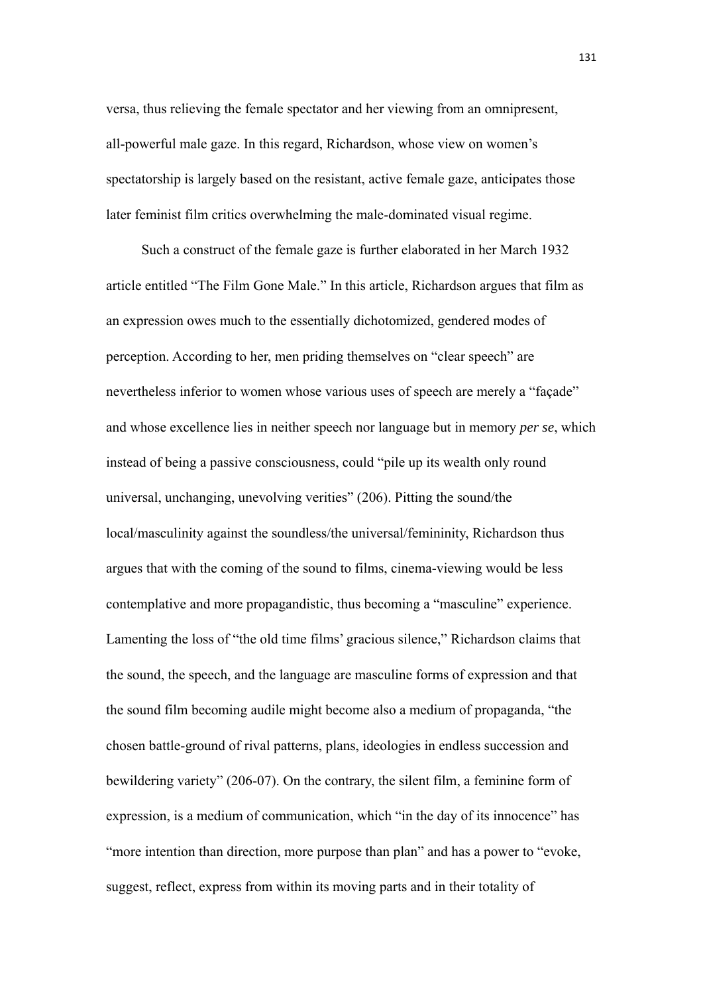versa, thus relieving the female spectator and her viewing from an omnipresent, all-powerful male gaze. In this regard, Richardson, whose view on women's spectatorship is largely based on the resistant, active female gaze, anticipates those later feminist film critics overwhelming the male-dominated visual regime.

Such a construct of the female gaze is further elaborated in her March 1932 article entitled "The Film Gone Male." In this article, Richardson argues that film as an expression owes much to the essentially dichotomized, gendered modes of perception. According to her, men priding themselves on "clear speech" are nevertheless inferior to women whose various uses of speech are merely a "façade" and whose excellence lies in neither speech nor language but in memory *per se*, which instead of being a passive consciousness, could "pile up its wealth only round universal, unchanging, unevolving verities" (206). Pitting the sound/the local/masculinity against the soundless/the universal/femininity, Richardson thus argues that with the coming of the sound to films, cinema-viewing would be less contemplative and more propagandistic, thus becoming a "masculine" experience. Lamenting the loss of "the old time films' gracious silence," Richardson claims that the sound, the speech, and the language are masculine forms of expression and that the sound film becoming audile might become also a medium of propaganda, "the chosen battle-ground of rival patterns, plans, ideologies in endless succession and bewildering variety" (206-07). On the contrary, the silent film, a feminine form of expression, is a medium of communication, which "in the day of its innocence" has "more intention than direction, more purpose than plan" and has a power to "evoke, suggest, reflect, express from within its moving parts and in their totality of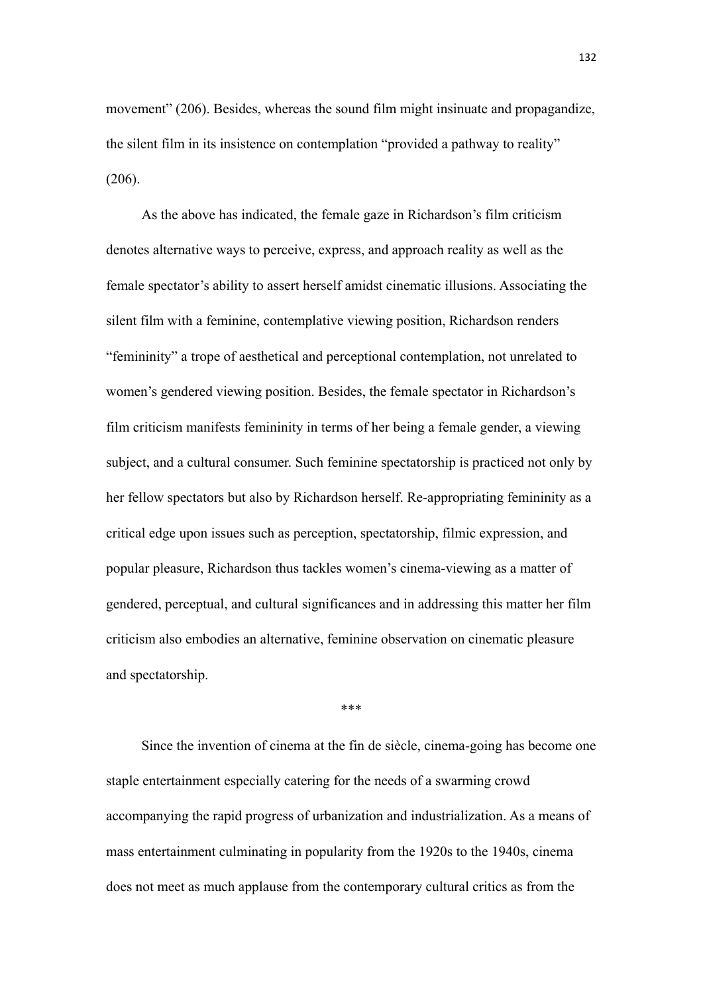movement" (206). Besides, whereas the sound film might insinuate and propagandize, the silent film in its insistence on contemplation "provided a pathway to reality" (206).

As the above has indicated, the female gaze in Richardson's film criticism denotes alternative ways to perceive, express, and approach reality as well as the female spectator's ability to assert herself amidst cinematic illusions. Associating the silent film with a feminine, contemplative viewing position, Richardson renders "femininity" a trope of aesthetical and perceptional contemplation, not unrelated to women's gendered viewing position. Besides, the female spectator in Richardson's film criticism manifests femininity in terms of her being a female gender, a viewing subject, and a cultural consumer. Such feminine spectatorship is practiced not only by her fellow spectators but also by Richardson herself. Re-appropriating femininity as a critical edge upon issues such as perception, spectatorship, filmic expression, and popular pleasure, Richardson thus tackles women's cinema-viewing as a matter of gendered, perceptual, and cultural significances and in addressing this matter her film criticism also embodies an alternative, feminine observation on cinematic pleasure and spectatorship.

\*\*\*

Since the invention of cinema at the fin de siècle, cinema-going has become one staple entertainment especially catering for the needs of a swarming crowd accompanying the rapid progress of urbanization and industrialization. As a means of mass entertainment culminating in popularity from the 1920s to the 1940s, cinema does not meet as much applause from the contemporary cultural critics as from the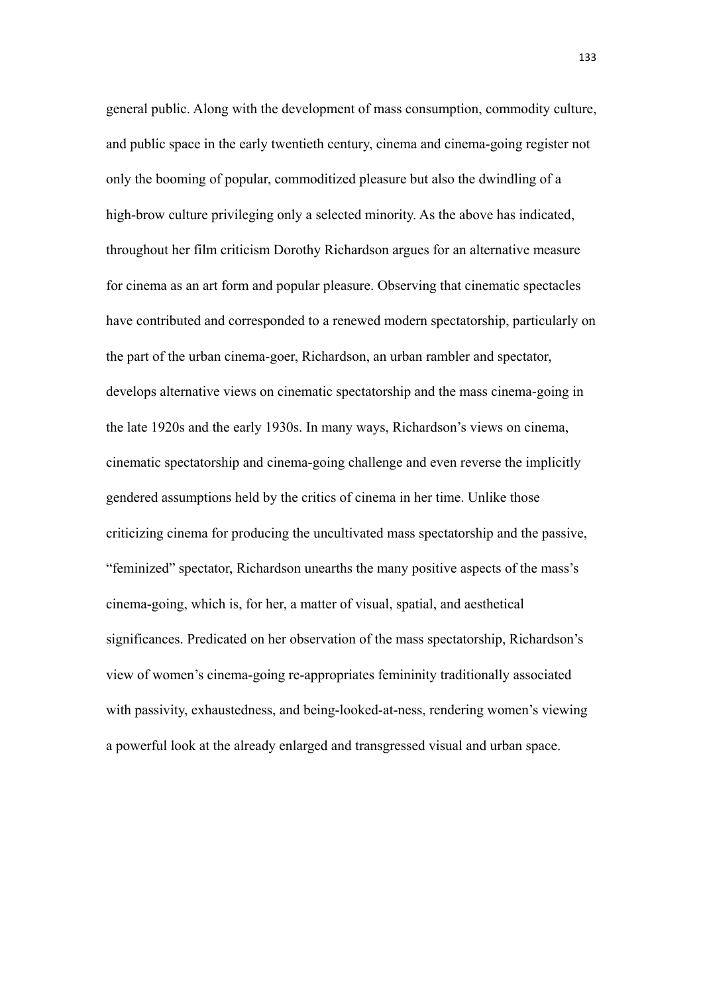general public. Along with the development of mass consumption, commodity culture, and public space in the early twentieth century, cinema and cinema-going register not only the booming of popular, commoditized pleasure but also the dwindling of a high-brow culture privileging only a selected minority. As the above has indicated, throughout her film criticism Dorothy Richardson argues for an alternative measure for cinema as an art form and popular pleasure. Observing that cinematic spectacles have contributed and corresponded to a renewed modern spectatorship, particularly on the part of the urban cinema-goer, Richardson, an urban rambler and spectator, develops alternative views on cinematic spectatorship and the mass cinema-going in the late 1920s and the early 1930s. In many ways, Richardson's views on cinema, cinematic spectatorship and cinema-going challenge and even reverse the implicitly gendered assumptions held by the critics of cinema in her time. Unlike those criticizing cinema for producing the uncultivated mass spectatorship and the passive, "feminized" spectator, Richardson unearths the many positive aspects of the mass's cinema-going, which is, for her, a matter of visual, spatial, and aesthetical significances. Predicated on her observation of the mass spectatorship, Richardson's view of women's cinema-going re-appropriates femininity traditionally associated with passivity, exhaustedness, and being-looked-at-ness, rendering women's viewing a powerful look at the already enlarged and transgressed visual and urban space.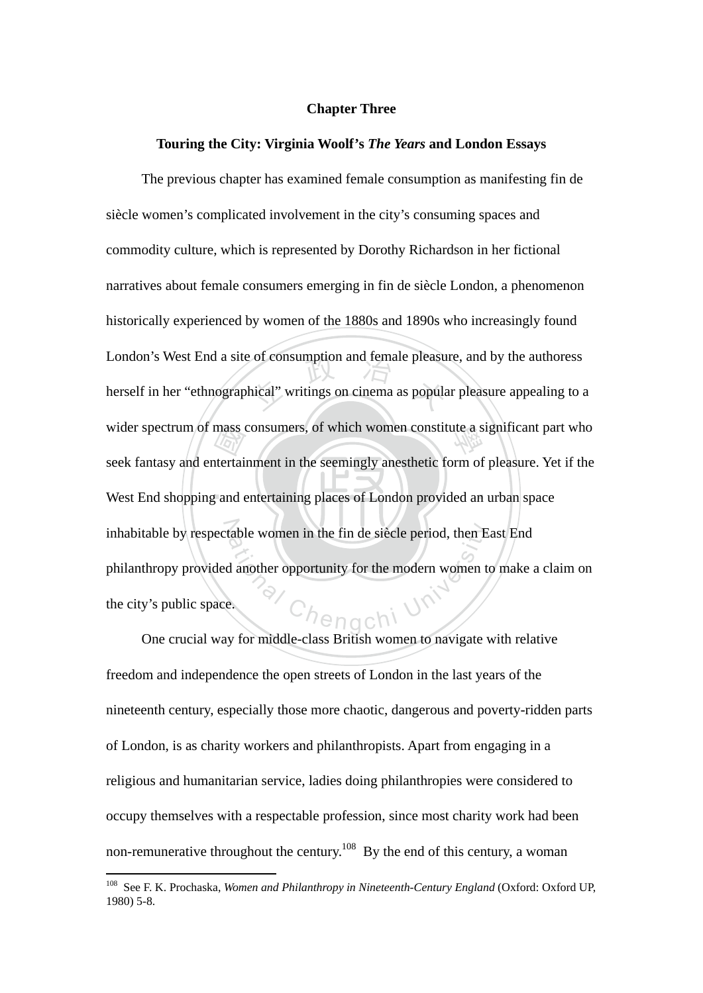# **Chapter Three**

#### **Touring the City: Virginia Woolf's** *The Years* **and London Essays**

West End shopping and entertaining places of London provided an urban space mass<br>tertai<br>gand e of consumption and female pleasured<br>hical" writings on cinema as population wider spectrum of mass consumers, of which women constitute a significant part who inhabitable by respectable women in the fin de siècle period, then East End<br>philanthropy provided another opportunity for the modern women to make a<br>the city's public space. The previous chapter has examined female consumption as manifesting fin de siècle women's complicated involvement in the city's consuming spaces and commodity culture, which is represented by Dorothy Richardson in her fictional narratives about female consumers emerging in fin de siècle London, a phenomenon historically experienced by women of the 1880s and 1890s who increasingly found London's West End a site of consumption and female pleasure, and by the authoress herself in her "ethnographical" writings on cinema as popular pleasure appealing to a seek fantasy and entertainment in the seemingly anesthetic form of pleasure. Yet if the philanthropy provided another opportunity for the modern women to make a claim on the city's public space.

One crucial way for middle-class British women to navigate with relative freedom and independence the open streets of London in the last years of the nineteenth century, especially those more chaotic, dangerous and poverty-ridden parts of London, is as charity workers and philanthropists. Apart from engaging in a religious and humanitarian service, ladies doing philanthropies were considered to occupy themselves with a respectable profession, since most charity work had been non-remunerative throughout the century.<sup>108</sup> By the end of this century, a woman

<sup>108</sup> See F. K. Prochaska, *Women and Philanthropy in Nineteenth-Century England* (Oxford: Oxford UP, 1980) 5-8.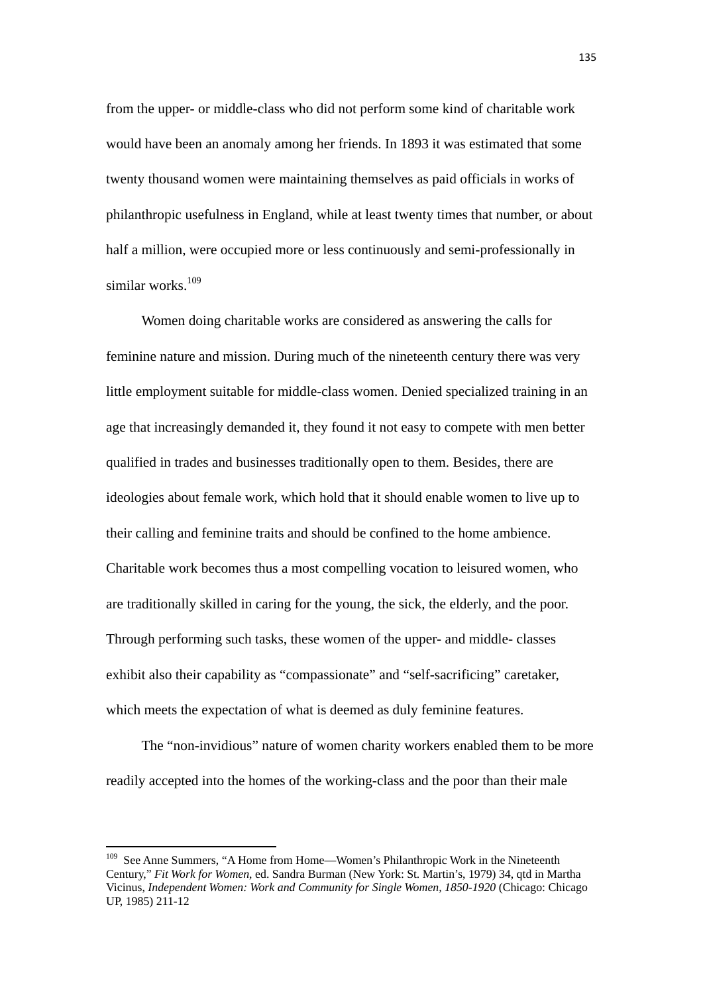from the upper- or middle-class who did not perform some kind of charitable work would have been an anomaly among her friends. In 1893 it was estimated that some twenty thousand women were maintaining themselves as paid officials in works of philanthropic usefulness in England, while at least twenty times that number, or about half a million, were occupied more or less continuously and semi-professionally in similar works. $109$ 

Women doing charitable works are considered as answering the calls for feminine nature and mission. During much of the nineteenth century there was very little employment suitable for middle-class women. Denied specialized training in an age that increasingly demanded it, they found it not easy to compete with men better qualified in trades and businesses traditionally open to them. Besides, there are ideologies about female work, which hold that it should enable women to live up to their calling and feminine traits and should be confined to the home ambience. Charitable work becomes thus a most compelling vocation to leisured women, who are traditionally skilled in caring for the young, the sick, the elderly, and the poor. Through performing such tasks, these women of the upper- and middle- classes exhibit also their capability as "compassionate" and "self-sacrificing" caretaker, which meets the expectation of what is deemed as duly feminine features.

The "non-invidious" nature of women charity workers enabled them to be more readily accepted into the homes of the working-class and the poor than their male

<sup>&</sup>lt;sup>109</sup> See Anne Summers, "A Home from Home—Women's Philanthropic Work in the Nineteenth Century," *Fit Work for Women*, ed. Sandra Burman (New York: St. Martin's, 1979) 34, qtd in Martha Vicinus, *Independent Women: Work and Community for Single Women, 1850-1920* (Chicago: Chicago UP, 1985) 211-12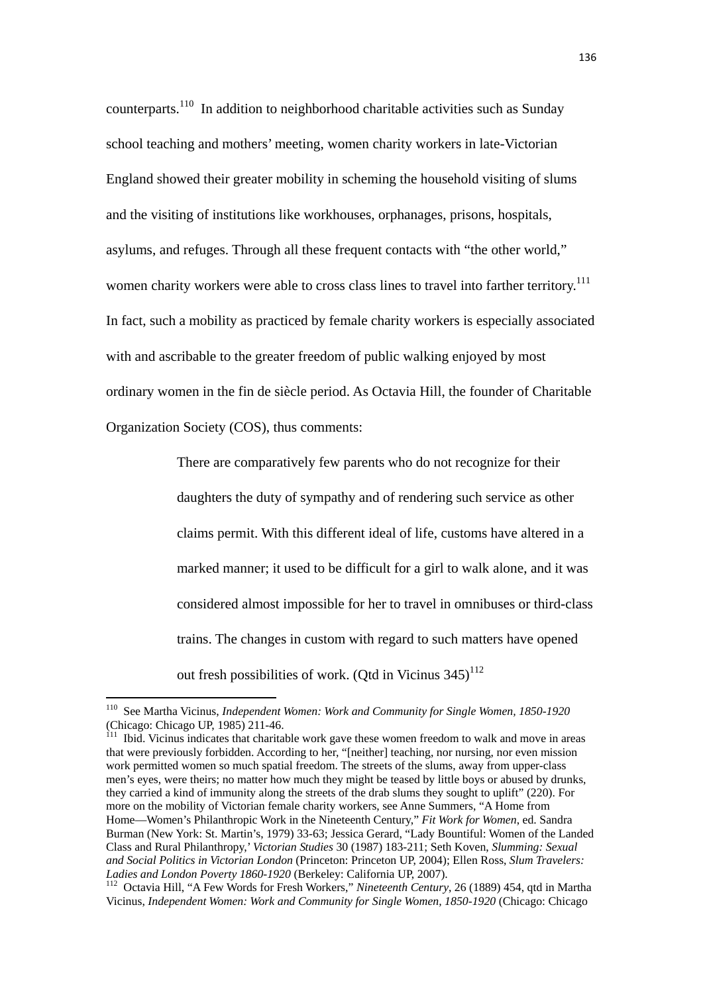counterparts.<sup>110</sup> In addition to neighborhood charitable activities such as Sunday school teaching and mothers' meeting, women charity workers in late-Victorian England showed their greater mobility in scheming the household visiting of slums and the visiting of institutions like workhouses, orphanages, prisons, hospitals, asylums, and refuges. Through all these frequent contacts with "the other world," women charity workers were able to cross class lines to travel into farther territory.<sup>111</sup> In fact, such a mobility as practiced by female charity workers is especially associated with and ascribable to the greater freedom of public walking enjoyed by most ordinary women in the fin de siècle period. As Octavia Hill, the founder of Charitable Organization Society (COS), thus comments:

> There are comparatively few parents who do not recognize for their daughters the duty of sympathy and of rendering such service as other claims permit. With this different ideal of life, customs have altered in a marked manner; it used to be difficult for a girl to walk alone, and it was considered almost impossible for her to travel in omnibuses or third-class trains. The changes in custom with regard to such matters have opened out fresh possibilities of work. (Otd in Vicinus  $345)^{112}$

<sup>110</sup> See Martha Vicinus, *Independent Women: Work and Community for Single Women, 1850-1920* (Chicago: Chicago UP, 1985) 211-46.

 $111$  Ibid. Vicinus indicates that charitable work gave these women freedom to walk and move in areas that were previously forbidden. According to her, "[neither] teaching, nor nursing, nor even mission work permitted women so much spatial freedom. The streets of the slums, away from upper-class men's eyes, were theirs; no matter how much they might be teased by little boys or abused by drunks, they carried a kind of immunity along the streets of the drab slums they sought to uplift" (220). For more on the mobility of Victorian female charity workers, see Anne Summers, "A Home from Home—Women's Philanthropic Work in the Nineteenth Century," *Fit Work for Women*, ed. Sandra Burman (New York: St. Martin's, 1979) 33-63; Jessica Gerard, "Lady Bountiful: Women of the Landed Class and Rural Philanthropy,' *Victorian Studies* 30 (1987) 183-211; Seth Koven, *Slumming: Sexual and Social Politics in Victorian London* (Princeton: Princeton UP, 2004); Ellen Ross, *Slum Travelers:* 

*Ladies and London Poverty 1860-1920* (Berkeley: California UP, 2007). 112 Octavia Hill, "A Few Words for Fresh Workers," *Nineteenth Century*, 26 (1889) 454, qtd in Martha Vicinus, *Independent Women: Work and Community for Single Women, 1850-1920* (Chicago: Chicago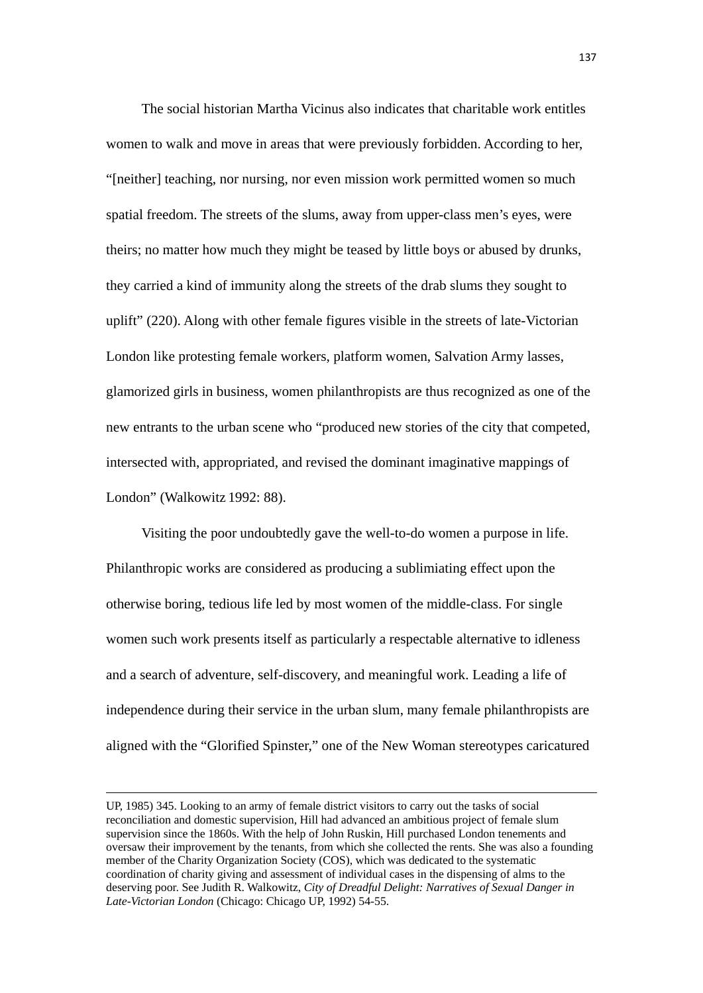The social historian Martha Vicinus also indicates that charitable work entitles women to walk and move in areas that were previously forbidden. According to her, "[neither] teaching, nor nursing, nor even mission work permitted women so much spatial freedom. The streets of the slums, away from upper-class men's eyes, were theirs; no matter how much they might be teased by little boys or abused by drunks, they carried a kind of immunity along the streets of the drab slums they sought to uplift" (220). Along with other female figures visible in the streets of late-Victorian London like protesting female workers, platform women, Salvation Army lasses, glamorized girls in business, women philanthropists are thus recognized as one of the new entrants to the urban scene who "produced new stories of the city that competed, intersected with, appropriated, and revised the dominant imaginative mappings of London" (Walkowitz 1992: 88).

 Visiting the poor undoubtedly gave the well-to-do women a purpose in life. Philanthropic works are considered as producing a sublimiating effect upon the otherwise boring, tedious life led by most women of the middle-class. For single women such work presents itself as particularly a respectable alternative to idleness and a search of adventure, self-discovery, and meaningful work. Leading a life of independence during their service in the urban slum, many female philanthropists are aligned with the "Glorified Spinster," one of the New Woman stereotypes caricatured

<u> 1989 - Johann Barbara, marka a shekara tsara 1989 - An tsara 1989 - An tsara 1989 - An tsara 1989 - An tsara</u>

UP, 1985) 345. Looking to an army of female district visitors to carry out the tasks of social reconciliation and domestic supervision, Hill had advanced an ambitious project of female slum supervision since the 1860s. With the help of John Ruskin, Hill purchased London tenements and oversaw their improvement by the tenants, from which she collected the rents. She was also a founding member of the Charity Organization Society (COS), which was dedicated to the systematic coordination of charity giving and assessment of individual cases in the dispensing of alms to the deserving poor. See Judith R. Walkowitz, *City of Dreadful Delight: Narratives of Sexual Danger in Late-Victorian London* (Chicago: Chicago UP, 1992) 54-55.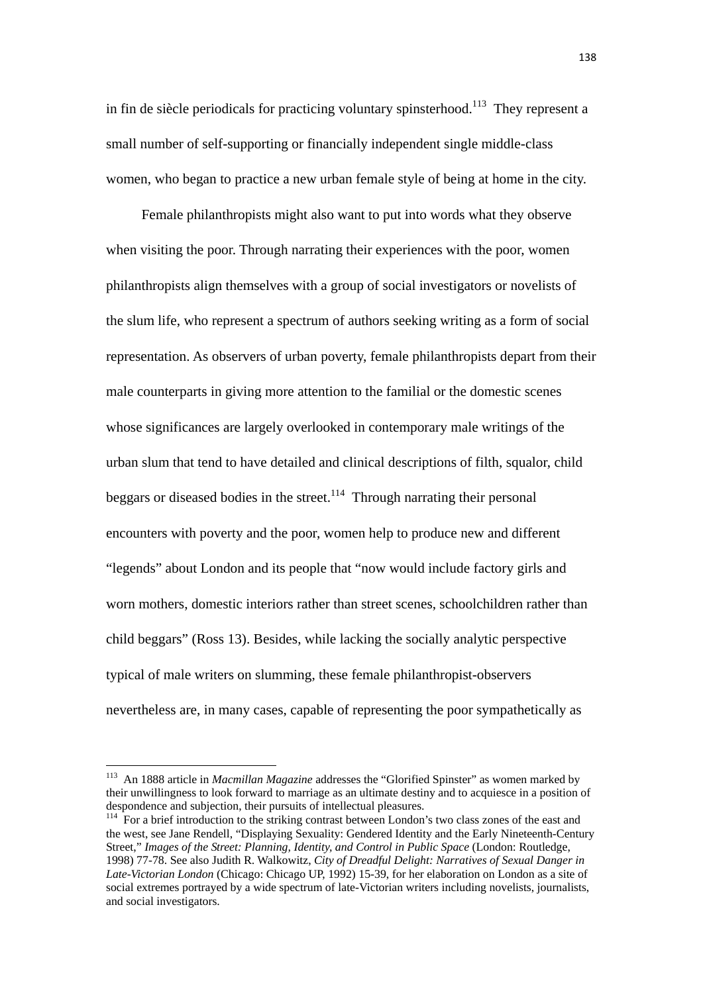in fin de siècle periodicals for practicing voluntary spinsterhood.<sup>113</sup> They represent a small number of self-supporting or financially independent single middle-class women, who began to practice a new urban female style of being at home in the city.

 Female philanthropists might also want to put into words what they observe when visiting the poor. Through narrating their experiences with the poor, women philanthropists align themselves with a group of social investigators or novelists of the slum life, who represent a spectrum of authors seeking writing as a form of social representation. As observers of urban poverty, female philanthropists depart from their male counterparts in giving more attention to the familial or the domestic scenes whose significances are largely overlooked in contemporary male writings of the urban slum that tend to have detailed and clinical descriptions of filth, squalor, child beggars or diseased bodies in the street.<sup>114</sup> Through narrating their personal encounters with poverty and the poor, women help to produce new and different "legends" about London and its people that "now would include factory girls and worn mothers, domestic interiors rather than street scenes, schoolchildren rather than child beggars" (Ross 13). Besides, while lacking the socially analytic perspective typical of male writers on slumming, these female philanthropist-observers nevertheless are, in many cases, capable of representing the poor sympathetically as

<sup>113</sup> An 1888 article in *Macmillan Magazine* addresses the "Glorified Spinster" as women marked by their unwillingness to look forward to marriage as an ultimate destiny and to acquiesce in a position of despondence and subjection, their pursuits of intellectual pleasures.

<sup>&</sup>lt;sup>114</sup> For a brief introduction to the striking contrast between London's two class zones of the east and the west, see Jane Rendell, "Displaying Sexuality: Gendered Identity and the Early Nineteenth-Century Street," *Images of the Street: Planning, Identity, and Control in Public Space* (London: Routledge, 1998) 77-78. See also Judith R. Walkowitz, *City of Dreadful Delight: Narratives of Sexual Danger in Late-Victorian London* (Chicago: Chicago UP, 1992) 15-39, for her elaboration on London as a site of social extremes portrayed by a wide spectrum of late-Victorian writers including novelists, journalists, and social investigators.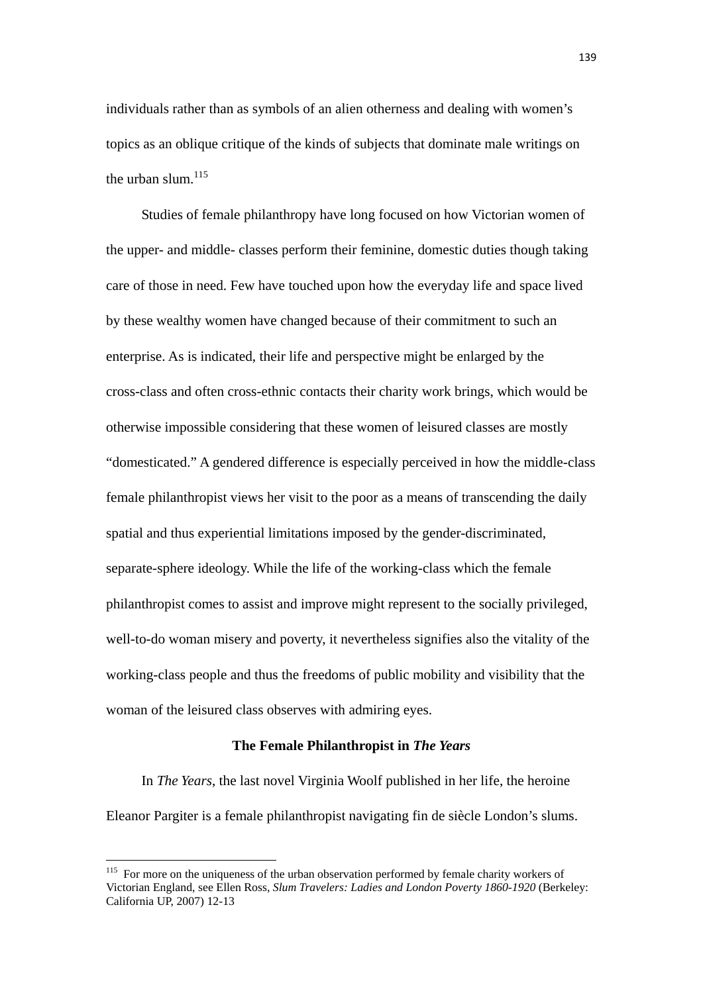individuals rather than as symbols of an alien otherness and dealing with women's topics as an oblique critique of the kinds of subjects that dominate male writings on the urban slum. $115$ 

 Studies of female philanthropy have long focused on how Victorian women of the upper- and middle- classes perform their feminine, domestic duties though taking care of those in need. Few have touched upon how the everyday life and space lived by these wealthy women have changed because of their commitment to such an enterprise. As is indicated, their life and perspective might be enlarged by the cross-class and often cross-ethnic contacts their charity work brings, which would be otherwise impossible considering that these women of leisured classes are mostly "domesticated." A gendered difference is especially perceived in how the middle-class female philanthropist views her visit to the poor as a means of transcending the daily spatial and thus experiential limitations imposed by the gender-discriminated, separate-sphere ideology. While the life of the working-class which the female philanthropist comes to assist and improve might represent to the socially privileged, well-to-do woman misery and poverty, it nevertheless signifies also the vitality of the working-class people and thus the freedoms of public mobility and visibility that the woman of the leisured class observes with admiring eyes.

## **The Female Philanthropist in** *The Years*

In *The Years*, the last novel Virginia Woolf published in her life, the heroine Eleanor Pargiter is a female philanthropist navigating fin de siècle London's slums.

<sup>&</sup>lt;sup>115</sup> For more on the uniqueness of the urban observation performed by female charity workers of Victorian England, see Ellen Ross, *Slum Travelers: Ladies and London Poverty 1860-1920* (Berkeley: California UP, 2007) 12-13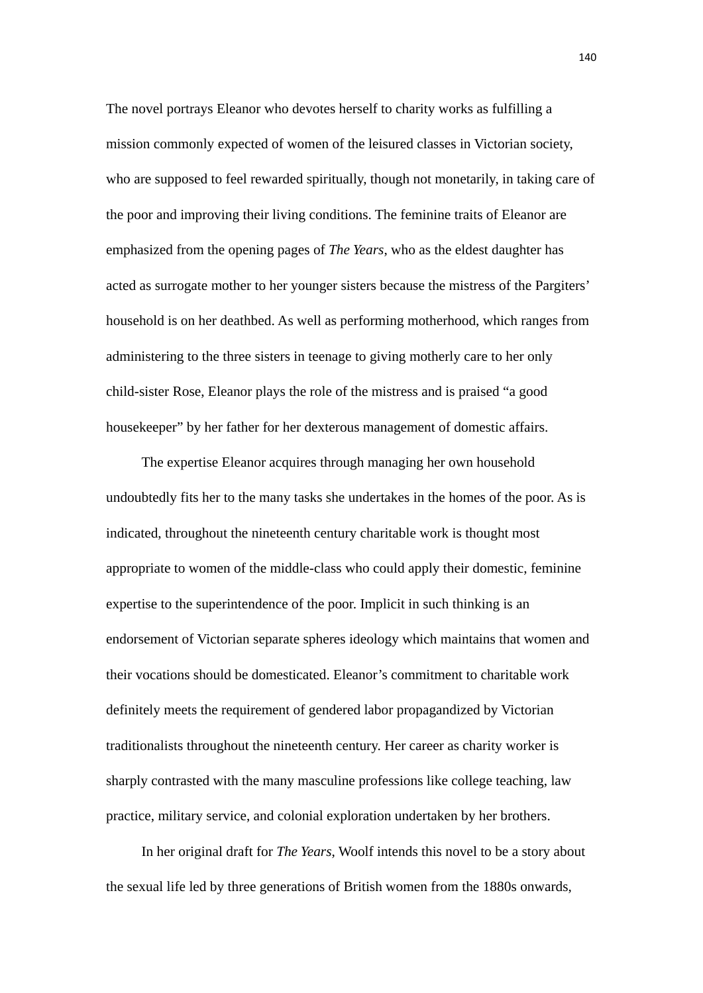The novel portrays Eleanor who devotes herself to charity works as fulfilling a mission commonly expected of women of the leisured classes in Victorian society, who are supposed to feel rewarded spiritually, though not monetarily, in taking care of the poor and improving their living conditions. The feminine traits of Eleanor are emphasized from the opening pages of *The Years*, who as the eldest daughter has acted as surrogate mother to her younger sisters because the mistress of the Pargiters' household is on her deathbed. As well as performing motherhood, which ranges from administering to the three sisters in teenage to giving motherly care to her only child-sister Rose, Eleanor plays the role of the mistress and is praised "a good housekeeper" by her father for her dexterous management of domestic affairs.

The expertise Eleanor acquires through managing her own household undoubtedly fits her to the many tasks she undertakes in the homes of the poor. As is indicated, throughout the nineteenth century charitable work is thought most appropriate to women of the middle-class who could apply their domestic, feminine expertise to the superintendence of the poor. Implicit in such thinking is an endorsement of Victorian separate spheres ideology which maintains that women and their vocations should be domesticated. Eleanor's commitment to charitable work definitely meets the requirement of gendered labor propagandized by Victorian traditionalists throughout the nineteenth century. Her career as charity worker is sharply contrasted with the many masculine professions like college teaching, law practice, military service, and colonial exploration undertaken by her brothers.

In her original draft for *The Years*, Woolf intends this novel to be a story about the sexual life led by three generations of British women from the 1880s onwards,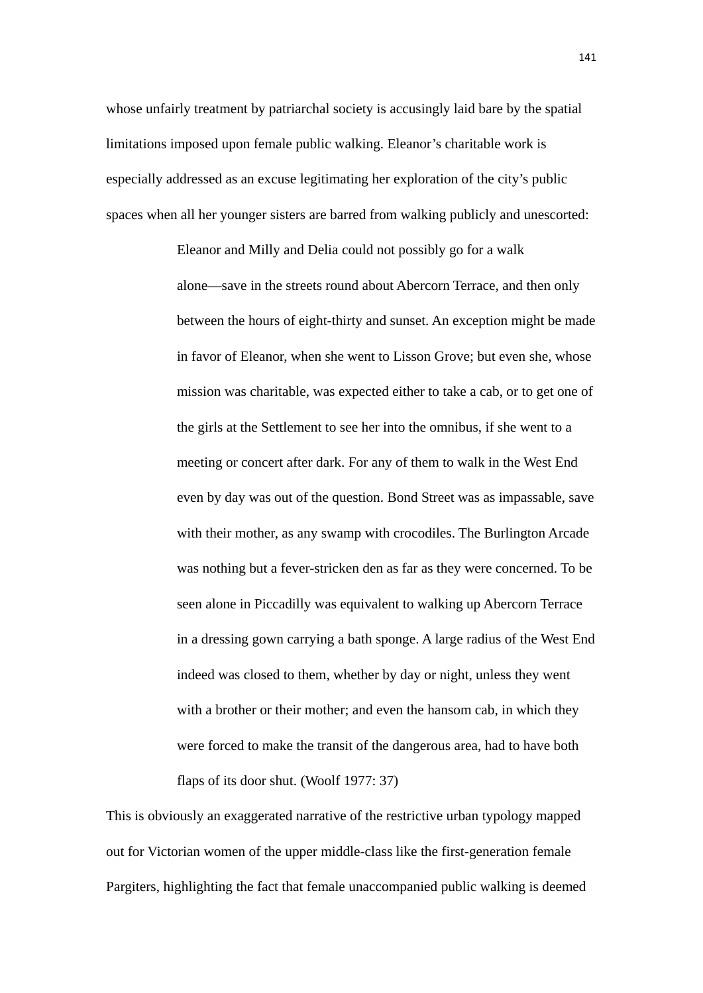whose unfairly treatment by patriarchal society is accusingly laid bare by the spatial limitations imposed upon female public walking. Eleanor's charitable work is especially addressed as an excuse legitimating her exploration of the city's public spaces when all her younger sisters are barred from walking publicly and unescorted:

> Eleanor and Milly and Delia could not possibly go for a walk alone—save in the streets round about Abercorn Terrace, and then only between the hours of eight-thirty and sunset. An exception might be made in favor of Eleanor, when she went to Lisson Grove; but even she, whose mission was charitable, was expected either to take a cab, or to get one of the girls at the Settlement to see her into the omnibus, if she went to a meeting or concert after dark. For any of them to walk in the West End even by day was out of the question. Bond Street was as impassable, save with their mother, as any swamp with crocodiles. The Burlington Arcade was nothing but a fever-stricken den as far as they were concerned. To be seen alone in Piccadilly was equivalent to walking up Abercorn Terrace in a dressing gown carrying a bath sponge. A large radius of the West End indeed was closed to them, whether by day or night, unless they went with a brother or their mother; and even the hansom cab, in which they were forced to make the transit of the dangerous area, had to have both flaps of its door shut. (Woolf 1977: 37)

This is obviously an exaggerated narrative of the restrictive urban typology mapped out for Victorian women of the upper middle-class like the first-generation female Pargiters, highlighting the fact that female unaccompanied public walking is deemed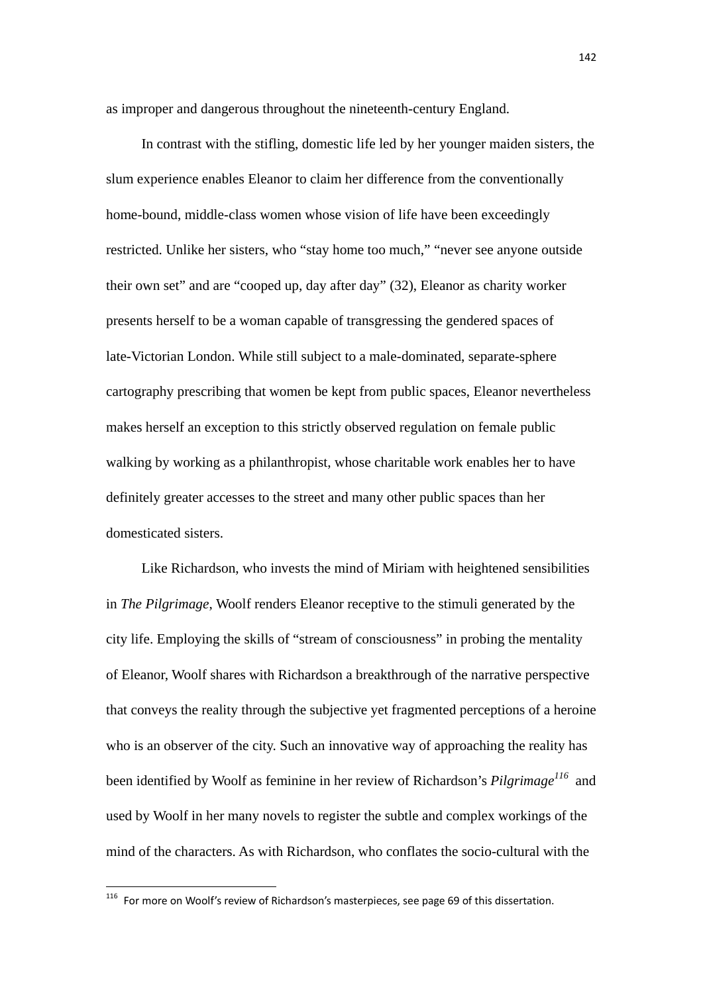as improper and dangerous throughout the nineteenth-century England.

In contrast with the stifling, domestic life led by her younger maiden sisters, the slum experience enables Eleanor to claim her difference from the conventionally home-bound, middle-class women whose vision of life have been exceedingly restricted. Unlike her sisters, who "stay home too much," "never see anyone outside their own set" and are "cooped up, day after day" (32), Eleanor as charity worker presents herself to be a woman capable of transgressing the gendered spaces of late-Victorian London. While still subject to a male-dominated, separate-sphere cartography prescribing that women be kept from public spaces, Eleanor nevertheless makes herself an exception to this strictly observed regulation on female public walking by working as a philanthropist, whose charitable work enables her to have definitely greater accesses to the street and many other public spaces than her domesticated sisters.

Like Richardson, who invests the mind of Miriam with heightened sensibilities in *The Pilgrimage*, Woolf renders Eleanor receptive to the stimuli generated by the city life. Employing the skills of "stream of consciousness" in probing the mentality of Eleanor, Woolf shares with Richardson a breakthrough of the narrative perspective that conveys the reality through the subjective yet fragmented perceptions of a heroine who is an observer of the city. Such an innovative way of approaching the reality has been identified by Woolf as feminine in her review of Richardson's *Pilgrimage<sup>116</sup>* and used by Woolf in her many novels to register the subtle and complex workings of the mind of the characters. As with Richardson, who conflates the socio-cultural with the

 $116$  For more on Woolf's review of Richardson's masterpieces, see page 69 of this dissertation.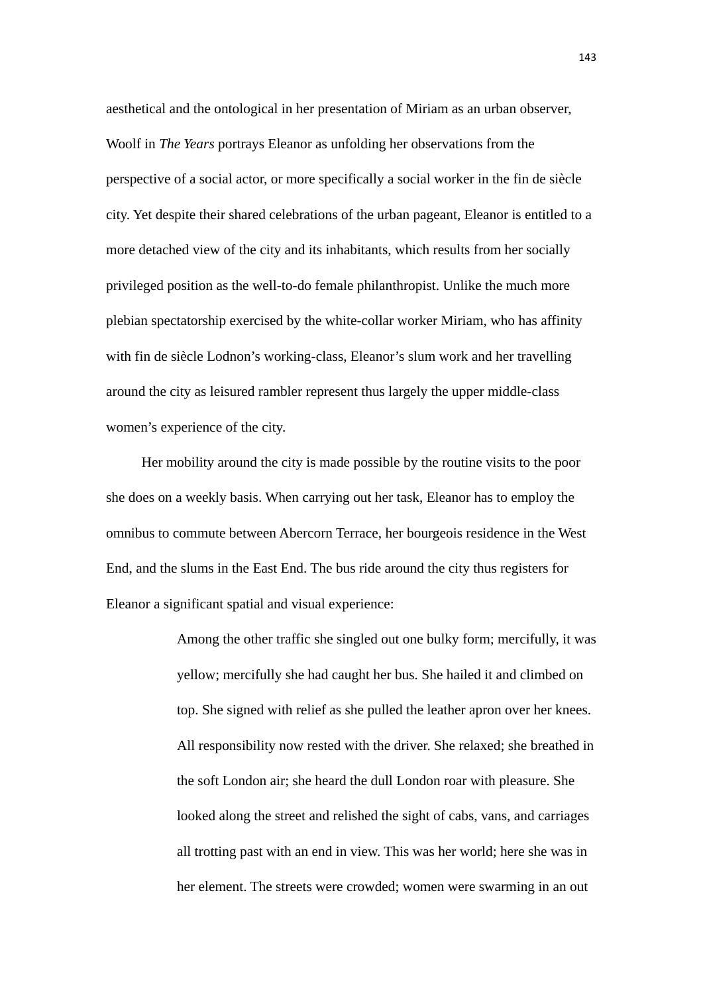aesthetical and the ontological in her presentation of Miriam as an urban observer, Woolf in *The Years* portrays Eleanor as unfolding her observations from the perspective of a social actor, or more specifically a social worker in the fin de siècle city. Yet despite their shared celebrations of the urban pageant, Eleanor is entitled to a more detached view of the city and its inhabitants, which results from her socially privileged position as the well-to-do female philanthropist. Unlike the much more plebian spectatorship exercised by the white-collar worker Miriam, who has affinity with fin de siècle Lodnon's working-class, Eleanor's slum work and her travelling around the city as leisured rambler represent thus largely the upper middle-class women's experience of the city.

Her mobility around the city is made possible by the routine visits to the poor she does on a weekly basis. When carrying out her task, Eleanor has to employ the omnibus to commute between Abercorn Terrace, her bourgeois residence in the West End, and the slums in the East End. The bus ride around the city thus registers for Eleanor a significant spatial and visual experience:

> Among the other traffic she singled out one bulky form; mercifully, it was yellow; mercifully she had caught her bus. She hailed it and climbed on top. She signed with relief as she pulled the leather apron over her knees. All responsibility now rested with the driver. She relaxed; she breathed in the soft London air; she heard the dull London roar with pleasure. She looked along the street and relished the sight of cabs, vans, and carriages all trotting past with an end in view. This was her world; here she was in her element. The streets were crowded; women were swarming in an out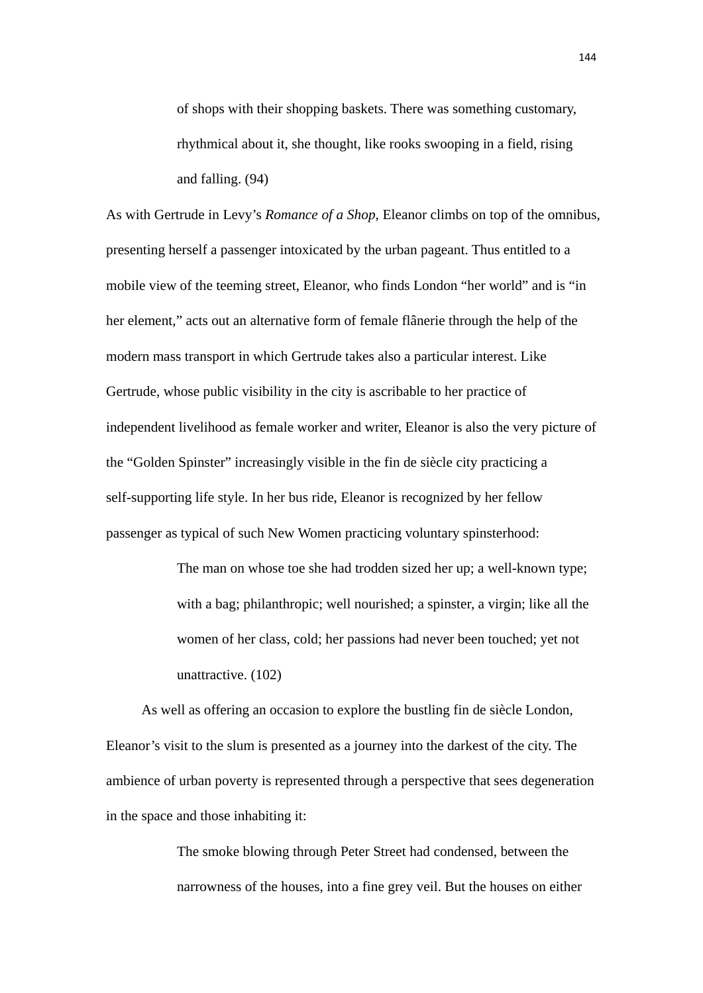of shops with their shopping baskets. There was something customary, rhythmical about it, she thought, like rooks swooping in a field, rising and falling. (94)

As with Gertrude in Levy's *Romance of a Shop*, Eleanor climbs on top of the omnibus, presenting herself a passenger intoxicated by the urban pageant. Thus entitled to a mobile view of the teeming street, Eleanor, who finds London "her world" and is "in her element," acts out an alternative form of female flânerie through the help of the modern mass transport in which Gertrude takes also a particular interest. Like Gertrude, whose public visibility in the city is ascribable to her practice of independent livelihood as female worker and writer, Eleanor is also the very picture of the "Golden Spinster" increasingly visible in the fin de siècle city practicing a self-supporting life style. In her bus ride, Eleanor is recognized by her fellow passenger as typical of such New Women practicing voluntary spinsterhood:

> The man on whose toe she had trodden sized her up; a well-known type; with a bag; philanthropic; well nourished; a spinster, a virgin; like all the women of her class, cold; her passions had never been touched; yet not unattractive. (102)

 As well as offering an occasion to explore the bustling fin de siècle London, Eleanor's visit to the slum is presented as a journey into the darkest of the city. The ambience of urban poverty is represented through a perspective that sees degeneration in the space and those inhabiting it:

> The smoke blowing through Peter Street had condensed, between the narrowness of the houses, into a fine grey veil. But the houses on either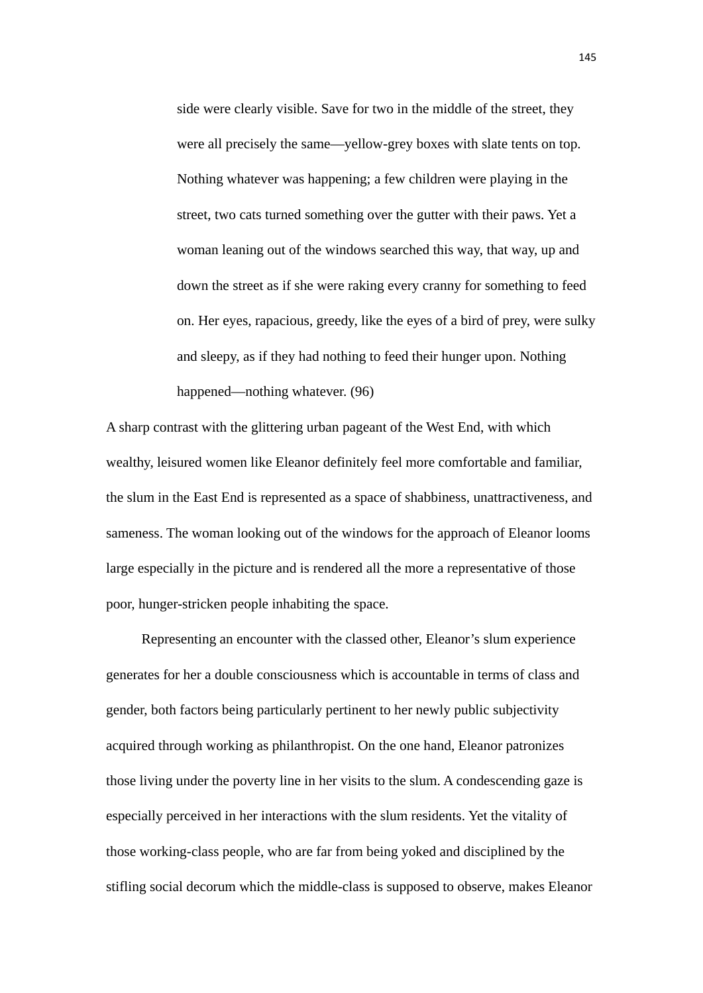side were clearly visible. Save for two in the middle of the street, they were all precisely the same—yellow-grey boxes with slate tents on top. Nothing whatever was happening; a few children were playing in the street, two cats turned something over the gutter with their paws. Yet a woman leaning out of the windows searched this way, that way, up and down the street as if she were raking every cranny for something to feed on. Her eyes, rapacious, greedy, like the eyes of a bird of prey, were sulky and sleepy, as if they had nothing to feed their hunger upon. Nothing happened—nothing whatever. (96)

A sharp contrast with the glittering urban pageant of the West End, with which wealthy, leisured women like Eleanor definitely feel more comfortable and familiar, the slum in the East End is represented as a space of shabbiness, unattractiveness, and sameness. The woman looking out of the windows for the approach of Eleanor looms large especially in the picture and is rendered all the more a representative of those poor, hunger-stricken people inhabiting the space.

 Representing an encounter with the classed other, Eleanor's slum experience generates for her a double consciousness which is accountable in terms of class and gender, both factors being particularly pertinent to her newly public subjectivity acquired through working as philanthropist. On the one hand, Eleanor patronizes those living under the poverty line in her visits to the slum. A condescending gaze is especially perceived in her interactions with the slum residents. Yet the vitality of those working-class people, who are far from being yoked and disciplined by the stifling social decorum which the middle-class is supposed to observe, makes Eleanor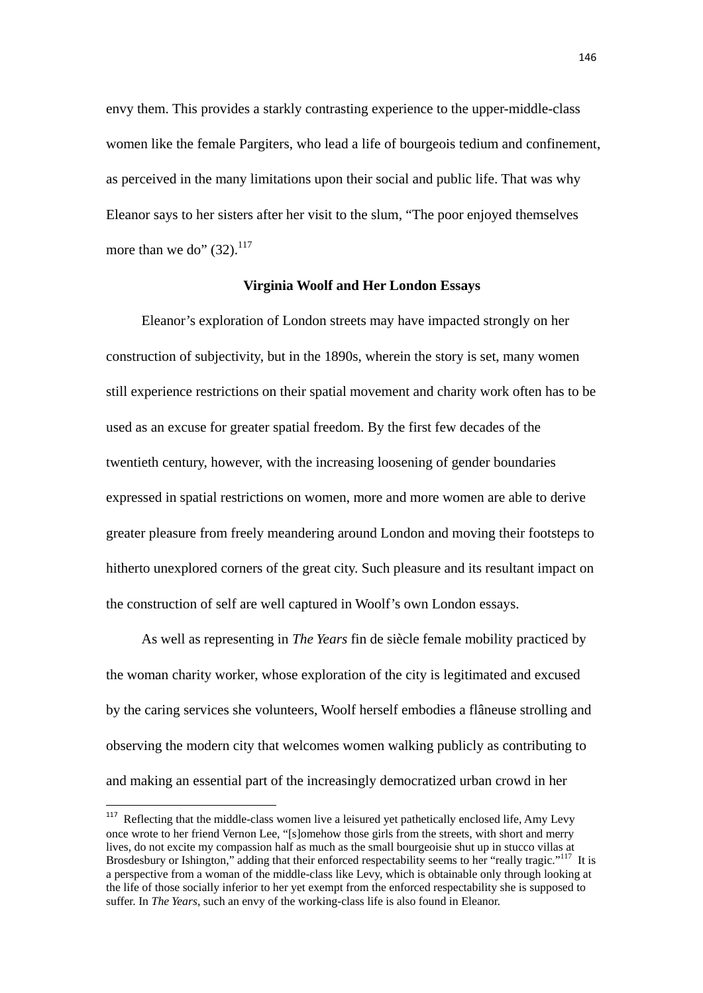envy them. This provides a starkly contrasting experience to the upper-middle-class women like the female Pargiters, who lead a life of bourgeois tedium and confinement, as perceived in the many limitations upon their social and public life. That was why Eleanor says to her sisters after her visit to the slum, "The poor enjoyed themselves more than we do"  $(32).<sup>117</sup>$ 

## **Virginia Woolf and Her London Essays**

Eleanor's exploration of London streets may have impacted strongly on her construction of subjectivity, but in the 1890s, wherein the story is set, many women still experience restrictions on their spatial movement and charity work often has to be used as an excuse for greater spatial freedom. By the first few decades of the twentieth century, however, with the increasing loosening of gender boundaries expressed in spatial restrictions on women, more and more women are able to derive greater pleasure from freely meandering around London and moving their footsteps to hitherto unexplored corners of the great city. Such pleasure and its resultant impact on the construction of self are well captured in Woolf's own London essays.

As well as representing in *The Years* fin de siècle female mobility practiced by the woman charity worker, whose exploration of the city is legitimated and excused by the caring services she volunteers, Woolf herself embodies a flâneuse strolling and observing the modern city that welcomes women walking publicly as contributing to and making an essential part of the increasingly democratized urban crowd in her

<sup>&</sup>lt;sup>117</sup> Reflecting that the middle-class women live a leisured yet pathetically enclosed life, Amy Levy once wrote to her friend Vernon Lee, "[s]omehow those girls from the streets, with short and merry lives, do not excite my compassion half as much as the small bourgeoisie shut up in stucco villas at Brosdesbury or Ishington," adding that their enforced respectability seems to her "really tragic."<sup>117</sup> It is a perspective from a woman of the middle-class like Levy, which is obtainable only through looking at the life of those socially inferior to her yet exempt from the enforced respectability she is supposed to suffer. In *The Years*, such an envy of the working-class life is also found in Eleanor.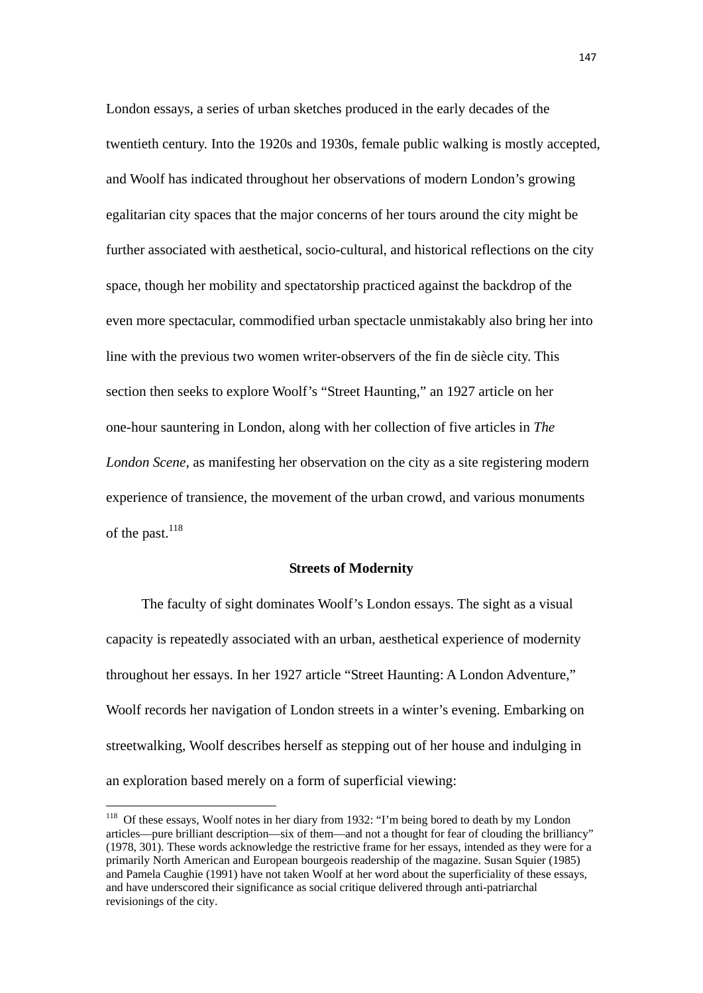London essays, a series of urban sketches produced in the early decades of the twentieth century. Into the 1920s and 1930s, female public walking is mostly accepted, and Woolf has indicated throughout her observations of modern London's growing egalitarian city spaces that the major concerns of her tours around the city might be further associated with aesthetical, socio-cultural, and historical reflections on the city space, though her mobility and spectatorship practiced against the backdrop of the even more spectacular, commodified urban spectacle unmistakably also bring her into line with the previous two women writer-observers of the fin de siècle city. This section then seeks to explore Woolf's "Street Haunting," an 1927 article on her one-hour sauntering in London, along with her collection of five articles in *The London Scene*, as manifesting her observation on the city as a site registering modern experience of transience, the movement of the urban crowd, and various monuments of the past.<sup>118</sup>

#### **Streets of Modernity**

The faculty of sight dominates Woolf's London essays. The sight as a visual capacity is repeatedly associated with an urban, aesthetical experience of modernity throughout her essays. In her 1927 article "Street Haunting: A London Adventure," Woolf records her navigation of London streets in a winter's evening. Embarking on streetwalking, Woolf describes herself as stepping out of her house and indulging in an exploration based merely on a form of superficial viewing:

<sup>&</sup>lt;sup>118</sup> Of these essays, Woolf notes in her diary from 1932: "I'm being bored to death by my London articles—pure brilliant description—six of them—and not a thought for fear of clouding the brilliancy" (1978, 301). These words acknowledge the restrictive frame for her essays, intended as they were for a primarily North American and European bourgeois readership of the magazine. Susan Squier (1985) and Pamela Caughie (1991) have not taken Woolf at her word about the superficiality of these essays, and have underscored their significance as social critique delivered through anti-patriarchal revisionings of the city.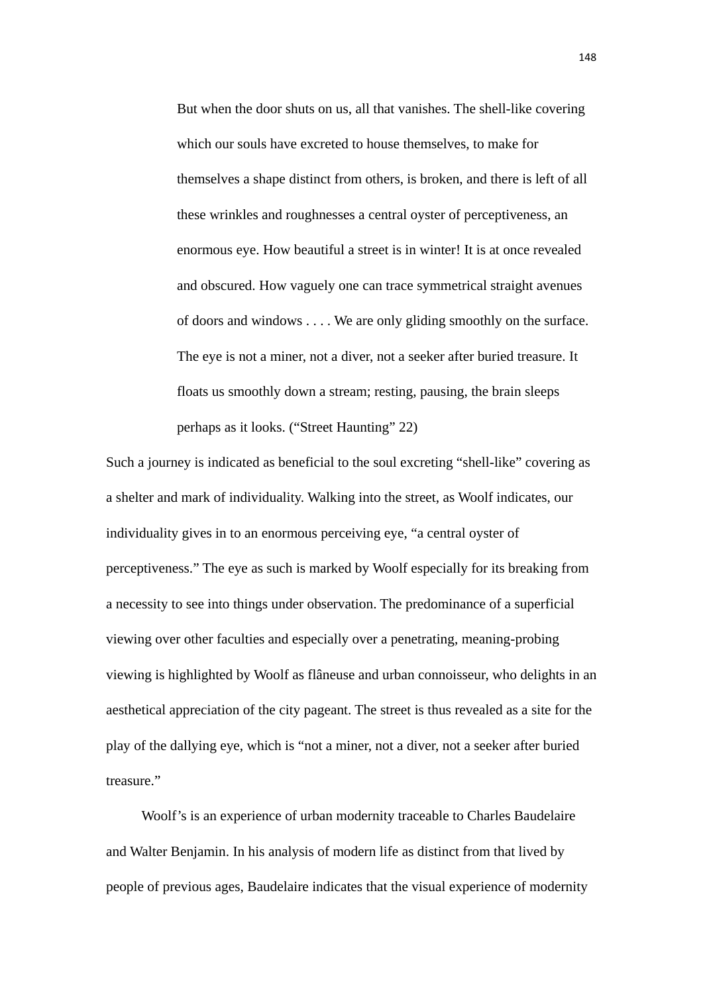But when the door shuts on us, all that vanishes. The shell-like covering which our souls have excreted to house themselves, to make for themselves a shape distinct from others, is broken, and there is left of all these wrinkles and roughnesses a central oyster of perceptiveness, an enormous eye. How beautiful a street is in winter! It is at once revealed and obscured. How vaguely one can trace symmetrical straight avenues of doors and windows . . . . We are only gliding smoothly on the surface. The eye is not a miner, not a diver, not a seeker after buried treasure. It floats us smoothly down a stream; resting, pausing, the brain sleeps perhaps as it looks. ("Street Haunting" 22)

Such a journey is indicated as beneficial to the soul excreting "shell-like" covering as a shelter and mark of individuality. Walking into the street, as Woolf indicates, our individuality gives in to an enormous perceiving eye, "a central oyster of perceptiveness." The eye as such is marked by Woolf especially for its breaking from a necessity to see into things under observation. The predominance of a superficial viewing over other faculties and especially over a penetrating, meaning-probing viewing is highlighted by Woolf as flâneuse and urban connoisseur, who delights in an aesthetical appreciation of the city pageant. The street is thus revealed as a site for the play of the dallying eye, which is "not a miner, not a diver, not a seeker after buried treasure."

Woolf's is an experience of urban modernity traceable to Charles Baudelaire and Walter Benjamin. In his analysis of modern life as distinct from that lived by people of previous ages, Baudelaire indicates that the visual experience of modernity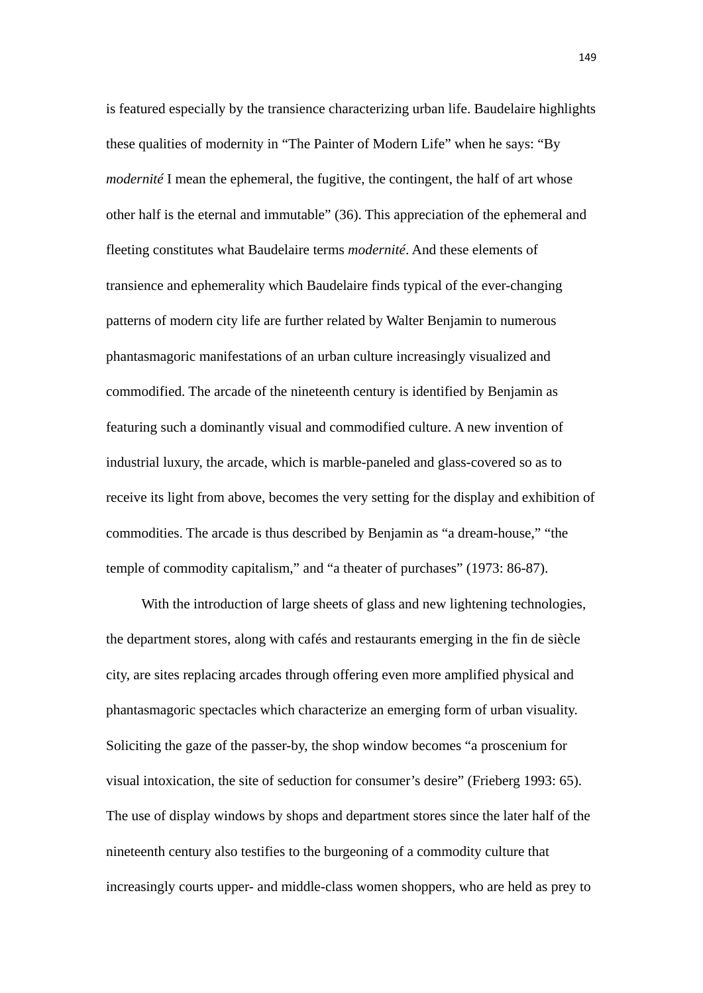is featured especially by the transience characterizing urban life. Baudelaire highlights these qualities of modernity in "The Painter of Modern Life" when he says: "By *modernité* I mean the ephemeral, the fugitive, the contingent, the half of art whose other half is the eternal and immutable" (36). This appreciation of the ephemeral and fleeting constitutes what Baudelaire terms *modernité*. And these elements of transience and ephemerality which Baudelaire finds typical of the ever-changing patterns of modern city life are further related by Walter Benjamin to numerous phantasmagoric manifestations of an urban culture increasingly visualized and commodified. The arcade of the nineteenth century is identified by Benjamin as featuring such a dominantly visual and commodified culture. A new invention of industrial luxury, the arcade, which is marble-paneled and glass-covered so as to receive its light from above, becomes the very setting for the display and exhibition of commodities. The arcade is thus described by Benjamin as "a dream-house," "the temple of commodity capitalism," and "a theater of purchases" (1973: 86-87).

With the introduction of large sheets of glass and new lightening technologies, the department stores, along with cafés and restaurants emerging in the fin de siècle city, are sites replacing arcades through offering even more amplified physical and phantasmagoric spectacles which characterize an emerging form of urban visuality. Soliciting the gaze of the passer-by, the shop window becomes "a proscenium for visual intoxication, the site of seduction for consumer's desire" (Frieberg 1993: 65). The use of display windows by shops and department stores since the later half of the nineteenth century also testifies to the burgeoning of a commodity culture that increasingly courts upper- and middle-class women shoppers, who are held as prey to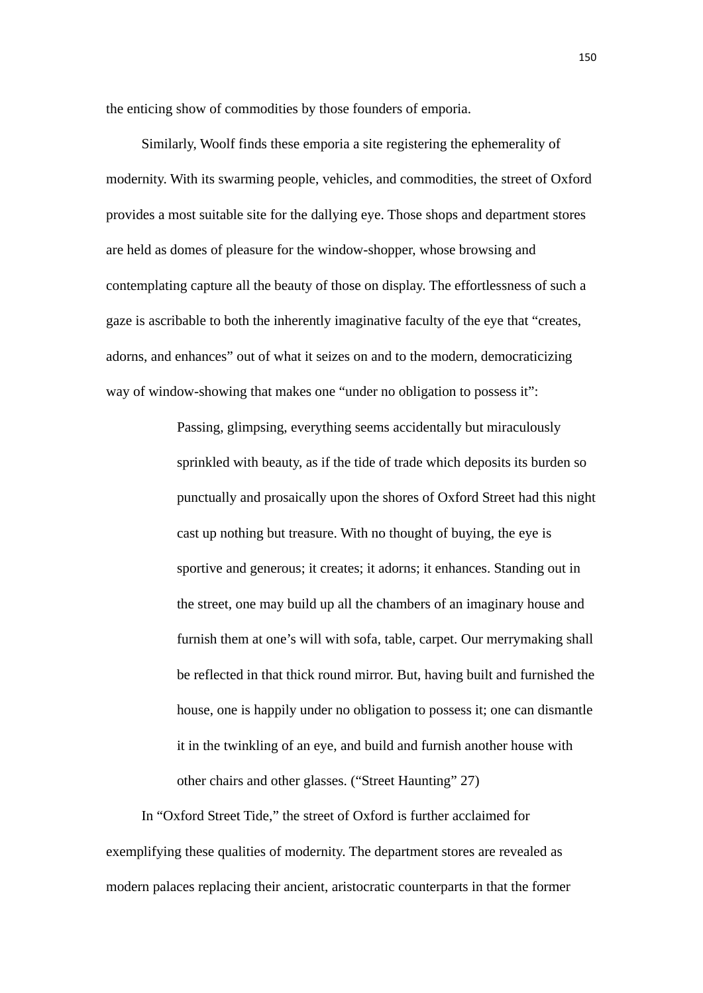the enticing show of commodities by those founders of emporia.

 Similarly, Woolf finds these emporia a site registering the ephemerality of modernity. With its swarming people, vehicles, and commodities, the street of Oxford provides a most suitable site for the dallying eye. Those shops and department stores are held as domes of pleasure for the window-shopper, whose browsing and contemplating capture all the beauty of those on display. The effortlessness of such a gaze is ascribable to both the inherently imaginative faculty of the eye that "creates, adorns, and enhances" out of what it seizes on and to the modern, democraticizing way of window-showing that makes one "under no obligation to possess it":

> Passing, glimpsing, everything seems accidentally but miraculously sprinkled with beauty, as if the tide of trade which deposits its burden so punctually and prosaically upon the shores of Oxford Street had this night cast up nothing but treasure. With no thought of buying, the eye is sportive and generous; it creates; it adorns; it enhances. Standing out in the street, one may build up all the chambers of an imaginary house and furnish them at one's will with sofa, table, carpet. Our merrymaking shall be reflected in that thick round mirror. But, having built and furnished the house, one is happily under no obligation to possess it; one can dismantle it in the twinkling of an eye, and build and furnish another house with other chairs and other glasses. ("Street Haunting" 27)

In "Oxford Street Tide," the street of Oxford is further acclaimed for exemplifying these qualities of modernity. The department stores are revealed as modern palaces replacing their ancient, aristocratic counterparts in that the former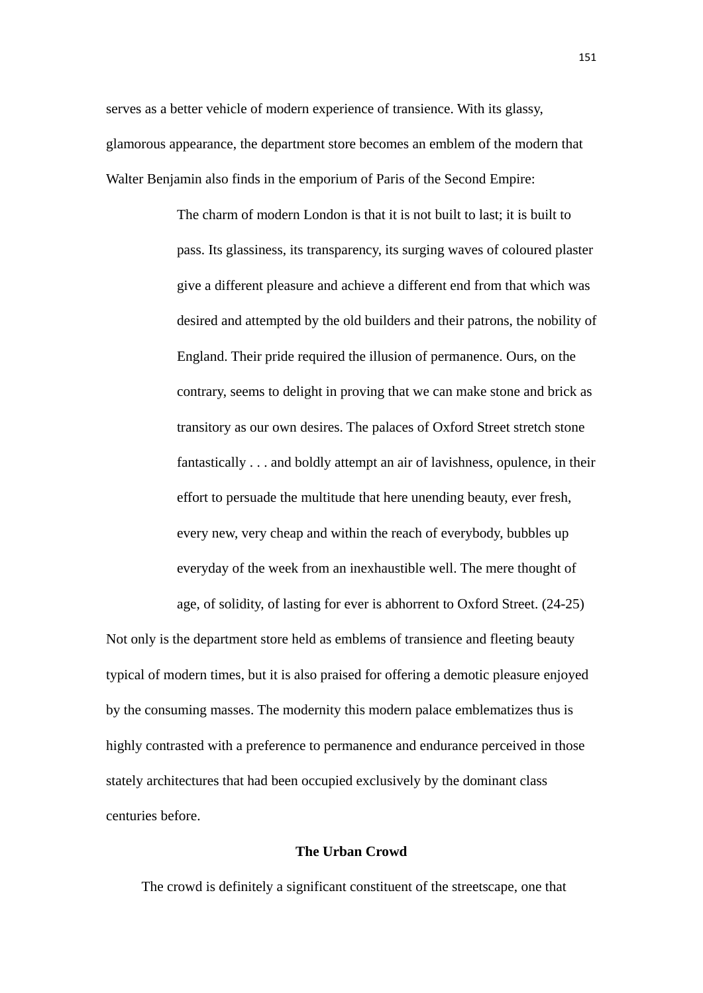serves as a better vehicle of modern experience of transience. With its glassy, glamorous appearance, the department store becomes an emblem of the modern that Walter Benjamin also finds in the emporium of Paris of the Second Empire:

> The charm of modern London is that it is not built to last; it is built to pass. Its glassiness, its transparency, its surging waves of coloured plaster give a different pleasure and achieve a different end from that which was desired and attempted by the old builders and their patrons, the nobility of England. Their pride required the illusion of permanence. Ours, on the contrary, seems to delight in proving that we can make stone and brick as transitory as our own desires. The palaces of Oxford Street stretch stone fantastically . . . and boldly attempt an air of lavishness, opulence, in their effort to persuade the multitude that here unending beauty, ever fresh, every new, very cheap and within the reach of everybody, bubbles up everyday of the week from an inexhaustible well. The mere thought of

age, of solidity, of lasting for ever is abhorrent to Oxford Street. (24-25)

Not only is the department store held as emblems of transience and fleeting beauty typical of modern times, but it is also praised for offering a demotic pleasure enjoyed by the consuming masses. The modernity this modern palace emblematizes thus is highly contrasted with a preference to permanence and endurance perceived in those stately architectures that had been occupied exclusively by the dominant class centuries before.

### **The Urban Crowd**

The crowd is definitely a significant constituent of the streetscape, one that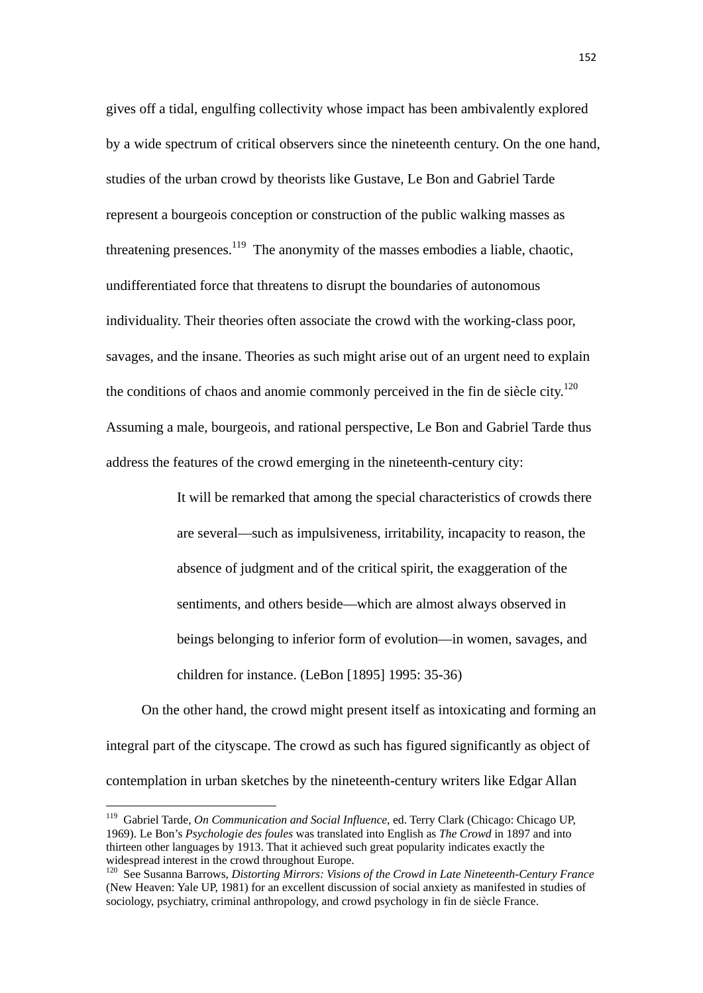gives off a tidal, engulfing collectivity whose impact has been ambivalently explored by a wide spectrum of critical observers since the nineteenth century. On the one hand, studies of the urban crowd by theorists like Gustave, Le Bon and Gabriel Tarde represent a bourgeois conception or construction of the public walking masses as threatening presences.<sup>119</sup> The anonymity of the masses embodies a liable, chaotic, undifferentiated force that threatens to disrupt the boundaries of autonomous individuality. Their theories often associate the crowd with the working-class poor, savages, and the insane. Theories as such might arise out of an urgent need to explain the conditions of chaos and anomie commonly perceived in the fin de siècle city.<sup>120</sup> Assuming a male, bourgeois, and rational perspective, Le Bon and Gabriel Tarde thus address the features of the crowd emerging in the nineteenth-century city:

> It will be remarked that among the special characteristics of crowds there are several—such as impulsiveness, irritability, incapacity to reason, the absence of judgment and of the critical spirit, the exaggeration of the sentiments, and others beside—which are almost always observed in beings belonging to inferior form of evolution—in women, savages, and children for instance. (LeBon [1895] 1995: 35-36)

 On the other hand, the crowd might present itself as intoxicating and forming an integral part of the cityscape. The crowd as such has figured significantly as object of contemplation in urban sketches by the nineteenth-century writers like Edgar Allan

<sup>119</sup> Gabriel Tarde, *On Communication and Social Influence*, ed. Terry Clark (Chicago: Chicago UP, 1969). Le Bon's *Psychologie des foules* was translated into English as *The Crowd* in 1897 and into thirteen other languages by 1913. That it achieved such great popularity indicates exactly the widespread interest in the crowd throughout Europe.

<sup>120</sup> See Susanna Barrows, *Distorting Mirrors: Visions of the Crowd in Late Nineteenth-Century France* (New Heaven: Yale UP, 1981) for an excellent discussion of social anxiety as manifested in studies of sociology, psychiatry, criminal anthropology, and crowd psychology in fin de siècle France.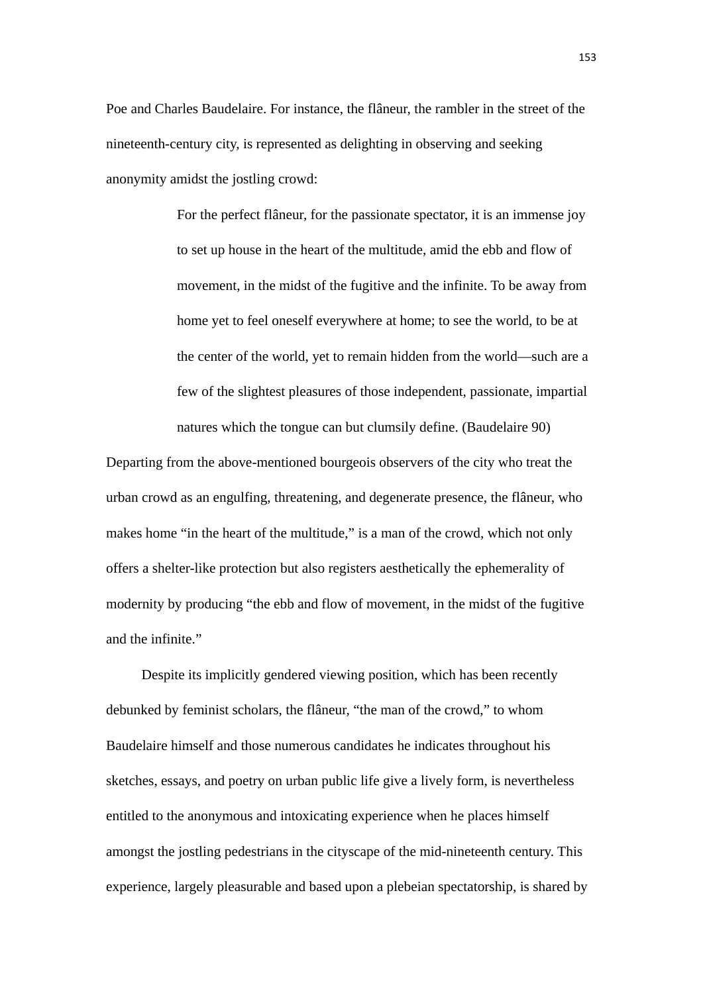Poe and Charles Baudelaire. For instance, the flâneur, the rambler in the street of the nineteenth-century city, is represented as delighting in observing and seeking anonymity amidst the jostling crowd:

> For the perfect flâneur, for the passionate spectator, it is an immense joy to set up house in the heart of the multitude, amid the ebb and flow of movement, in the midst of the fugitive and the infinite. To be away from home yet to feel oneself everywhere at home; to see the world, to be at the center of the world, yet to remain hidden from the world—such are a few of the slightest pleasures of those independent, passionate, impartial natures which the tongue can but clumsily define. (Baudelaire 90)

Departing from the above-mentioned bourgeois observers of the city who treat the urban crowd as an engulfing, threatening, and degenerate presence, the flâneur, who makes home "in the heart of the multitude," is a man of the crowd, which not only offers a shelter-like protection but also registers aesthetically the ephemerality of modernity by producing "the ebb and flow of movement, in the midst of the fugitive and the infinite."

Despite its implicitly gendered viewing position, which has been recently debunked by feminist scholars, the flâneur, "the man of the crowd," to whom Baudelaire himself and those numerous candidates he indicates throughout his sketches, essays, and poetry on urban public life give a lively form, is nevertheless entitled to the anonymous and intoxicating experience when he places himself amongst the jostling pedestrians in the cityscape of the mid-nineteenth century. This experience, largely pleasurable and based upon a plebeian spectatorship, is shared by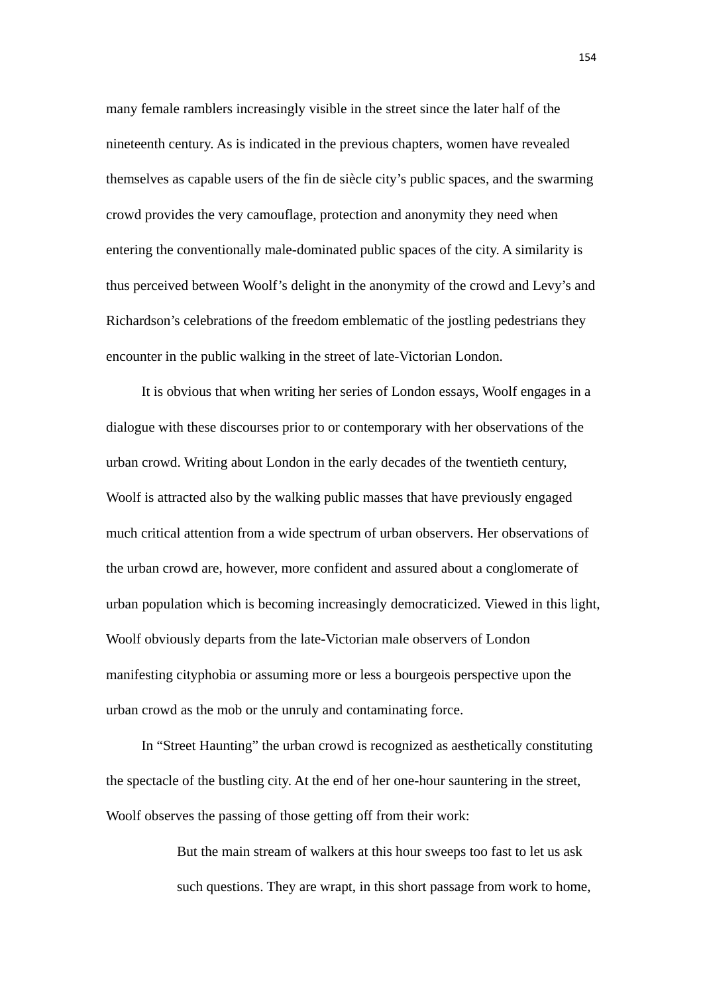many female ramblers increasingly visible in the street since the later half of the nineteenth century. As is indicated in the previous chapters, women have revealed themselves as capable users of the fin de siècle city's public spaces, and the swarming crowd provides the very camouflage, protection and anonymity they need when entering the conventionally male-dominated public spaces of the city. A similarity is thus perceived between Woolf's delight in the anonymity of the crowd and Levy's and Richardson's celebrations of the freedom emblematic of the jostling pedestrians they encounter in the public walking in the street of late-Victorian London.

 It is obvious that when writing her series of London essays, Woolf engages in a dialogue with these discourses prior to or contemporary with her observations of the urban crowd. Writing about London in the early decades of the twentieth century, Woolf is attracted also by the walking public masses that have previously engaged much critical attention from a wide spectrum of urban observers. Her observations of the urban crowd are, however, more confident and assured about a conglomerate of urban population which is becoming increasingly democraticized. Viewed in this light, Woolf obviously departs from the late-Victorian male observers of London manifesting cityphobia or assuming more or less a bourgeois perspective upon the urban crowd as the mob or the unruly and contaminating force.

 In "Street Haunting" the urban crowd is recognized as aesthetically constituting the spectacle of the bustling city. At the end of her one-hour sauntering in the street, Woolf observes the passing of those getting off from their work:

> But the main stream of walkers at this hour sweeps too fast to let us ask such questions. They are wrapt, in this short passage from work to home,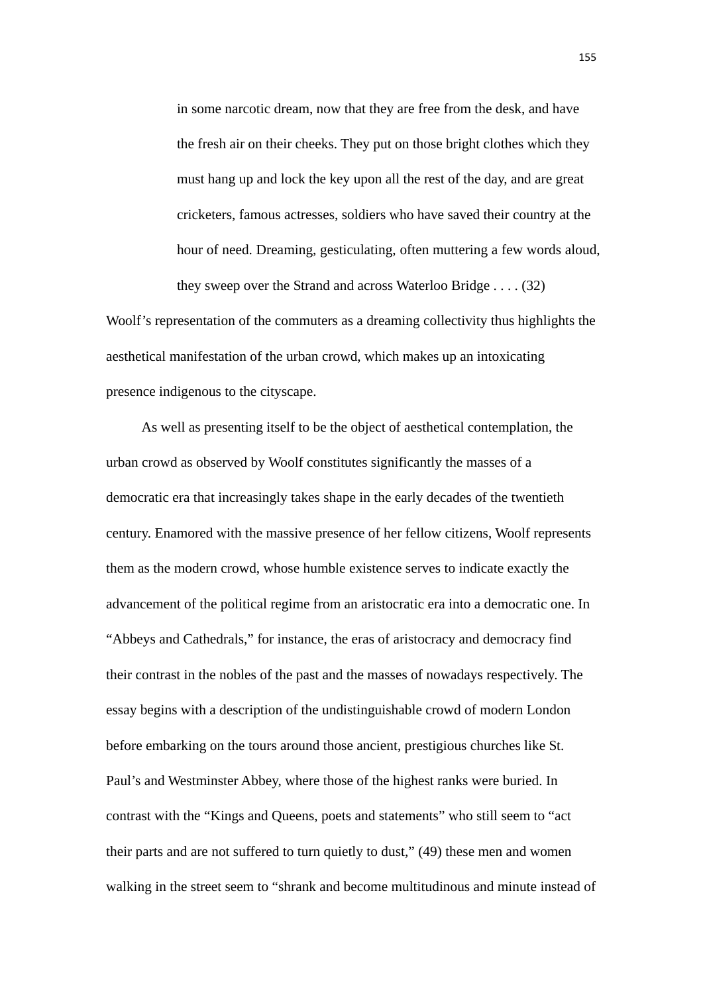in some narcotic dream, now that they are free from the desk, and have the fresh air on their cheeks. They put on those bright clothes which they must hang up and lock the key upon all the rest of the day, and are great cricketers, famous actresses, soldiers who have saved their country at the hour of need. Dreaming, gesticulating, often muttering a few words aloud, they sweep over the Strand and across Waterloo Bridge . . . . (32)

Woolf's representation of the commuters as a dreaming collectivity thus highlights the aesthetical manifestation of the urban crowd, which makes up an intoxicating presence indigenous to the cityscape.

As well as presenting itself to be the object of aesthetical contemplation, the urban crowd as observed by Woolf constitutes significantly the masses of a democratic era that increasingly takes shape in the early decades of the twentieth century. Enamored with the massive presence of her fellow citizens, Woolf represents them as the modern crowd, whose humble existence serves to indicate exactly the advancement of the political regime from an aristocratic era into a democratic one. In "Abbeys and Cathedrals," for instance, the eras of aristocracy and democracy find their contrast in the nobles of the past and the masses of nowadays respectively. The essay begins with a description of the undistinguishable crowd of modern London before embarking on the tours around those ancient, prestigious churches like St. Paul's and Westminster Abbey, where those of the highest ranks were buried. In contrast with the "Kings and Queens, poets and statements" who still seem to "act their parts and are not suffered to turn quietly to dust," (49) these men and women walking in the street seem to "shrank and become multitudinous and minute instead of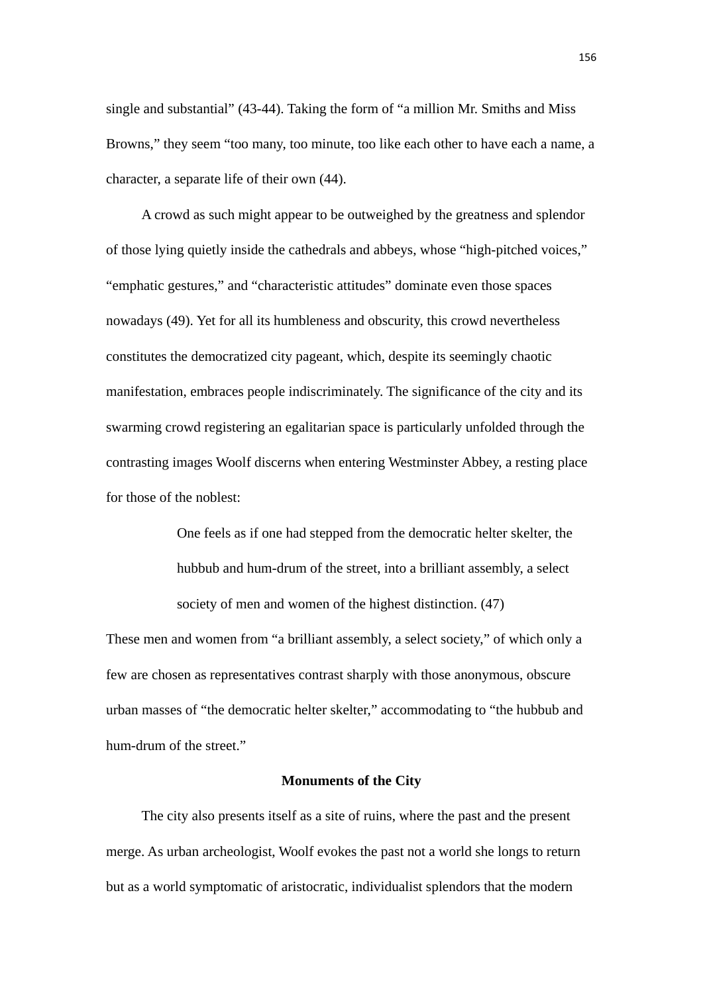single and substantial" (43-44). Taking the form of "a million Mr. Smiths and Miss Browns," they seem "too many, too minute, too like each other to have each a name, a character, a separate life of their own (44).

A crowd as such might appear to be outweighed by the greatness and splendor of those lying quietly inside the cathedrals and abbeys, whose "high-pitched voices," "emphatic gestures," and "characteristic attitudes" dominate even those spaces nowadays (49). Yet for all its humbleness and obscurity, this crowd nevertheless constitutes the democratized city pageant, which, despite its seemingly chaotic manifestation, embraces people indiscriminately. The significance of the city and its swarming crowd registering an egalitarian space is particularly unfolded through the contrasting images Woolf discerns when entering Westminster Abbey, a resting place for those of the noblest:

> One feels as if one had stepped from the democratic helter skelter, the hubbub and hum-drum of the street, into a brilliant assembly, a select society of men and women of the highest distinction. (47)

These men and women from "a brilliant assembly, a select society," of which only a few are chosen as representatives contrast sharply with those anonymous, obscure urban masses of "the democratic helter skelter," accommodating to "the hubbub and hum-drum of the street."

## **Monuments of the City**

The city also presents itself as a site of ruins, where the past and the present merge. As urban archeologist, Woolf evokes the past not a world she longs to return but as a world symptomatic of aristocratic, individualist splendors that the modern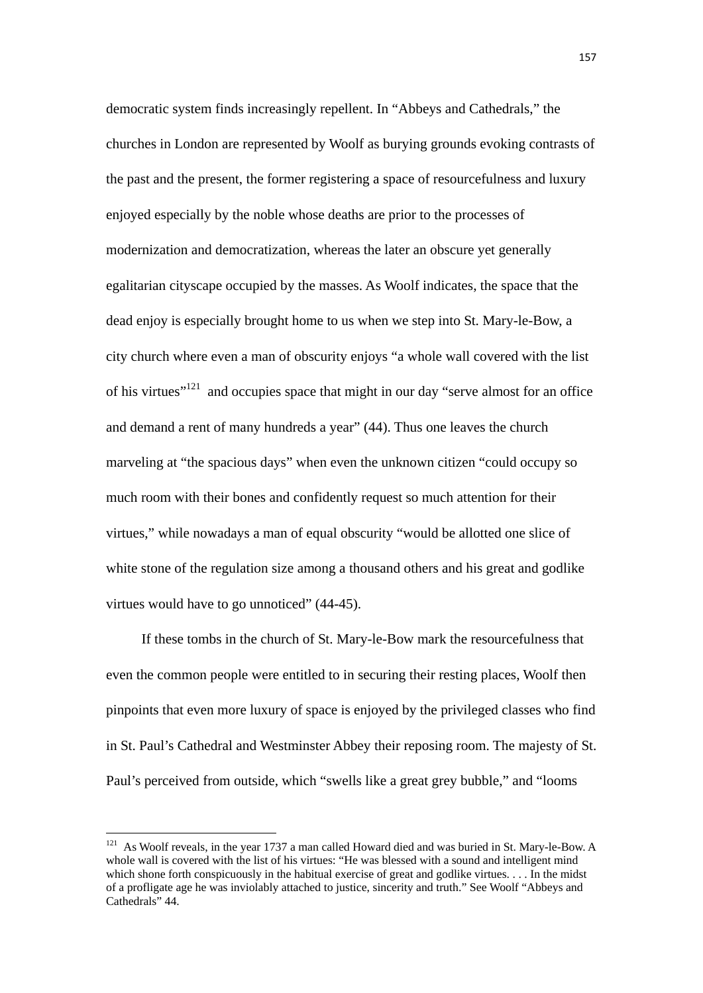democratic system finds increasingly repellent. In "Abbeys and Cathedrals," the churches in London are represented by Woolf as burying grounds evoking contrasts of the past and the present, the former registering a space of resourcefulness and luxury enjoyed especially by the noble whose deaths are prior to the processes of modernization and democratization, whereas the later an obscure yet generally egalitarian cityscape occupied by the masses. As Woolf indicates, the space that the dead enjoy is especially brought home to us when we step into St. Mary-le-Bow, a city church where even a man of obscurity enjoys "a whole wall covered with the list of his virtues"121 and occupies space that might in our day "serve almost for an office and demand a rent of many hundreds a year" (44). Thus one leaves the church marveling at "the spacious days" when even the unknown citizen "could occupy so much room with their bones and confidently request so much attention for their virtues," while nowadays a man of equal obscurity "would be allotted one slice of white stone of the regulation size among a thousand others and his great and godlike virtues would have to go unnoticed" (44-45).

If these tombs in the church of St. Mary-le-Bow mark the resourcefulness that even the common people were entitled to in securing their resting places, Woolf then pinpoints that even more luxury of space is enjoyed by the privileged classes who find in St. Paul's Cathedral and Westminster Abbey their reposing room. The majesty of St. Paul's perceived from outside, which "swells like a great grey bubble," and "looms

 $121$  As Woolf reveals, in the year 1737 a man called Howard died and was buried in St. Mary-le-Bow. A whole wall is covered with the list of his virtues: "He was blessed with a sound and intelligent mind which shone forth conspicuously in the habitual exercise of great and godlike virtues. . . . In the midst of a profligate age he was inviolably attached to justice, sincerity and truth." See Woolf "Abbeys and Cathedrals" 44.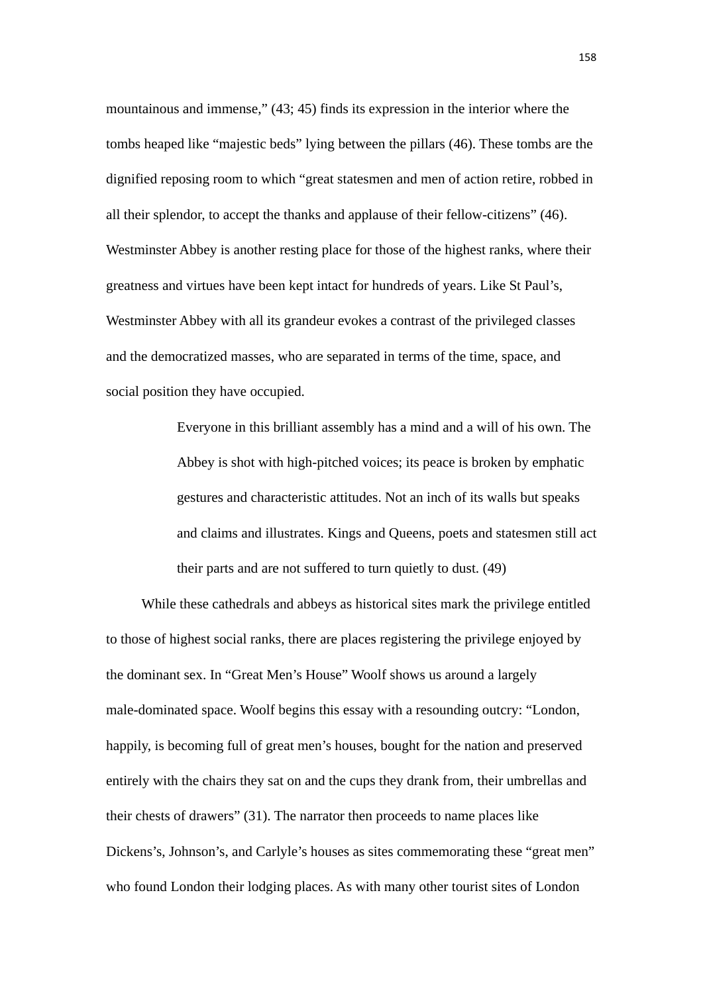mountainous and immense," (43; 45) finds its expression in the interior where the tombs heaped like "majestic beds" lying between the pillars (46). These tombs are the dignified reposing room to which "great statesmen and men of action retire, robbed in all their splendor, to accept the thanks and applause of their fellow-citizens" (46). Westminster Abbey is another resting place for those of the highest ranks, where their greatness and virtues have been kept intact for hundreds of years. Like St Paul's, Westminster Abbey with all its grandeur evokes a contrast of the privileged classes and the democratized masses, who are separated in terms of the time, space, and social position they have occupied.

> Everyone in this brilliant assembly has a mind and a will of his own. The Abbey is shot with high-pitched voices; its peace is broken by emphatic gestures and characteristic attitudes. Not an inch of its walls but speaks and claims and illustrates. Kings and Queens, poets and statesmen still act their parts and are not suffered to turn quietly to dust. (49)

While these cathedrals and abbeys as historical sites mark the privilege entitled to those of highest social ranks, there are places registering the privilege enjoyed by the dominant sex. In "Great Men's House" Woolf shows us around a largely male-dominated space. Woolf begins this essay with a resounding outcry: "London, happily, is becoming full of great men's houses, bought for the nation and preserved entirely with the chairs they sat on and the cups they drank from, their umbrellas and their chests of drawers" (31). The narrator then proceeds to name places like Dickens's, Johnson's, and Carlyle's houses as sites commemorating these "great men" who found London their lodging places. As with many other tourist sites of London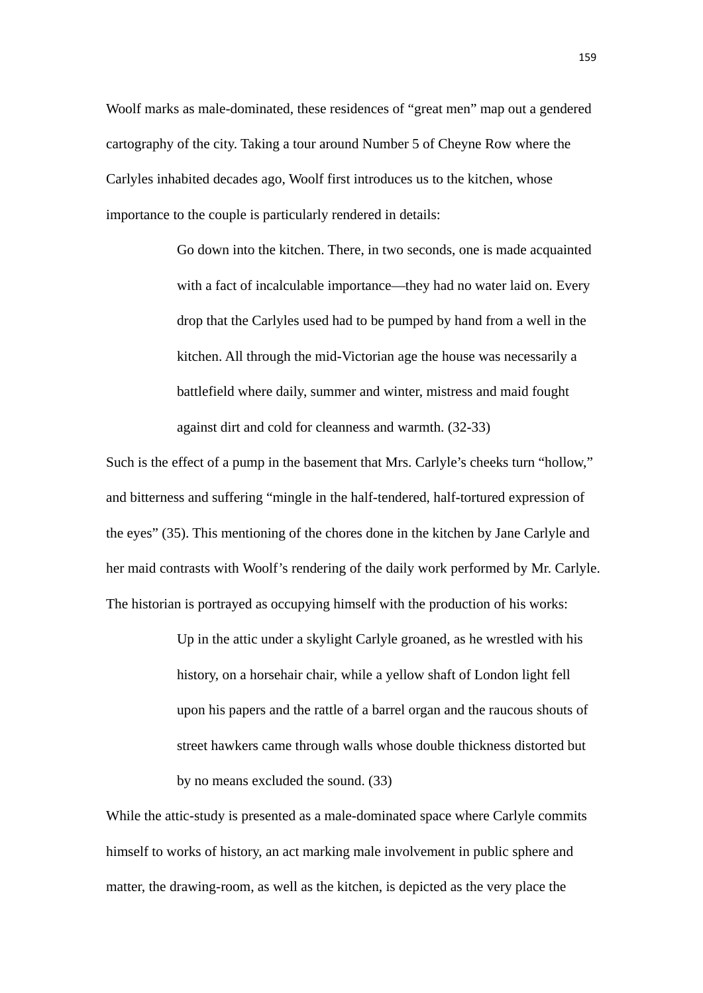Woolf marks as male-dominated, these residences of "great men" map out a gendered cartography of the city. Taking a tour around Number 5 of Cheyne Row where the Carlyles inhabited decades ago, Woolf first introduces us to the kitchen, whose importance to the couple is particularly rendered in details:

> Go down into the kitchen. There, in two seconds, one is made acquainted with a fact of incalculable importance—they had no water laid on. Every drop that the Carlyles used had to be pumped by hand from a well in the kitchen. All through the mid-Victorian age the house was necessarily a battlefield where daily, summer and winter, mistress and maid fought against dirt and cold for cleanness and warmth. (32-33)

Such is the effect of a pump in the basement that Mrs. Carlyle's cheeks turn "hollow," and bitterness and suffering "mingle in the half-tendered, half-tortured expression of the eyes" (35). This mentioning of the chores done in the kitchen by Jane Carlyle and her maid contrasts with Woolf's rendering of the daily work performed by Mr. Carlyle. The historian is portrayed as occupying himself with the production of his works:

> Up in the attic under a skylight Carlyle groaned, as he wrestled with his history, on a horsehair chair, while a yellow shaft of London light fell upon his papers and the rattle of a barrel organ and the raucous shouts of street hawkers came through walls whose double thickness distorted but by no means excluded the sound. (33)

While the attic-study is presented as a male-dominated space where Carlyle commits himself to works of history, an act marking male involvement in public sphere and matter, the drawing-room, as well as the kitchen, is depicted as the very place the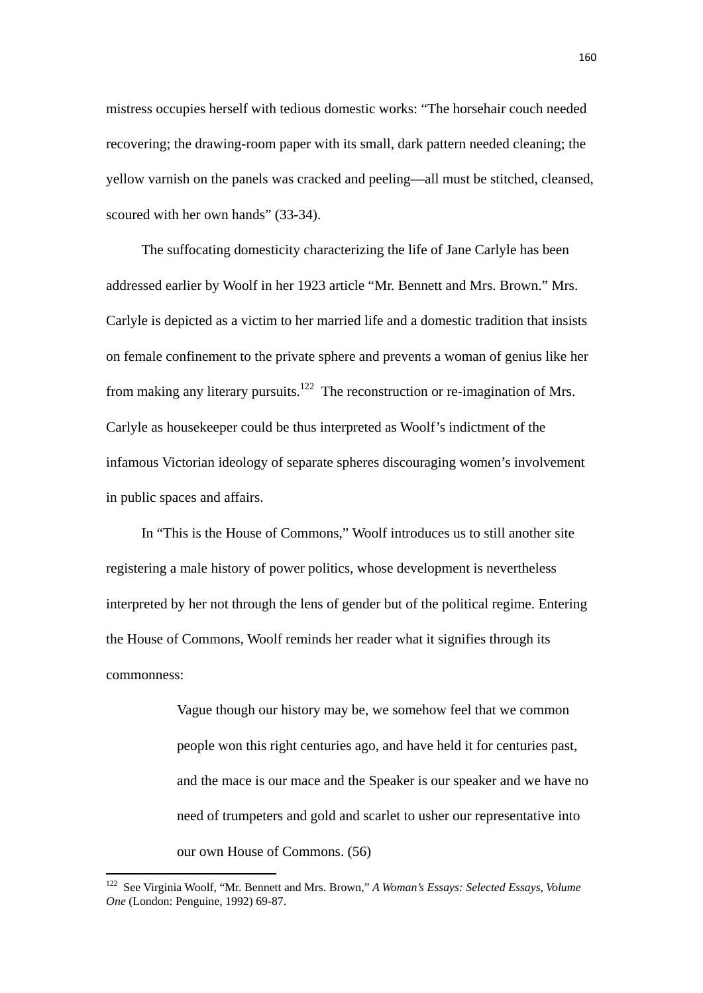mistress occupies herself with tedious domestic works: "The horsehair couch needed recovering; the drawing-room paper with its small, dark pattern needed cleaning; the yellow varnish on the panels was cracked and peeling—all must be stitched, cleansed, scoured with her own hands" (33-34).

 The suffocating domesticity characterizing the life of Jane Carlyle has been addressed earlier by Woolf in her 1923 article "Mr. Bennett and Mrs. Brown." Mrs. Carlyle is depicted as a victim to her married life and a domestic tradition that insists on female confinement to the private sphere and prevents a woman of genius like her from making any literary pursuits.<sup>122</sup> The reconstruction or re-imagination of Mrs. Carlyle as housekeeper could be thus interpreted as Woolf's indictment of the infamous Victorian ideology of separate spheres discouraging women's involvement in public spaces and affairs.

 In "This is the House of Commons," Woolf introduces us to still another site registering a male history of power politics, whose development is nevertheless interpreted by her not through the lens of gender but of the political regime. Entering the House of Commons, Woolf reminds her reader what it signifies through its commonness:

> Vague though our history may be, we somehow feel that we common people won this right centuries ago, and have held it for centuries past, and the mace is our mace and the Speaker is our speaker and we have no need of trumpeters and gold and scarlet to usher our representative into our own House of Commons. (56)

<sup>122</sup> See Virginia Woolf, "Mr. Bennett and Mrs. Brown," *A Woman's Essays: Selected Essays, Volume One* (London: Penguine, 1992) 69-87.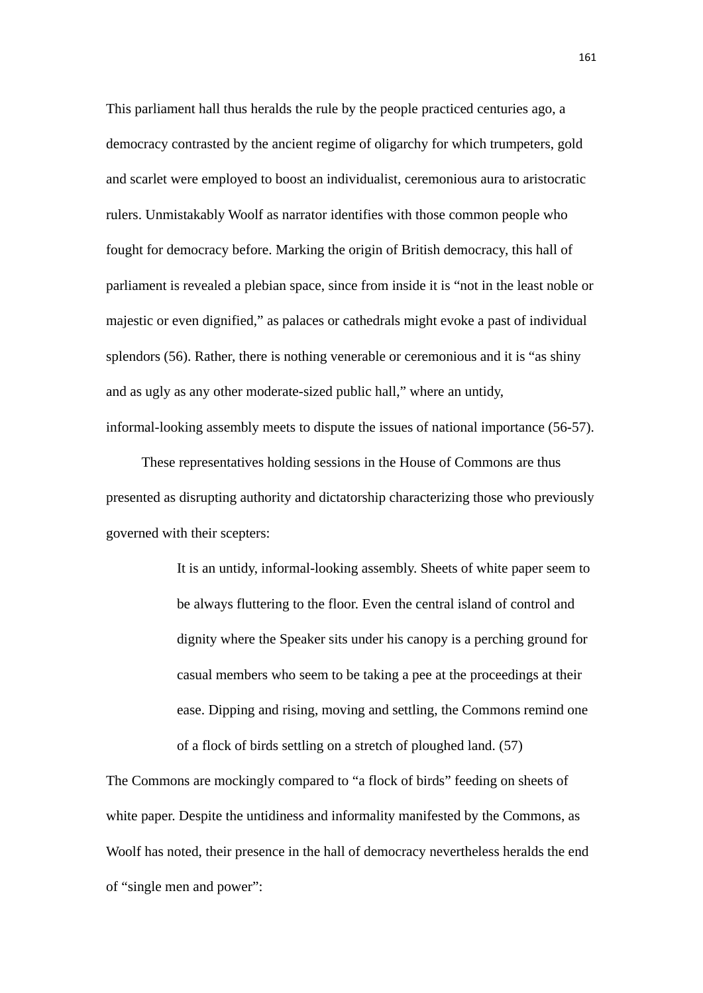This parliament hall thus heralds the rule by the people practiced centuries ago, a democracy contrasted by the ancient regime of oligarchy for which trumpeters, gold and scarlet were employed to boost an individualist, ceremonious aura to aristocratic rulers. Unmistakably Woolf as narrator identifies with those common people who fought for democracy before. Marking the origin of British democracy, this hall of parliament is revealed a plebian space, since from inside it is "not in the least noble or majestic or even dignified," as palaces or cathedrals might evoke a past of individual splendors (56). Rather, there is nothing venerable or ceremonious and it is "as shiny and as ugly as any other moderate-sized public hall," where an untidy, informal-looking assembly meets to dispute the issues of national importance (56-57).

These representatives holding sessions in the House of Commons are thus presented as disrupting authority and dictatorship characterizing those who previously governed with their scepters:

> It is an untidy, informal-looking assembly. Sheets of white paper seem to be always fluttering to the floor. Even the central island of control and dignity where the Speaker sits under his canopy is a perching ground for casual members who seem to be taking a pee at the proceedings at their ease. Dipping and rising, moving and settling, the Commons remind one of a flock of birds settling on a stretch of ploughed land. (57)

The Commons are mockingly compared to "a flock of birds" feeding on sheets of white paper. Despite the untidiness and informality manifested by the Commons, as Woolf has noted, their presence in the hall of democracy nevertheless heralds the end of "single men and power":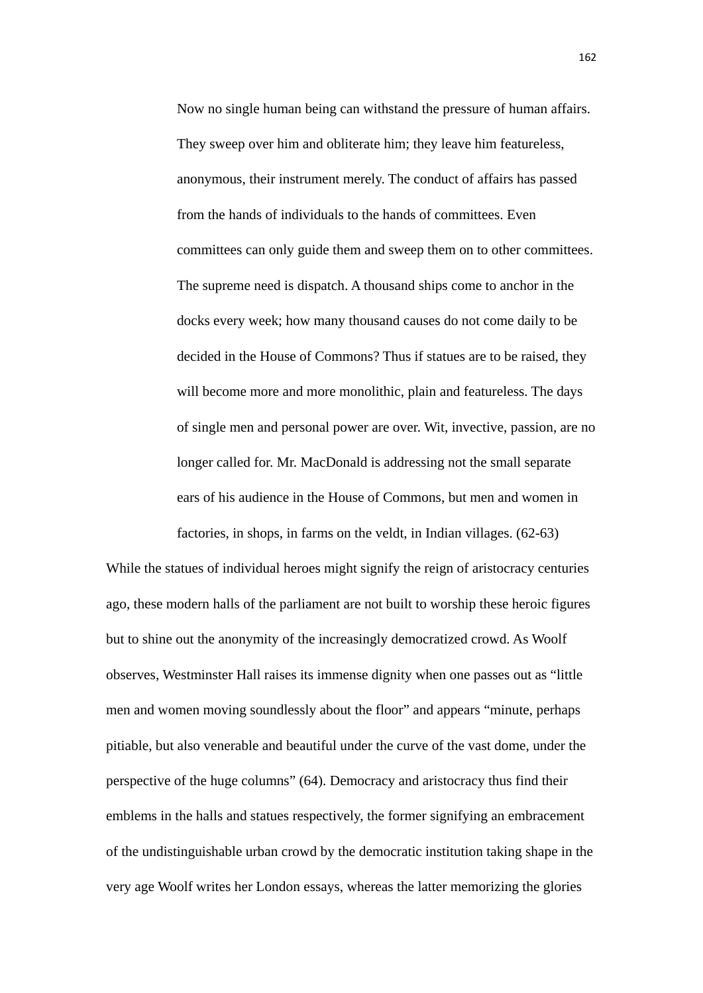Now no single human being can withstand the pressure of human affairs. They sweep over him and obliterate him; they leave him featureless, anonymous, their instrument merely. The conduct of affairs has passed from the hands of individuals to the hands of committees. Even committees can only guide them and sweep them on to other committees. The supreme need is dispatch. A thousand ships come to anchor in the docks every week; how many thousand causes do not come daily to be decided in the House of Commons? Thus if statues are to be raised, they will become more and more monolithic, plain and featureless. The days of single men and personal power are over. Wit, invective, passion, are no longer called for. Mr. MacDonald is addressing not the small separate ears of his audience in the House of Commons, but men and women in factories, in shops, in farms on the veldt, in Indian villages. (62-63)

While the statues of individual heroes might signify the reign of aristocracy centuries ago, these modern halls of the parliament are not built to worship these heroic figures but to shine out the anonymity of the increasingly democratized crowd. As Woolf observes, Westminster Hall raises its immense dignity when one passes out as "little men and women moving soundlessly about the floor" and appears "minute, perhaps pitiable, but also venerable and beautiful under the curve of the vast dome, under the perspective of the huge columns" (64). Democracy and aristocracy thus find their emblems in the halls and statues respectively, the former signifying an embracement of the undistinguishable urban crowd by the democratic institution taking shape in the very age Woolf writes her London essays, whereas the latter memorizing the glories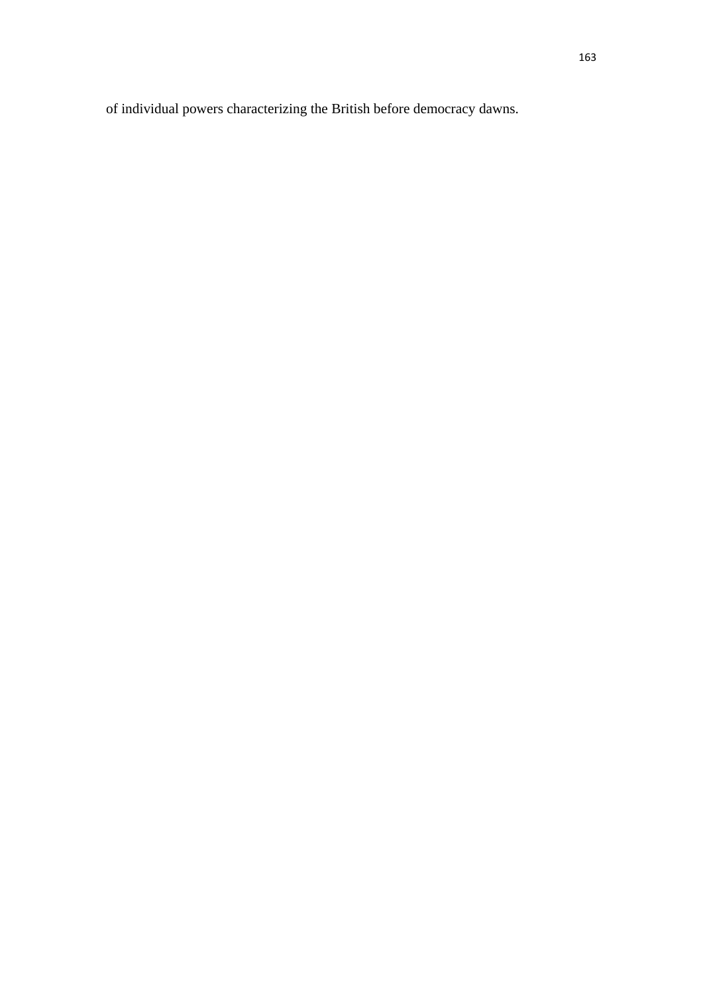of individual powers characterizing the British before democracy dawns.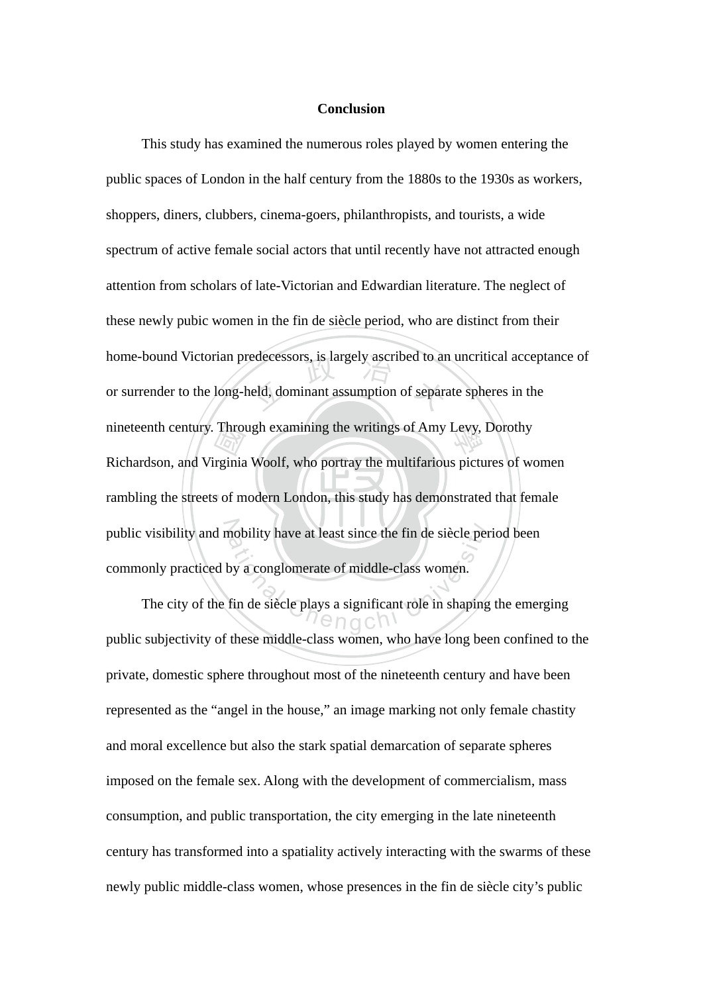# **Conclusion**

rambling the streets of modern London, this study has demonstrated that female Through<br>
International<br>
Subset of m edecessors, is largely ascribed to an<br>held, dominant assumption of separa nineteenth century. Through examining the writings of Amy Levy, Dorothy public visibility and mobility have at least since the fin de siècle period been<br>commonly practiced by a conglomerate of middle-class women.<br>The city of the fin de siècle plays a significant role in shaping the emer This study has examined the numerous roles played by women entering the public spaces of London in the half century from the 1880s to the 1930s as workers, shoppers, diners, clubbers, cinema-goers, philanthropists, and tourists, a wide spectrum of active female social actors that until recently have not attracted enough attention from scholars of late-Victorian and Edwardian literature. The neglect of these newly pubic women in the fin de siècle period, who are distinct from their home-bound Victorian predecessors, is largely ascribed to an uncritical acceptance of or surrender to the long-held, dominant assumption of separate spheres in the Richardson, and Virginia Woolf, who portray the multifarious pictures of women commonly practiced by a conglomerate of middle-class women.

The city of the fin de siècle plays a significant role in shaping the emerging public subjectivity of these middle-class women, who have long been confined to the private, domestic sphere throughout most of the nineteenth century and have been represented as the "angel in the house," an image marking not only female chastity and moral excellence but also the stark spatial demarcation of separate spheres imposed on the female sex. Along with the development of commercialism, mass consumption, and public transportation, the city emerging in the late nineteenth century has transformed into a spatiality actively interacting with the swarms of these newly public middle-class women, whose presences in the fin de siècle city's public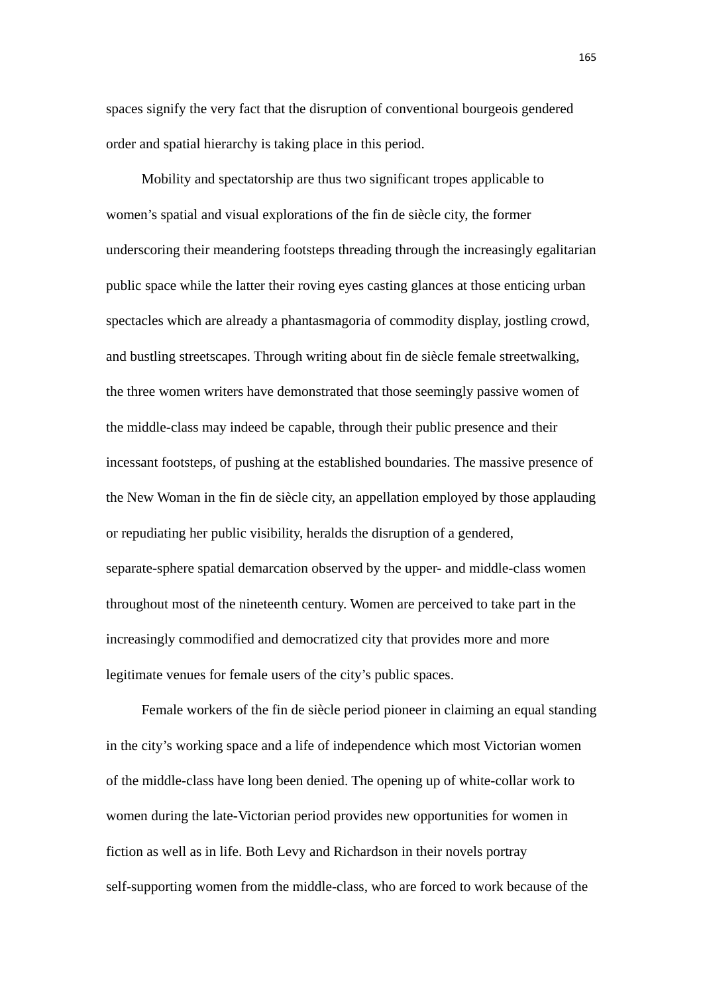spaces signify the very fact that the disruption of conventional bourgeois gendered order and spatial hierarchy is taking place in this period.

Mobility and spectatorship are thus two significant tropes applicable to women's spatial and visual explorations of the fin de siècle city, the former underscoring their meandering footsteps threading through the increasingly egalitarian public space while the latter their roving eyes casting glances at those enticing urban spectacles which are already a phantasmagoria of commodity display, jostling crowd, and bustling streetscapes. Through writing about fin de siècle female streetwalking, the three women writers have demonstrated that those seemingly passive women of the middle-class may indeed be capable, through their public presence and their incessant footsteps, of pushing at the established boundaries. The massive presence of the New Woman in the fin de siècle city, an appellation employed by those applauding or repudiating her public visibility, heralds the disruption of a gendered, separate-sphere spatial demarcation observed by the upper- and middle-class women throughout most of the nineteenth century. Women are perceived to take part in the increasingly commodified and democratized city that provides more and more legitimate venues for female users of the city's public spaces.

Female workers of the fin de siècle period pioneer in claiming an equal standing in the city's working space and a life of independence which most Victorian women of the middle-class have long been denied. The opening up of white-collar work to women during the late-Victorian period provides new opportunities for women in fiction as well as in life. Both Levy and Richardson in their novels portray self-supporting women from the middle-class, who are forced to work because of the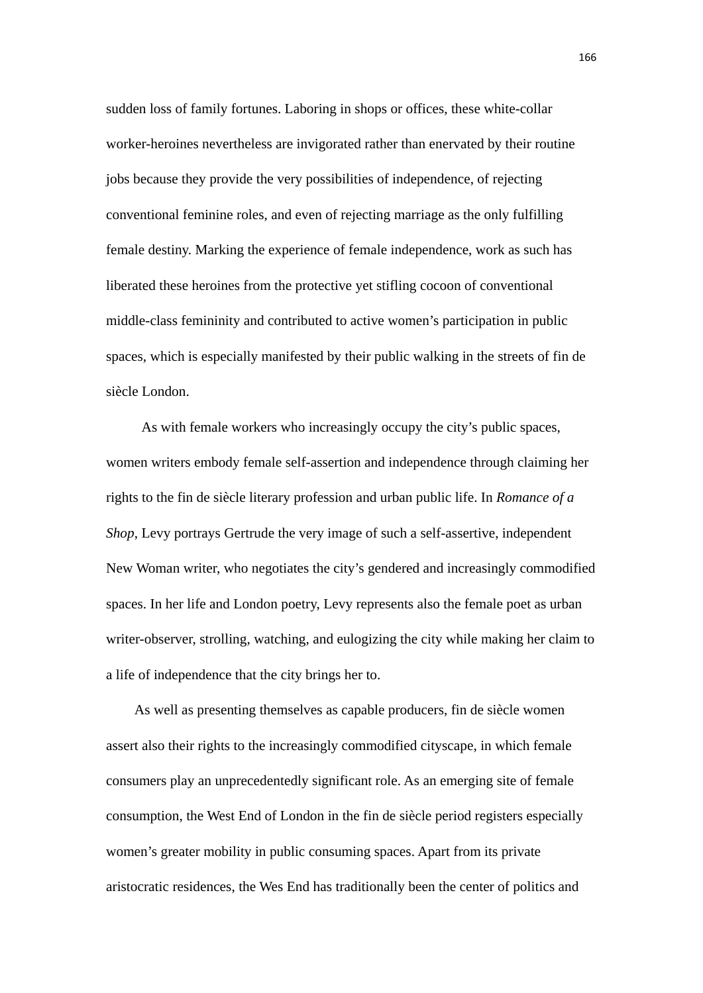sudden loss of family fortunes. Laboring in shops or offices, these white-collar worker-heroines nevertheless are invigorated rather than enervated by their routine jobs because they provide the very possibilities of independence, of rejecting conventional feminine roles, and even of rejecting marriage as the only fulfilling female destiny. Marking the experience of female independence, work as such has liberated these heroines from the protective yet stifling cocoon of conventional middle-class femininity and contributed to active women's participation in public spaces, which is especially manifested by their public walking in the streets of fin de siècle London.

 As with female workers who increasingly occupy the city's public spaces, women writers embody female self-assertion and independence through claiming her rights to the fin de siècle literary profession and urban public life. In *Romance of a Shop*, Levy portrays Gertrude the very image of such a self-assertive, independent New Woman writer, who negotiates the city's gendered and increasingly commodified spaces. In her life and London poetry, Levy represents also the female poet as urban writer-observer, strolling, watching, and eulogizing the city while making her claim to a life of independence that the city brings her to.

 As well as presenting themselves as capable producers, fin de siècle women assert also their rights to the increasingly commodified cityscape, in which female consumers play an unprecedentedly significant role. As an emerging site of female consumption, the West End of London in the fin de siècle period registers especially women's greater mobility in public consuming spaces. Apart from its private aristocratic residences, the Wes End has traditionally been the center of politics and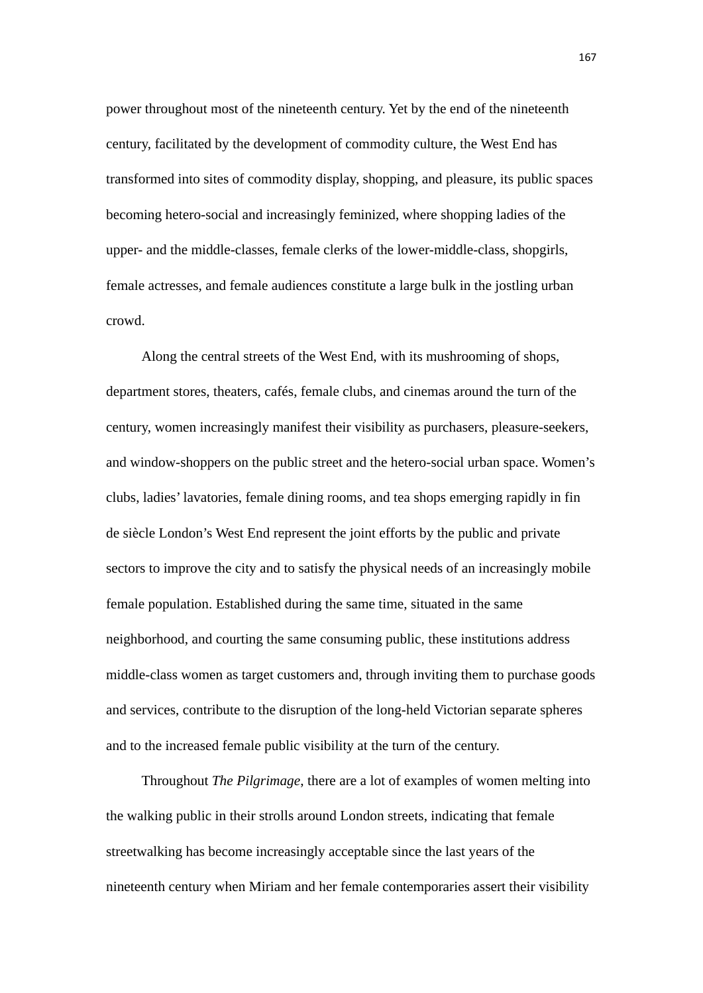power throughout most of the nineteenth century. Yet by the end of the nineteenth century, facilitated by the development of commodity culture, the West End has transformed into sites of commodity display, shopping, and pleasure, its public spaces becoming hetero-social and increasingly feminized, where shopping ladies of the upper- and the middle-classes, female clerks of the lower-middle-class, shopgirls, female actresses, and female audiences constitute a large bulk in the jostling urban crowd.

Along the central streets of the West End, with its mushrooming of shops, department stores, theaters, cafés, female clubs, and cinemas around the turn of the century, women increasingly manifest their visibility as purchasers, pleasure-seekers, and window-shoppers on the public street and the hetero-social urban space. Women's clubs, ladies' lavatories, female dining rooms, and tea shops emerging rapidly in fin de siècle London's West End represent the joint efforts by the public and private sectors to improve the city and to satisfy the physical needs of an increasingly mobile female population. Established during the same time, situated in the same neighborhood, and courting the same consuming public, these institutions address middle-class women as target customers and, through inviting them to purchase goods and services, contribute to the disruption of the long-held Victorian separate spheres and to the increased female public visibility at the turn of the century.

Throughout *The Pilgrimage*, there are a lot of examples of women melting into the walking public in their strolls around London streets, indicating that female streetwalking has become increasingly acceptable since the last years of the nineteenth century when Miriam and her female contemporaries assert their visibility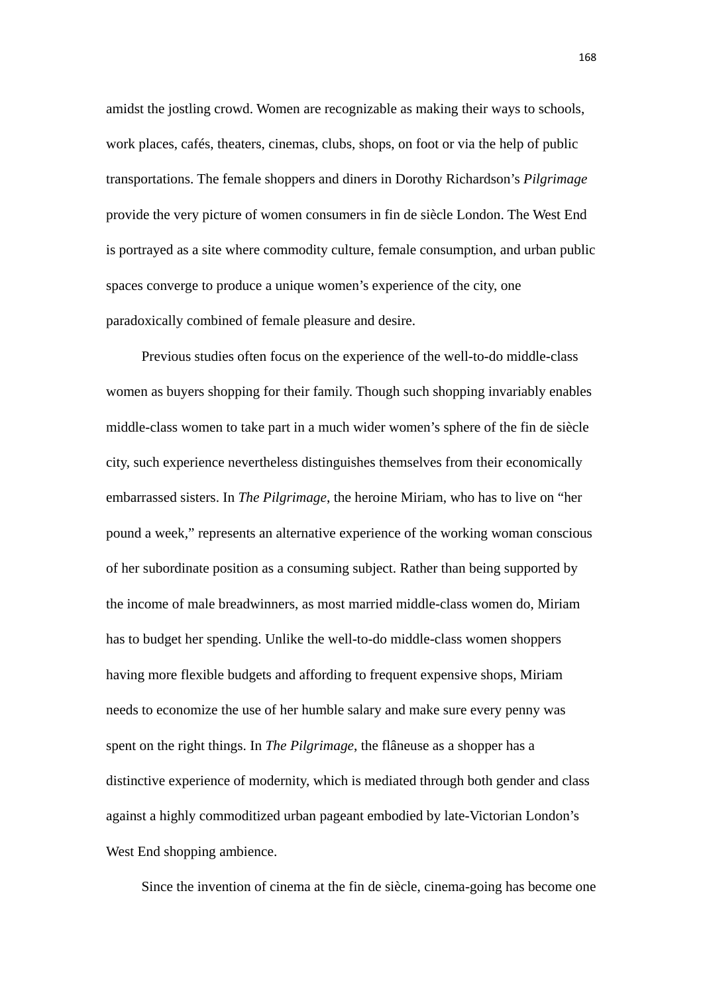amidst the jostling crowd. Women are recognizable as making their ways to schools, work places, cafés, theaters, cinemas, clubs, shops, on foot or via the help of public transportations. The female shoppers and diners in Dorothy Richardson's *Pilgrimage* provide the very picture of women consumers in fin de siècle London. The West End is portrayed as a site where commodity culture, female consumption, and urban public spaces converge to produce a unique women's experience of the city, one paradoxically combined of female pleasure and desire.

Previous studies often focus on the experience of the well-to-do middle-class women as buyers shopping for their family. Though such shopping invariably enables middle-class women to take part in a much wider women's sphere of the fin de siècle city, such experience nevertheless distinguishes themselves from their economically embarrassed sisters. In *The Pilgrimage*, the heroine Miriam, who has to live on "her pound a week," represents an alternative experience of the working woman conscious of her subordinate position as a consuming subject. Rather than being supported by the income of male breadwinners, as most married middle-class women do, Miriam has to budget her spending. Unlike the well-to-do middle-class women shoppers having more flexible budgets and affording to frequent expensive shops, Miriam needs to economize the use of her humble salary and make sure every penny was spent on the right things. In *The Pilgrimage*, the flâneuse as a shopper has a distinctive experience of modernity, which is mediated through both gender and class against a highly commoditized urban pageant embodied by late-Victorian London's West End shopping ambience.

Since the invention of cinema at the fin de siècle, cinema-going has become one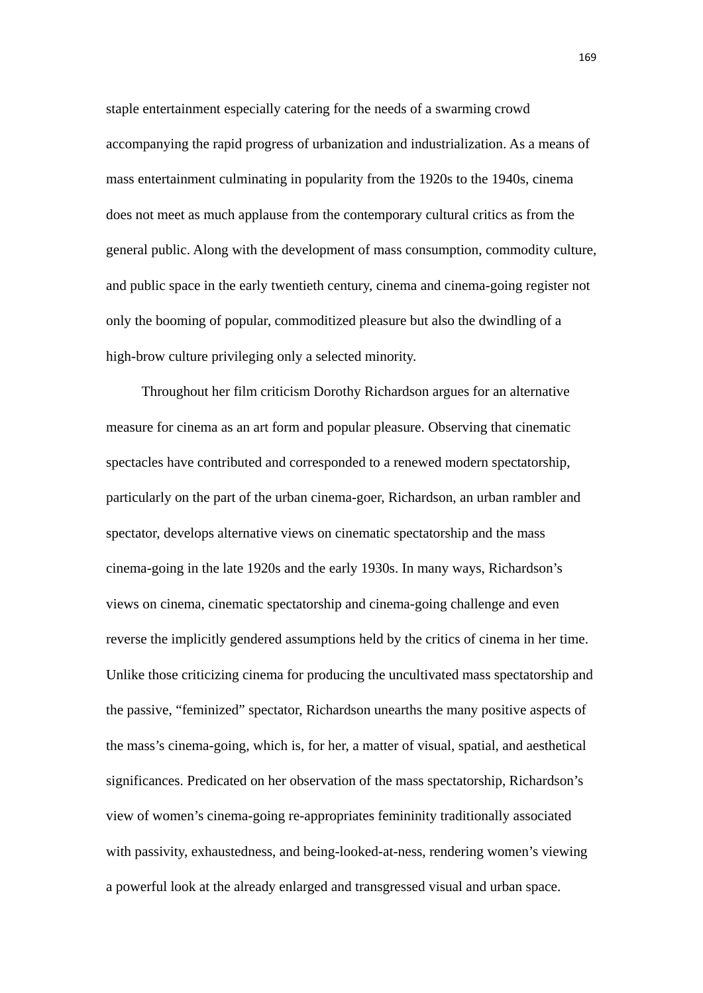staple entertainment especially catering for the needs of a swarming crowd accompanying the rapid progress of urbanization and industrialization. As a means of mass entertainment culminating in popularity from the 1920s to the 1940s, cinema does not meet as much applause from the contemporary cultural critics as from the general public. Along with the development of mass consumption, commodity culture, and public space in the early twentieth century, cinema and cinema-going register not only the booming of popular, commoditized pleasure but also the dwindling of a high-brow culture privileging only a selected minority.

Throughout her film criticism Dorothy Richardson argues for an alternative measure for cinema as an art form and popular pleasure. Observing that cinematic spectacles have contributed and corresponded to a renewed modern spectatorship, particularly on the part of the urban cinema-goer, Richardson, an urban rambler and spectator, develops alternative views on cinematic spectatorship and the mass cinema-going in the late 1920s and the early 1930s. In many ways, Richardson's views on cinema, cinematic spectatorship and cinema-going challenge and even reverse the implicitly gendered assumptions held by the critics of cinema in her time. Unlike those criticizing cinema for producing the uncultivated mass spectatorship and the passive, "feminized" spectator, Richardson unearths the many positive aspects of the mass's cinema-going, which is, for her, a matter of visual, spatial, and aesthetical significances. Predicated on her observation of the mass spectatorship, Richardson's view of women's cinema-going re-appropriates femininity traditionally associated with passivity, exhaustedness, and being-looked-at-ness, rendering women's viewing a powerful look at the already enlarged and transgressed visual and urban space.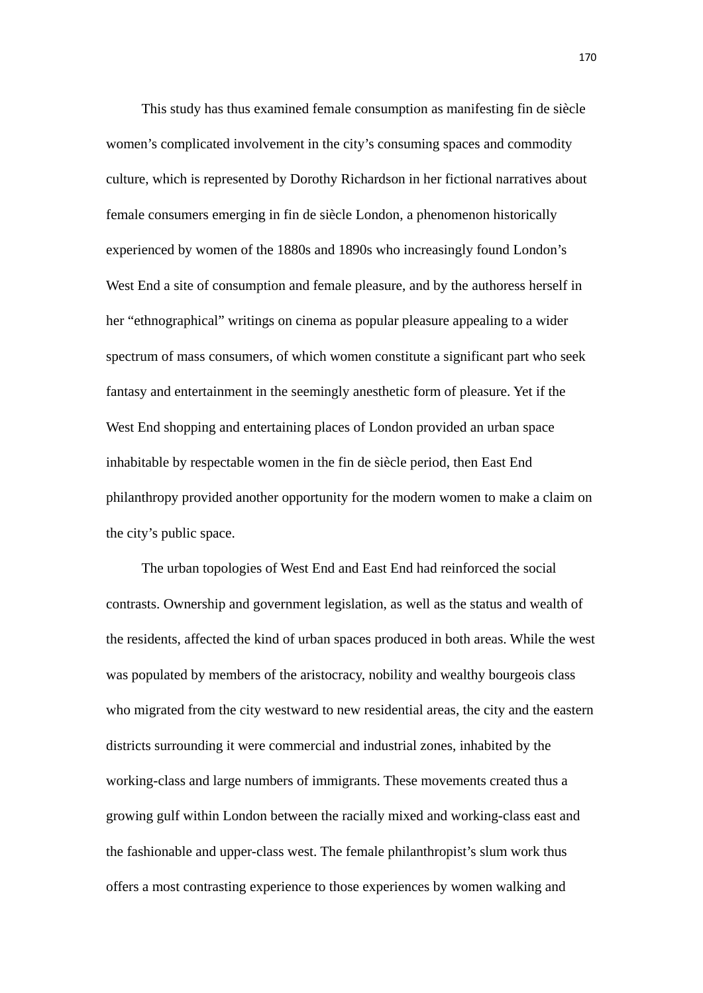This study has thus examined female consumption as manifesting fin de siècle women's complicated involvement in the city's consuming spaces and commodity culture, which is represented by Dorothy Richardson in her fictional narratives about female consumers emerging in fin de siècle London, a phenomenon historically experienced by women of the 1880s and 1890s who increasingly found London's West End a site of consumption and female pleasure, and by the authoress herself in her "ethnographical" writings on cinema as popular pleasure appealing to a wider spectrum of mass consumers, of which women constitute a significant part who seek fantasy and entertainment in the seemingly anesthetic form of pleasure. Yet if the West End shopping and entertaining places of London provided an urban space inhabitable by respectable women in the fin de siècle period, then East End philanthropy provided another opportunity for the modern women to make a claim on the city's public space.

The urban topologies of West End and East End had reinforced the social contrasts. Ownership and government legislation, as well as the status and wealth of the residents, affected the kind of urban spaces produced in both areas. While the west was populated by members of the aristocracy, nobility and wealthy bourgeois class who migrated from the city westward to new residential areas, the city and the eastern districts surrounding it were commercial and industrial zones, inhabited by the working-class and large numbers of immigrants. These movements created thus a growing gulf within London between the racially mixed and working-class east and the fashionable and upper-class west. The female philanthropist's slum work thus offers a most contrasting experience to those experiences by women walking and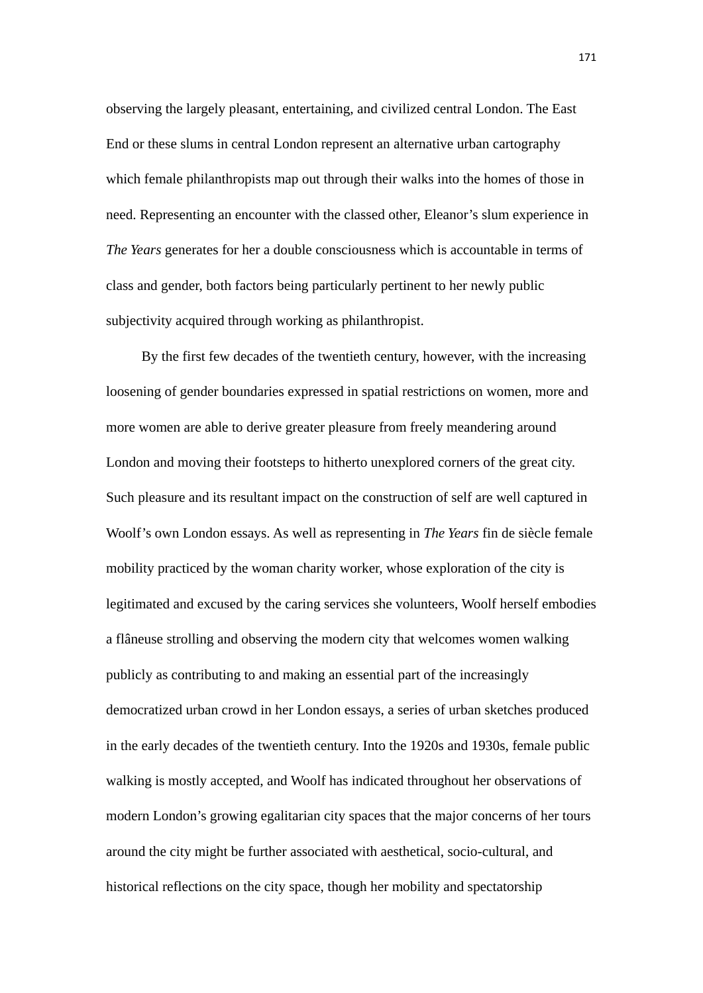observing the largely pleasant, entertaining, and civilized central London. The East End or these slums in central London represent an alternative urban cartography which female philanthropists map out through their walks into the homes of those in need. Representing an encounter with the classed other, Eleanor's slum experience in *The Years* generates for her a double consciousness which is accountable in terms of class and gender, both factors being particularly pertinent to her newly public subjectivity acquired through working as philanthropist.

By the first few decades of the twentieth century, however, with the increasing loosening of gender boundaries expressed in spatial restrictions on women, more and more women are able to derive greater pleasure from freely meandering around London and moving their footsteps to hitherto unexplored corners of the great city. Such pleasure and its resultant impact on the construction of self are well captured in Woolf's own London essays. As well as representing in *The Years* fin de siècle female mobility practiced by the woman charity worker, whose exploration of the city is legitimated and excused by the caring services she volunteers, Woolf herself embodies a flâneuse strolling and observing the modern city that welcomes women walking publicly as contributing to and making an essential part of the increasingly democratized urban crowd in her London essays, a series of urban sketches produced in the early decades of the twentieth century. Into the 1920s and 1930s, female public walking is mostly accepted, and Woolf has indicated throughout her observations of modern London's growing egalitarian city spaces that the major concerns of her tours around the city might be further associated with aesthetical, socio-cultural, and historical reflections on the city space, though her mobility and spectatorship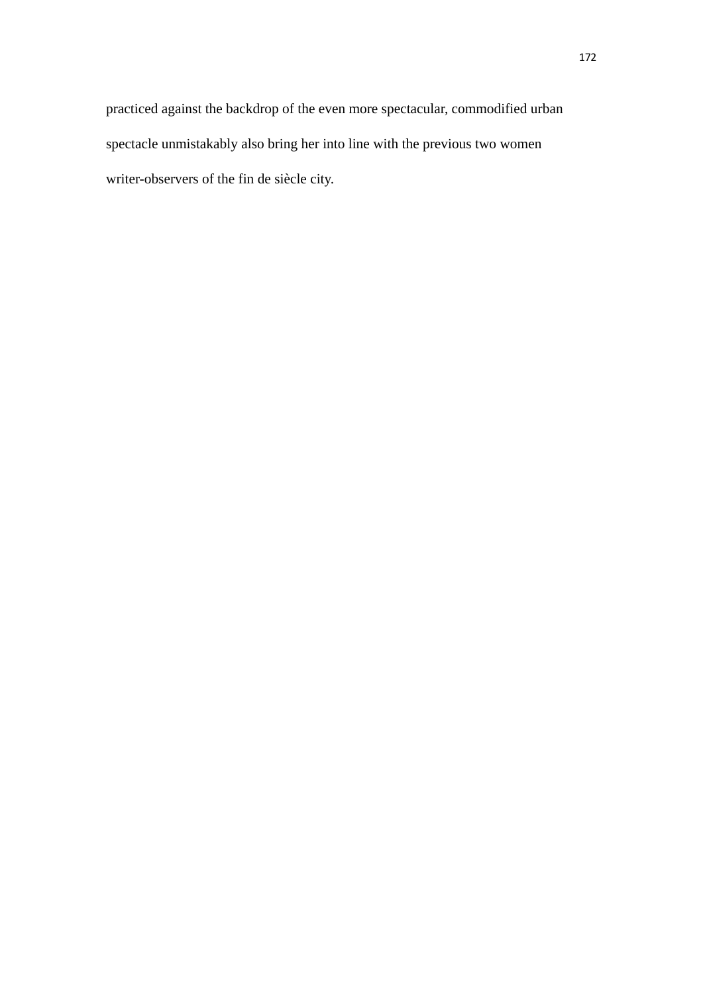practiced against the backdrop of the even more spectacular, commodified urban spectacle unmistakably also bring her into line with the previous two women writer-observers of the fin de siècle city.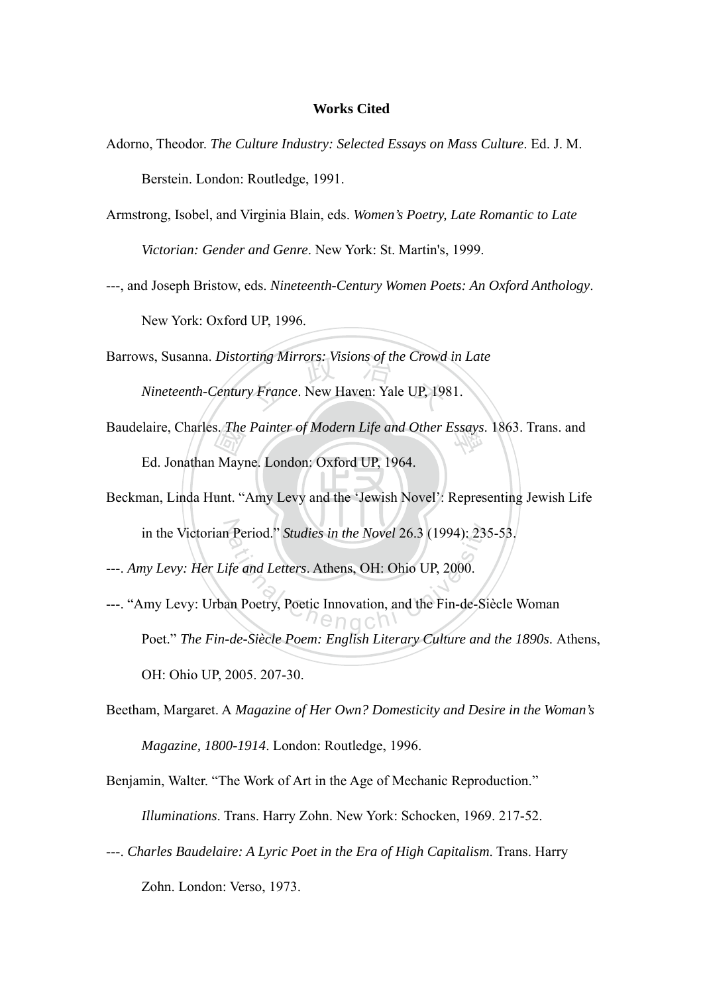## **Works Cited**

- Adorno, Theodor. *The Culture Industry: Selected Essays on Mass Culture*. Ed. J. M. Berstein. London: Routledge, 1991.
- Armstrong, Isobel, and Virginia Blain, eds. *Women's Poetry, Late Romantic to Late Victorian: Gender and Genre*. New York: St. Martin's, 1999.
- ---, and Joseph Bristow, eds. *Nineteenth-Century Women Poets: An Oxford Anthology*.

New York: Oxford UP, 1996.

rting Mirrors: Visions of the Crowd<br>y France. New Haven: Yale UP, 198 Barrows, Susanna. *Distorting Mirrors: Visions of the Crowd in Late Nineteenth-Century France*. New Haven: Yale UP, 1981.

- s. *The*<br>Mayi<br>unt. " Baudelaire, Charles. *The Painter of Modern Life and Other Essays*. 1863. Trans. and *Saudelaire*, Charles Manuel Modern Life and Other Essays. 1863. Trans. and Ed. Jonathan Mayne. London: Oxford UP, 1964.
- Beckman, Linda Hunt. "Amy Levy and the 'Jewish Novel': Representing Jewish Life in the Victorian Period." *Studies in the Novel* 26.3 (1994): 235-53.

---. *Amy Levy: Her Life and Letters*. Athens, OH: Ohio UP, 2000.

- Period." Studies in the Novel 26.3 (1994): 23:<br>
fe and Letters. Athens, OH: Ohio UP, 2000.<br>
an Poetry, Poetic Innovation, and the Fin-de-Si ---. "Amy Levy: Urban Poetry, Poetic Innovation, and the Fin-de-Siècle Woman Poet." *The Fin-de-Siècle Poem: English Literary Culture and the 1890s*. Athens, OH: Ohio UP, 2005. 207-30.
- Beetham, Margaret. A *Magazine of Her Own? Domesticity and Desire in the Woman's Magazine, 1800-1914*. London: Routledge, 1996.
- Benjamin, Walter. "The Work of Art in the Age of Mechanic Reproduction."

*Illuminations*. Trans. Harry Zohn. New York: Schocken, 1969. 217-52.

---. *Charles Baudelaire: A Lyric Poet in the Era of High Capitalism*. Trans. Harry Zohn. London: Verso, 1973.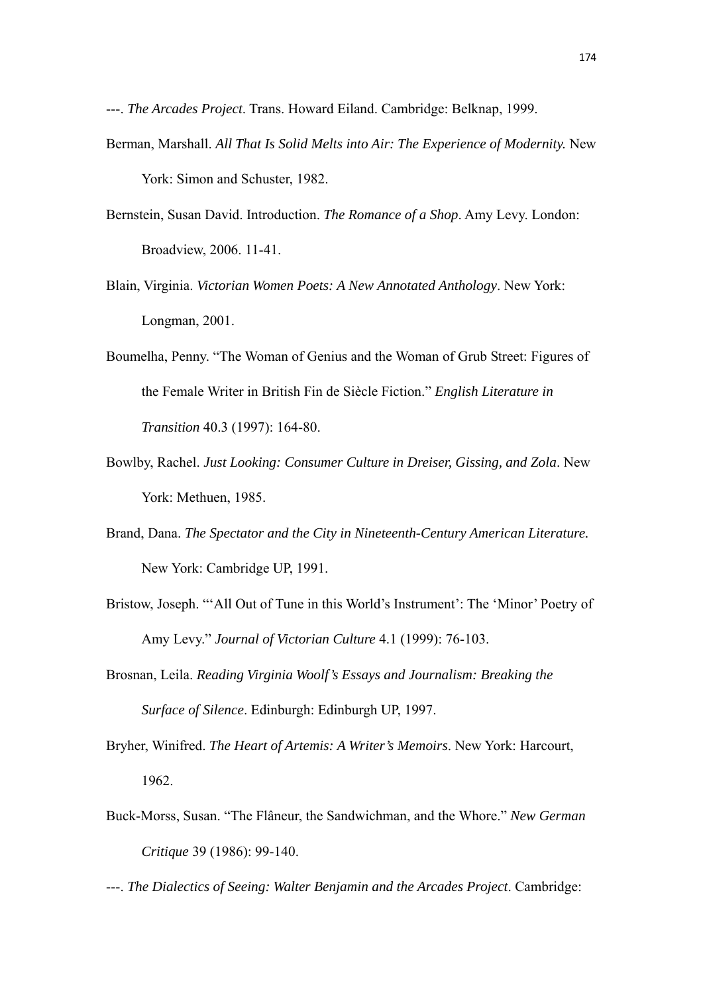---. *The Arcades Project*. Trans. Howard Eiland. Cambridge: Belknap, 1999.

- Berman, Marshall. *All That Is Solid Melts into Air: The Experience of Modernity.* New York: Simon and Schuster, 1982.
- Bernstein, Susan David. Introduction. *The Romance of a Shop*. Amy Levy. London: Broadview, 2006. 11-41.
- Blain, Virginia. *Victorian Women Poets: A New Annotated Anthology*. New York: Longman, 2001.
- Boumelha, Penny. "The Woman of Genius and the Woman of Grub Street: Figures of the Female Writer in British Fin de Siècle Fiction." *English Literature in Transition* 40.3 (1997): 164-80.
- Bowlby, Rachel. *Just Looking: Consumer Culture in Dreiser, Gissing, and Zola*. New York: Methuen, 1985.
- Brand, Dana. *The Spectator and the City in Nineteenth-Century American Literature.* New York: Cambridge UP, 1991.
- Bristow, Joseph. "'All Out of Tune in this World's Instrument': The 'Minor' Poetry of Amy Levy." *Journal of Victorian Culture* 4.1 (1999): 76-103.
- Brosnan, Leila. *Reading Virginia Woolf's Essays and Journalism: Breaking the Surface of Silence*. Edinburgh: Edinburgh UP, 1997.
- Bryher, Winifred. *The Heart of Artemis: A Writer's Memoirs*. New York: Harcourt, 1962.
- Buck-Morss, Susan. "The Flâneur, the Sandwichman, and the Whore." *New German Critique* 39 (1986): 99-140.

---. *The Dialectics of Seeing: Walter Benjamin and the Arcades Project*. Cambridge: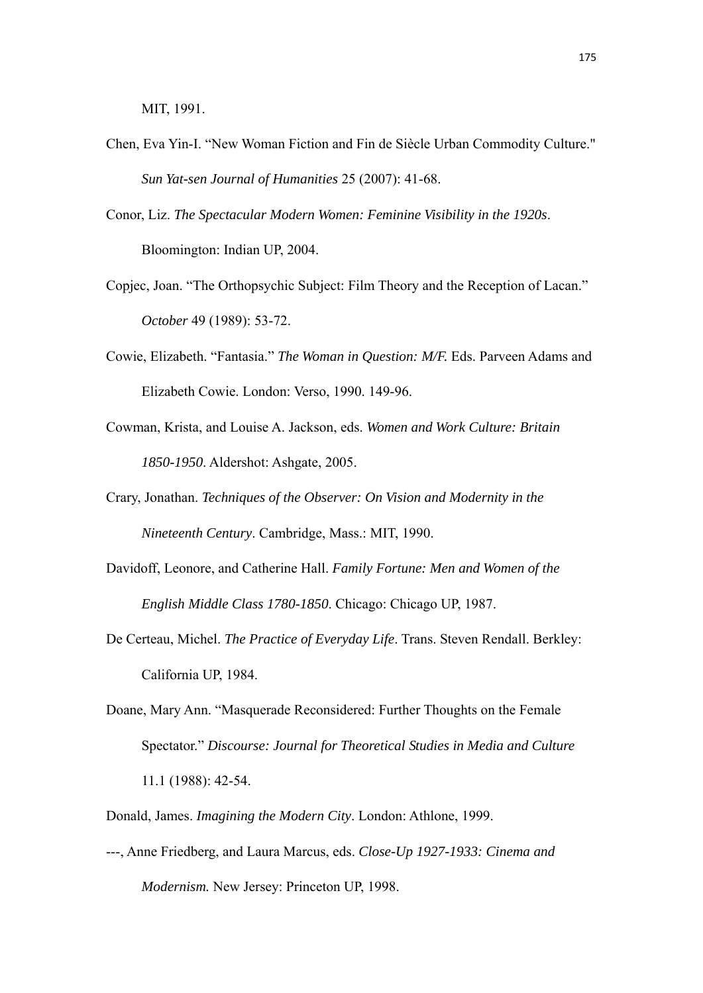MIT, 1991.

- Chen, Eva Yin-I. "New Woman Fiction and Fin de Siècle Urban Commodity Culture." *Sun Yat-sen Journal of Humanities* 25 (2007): 41-68.
- Conor, Liz. *The Spectacular Modern Women: Feminine Visibility in the 1920s*. Bloomington: Indian UP, 2004.
- Copjec, Joan. "The Orthopsychic Subject: Film Theory and the Reception of Lacan." *October* 49 (1989): 53-72.
- Cowie, Elizabeth. "Fantasia." *The Woman in Question: M/F.* Eds. Parveen Adams and Elizabeth Cowie. London: Verso, 1990. 149-96.
- Cowman, Krista, and Louise A. Jackson, eds. *Women and Work Culture: Britain 1850-1950*. Aldershot: Ashgate, 2005.
- Crary, Jonathan. *Techniques of the Observer: On Vision and Modernity in the Nineteenth Century*. Cambridge, Mass.: MIT, 1990.
- Davidoff, Leonore, and Catherine Hall. *Family Fortune: Men and Women of the English Middle Class 1780-1850*. Chicago: Chicago UP, 1987.
- De Certeau, Michel. *The Practice of Everyday Life*. Trans. Steven Rendall. Berkley: California UP, 1984.
- Doane, Mary Ann. "Masquerade Reconsidered: Further Thoughts on the Female Spectator." *Discourse: Journal for Theoretical Studies in Media and Culture* 11.1 (1988): 42-54.
- Donald, James. *Imagining the Modern City*. London: Athlone, 1999.
- ---, Anne Friedberg, and Laura Marcus, eds. *Close-Up 1927-1933: Cinema and Modernism.* New Jersey: Princeton UP, 1998.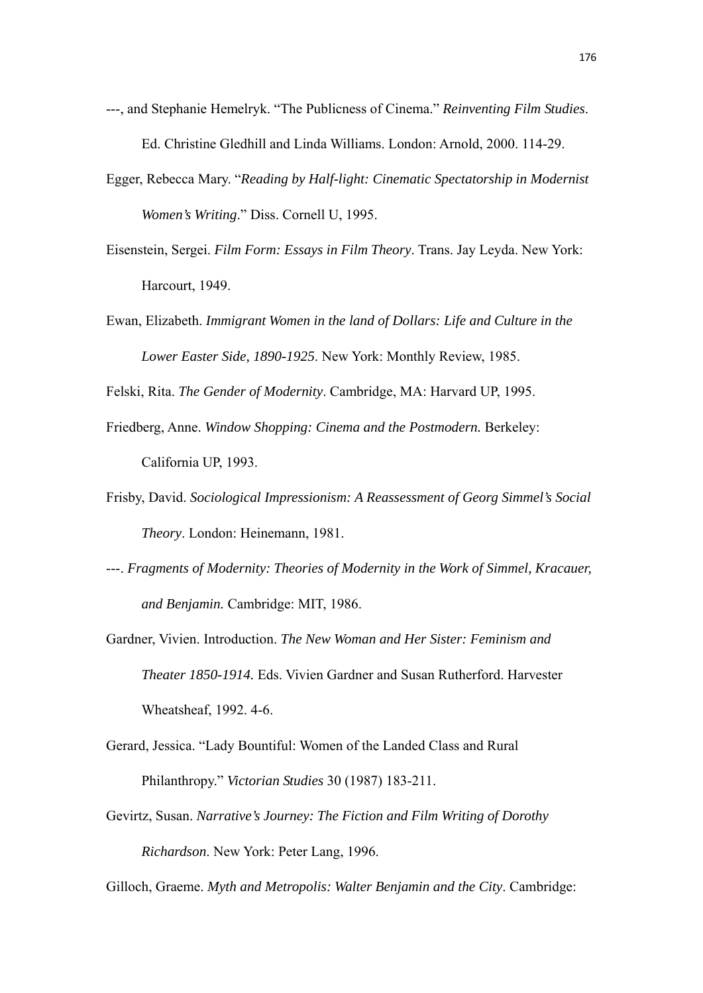- ---, and Stephanie Hemelryk. "The Publicness of Cinema." *Reinventing Film Studies*. Ed. Christine Gledhill and Linda Williams. London: Arnold, 2000. 114-29.
- Egger, Rebecca Mary. "*Reading by Half-light: Cinematic Spectatorship in Modernist Women's Writing*." Diss. Cornell U, 1995.
- Eisenstein, Sergei. *Film Form: Essays in Film Theory*. Trans. Jay Leyda. New York: Harcourt, 1949.
- Ewan, Elizabeth. *Immigrant Women in the land of Dollars: Life and Culture in the Lower Easter Side, 1890-1925*. New York: Monthly Review, 1985.

Felski, Rita. *The Gender of Modernity*. Cambridge, MA: Harvard UP, 1995.

- Friedberg, Anne. *Window Shopping: Cinema and the Postmodern.* Berkeley: California UP, 1993.
- Frisby, David. *Sociological Impressionism: A Reassessment of Georg Simmel's Social Theory*. London: Heinemann, 1981.
- ---. *Fragments of Modernity: Theories of Modernity in the Work of Simmel, Kracauer, and Benjamin.* Cambridge: MIT, 1986.
- Gardner, Vivien. Introduction. *The New Woman and Her Sister: Feminism and Theater 1850-1914.* Eds. Vivien Gardner and Susan Rutherford. Harvester Wheatsheaf, 1992. 4-6.
- Gerard, Jessica. "Lady Bountiful: Women of the Landed Class and Rural Philanthropy." *Victorian Studies* 30 (1987) 183-211.
- Gevirtz, Susan. *Narrative's Journey: The Fiction and Film Writing of Dorothy Richardson*. New York: Peter Lang, 1996.

Gilloch, Graeme. *Myth and Metropolis: Walter Benjamin and the City*. Cambridge: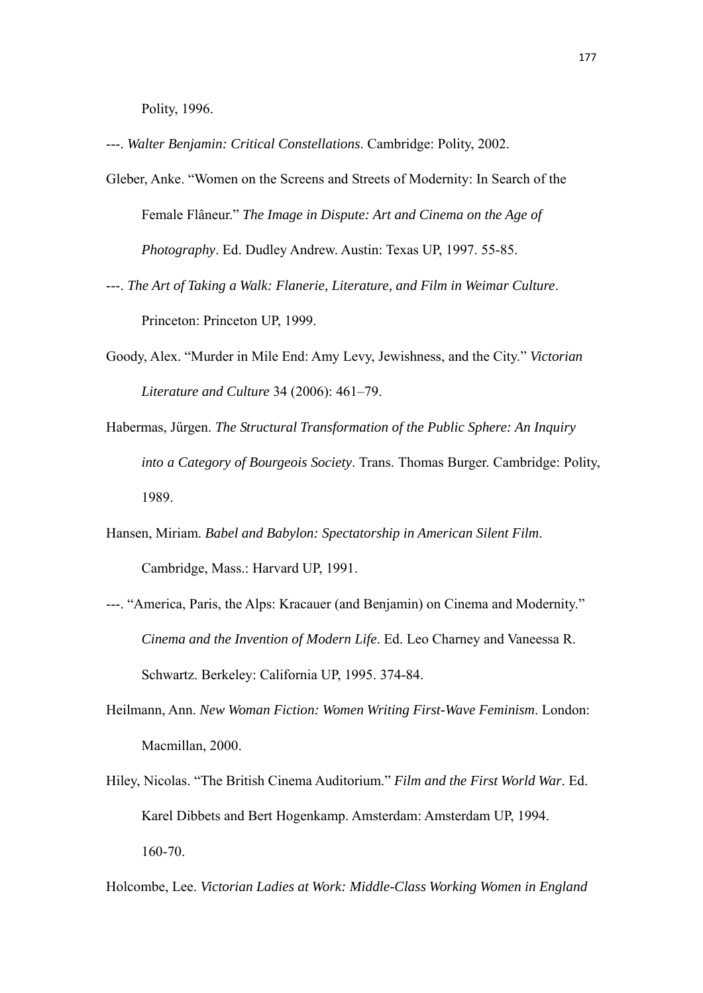Polity, 1996.

- ---. *Walter Benjamin: Critical Constellations*. Cambridge: Polity, 2002.
- Gleber, Anke. "Women on the Screens and Streets of Modernity: In Search of the Female Flâneur." *The Image in Dispute: Art and Cinema on the Age of Photography*. Ed. Dudley Andrew. Austin: Texas UP, 1997. 55-85.
- ---. *The Art of Taking a Walk: Flanerie, Literature, and Film in Weimar Culture*. Princeton: Princeton UP, 1999.
- Goody, Alex. "Murder in Mile End: Amy Levy, Jewishness, and the City." *Victorian Literature and Culture* 34 (2006): 461–79.
- Habermas, Jűrgen. *The Structural Transformation of the Public Sphere: An Inquiry into a Category of Bourgeois Society*. Trans. Thomas Burger. Cambridge: Polity, 1989.
- Hansen, Miriam. *Babel and Babylon: Spectatorship in American Silent Film*. Cambridge, Mass.: Harvard UP, 1991.
- ---. "America, Paris, the Alps: Kracauer (and Benjamin) on Cinema and Modernity." *Cinema and the Invention of Modern Life*. Ed. Leo Charney and Vaneessa R. Schwartz. Berkeley: California UP, 1995. 374-84.
- Heilmann, Ann. *New Woman Fiction: Women Writing First-Wave Feminism*. London: Macmillan, 2000.
- Hiley, Nicolas. "The British Cinema Auditorium." *Film and the First World War*. Ed. Karel Dibbets and Bert Hogenkamp. Amsterdam: Amsterdam UP, 1994. 160-70.
- Holcombe, Lee. *Victorian Ladies at Work: Middle-Class Working Women in England*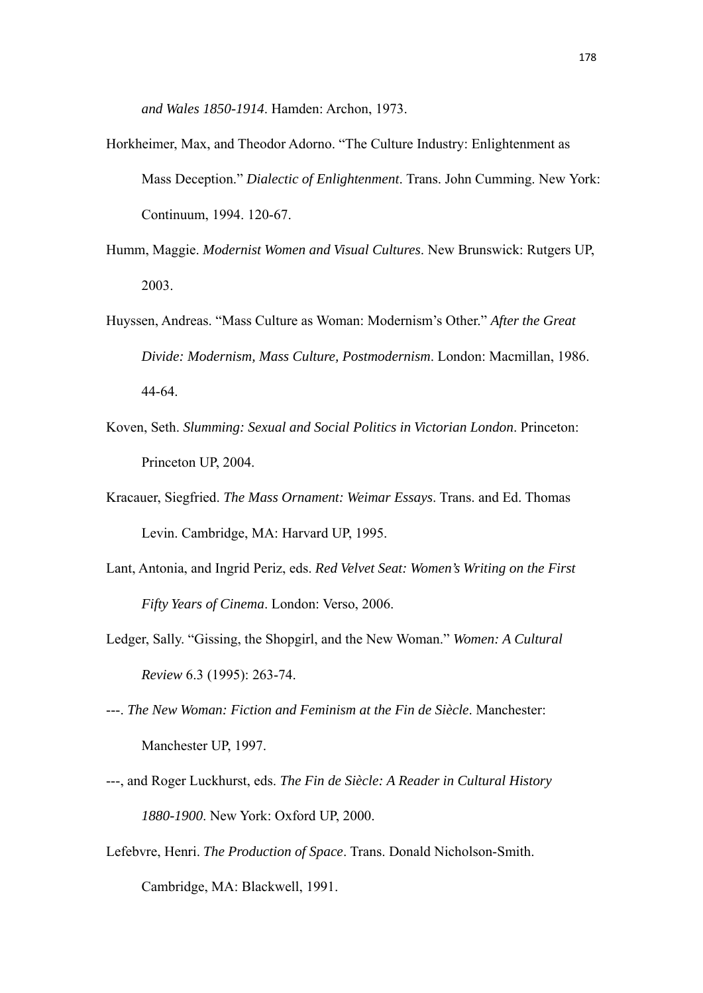*and Wales 1850-1914*. Hamden: Archon, 1973.

- Horkheimer, Max, and Theodor Adorno. "The Culture Industry: Enlightenment as Mass Deception." *Dialectic of Enlightenment*. Trans. John Cumming. New York: Continuum, 1994. 120-67.
- Humm, Maggie. *Modernist Women and Visual Cultures*. New Brunswick: Rutgers UP, 2003.
- Huyssen, Andreas. "Mass Culture as Woman: Modernism's Other." *After the Great Divide: Modernism, Mass Culture, Postmodernism*. London: Macmillan, 1986. 44-64.
- Koven, Seth. *Slumming: Sexual and Social Politics in Victorian London*. Princeton: Princeton UP, 2004.
- Kracauer, Siegfried. *The Mass Ornament: Weimar Essays*. Trans. and Ed. Thomas Levin. Cambridge, MA: Harvard UP, 1995.
- Lant, Antonia, and Ingrid Periz, eds. *Red Velvet Seat: Women's Writing on the First Fifty Years of Cinema*. London: Verso, 2006.
- Ledger, Sally. "Gissing, the Shopgirl, and the New Woman." *Women: A Cultural Review* 6.3 (1995): 263-74.
- ---. *The New Woman: Fiction and Feminism at the Fin de Siècle*. Manchester: Manchester UP, 1997.
- ---, and Roger Luckhurst, eds. *The Fin de Siècle: A Reader in Cultural History 1880-1900*. New York: Oxford UP, 2000.
- Lefebvre, Henri. *The Production of Space*. Trans. Donald Nicholson-Smith. Cambridge, MA: Blackwell, 1991.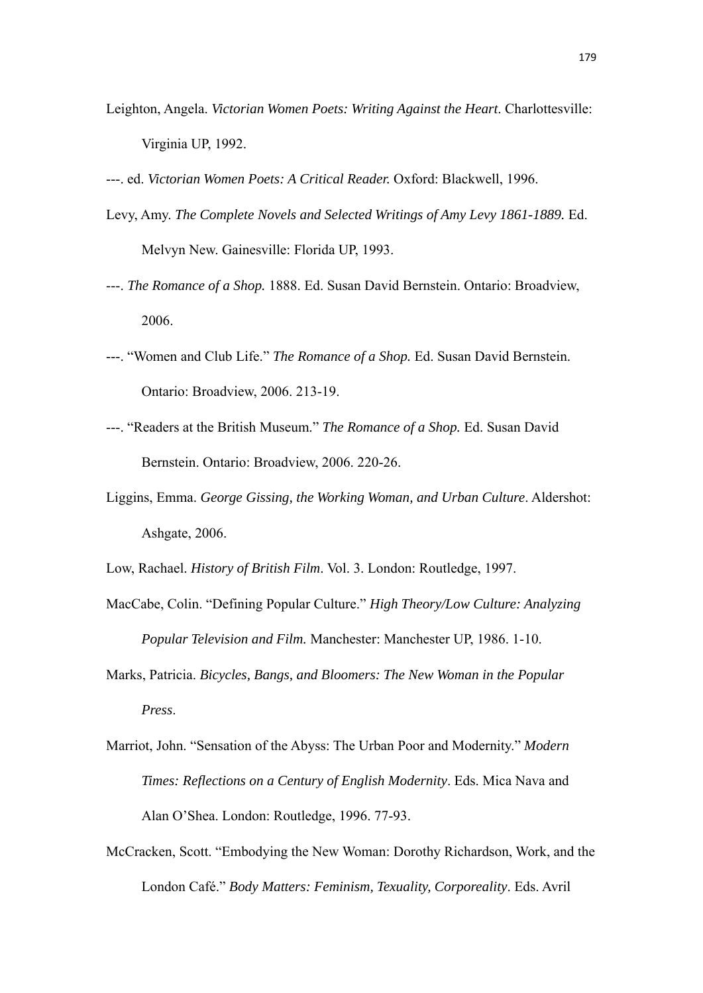- Leighton, Angela. *Victorian Women Poets: Writing Against the Heart*. Charlottesville: Virginia UP, 1992.
- ---. ed. *Victorian Women Poets: A Critical Reader.* Oxford: Blackwell, 1996.
- Levy, Amy. *The Complete Novels and Selected Writings of Amy Levy 1861-1889.* Ed. Melvyn New. Gainesville: Florida UP, 1993.
- ---. *The Romance of a Shop.* 1888. Ed. Susan David Bernstein. Ontario: Broadview, 2006.
- ---. "Women and Club Life." *The Romance of a Shop.* Ed. Susan David Bernstein. Ontario: Broadview, 2006. 213-19.
- ---. "Readers at the British Museum." *The Romance of a Shop.* Ed. Susan David Bernstein. Ontario: Broadview, 2006. 220-26.
- Liggins, Emma. *George Gissing, the Working Woman, and Urban Culture*. Aldershot: Ashgate, 2006.

Low, Rachael. *History of British Film*. Vol. 3. London: Routledge, 1997.

- MacCabe, Colin. "Defining Popular Culture." *High Theory/Low Culture: Analyzing Popular Television and Film.* Manchester: Manchester UP, 1986. 1-10.
- Marks, Patricia. *Bicycles, Bangs, and Bloomers: The New Woman in the Popular Press*.
- Marriot, John. "Sensation of the Abyss: The Urban Poor and Modernity." *Modern Times: Reflections on a Century of English Modernity*. Eds. Mica Nava and Alan O'Shea. London: Routledge, 1996. 77-93.
- McCracken, Scott. "Embodying the New Woman: Dorothy Richardson, Work, and the London Café." *Body Matters: Feminism, Texuality, Corporeality*. Eds. Avril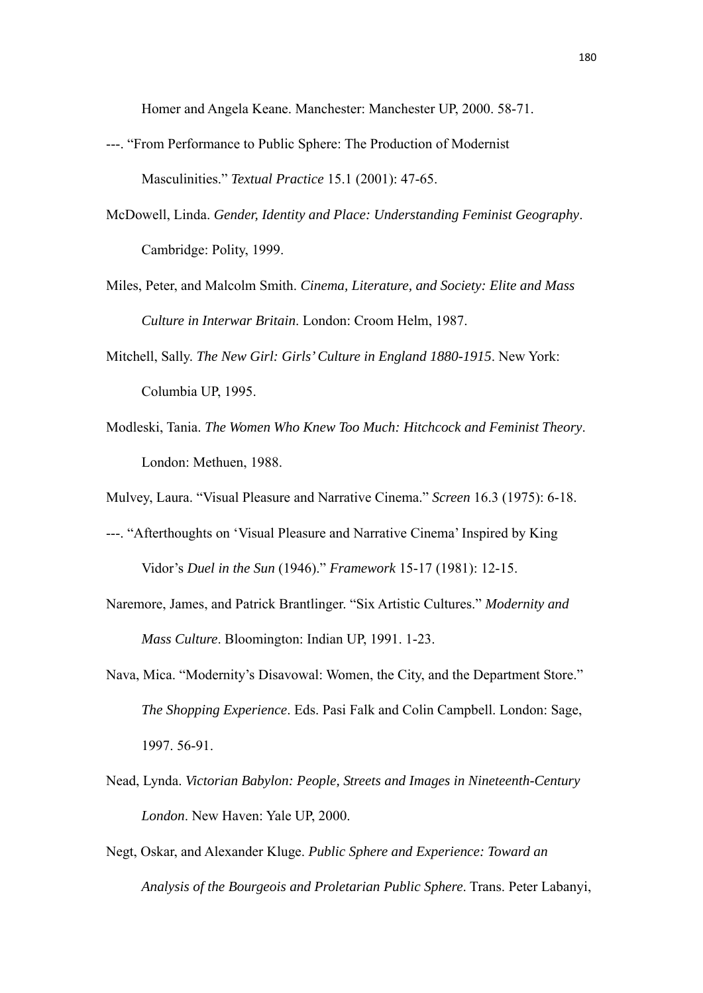Homer and Angela Keane. Manchester: Manchester UP, 2000. 58-71.

- ---. "From Performance to Public Sphere: The Production of Modernist Masculinities." *Textual Practice* 15.1 (2001): 47-65.
- McDowell, Linda. *Gender, Identity and Place: Understanding Feminist Geography*. Cambridge: Polity, 1999.
- Miles, Peter, and Malcolm Smith. *Cinema, Literature, and Society: Elite and Mass Culture in Interwar Britain*. London: Croom Helm, 1987.
- Mitchell, Sally. *The New Girl: Girls' Culture in England 1880-1915*. New York: Columbia UP, 1995.
- Modleski, Tania. *The Women Who Knew Too Much: Hitchcock and Feminist Theory*. London: Methuen, 1988.
- Mulvey, Laura. "Visual Pleasure and Narrative Cinema." *Screen* 16.3 (1975): 6-18.
- ---. "Afterthoughts on 'Visual Pleasure and Narrative Cinema' Inspired by King Vidor's *Duel in the Sun* (1946)." *Framework* 15-17 (1981): 12-15.
- Naremore, James, and Patrick Brantlinger. "Six Artistic Cultures." *Modernity and Mass Culture*. Bloomington: Indian UP, 1991. 1-23.
- Nava, Mica. "Modernity's Disavowal: Women, the City, and the Department Store." *The Shopping Experience*. Eds. Pasi Falk and Colin Campbell. London: Sage, 1997. 56-91.
- Nead, Lynda. *Victorian Babylon: People, Streets and Images in Nineteenth-Century London*. New Haven: Yale UP, 2000.
- Negt, Oskar, and Alexander Kluge. *Public Sphere and Experience: Toward an Analysis of the Bourgeois and Proletarian Public Sphere*. Trans. Peter Labanyi,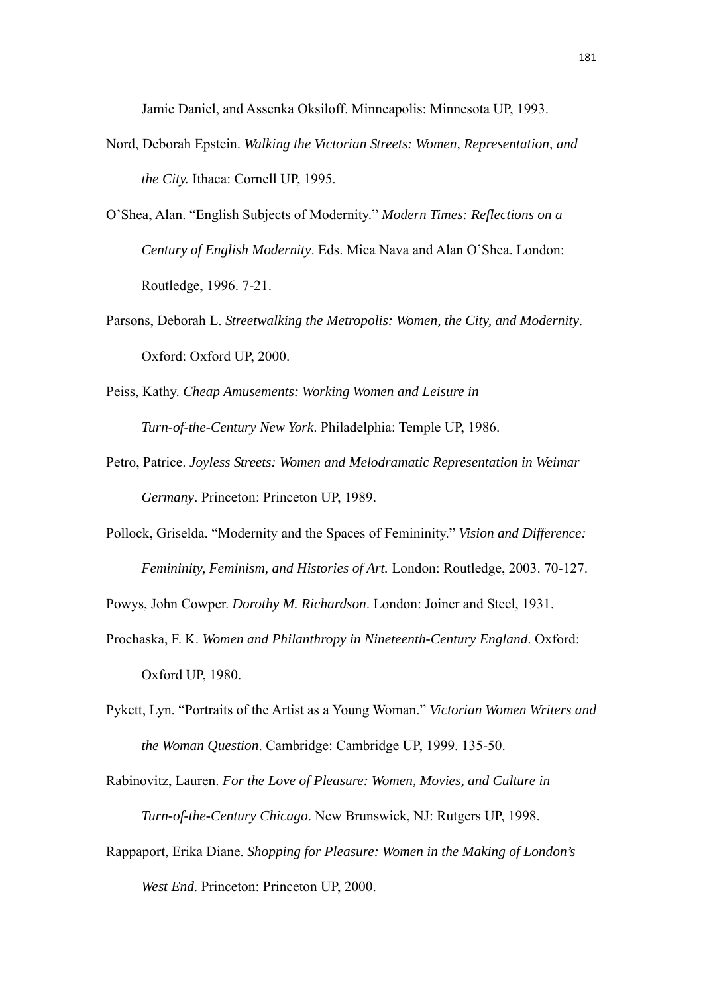Jamie Daniel, and Assenka Oksiloff. Minneapolis: Minnesota UP, 1993.

- Nord, Deborah Epstein. *Walking the Victorian Streets: Women, Representation, and the City.* Ithaca: Cornell UP, 1995.
- O'Shea, Alan. "English Subjects of Modernity." *Modern Times: Reflections on a Century of English Modernity*. Eds. Mica Nava and Alan O'Shea. London: Routledge, 1996. 7-21.
- Parsons, Deborah L. *Streetwalking the Metropolis: Women, the City, and Modernity*. Oxford: Oxford UP, 2000.
- Peiss, Kathy. *Cheap Amusements: Working Women and Leisure in Turn-of-the-Century New York*. Philadelphia: Temple UP, 1986.
- Petro, Patrice. *Joyless Streets: Women and Melodramatic Representation in Weimar Germany*. Princeton: Princeton UP, 1989.
- Pollock, Griselda. "Modernity and the Spaces of Femininity." *Vision and Difference: Femininity, Feminism, and Histories of Art.* London: Routledge, 2003. 70-127.

Powys, John Cowper. *Dorothy M. Richardson*. London: Joiner and Steel, 1931.

- Prochaska, F. K. *Women and Philanthropy in Nineteenth-Century England*. Oxford: Oxford UP, 1980.
- Pykett, Lyn. "Portraits of the Artist as a Young Woman." *Victorian Women Writers and the Woman Question*. Cambridge: Cambridge UP, 1999. 135-50.

Rabinovitz, Lauren. *For the Love of Pleasure: Women, Movies, and Culture in Turn-of-the-Century Chicago*. New Brunswick, NJ: Rutgers UP, 1998.

Rappaport, Erika Diane. *Shopping for Pleasure: Women in the Making of London's West End*. Princeton: Princeton UP, 2000.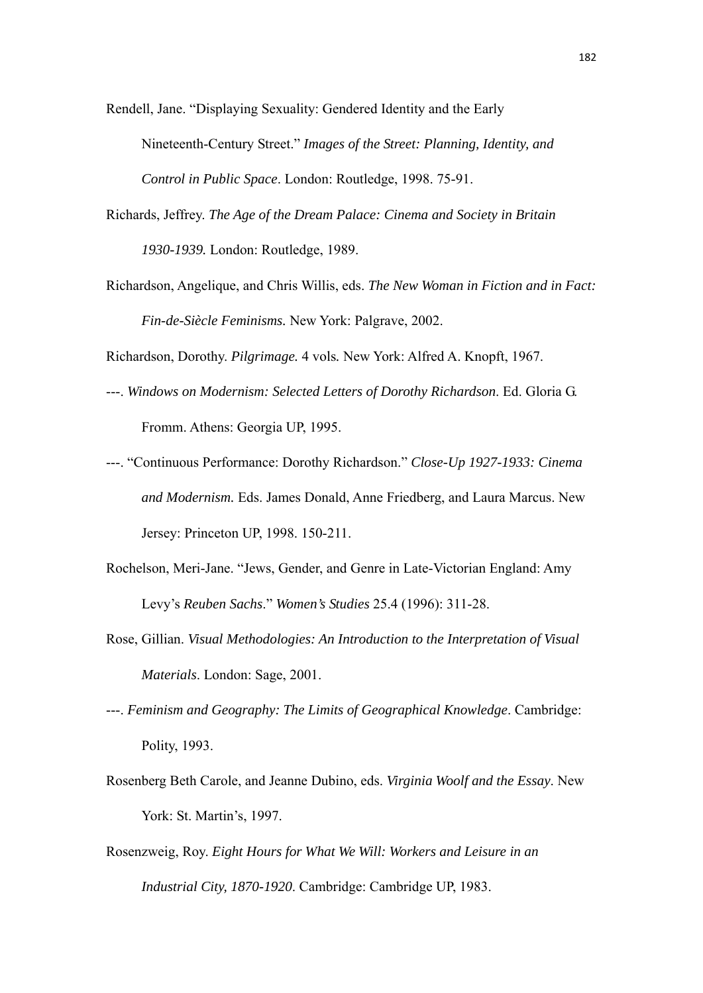Rendell, Jane. "Displaying Sexuality: Gendered Identity and the Early Nineteenth-Century Street." *Images of the Street: Planning, Identity, and Control in Public Space*. London: Routledge, 1998. 75-91.

- Richards, Jeffrey. *The Age of the Dream Palace: Cinema and Society in Britain 1930-1939.* London: Routledge, 1989.
- Richardson, Angelique, and Chris Willis, eds. *The New Woman in Fiction and in Fact: Fin-de-Siècle Feminisms.* New York: Palgrave, 2002.

Richardson, Dorothy. *Pilgrimage.* 4 vols*.* New York: Alfred A. Knopft, 1967.

- ---. *Windows on Modernism: Selected Letters of Dorothy Richardson*. Ed. Gloria G. Fromm. Athens: Georgia UP, 1995.
- ---. "Continuous Performance: Dorothy Richardson." *Close-Up 1927-1933: Cinema and Modernism.* Eds. James Donald, Anne Friedberg, and Laura Marcus. New Jersey: Princeton UP, 1998. 150-211.
- Rochelson, Meri-Jane. "Jews, Gender, and Genre in Late-Victorian England: Amy Levy's *Reuben Sachs*." *Women's Studies* 25.4 (1996): 311-28.
- Rose, Gillian. *Visual Methodologies: An Introduction to the Interpretation of Visual Materials*. London: Sage, 2001.
- ---. *Feminism and Geography: The Limits of Geographical Knowledge*. Cambridge: Polity, 1993.
- Rosenberg Beth Carole, and Jeanne Dubino, eds. *Virginia Woolf and the Essay*. New York: St. Martin's, 1997.
- Rosenzweig, Roy. *Eight Hours for What We Will: Workers and Leisure in an Industrial City, 1870-1920*. Cambridge: Cambridge UP, 1983.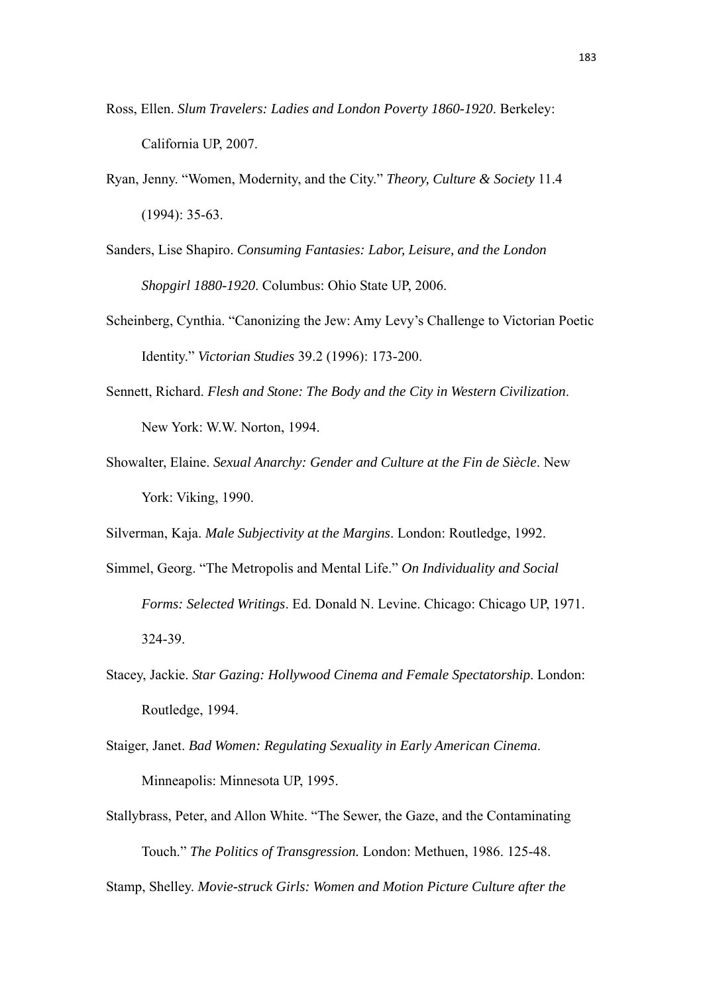- Ross, Ellen. *Slum Travelers: Ladies and London Poverty 1860-1920*. Berkeley: California UP, 2007.
- Ryan, Jenny. "Women, Modernity, and the City." *Theory, Culture & Society* 11.4 (1994): 35-63.
- Sanders, Lise Shapiro. *Consuming Fantasies: Labor, Leisure, and the London Shopgirl 1880-1920*. Columbus: Ohio State UP, 2006.
- Scheinberg, Cynthia. "Canonizing the Jew: Amy Levy's Challenge to Victorian Poetic Identity." *Victorian Studies* 39.2 (1996): 173-200.
- Sennett, Richard. *Flesh and Stone: The Body and the City in Western Civilization*. New York: W.W. Norton, 1994.
- Showalter, Elaine. *Sexual Anarchy: Gender and Culture at the Fin de Siècle*. New York: Viking, 1990.

Silverman, Kaja. *Male Subjectivity at the Margins*. London: Routledge, 1992.

- Simmel, Georg. "The Metropolis and Mental Life." *On Individuality and Social Forms: Selected Writings*. Ed. Donald N. Levine. Chicago: Chicago UP, 1971. 324-39.
- Stacey, Jackie. *Star Gazing: Hollywood Cinema and Female Spectatorship*. London: Routledge, 1994.
- Staiger, Janet. *Bad Women: Regulating Sexuality in Early American Cinema*. Minneapolis: Minnesota UP, 1995.
- Stallybrass, Peter, and Allon White. "The Sewer, the Gaze, and the Contaminating Touch." *The Politics of Transgression.* London: Methuen, 1986. 125-48.

Stamp, Shelley. *Movie-struck Girls: Women and Motion Picture Culture after the*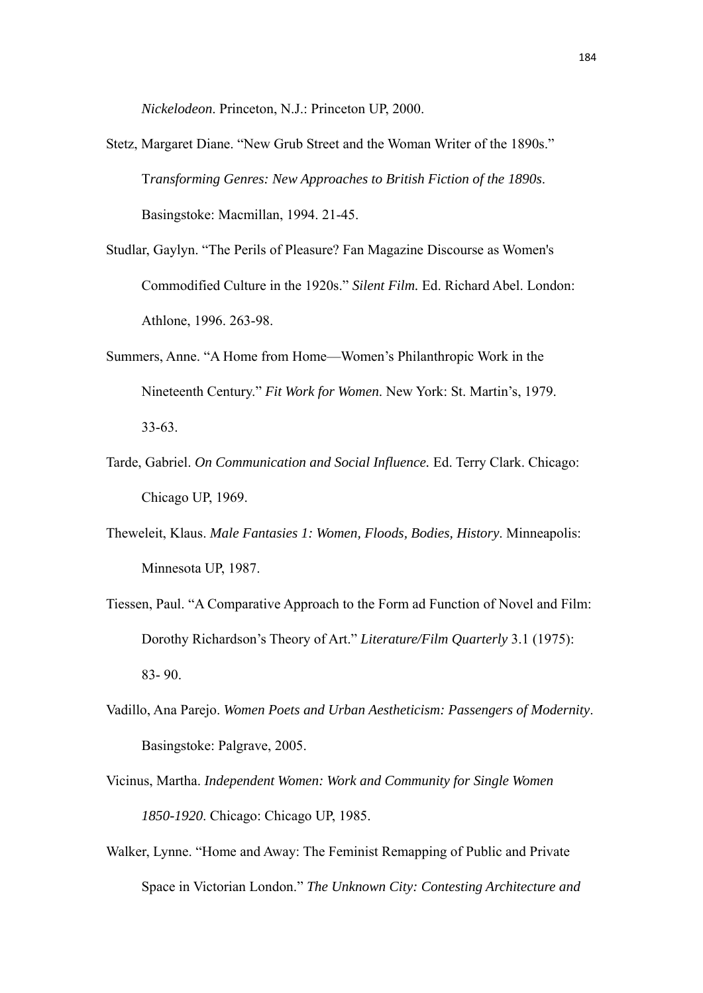*Nickelodeon*. Princeton, N.J.: Princeton UP, 2000.

- Stetz, Margaret Diane. "New Grub Street and the Woman Writer of the 1890s." T*ransforming Genres: New Approaches to British Fiction of the 1890s*. Basingstoke: Macmillan, 1994. 21-45.
- Studlar, Gaylyn. "The Perils of Pleasure? Fan Magazine Discourse as Women's Commodified Culture in the 1920s." *Silent Film.* Ed. Richard Abel. London: Athlone, 1996. 263-98.
- Summers, Anne. "A Home from Home—Women's Philanthropic Work in the Nineteenth Century." *Fit Work for Women*. New York: St. Martin's, 1979. 33-63.
- Tarde, Gabriel. *On Communication and Social Influence.* Ed. Terry Clark. Chicago: Chicago UP, 1969.
- Theweleit, Klaus. *Male Fantasies 1: Women, Floods, Bodies, History*. Minneapolis: Minnesota UP, 1987.
- Tiessen, Paul. "A Comparative Approach to the Form ad Function of Novel and Film: Dorothy Richardson's Theory of Art." *Literature/Film Quarterly* 3.1 (1975): 83- 90.
- Vadillo, Ana Parejo. *Women Poets and Urban Aestheticism: Passengers of Modernity*. Basingstoke: Palgrave, 2005.
- Vicinus, Martha. *Independent Women: Work and Community for Single Women 1850-1920*. Chicago: Chicago UP, 1985.
- Walker, Lynne. "Home and Away: The Feminist Remapping of Public and Private Space in Victorian London." *The Unknown City: Contesting Architecture and*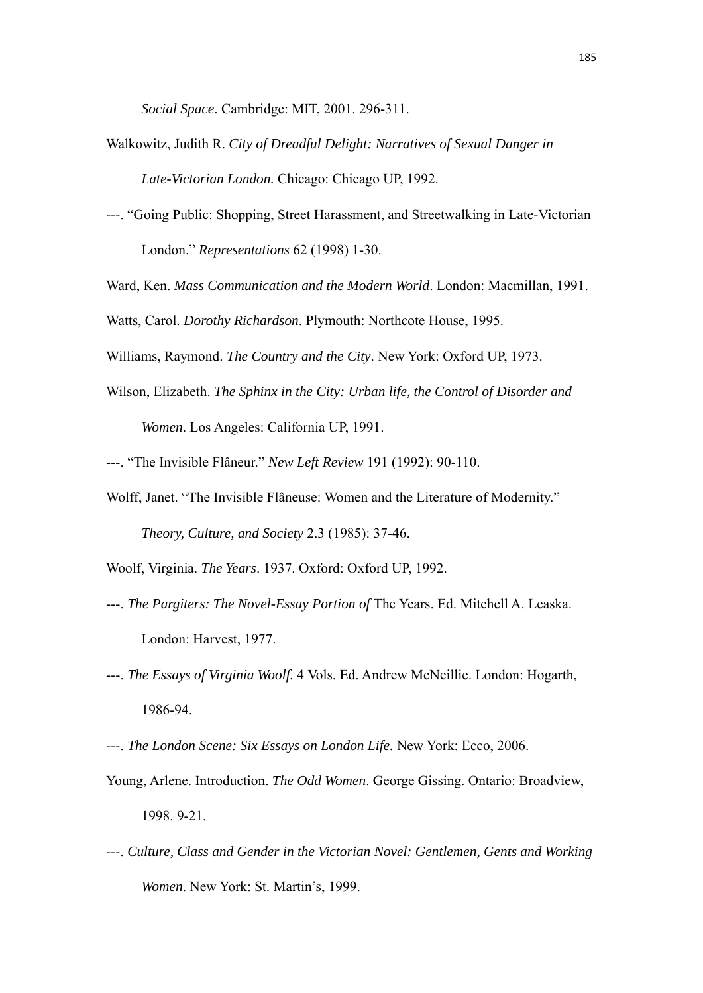*Social Space*. Cambridge: MIT, 2001. 296-311.

- Walkowitz, Judith R. *City of Dreadful Delight: Narratives of Sexual Danger in Late-Victorian London.* Chicago: Chicago UP, 1992.
- ---. "Going Public: Shopping, Street Harassment, and Streetwalking in Late-Victorian London." *Representations* 62 (1998) 1-30.
- Ward, Ken. *Mass Communication and the Modern World*. London: Macmillan, 1991.

Watts, Carol. *Dorothy Richardson*. Plymouth: Northcote House, 1995.

Williams, Raymond. *The Country and the City*. New York: Oxford UP, 1973.

- Wilson, Elizabeth. *The Sphinx in the City: Urban life, the Control of Disorder and Women*. Los Angeles: California UP, 1991.
- ---. "The Invisible Flâneur." *New Left Review* 191 (1992): 90-110.
- Wolff, Janet. "The Invisible Flâneuse: Women and the Literature of Modernity." *Theory, Culture, and Society* 2.3 (1985): 37-46.
- Woolf, Virginia. *The Years*. 1937. Oxford: Oxford UP, 1992.
- ---. *The Pargiters: The Novel-Essay Portion of* The Years. Ed. Mitchell A. Leaska. London: Harvest, 1977.
- ---. *The Essays of Virginia Woolf.* 4 Vols. Ed. Andrew McNeillie. London: Hogarth, 1986-94.
- ---. *The London Scene: Six Essays on London Life.* New York: Ecco, 2006.
- Young, Arlene. Introduction. *The Odd Women*. George Gissing. Ontario: Broadview, 1998. 9-21.
- ---. *Culture, Class and Gender in the Victorian Novel: Gentlemen, Gents and Working Women*. New York: St. Martin's, 1999.